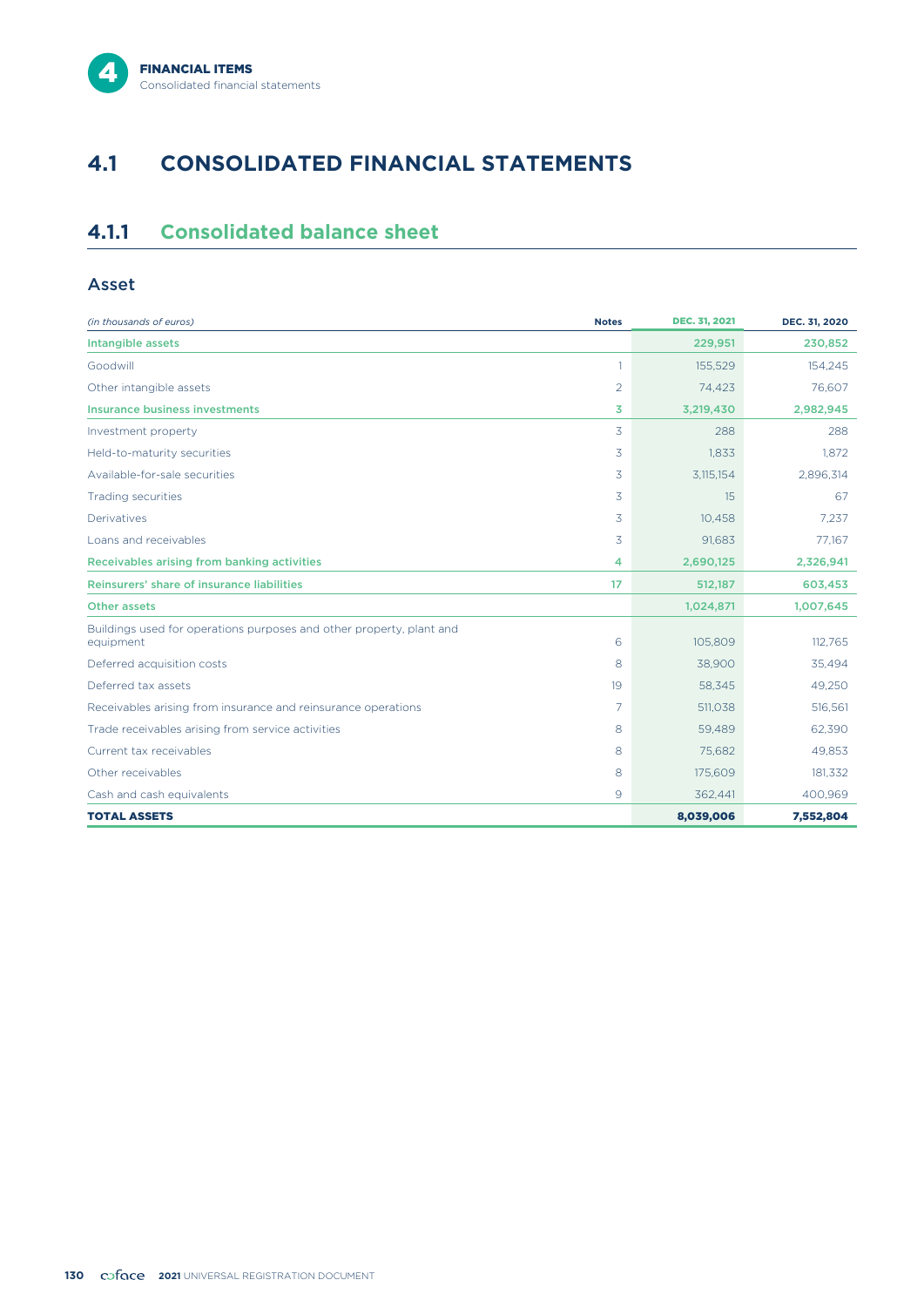# **4.1 CONSOLIDATED FINANCIAL STATEMENTS**

# **4.1.1 Consolidated balance sheet**

#### Asset

| (in thousands of euros)                                                           | <b>Notes</b>   | <b>DEC. 31, 2021</b> | DEC. 31, 2020 |
|-----------------------------------------------------------------------------------|----------------|----------------------|---------------|
| Intangible assets                                                                 |                | 229,951              | 230,852       |
| Goodwill                                                                          | $\mathbf{1}$   | 155,529              | 154,245       |
| Other intangible assets                                                           | $\overline{2}$ | 74,423               | 76,607        |
| Insurance business investments                                                    | 3              | 3,219,430            | 2,982,945     |
| Investment property                                                               | 3              | 288                  | 288           |
| Held-to-maturity securities                                                       | 3              | 1.833                | 1.872         |
| Available-for-sale securities                                                     | 3              | 3,115,154            | 2,896,314     |
| <b>Trading securities</b>                                                         | 3              | 15                   | 67            |
| Derivatives                                                                       | 3              | 10,458               | 7.237         |
| Loans and receivables                                                             | 3              | 91.683               | 77,167        |
| Receivables arising from banking activities                                       | 4              | 2,690,125            | 2,326,941     |
| Reinsurers' share of insurance liabilities                                        | 17             | 512,187              | 603,453       |
| <b>Other assets</b>                                                               |                | 1,024,871            | 1,007,645     |
| Buildings used for operations purposes and other property, plant and<br>equipment | 6              | 105,809              | 112.765       |
| Deferred acquisition costs                                                        | 8              | 38,900               | 35,494        |
| Deferred tax assets                                                               | 19             | 58.345               | 49.250        |
| Receivables arising from insurance and reinsurance operations                     | 7              | 511,038              | 516,561       |
| Trade receivables arising from service activities                                 | 8              | 59,489               | 62,390        |
| Current tax receivables                                                           | 8              | 75,682               | 49.853        |
| Other receivables                                                                 | 8              | 175,609              | 181,332       |
| Cash and cash equivalents                                                         | 9              | 362,441              | 400,969       |
| <b>TOTAL ASSETS</b>                                                               |                | 8,039,006            | 7,552,804     |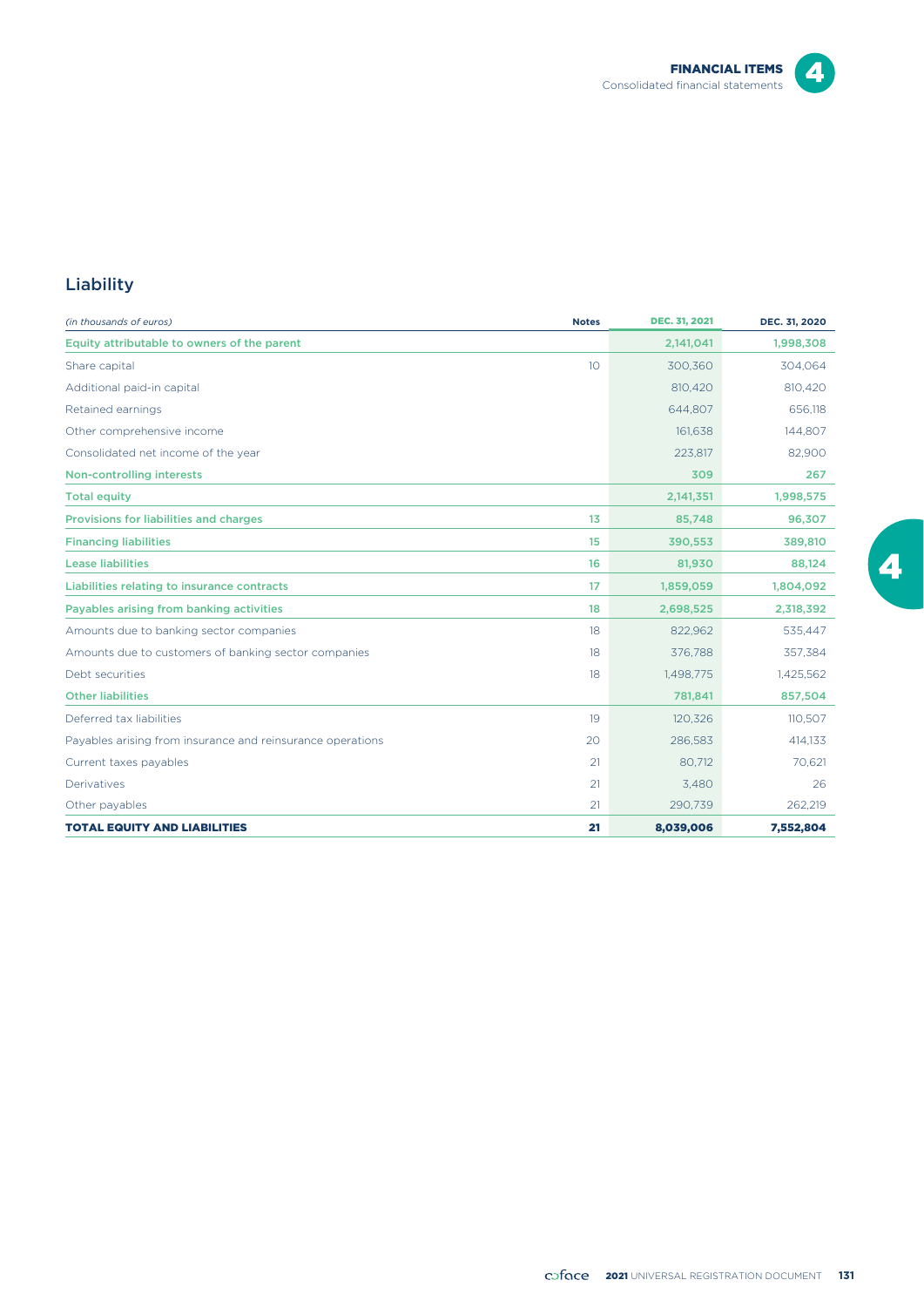



### Liability

| (in thousands of euros)                                    | <b>Notes</b>    | <b>DEC. 31, 2021</b> | DEC. 31, 2020 |
|------------------------------------------------------------|-----------------|----------------------|---------------|
| Equity attributable to owners of the parent                |                 | 2,141,041            | 1,998,308     |
| Share capital                                              | 10 <sup>°</sup> | 300,360              | 304,064       |
| Additional paid-in capital                                 |                 | 810,420              | 810,420       |
| Retained earnings                                          |                 | 644,807              | 656,118       |
| Other comprehensive income                                 |                 | 161,638              | 144,807       |
| Consolidated net income of the year                        |                 | 223,817              | 82,900        |
| <b>Non-controlling interests</b>                           |                 | 309                  | 267           |
| <b>Total equity</b>                                        |                 | 2,141,351            | 1,998,575     |
| Provisions for liabilities and charges                     | 13              | 85,748               | 96,307        |
| <b>Financing liabilities</b>                               | 15              | 390,553              | 389,810       |
| <b>Lease liabilities</b>                                   | 16              | 81,930               | 88,124        |
| Liabilities relating to insurance contracts                | 17              | 1,859,059            | 1,804,092     |
| Payables arising from banking activities                   | 18              | 2,698,525            | 2,318,392     |
| Amounts due to banking sector companies                    | 18              | 822.962              | 535,447       |
| Amounts due to customers of banking sector companies       | 18              | 376,788              | 357,384       |
| Debt securities                                            | 18              | 1,498,775            | 1,425,562     |
| <b>Other liabilities</b>                                   |                 | 781,841              | 857,504       |
| Deferred tax liabilities                                   | 19              | 120,326              | 110,507       |
| Payables arising from insurance and reinsurance operations | 20              | 286,583              | 414,133       |
| Current taxes payables                                     | 21              | 80,712               | 70,621        |
| Derivatives                                                | 21              | 3,480                | 26            |
| Other payables                                             | 21              | 290,739              | 262,219       |
| <b>TOTAL EQUITY AND LIABILITIES</b>                        | 21              | 8,039,006            | 7,552,804     |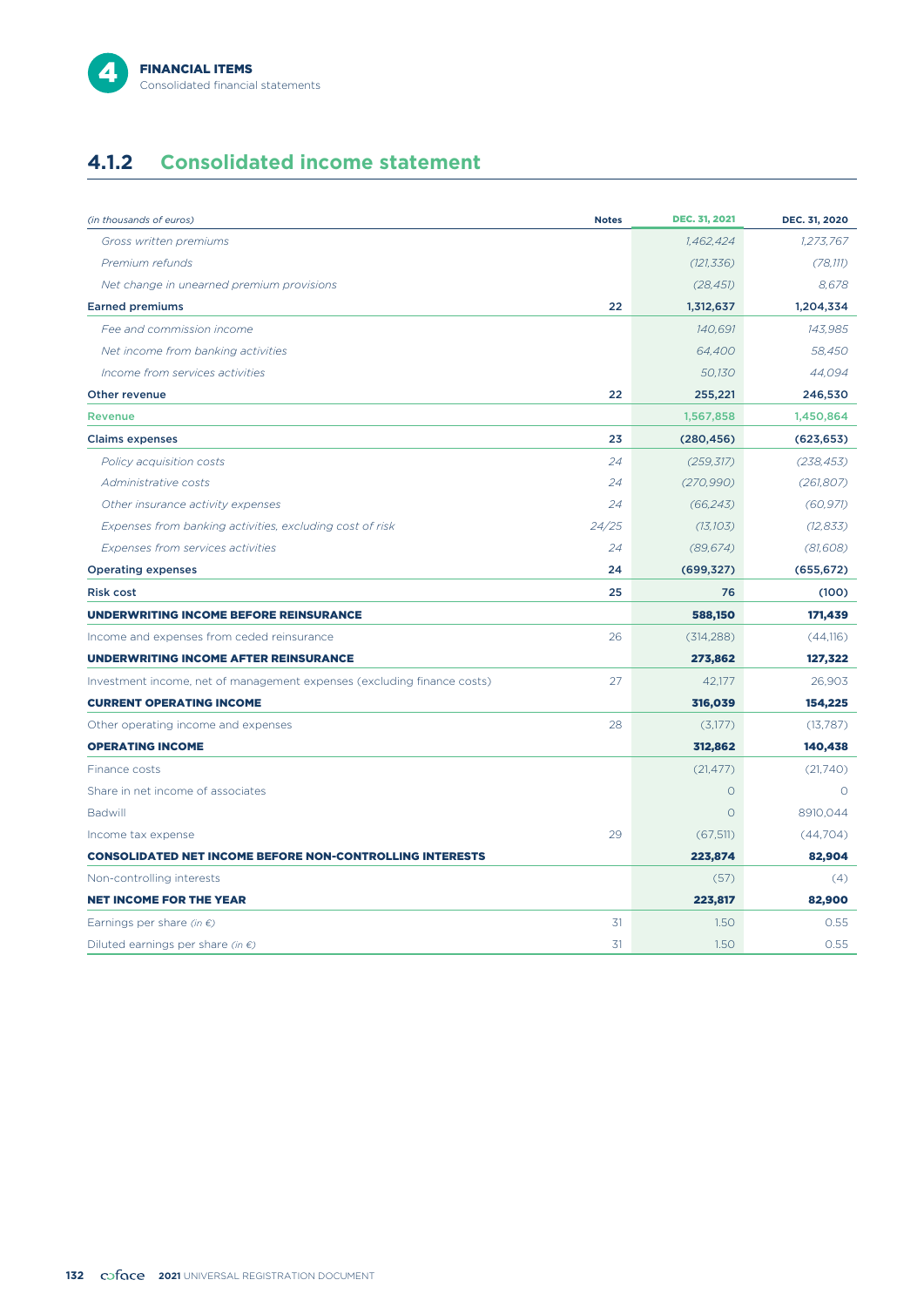

# **4.1.2 Consolidated income statement**

| (in thousands of euros)                                                 | <b>Notes</b> | <b>DEC. 31, 2021</b> | DEC. 31, 2020 |
|-------------------------------------------------------------------------|--------------|----------------------|---------------|
| Gross written premiums                                                  |              | 1.462.424            | 1,273,767     |
| Premium refunds                                                         |              | (121, 336)           | (78, 111)     |
| Net change in unearned premium provisions                               |              | (28, 451)            | 8,678         |
| <b>Earned premiums</b>                                                  | 22           | 1,312,637            | 1,204,334     |
| Fee and commission income                                               |              | 140.691              | 143.985       |
| Net income from banking activities                                      |              | 64,400               | 58,450        |
| Income from services activities                                         |              | 50.130               | 44,094        |
| Other revenue                                                           | 22           | 255,221              | 246,530       |
| <b>Revenue</b>                                                          |              | 1,567,858            | 1,450,864     |
| <b>Claims expenses</b>                                                  | 23           | (280, 456)           | (623, 653)    |
| Policy acquisition costs                                                | 24           | (259, 317)           | (238, 453)    |
| Administrative costs                                                    | 24           | (270, 990)           | (261, 807)    |
| Other insurance activity expenses                                       | 24           | (66, 243)            | (60, 971)     |
| Expenses from banking activities, excluding cost of risk                | 24/25        | (13, 103)            | (12, 833)     |
| Expenses from services activities                                       | 24           | (89, 674)            | (81, 608)     |
| <b>Operating expenses</b>                                               | 24           | (699, 327)           | (655, 672)    |
| <b>Risk cost</b>                                                        | 25           | 76                   | (100)         |
| <b>UNDERWRITING INCOME BEFORE REINSURANCE</b>                           |              | 588,150              | 171,439       |
| Income and expenses from ceded reinsurance                              | 26           | (314, 288)           | (44,116)      |
| <b>UNDERWRITING INCOME AFTER REINSURANCE</b>                            |              | 273,862              | 127,322       |
| Investment income, net of management expenses (excluding finance costs) | 27           | 42,177               | 26,903        |
| <b>CURRENT OPERATING INCOME</b>                                         |              | 316,039              | 154,225       |
| Other operating income and expenses                                     | 28           | (3,177)              | (13,787)      |
| <b>OPERATING INCOME</b>                                                 |              | 312,862              | 140,438       |
| Finance costs                                                           |              | (21, 477)            | (21,740)      |
| Share in net income of associates                                       |              | $\circ$              | $\Omega$      |
| <b>Badwill</b>                                                          |              | $\Omega$             | 8910,044      |
| Income tax expense                                                      | 29           | (67, 511)            | (44,704)      |
| <b>CONSOLIDATED NET INCOME BEFORE NON-CONTROLLING INTERESTS</b>         |              | 223,874              | 82,904        |
| Non-controlling interests                                               |              | (57)                 | (4)           |
| <b>NET INCOME FOR THE YEAR</b>                                          |              | 223,817              | 82,900        |
| Earnings per share (in $\epsilon$ )                                     | 31           | 1.50                 | 0.55          |
| Diluted earnings per share (in $\epsilon$ )                             | 31           | 1.50                 | 0.55          |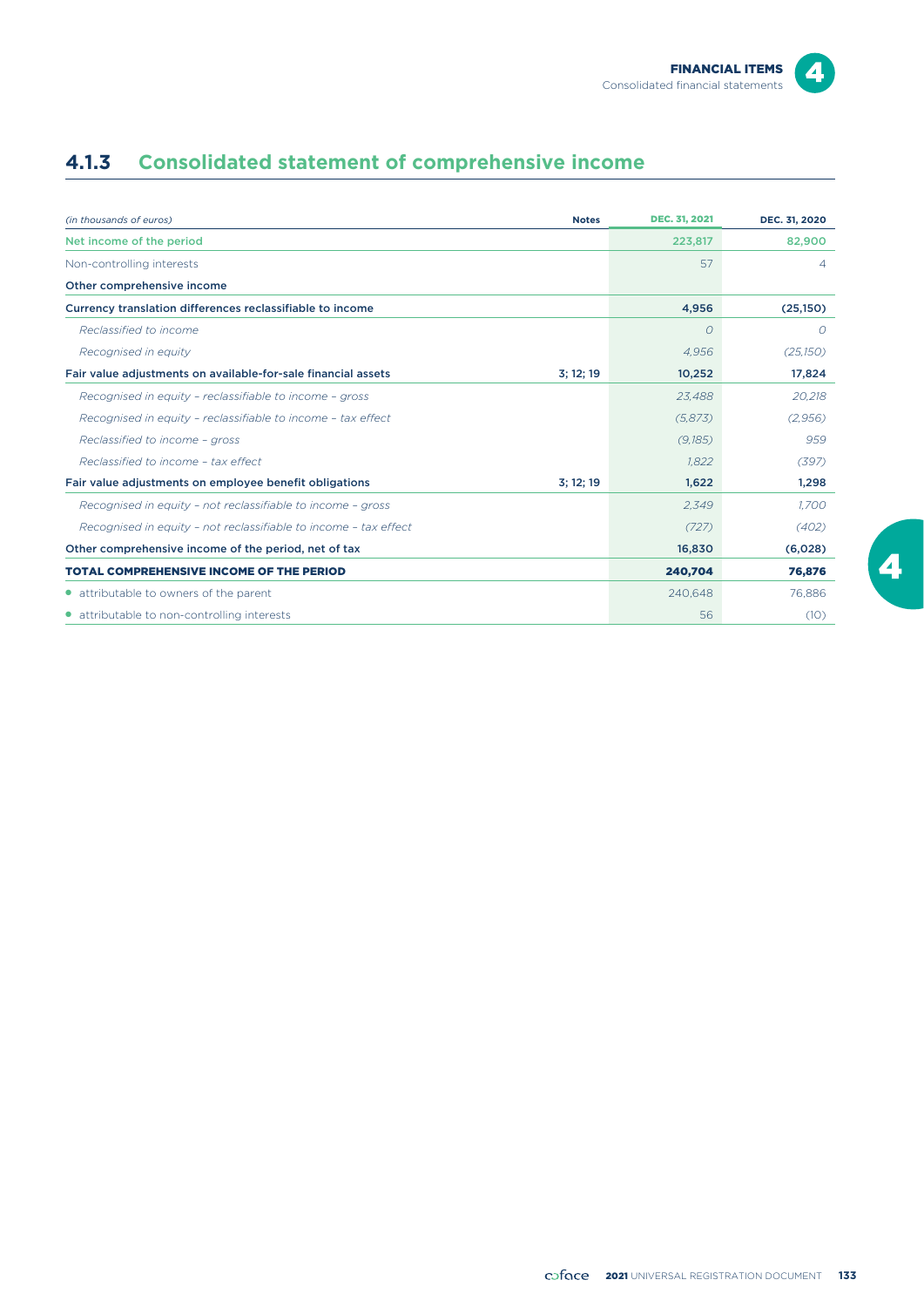# **4.1.3 Consolidated statement of comprehensive income**

| (in thousands of euros)<br><b>Notes</b>                                    | <b>DEC. 31, 2021</b> | DEC. 31, 2020 |
|----------------------------------------------------------------------------|----------------------|---------------|
| Net income of the period                                                   | 223,817              | 82,900        |
| Non-controlling interests                                                  | 57                   | 4             |
| Other comprehensive income                                                 |                      |               |
| Currency translation differences reclassifiable to income                  | 4.956                | (25, 150)     |
| Reclassified to income                                                     | $\overline{O}$       | $\Omega$      |
| Recognised in equity                                                       | 4,956                | (25,150)      |
| Fair value adjustments on available-for-sale financial assets<br>3; 12; 19 | 10,252               | 17,824        |
| Recognised in equity - reclassifiable to income - gross                    | 23,488               | 20,218        |
| Recognised in equity - reclassifiable to income - tax effect               | (5,873)              | (2,956)       |
| Reclassified to income - gross                                             | (9,185)              | 959           |
| Reclassified to income - tax effect                                        | 1,822                | (397)         |
| Fair value adjustments on employee benefit obligations<br>3; 12; 19        | 1,622                | 1,298         |
| Recognised in equity - not reclassifiable to income - gross                | 2.349                | 1.700         |
| Recognised in equity - not reclassifiable to income - tax effect           | (727)                | (402)         |
| Other comprehensive income of the period, net of tax                       | 16,830               | (6,028)       |
| <b>TOTAL COMPREHENSIVE INCOME OF THE PERIOD</b>                            | 240,704              | 76,876        |
| • attributable to owners of the parent                                     | 240.648              | 76.886        |
| • attributable to non-controlling interests                                | 56                   | (10)          |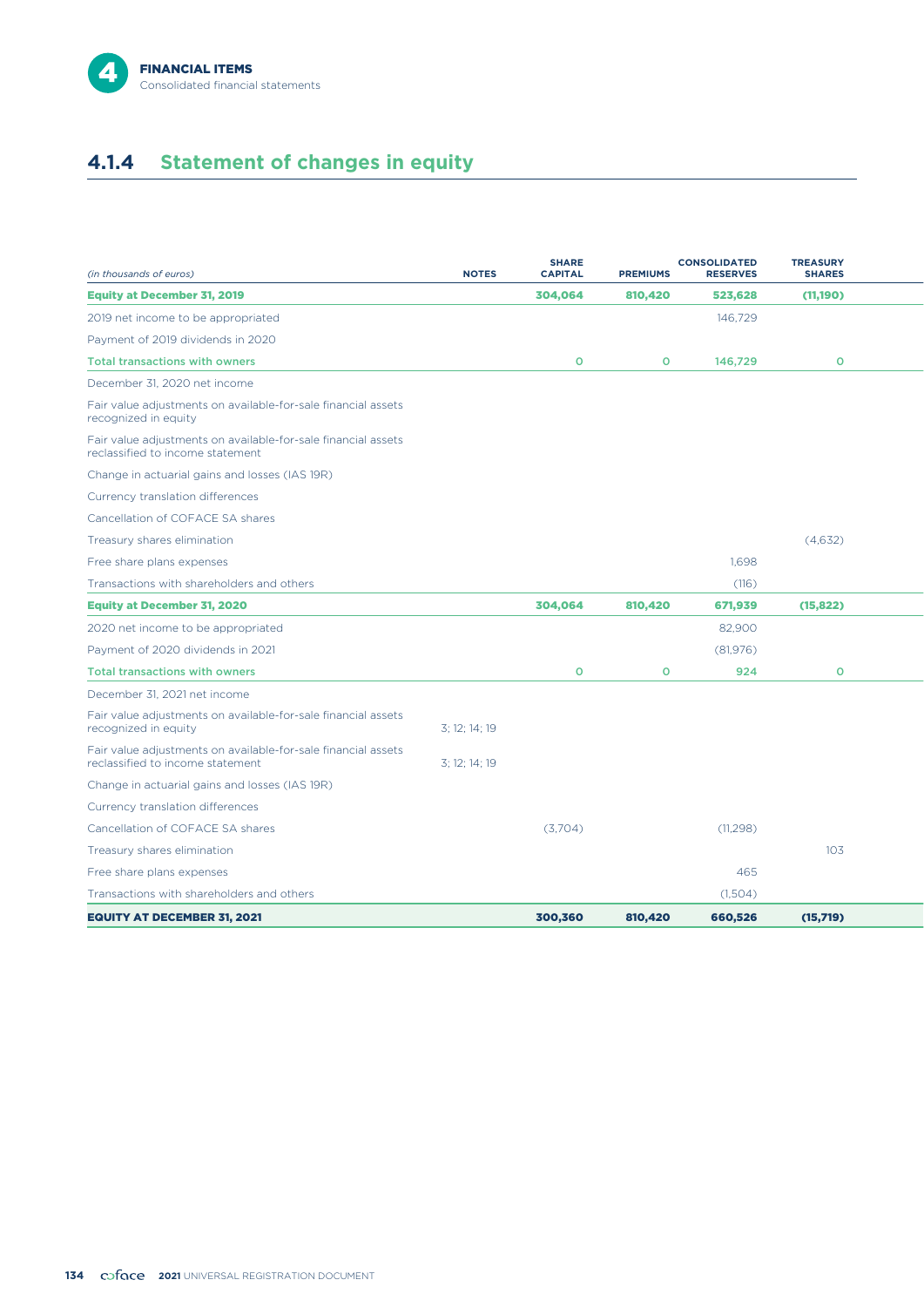

# **4.1.4 Statement of changes in equity**

| (in thousands of euros)                                                                           | <b>NOTES</b>  | <b>SHARE</b><br><b>CAPITAL</b> | <b>PREMIUMS</b> | <b>CONSOLIDATED</b><br><b>RESERVES</b> | <b>TREASURY</b><br><b>SHARES</b> |  |
|---------------------------------------------------------------------------------------------------|---------------|--------------------------------|-----------------|----------------------------------------|----------------------------------|--|
| <b>Equity at December 31, 2019</b>                                                                |               | 304.064                        | 810,420         | 523,628                                | (11, 190)                        |  |
| 2019 net income to be appropriated                                                                |               |                                |                 | 146.729                                |                                  |  |
| Payment of 2019 dividends in 2020                                                                 |               |                                |                 |                                        |                                  |  |
| <b>Total transactions with owners</b>                                                             |               | $\circ$                        | $\circ$         | 146,729                                | $\circ$                          |  |
| December 31, 2020 net income                                                                      |               |                                |                 |                                        |                                  |  |
| Fair value adjustments on available-for-sale financial assets<br>recognized in equity             |               |                                |                 |                                        |                                  |  |
| Fair value adjustments on available-for-sale financial assets<br>reclassified to income statement |               |                                |                 |                                        |                                  |  |
| Change in actuarial gains and losses (IAS 19R)                                                    |               |                                |                 |                                        |                                  |  |
| Currency translation differences                                                                  |               |                                |                 |                                        |                                  |  |
| Cancellation of COFACE SA shares                                                                  |               |                                |                 |                                        |                                  |  |
| Treasury shares elimination                                                                       |               |                                |                 |                                        | (4,632)                          |  |
| Free share plans expenses                                                                         |               |                                |                 | 1.698                                  |                                  |  |
| Transactions with shareholders and others                                                         |               |                                |                 | (116)                                  |                                  |  |
| <b>Equity at December 31, 2020</b>                                                                |               | 304.064                        | 810,420         | 671,939                                | (15, 822)                        |  |
| 2020 net income to be appropriated                                                                |               |                                |                 | 82,900                                 |                                  |  |
| Payment of 2020 dividends in 2021                                                                 |               |                                |                 | (81,976)                               |                                  |  |
| <b>Total transactions with owners</b>                                                             |               | $\circ$                        | O               | 924                                    | $\circ$                          |  |
| December 31, 2021 net income                                                                      |               |                                |                 |                                        |                                  |  |
| Fair value adjustments on available-for-sale financial assets<br>recognized in equity             | 3; 12; 14; 19 |                                |                 |                                        |                                  |  |
| Fair value adjustments on available-for-sale financial assets<br>reclassified to income statement | 3: 12: 14: 19 |                                |                 |                                        |                                  |  |
| Change in actuarial gains and losses (IAS 19R)                                                    |               |                                |                 |                                        |                                  |  |
| Currency translation differences                                                                  |               |                                |                 |                                        |                                  |  |
| Cancellation of COFACE SA shares                                                                  |               | (3,704)                        |                 | (11, 298)                              |                                  |  |
| Treasury shares elimination                                                                       |               |                                |                 |                                        | 10 <sub>3</sub>                  |  |
| Free share plans expenses                                                                         |               |                                |                 | 465                                    |                                  |  |
| Transactions with shareholders and others                                                         |               |                                |                 | (1,504)                                |                                  |  |
| <b>EQUITY AT DECEMBER 31, 2021</b>                                                                |               | 300,360                        | 810,420         | 660,526                                | (15,719)                         |  |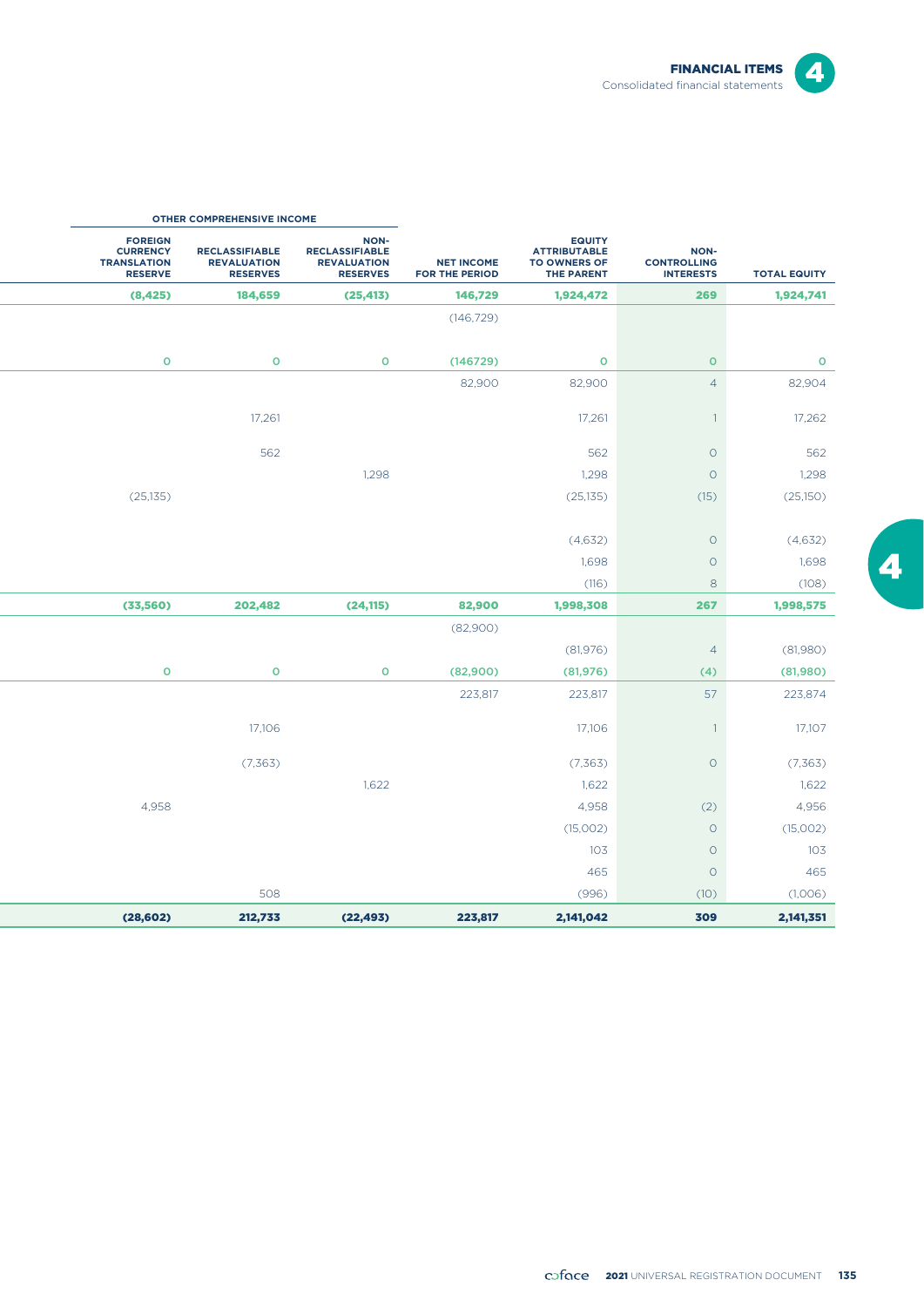

| <b>OTHER COMPREHENSIVE INCOME</b>                                         |                                                                |                                                                        |                                     |                                                                                  |                                                |                     |
|---------------------------------------------------------------------------|----------------------------------------------------------------|------------------------------------------------------------------------|-------------------------------------|----------------------------------------------------------------------------------|------------------------------------------------|---------------------|
| <b>FOREIGN</b><br><b>CURRENCY</b><br><b>TRANSLATION</b><br><b>RESERVE</b> | <b>RECLASSIFIABLE</b><br><b>REVALUATION</b><br><b>RESERVES</b> | NON-<br><b>RECLASSIFIABLE</b><br><b>REVALUATION</b><br><b>RESERVES</b> | <b>NET INCOME</b><br>FOR THE PERIOD | <b>EQUITY</b><br><b>ATTRIBUTABLE</b><br><b>TO OWNERS OF</b><br><b>THE PARENT</b> | NON-<br><b>CONTROLLING</b><br><b>INTERESTS</b> | <b>TOTAL EQUITY</b> |
| (8, 425)                                                                  | 184,659                                                        | (25, 413)                                                              | 146,729                             | 1,924,472                                                                        | 269                                            | 1,924,741           |
|                                                                           |                                                                |                                                                        | (146, 729)                          |                                                                                  |                                                |                     |
|                                                                           |                                                                |                                                                        |                                     |                                                                                  |                                                |                     |
| $\mathsf{o}$                                                              | $\mathbf O$                                                    | $\mathsf{o}\xspace$                                                    | (146729)                            | $\circ$                                                                          | $\mathbf O$                                    | $\mathbf O$         |
|                                                                           |                                                                |                                                                        | 82,900                              | 82,900                                                                           | $\overline{4}$                                 | 82,904              |
|                                                                           | 17,261                                                         |                                                                        |                                     | 17,261                                                                           | $\overline{1}$                                 | 17,262              |
|                                                                           | 562                                                            |                                                                        |                                     | 562                                                                              | $\circ$                                        | 562                 |
|                                                                           |                                                                | 1,298                                                                  |                                     | 1,298                                                                            | $\circ$                                        | 1,298               |
| (25, 135)                                                                 |                                                                |                                                                        |                                     | (25, 135)                                                                        | (15)                                           | (25,150)            |
|                                                                           |                                                                |                                                                        |                                     |                                                                                  |                                                |                     |
|                                                                           |                                                                |                                                                        |                                     | (4,632)                                                                          | $\circ$                                        | (4,632)             |
|                                                                           |                                                                |                                                                        |                                     | 1,698                                                                            | $\circ$                                        | 1,698               |
|                                                                           |                                                                |                                                                        |                                     | (116)                                                                            | 8                                              | (108)               |
| (33, 560)                                                                 | 202,482                                                        | (24, 115)                                                              | 82,900                              | 1,998,308                                                                        | 267                                            | 1,998,575           |
|                                                                           |                                                                |                                                                        | (82,900)                            |                                                                                  |                                                |                     |
|                                                                           |                                                                |                                                                        |                                     | (81, 976)                                                                        | $\overline{4}$                                 | (81,980)            |
| $\circ$                                                                   | $\circ$                                                        | $\circ$                                                                | (82,900)                            | (81, 976)                                                                        | (4)                                            | (81,980)            |
|                                                                           |                                                                |                                                                        | 223,817                             | 223,817                                                                          | 57                                             | 223,874             |
|                                                                           | 17,106                                                         |                                                                        |                                     | 17,106                                                                           | $\overline{1}$                                 | 17,107              |
|                                                                           | (7, 363)                                                       |                                                                        |                                     | (7,363)                                                                          | $\circ$                                        | (7,363)             |
|                                                                           |                                                                | 1,622                                                                  |                                     | 1,622                                                                            |                                                | 1,622               |
| 4,958                                                                     |                                                                |                                                                        |                                     | 4,958                                                                            | (2)                                            | 4,956               |
|                                                                           |                                                                |                                                                        |                                     | (15,002)                                                                         | $\circ$                                        | (15,002)            |
|                                                                           |                                                                |                                                                        |                                     | 103                                                                              | $\circ$                                        | 103                 |
|                                                                           |                                                                |                                                                        |                                     | 465                                                                              | $\circ$                                        | 465                 |
|                                                                           | 508                                                            |                                                                        |                                     | (996)                                                                            | (10)                                           | (1,006)             |
| (28, 602)                                                                 | 212,733                                                        | (22, 493)                                                              | 223,817                             | 2,141,042                                                                        | 309                                            | 2,141,351           |

 $\frac{1}{\sqrt{2}}$ 

 $\overline{\phantom{a}}$ 

٦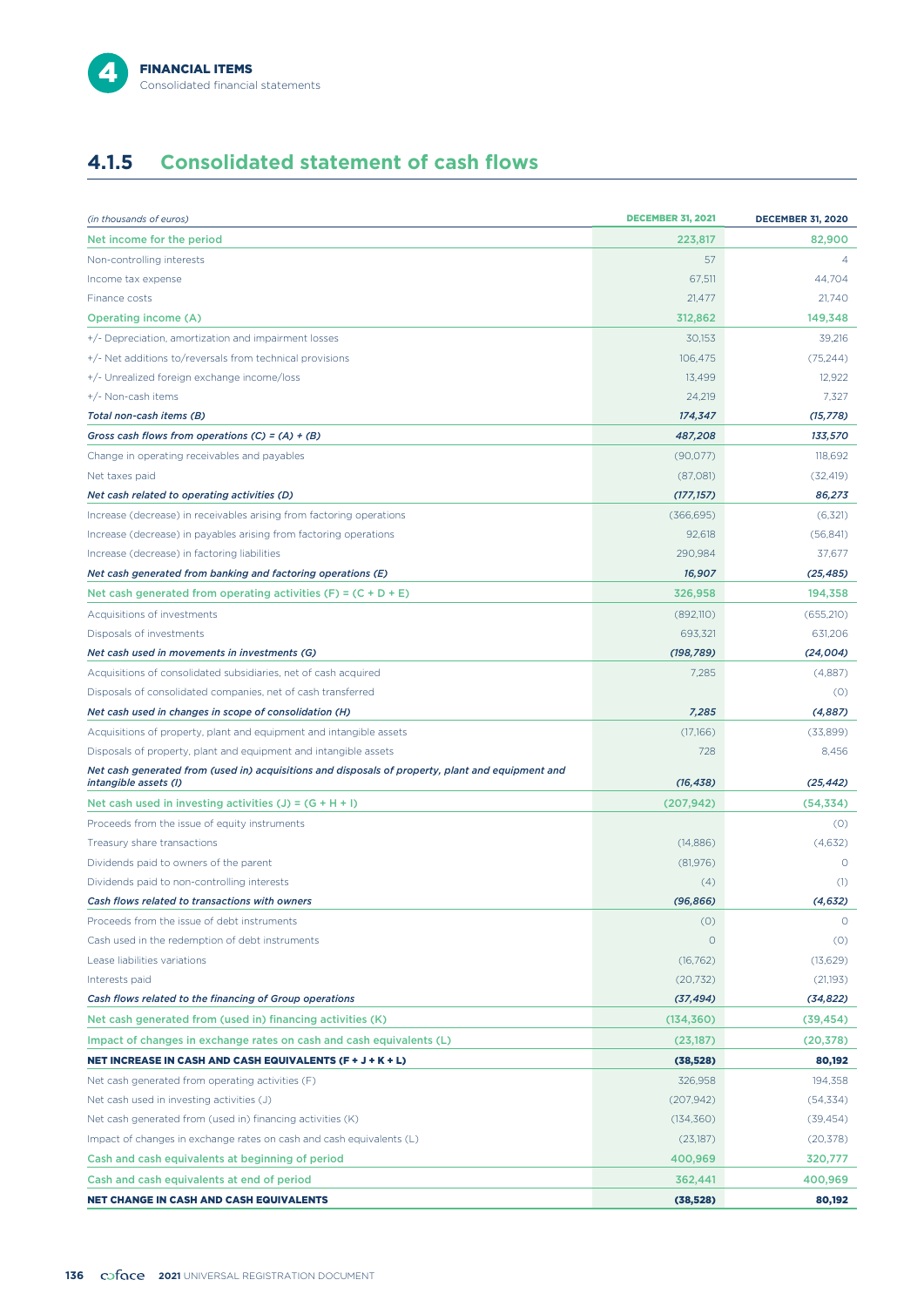

# **4.1.5 Consolidated statement of cash flows**

| Net income for the period<br>223,817<br>Non-controlling interests<br>57<br>67,511<br>Income tax expense<br>Finance costs<br>21,477<br><b>Operating income (A)</b><br>312,862<br>+/- Depreciation, amortization and impairment losses<br>30,153 | 82,900<br>44,704<br>21,740<br>149,348<br>39,216<br>(75, 244)<br>12,922<br>7,327<br>(15, 778)<br>133,570 |
|------------------------------------------------------------------------------------------------------------------------------------------------------------------------------------------------------------------------------------------------|---------------------------------------------------------------------------------------------------------|
|                                                                                                                                                                                                                                                |                                                                                                         |
|                                                                                                                                                                                                                                                |                                                                                                         |
|                                                                                                                                                                                                                                                |                                                                                                         |
|                                                                                                                                                                                                                                                |                                                                                                         |
|                                                                                                                                                                                                                                                |                                                                                                         |
|                                                                                                                                                                                                                                                |                                                                                                         |
| +/- Net additions to/reversals from technical provisions<br>106,475                                                                                                                                                                            |                                                                                                         |
| +/- Unrealized foreign exchange income/loss<br>13,499                                                                                                                                                                                          |                                                                                                         |
| +/- Non-cash items<br>24,219                                                                                                                                                                                                                   |                                                                                                         |
| 174,347<br>Total non-cash items (B)                                                                                                                                                                                                            |                                                                                                         |
| Gross cash flows from operations (C) = $(A) + (B)$<br>487,208                                                                                                                                                                                  |                                                                                                         |
| Change in operating receivables and payables<br>(90,077)                                                                                                                                                                                       | 118,692                                                                                                 |
| Net taxes paid<br>(87,081)                                                                                                                                                                                                                     | (32,419)                                                                                                |
| Net cash related to operating activities (D)<br>(177, 157)                                                                                                                                                                                     | 86,273                                                                                                  |
| Increase (decrease) in receivables arising from factoring operations<br>(366, 695)                                                                                                                                                             | (6,321)                                                                                                 |
| Increase (decrease) in payables arising from factoring operations<br>92,618                                                                                                                                                                    | (56, 841)                                                                                               |
| 290,984<br>Increase (decrease) in factoring liabilities                                                                                                                                                                                        | 37,677                                                                                                  |
| Net cash generated from banking and factoring operations (E)<br>16,907                                                                                                                                                                         | (25, 485)                                                                                               |
| Net cash generated from operating activities $(F) = (C + D + E)$<br>326,958                                                                                                                                                                    | 194,358                                                                                                 |
| Acquisitions of investments<br>(892,110)                                                                                                                                                                                                       | (655, 210)                                                                                              |
| Disposals of investments<br>693,321                                                                                                                                                                                                            | 631,206                                                                                                 |
| (198, 789)<br>Net cash used in movements in investments (G)                                                                                                                                                                                    | (24,004)                                                                                                |
| Acquisitions of consolidated subsidiaries, net of cash acquired<br>7,285                                                                                                                                                                       | (4,887)                                                                                                 |
| Disposals of consolidated companies, net of cash transferred                                                                                                                                                                                   | (0)                                                                                                     |
| Net cash used in changes in scope of consolidation (H)<br>7,285                                                                                                                                                                                | (4,887)                                                                                                 |
| Acquisitions of property, plant and equipment and intangible assets<br>(17,166)                                                                                                                                                                | (33,899)                                                                                                |
| Disposals of property, plant and equipment and intangible assets<br>728                                                                                                                                                                        | 8,456                                                                                                   |
| Net cash generated from (used in) acquisitions and disposals of property, plant and equipment and<br><i>intangible assets (I)</i><br>(16, 438)                                                                                                 | (25, 442)                                                                                               |
| Net cash used in investing activities $(J) = (G + H + I)$<br>(207,942)                                                                                                                                                                         | (54, 334)                                                                                               |
| Proceeds from the issue of equity instruments                                                                                                                                                                                                  | (0)                                                                                                     |
| Treasury share transactions<br>(14,886)                                                                                                                                                                                                        | (4,632)                                                                                                 |
| Dividends paid to owners of the parent<br>(81, 976)                                                                                                                                                                                            | $\circ$                                                                                                 |
| Dividends paid to non-controlling interests<br>(4)                                                                                                                                                                                             | (1)                                                                                                     |
| (96, 866)<br>Cash flows related to transactions with owners                                                                                                                                                                                    | (4, 632)                                                                                                |
| Proceeds from the issue of debt instruments<br>(0)                                                                                                                                                                                             | $\circ$                                                                                                 |
| Cash used in the redemption of debt instruments<br>$\circ$                                                                                                                                                                                     | (0)                                                                                                     |
| Lease liabilities variations<br>(16, 762)                                                                                                                                                                                                      | (13,629)                                                                                                |
| Interests paid<br>(20, 732)                                                                                                                                                                                                                    | (21, 193)                                                                                               |
| Cash flows related to the financing of Group operations<br>(37, 494)                                                                                                                                                                           | (34, 822)                                                                                               |
| Net cash generated from (used in) financing activities (K)<br>(134, 360)                                                                                                                                                                       | (39, 454)                                                                                               |
| Impact of changes in exchange rates on cash and cash equivalents (L)<br>(23, 187)                                                                                                                                                              | (20, 378)                                                                                               |
| <b>NET INCREASE IN CASH AND CASH EQUIVALENTS (F + J + K + L)</b><br>(38, 528)                                                                                                                                                                  | 80,192                                                                                                  |
| Net cash generated from operating activities (F)<br>326,958                                                                                                                                                                                    | 194,358                                                                                                 |
| Net cash used in investing activities (J)<br>(207, 942)                                                                                                                                                                                        | (54, 334)                                                                                               |
| Net cash generated from (used in) financing activities (K)<br>(134, 360)                                                                                                                                                                       | (39, 454)                                                                                               |
| Impact of changes in exchange rates on cash and cash equivalents (L)<br>(23,187)                                                                                                                                                               | (20,378)                                                                                                |
| 400,969<br>Cash and cash equivalents at beginning of period                                                                                                                                                                                    | 320,777                                                                                                 |
| Cash and cash equivalents at end of period<br>362,441                                                                                                                                                                                          | 400,969                                                                                                 |
| <b>NET CHANGE IN CASH AND CASH EQUIVALENTS</b><br>(38, 528)                                                                                                                                                                                    | 80,192                                                                                                  |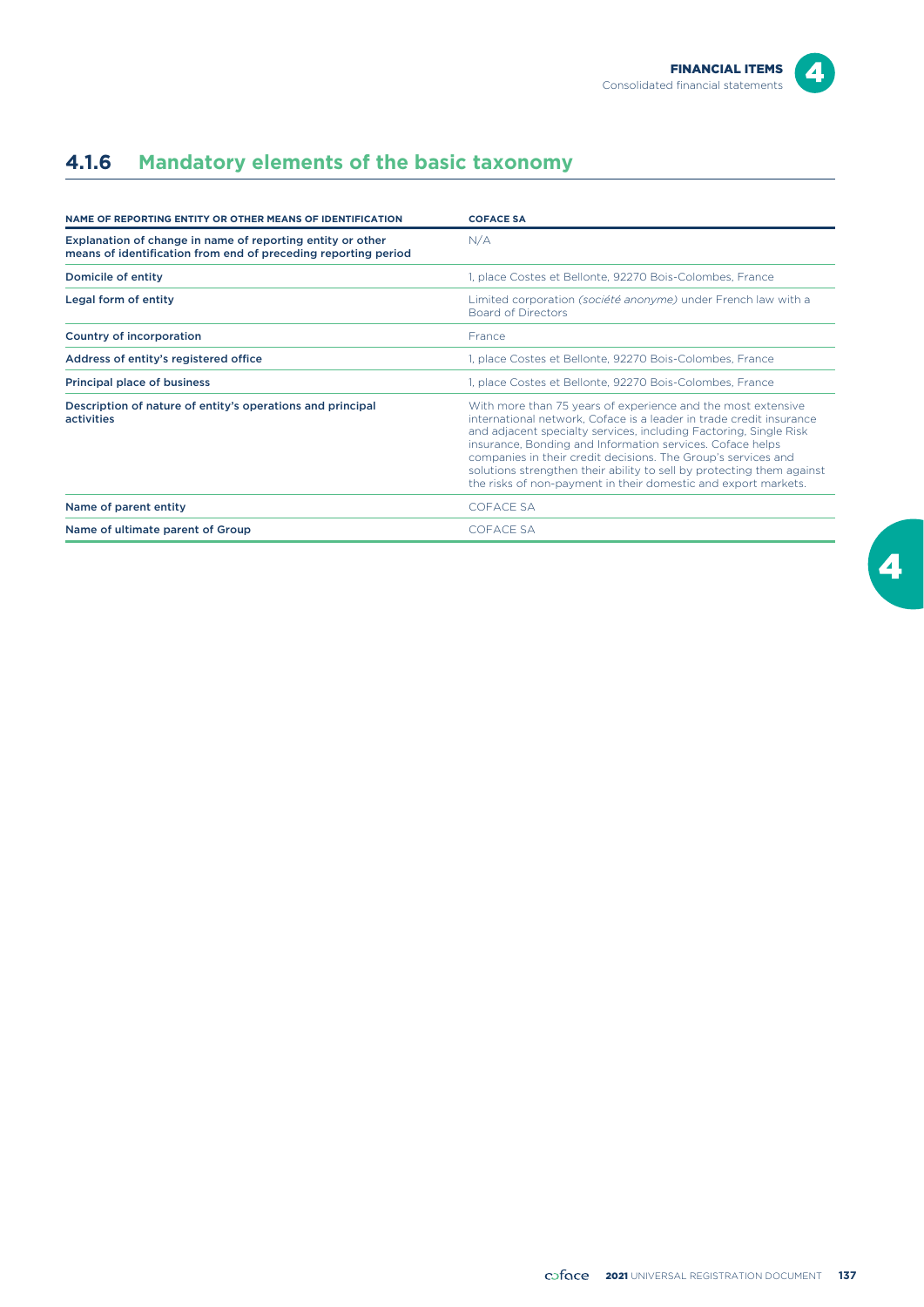# $\boldsymbol{4}$

# **4.1.6 Mandatory elements of the basic taxonomy**

| NAME OF REPORTING ENTITY OR OTHER MEANS OF IDENTIFICATION                                                                    | <b>COFACE SA</b>                                                                                                                                                                                                                                                                                                                                                                                                                                                                  |
|------------------------------------------------------------------------------------------------------------------------------|-----------------------------------------------------------------------------------------------------------------------------------------------------------------------------------------------------------------------------------------------------------------------------------------------------------------------------------------------------------------------------------------------------------------------------------------------------------------------------------|
| Explanation of change in name of reporting entity or other<br>means of identification from end of preceding reporting period | N/A                                                                                                                                                                                                                                                                                                                                                                                                                                                                               |
| Domicile of entity                                                                                                           | 1, place Costes et Bellonte, 92270 Bois-Colombes, France                                                                                                                                                                                                                                                                                                                                                                                                                          |
| Legal form of entity                                                                                                         | Limited corporation (société anonyme) under French law with a<br><b>Board of Directors</b>                                                                                                                                                                                                                                                                                                                                                                                        |
| Country of incorporation                                                                                                     | France                                                                                                                                                                                                                                                                                                                                                                                                                                                                            |
| Address of entity's registered office                                                                                        | 1, place Costes et Bellonte, 92270 Bois-Colombes, France                                                                                                                                                                                                                                                                                                                                                                                                                          |
| Principal place of business                                                                                                  | 1, place Costes et Bellonte, 92270 Bois-Colombes, France                                                                                                                                                                                                                                                                                                                                                                                                                          |
| Description of nature of entity's operations and principal<br>activities                                                     | With more than 75 years of experience and the most extensive<br>international network, Coface is a leader in trade credit insurance<br>and adjacent specialty services, including Factoring, Single Risk<br>insurance, Bonding and Information services. Coface helps<br>companies in their credit decisions. The Group's services and<br>solutions strengthen their ability to sell by protecting them against<br>the risks of non-payment in their domestic and export markets. |
| Name of parent entity                                                                                                        | <b>COFACE SA</b>                                                                                                                                                                                                                                                                                                                                                                                                                                                                  |
| Name of ultimate parent of Group                                                                                             | <b>COFACE SA</b>                                                                                                                                                                                                                                                                                                                                                                                                                                                                  |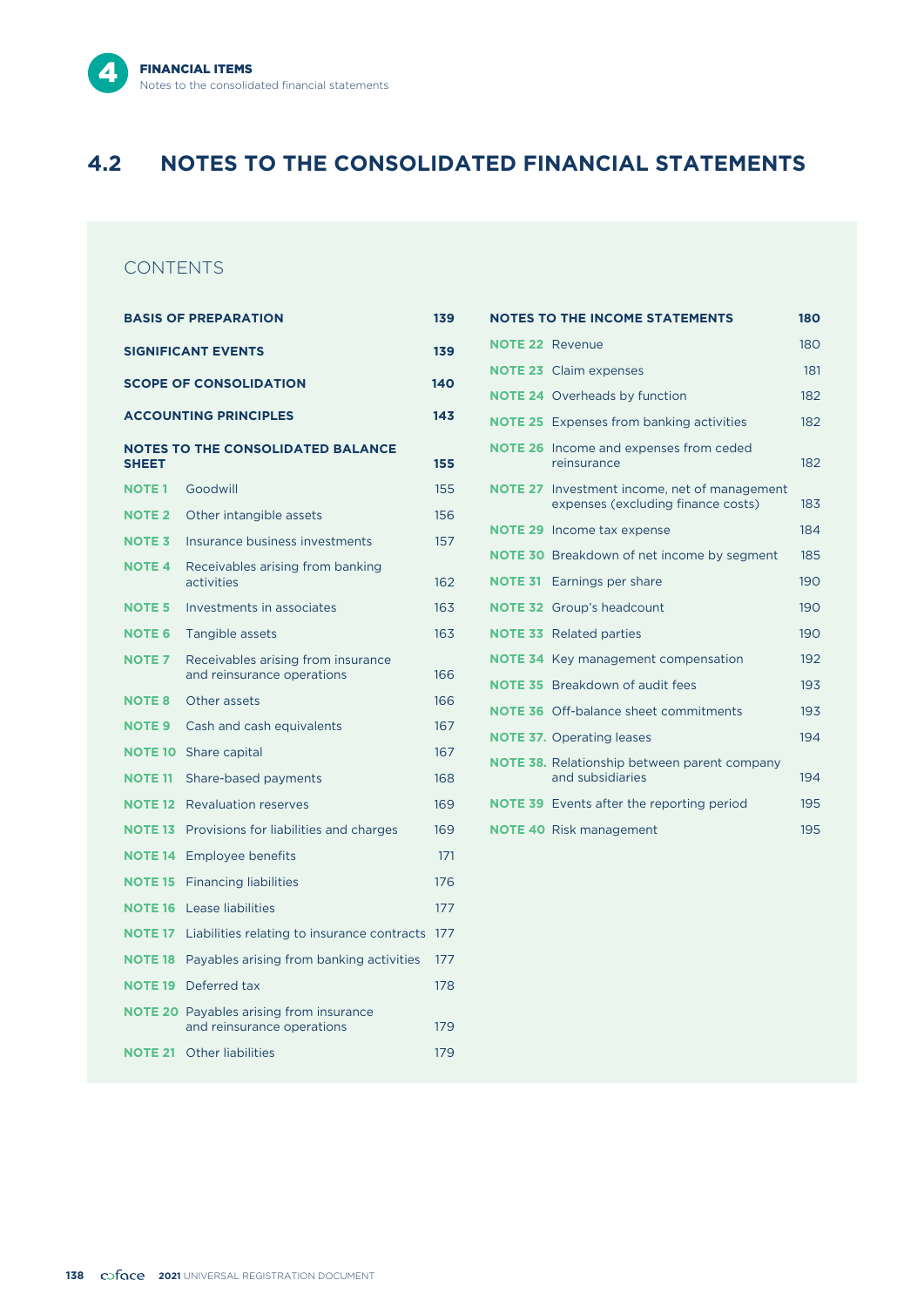# **4.2 NOTES TO THE CONSOLIDATED FINANCIAL STATEMENTS**

### CONTENTS

| <b>BASIS OF PREPARATION</b><br>139 |                                                                  |     |  |  |
|------------------------------------|------------------------------------------------------------------|-----|--|--|
|                                    | <b>SIGNIFICANT EVENTS</b>                                        | 139 |  |  |
|                                    | <b>SCOPE OF CONSOLIDATION</b>                                    | 140 |  |  |
|                                    | <b>ACCOUNTING PRINCIPLES</b>                                     | 143 |  |  |
| <b>SHEET</b>                       | <b>NOTES TO THE CONSOLIDATED BALANCE</b>                         | 155 |  |  |
| <b>NOTE1</b>                       | Goodwill                                                         | 155 |  |  |
| <b>NOTE 2</b>                      | Other intangible assets                                          | 156 |  |  |
| <b>NOTE 3</b>                      | Insurance business investments                                   | 157 |  |  |
| <b>NOTE 4</b>                      | Receivables arising from banking<br>activities                   | 162 |  |  |
| <b>NOTE 5</b>                      | Investments in associates                                        | 163 |  |  |
| <b>NOTE 6</b>                      | Tangible assets                                                  | 163 |  |  |
| <b>NOTE 7</b>                      | Receivables arising from insurance<br>and reinsurance operations | 166 |  |  |
| <b>NOTE 8</b>                      | Other assets                                                     | 166 |  |  |
| <b>NOTE 9</b>                      | Cash and cash equivalents                                        | 167 |  |  |
| <b>NOTE 10</b>                     | Share capital                                                    | 167 |  |  |
| <b>NOTE 11</b>                     | Share-based payments                                             | 168 |  |  |
| <b>NOTE 12</b>                     | <b>Revaluation reserves</b>                                      | 169 |  |  |
| <b>NOTE 13</b>                     | Provisions for liabilities and charges                           | 169 |  |  |
| <b>NOTE 14</b>                     | <b>Employee benefits</b>                                         | 171 |  |  |
| <b>NOTE 15</b>                     | <b>Financing liabilities</b>                                     | 176 |  |  |
| <b>NOTE 16</b>                     | Lease liabilities                                                | 177 |  |  |
| <b>NOTE 17</b>                     | Liabilities relating to insurance contracts                      | 177 |  |  |
| <b>NOTE 18</b>                     | Payables arising from banking activities                         | 177 |  |  |
| <b>NOTE 19</b>                     | Deferred tax                                                     | 178 |  |  |
| <b>NOTE 20</b>                     | Payables arising from insurance<br>and reinsurance operations    | 179 |  |  |
| <b>NOTE 21</b>                     | <b>Other liabilities</b>                                         | 179 |  |  |
|                                    |                                                                  |     |  |  |

|                        | <b>NOTES TO THE INCOME STATEMENTS</b>                                      | 180 |
|------------------------|----------------------------------------------------------------------------|-----|
| <b>NOTE 22 Revenue</b> |                                                                            | 180 |
|                        | <b>NOTE 23</b> Claim expenses                                              | 181 |
|                        | <b>NOTE 24</b> Overheads by function                                       | 182 |
|                        | <b>NOTE 25</b> Expenses from banking activities                            | 182 |
|                        | <b>NOTE 26</b> Income and expenses from ceded<br>reinsurance               | 182 |
| <b>NOTE 27</b>         | Investment income, net of management<br>expenses (excluding finance costs) | 183 |
|                        | <b>NOTE 29</b> Income tax expense                                          | 184 |
|                        | <b>NOTE 30</b> Breakdown of net income by segment                          | 185 |
| <b>NOTE 31</b>         | Earnings per share                                                         | 190 |
| <b>NOTE 32</b>         | Group's headcount                                                          | 190 |
|                        | <b>NOTE 33</b> Related parties                                             | 190 |
|                        | <b>NOTE 34</b> Key management compensation                                 | 192 |
|                        | <b>NOTE 35</b> Breakdown of audit fees                                     | 193 |
|                        | <b>NOTE 36</b> Off-balance sheet commitments                               | 193 |
|                        | <b>NOTE 37.</b> Operating leases                                           | 194 |
|                        | <b>NOTE 38.</b> Relationship between parent company<br>and subsidiaries    | 194 |
|                        | <b>NOTE 39</b> Events after the reporting period                           | 195 |
|                        | <b>NOTE 40</b> Risk management                                             | 195 |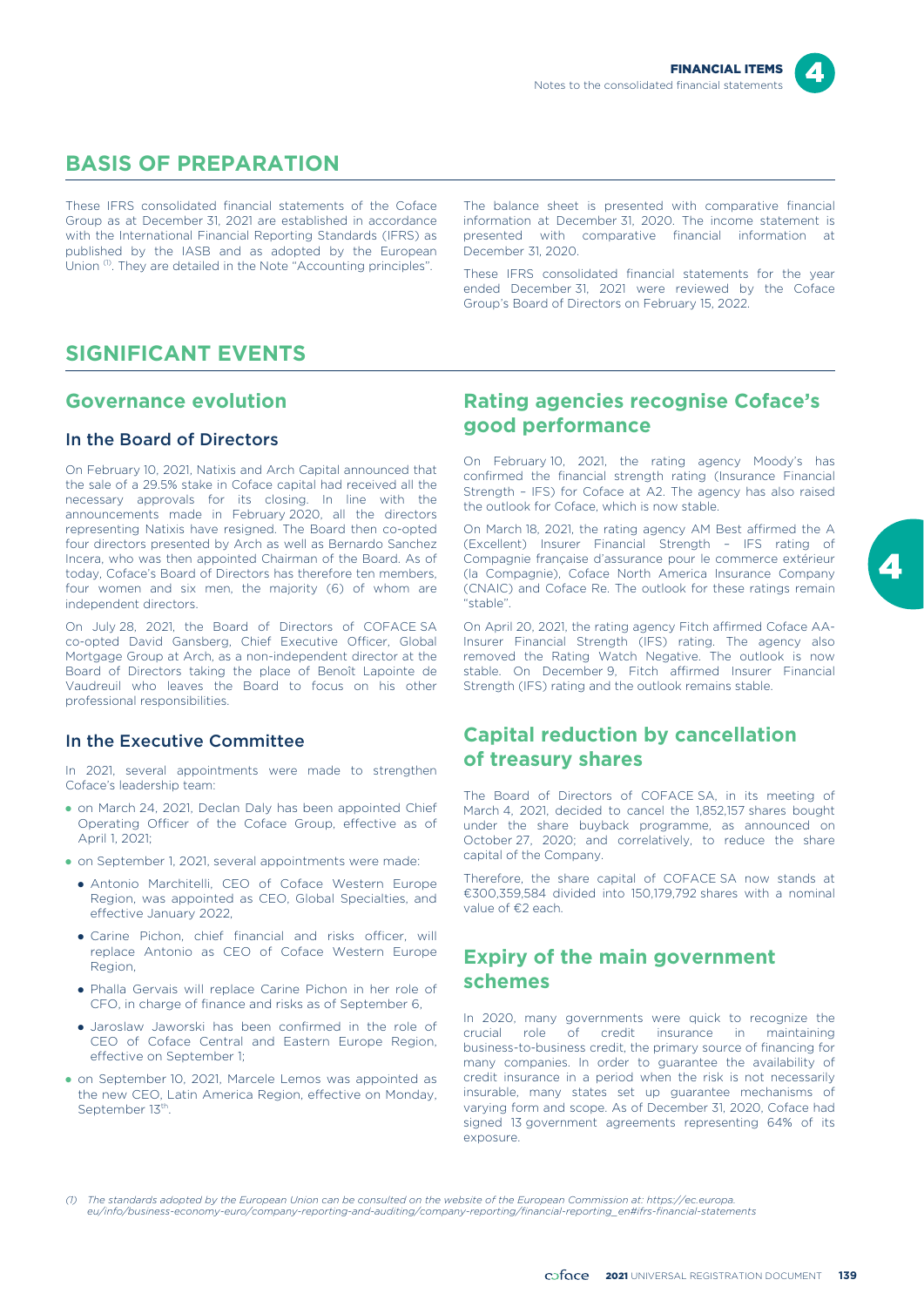

# **BASIS OF PREPARATION**

These IFRS consolidated financial statements of the Coface Group as at December 31, 2021 are established in accordance with the International Financial Reporting Standards (IFRS) as published by the IASB and as adopted by the European Union <sup>(1)</sup>. They are detailed in the Note "Accounting principles".

The balance sheet is presented with comparative financial information at December 31, 2020. The income statement is presented with comparative financial information at December 31, 2020.

These IFRS consolidated financial statements for the year ended December 31, 2021 were reviewed by the Coface Group's Board of Directors on February 15, 2022.

### **SIGNIFICANT EVENTS**

#### **Governance evolution**

#### In the Board of Directors

On February 10, 2021, Natixis and Arch Capital announced that the sale of a 29.5% stake in Coface capital had received all the necessary approvals for its closing. In line with the announcements made in February 2020, all the directors representing Natixis have resigned. The Board then co-opted four directors presented by Arch as well as Bernardo Sanchez Incera, who was then appointed Chairman of the Board. As of today, Coface's Board of Directors has therefore ten members, four women and six men, the majority (6) of whom are independent directors.

On July 28, 2021, the Board of Directors of COFACE SA co-opted David Gansberg, Chief Executive Officer, Global Mortgage Group at Arch, as a non-independent director at the Board of Directors taking the place of Benoît Lapointe de Vaudreuil who leaves the Board to focus on his other professional responsibilities.

#### In the Executive Committee

In 2021, several appointments were made to strengthen Coface's leadership team:

- on March 24, 2021, Declan Daly has been appointed Chief Operating Officer of the Coface Group, effective as of April 1, 2021;
- on September 1, 2021, several appointments were made:
	- Antonio Marchitelli, CEO of Coface Western Europe Region, was appointed as CEO, Global Specialties, and effective January 2022,
	- Carine Pichon, chief financial and risks officer, will replace Antonio as CEO of Coface Western Europe Region,
	- Phalla Gervais will replace Carine Pichon in her role of CFO, in charge of finance and risks as of September 6,
	- Jaroslaw Jaworski has been confirmed in the role of CEO of Coface Central and Eastern Europe Region, effective on September 1;
- on September 10, 2021, Marcele Lemos was appointed as the new CEO, Latin America Region, effective on Monday, September 13th.

### **Rating agencies recognise Coface's good performance**

On February 10, 2021, the rating agency Moody's has confirmed the financial strength rating (Insurance Financial Strength – IFS) for Coface at A2. The agency has also raised the outlook for Coface, which is now stable.

On March 18, 2021, the rating agency AM Best affirmed the A (Excellent) Insurer Financial Strength – IFS rating of Compagnie française d'assurance pour le commerce extérieur (la Compagnie), Coface North America Insurance Company (CNAIC) and Coface Re. The outlook for these ratings remain "stable".

On April 20, 2021, the rating agency Fitch affirmed Coface AA-Insurer Financial Strength (IFS) rating. The agency also removed the Rating Watch Negative. The outlook is now stable. On December 9, Fitch affirmed Insurer Financial Strength (IFS) rating and the outlook remains stable.

### **Capital reduction by cancellation of treasury shares**

The Board of Directors of COFACE SA, in its meeting of March 4, 2021, decided to cancel the 1,852,157 shares bought under the share buyback programme, as announced on October 27, 2020; and correlatively, to reduce the share capital of the Company.

Therefore, the share capital of COFACE SA now stands at €300,359,584 divided into 150,179,792 shares with a nominal value of €2 each.

### **Expiry of the main government schemes**

In 2020, many governments were quick to recognize the crucial role of credit insurance in maintaining business-to-business credit, the primary source of financing for many companies. In order to guarantee the availability of credit insurance in a period when the risk is not necessarily insurable, many states set up guarantee mechanisms of varying form and scope. As of December 31, 2020, Coface had signed 13 government agreements representing 64% of its exposure.

*(1) The standards adopted by the European Union can be consulted on the website of the European Commission at: https://ec.europa. eu/info/business-economy-euro/company-reporting-and-auditing/company-reporting/financial-reporting\_en#ifrs-financial-statements*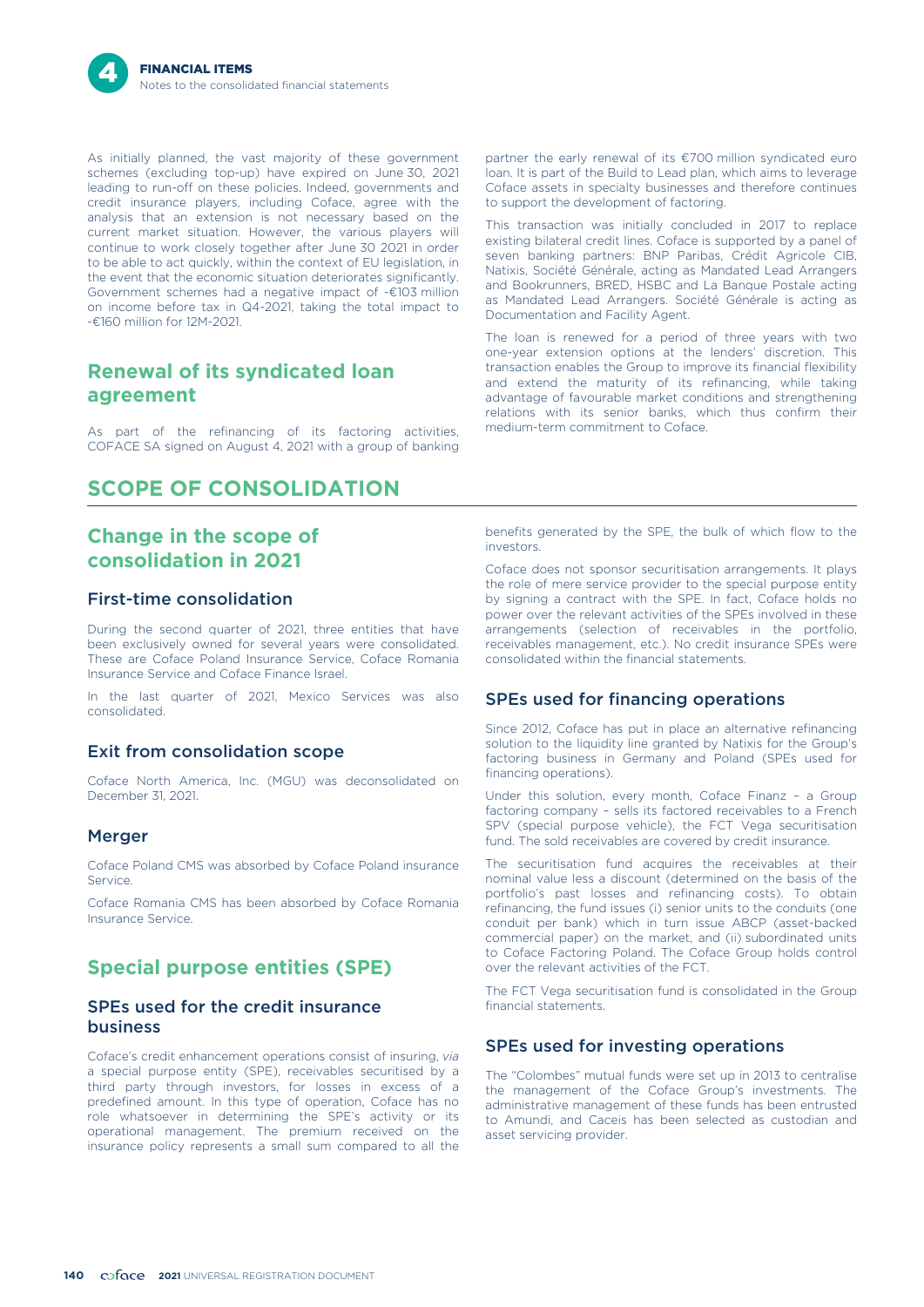As initially planned, the vast majority of these government schemes (excluding top-up) have expired on June 30, 2021 leading to run-off on these policies. Indeed, governments and credit insurance players, including Coface, agree with the analysis that an extension is not necessary based on the current market situation. However, the various players will continue to work closely together after June 30 2021 in order to be able to act quickly, within the context of EU legislation, in the event that the economic situation deteriorates significantly. Government schemes had a negative impact of -€103 million on income before tax in Q4-2021, taking the total impact to -€160 million for 12M-2021.

### **Renewal of its syndicated loan agreement**

As part of the refinancing of its factoring activities, COFACE SA signed on August 4, 2021 with a group of banking

# **SCOPE OF CONSOLIDATION**

### **Change in the scope of consolidation in 2021**

#### First-time consolidation

During the second quarter of 2021, three entities that have been exclusively owned for several years were consolidated. These are Coface Poland Insurance Service, Coface Romania Insurance Service and Coface Finance Israel.

In the last quarter of 2021, Mexico Services was also consolidated.

#### Exit from consolidation scope

Coface North America, Inc. (MGU) was deconsolidated on December 31, 2021.

#### Merger

Coface Poland CMS was absorbed by Coface Poland insurance Service.

Coface Romania CMS has been absorbed by Coface Romania Insurance Service.

### **Special purpose entities (SPE)**

#### SPEs used for the credit insurance business

Coface's credit enhancement operations consist of insuring, *via* a special purpose entity (SPE), receivables securitised by a third party through investors, for losses in excess of a predefined amount. In this type of operation, Coface has no role whatsoever in determining the SPE's activity or its operational management. The premium received on the insurance policy represents a small sum compared to all the

partner the early renewal of its €700 million syndicated euro loan. It is part of the Build to Lead plan, which aims to leverage Coface assets in specialty businesses and therefore continues to support the development of factoring.

This transaction was initially concluded in 2017 to replace existing bilateral credit lines. Coface is supported by a panel of seven banking partners: BNP Paribas, Crédit Agricole CIB, Natixis, Société Générale, acting as Mandated Lead Arrangers and Bookrunners, BRED, HSBC and La Banque Postale acting as Mandated Lead Arrangers. Société Générale is acting as Documentation and Facility Agent.

The loan is renewed for a period of three years with two one-year extension options at the lenders' discretion. This transaction enables the Group to improve its financial flexibility and extend the maturity of its refinancing, while taking advantage of favourable market conditions and strengthening relations with its senior banks, which thus confirm their medium-term commitment to Coface.

benefits generated by the SPE, the bulk of which flow to the investors.

Coface does not sponsor securitisation arrangements. It plays the role of mere service provider to the special purpose entity by signing a contract with the SPE. In fact, Coface holds no power over the relevant activities of the SPEs involved in these arrangements (selection of receivables in the portfolio, receivables management, etc.). No credit insurance SPEs were consolidated within the financial statements.

#### SPEs used for financing operations

Since 2012, Coface has put in place an alternative refinancing solution to the liquidity line granted by Natixis for the Group's factoring business in Germany and Poland (SPEs used for financing operations).

Under this solution, every month, Coface Finanz – a Group factoring company – sells its factored receivables to a French SPV (special purpose vehicle), the FCT Vega securitisation fund. The sold receivables are covered by credit insurance.

The securitisation fund acquires the receivables at their nominal value less a discount (determined on the basis of the portfolio's past losses and refinancing costs). To obtain refinancing, the fund issues (i) senior units to the conduits (one conduit per bank) which in turn issue ABCP (asset-backed commercial paper) on the market, and (ii) subordinated units to Coface Factoring Poland. The Coface Group holds control over the relevant activities of the FCT.

The FCT Vega securitisation fund is consolidated in the Group financial statements.

#### SPEs used for investing operations

The "Colombes" mutual funds were set up in 2013 to centralise the management of the Coface Group's investments. The administrative management of these funds has been entrusted to Amundi, and Caceis has been selected as custodian and asset servicing provider.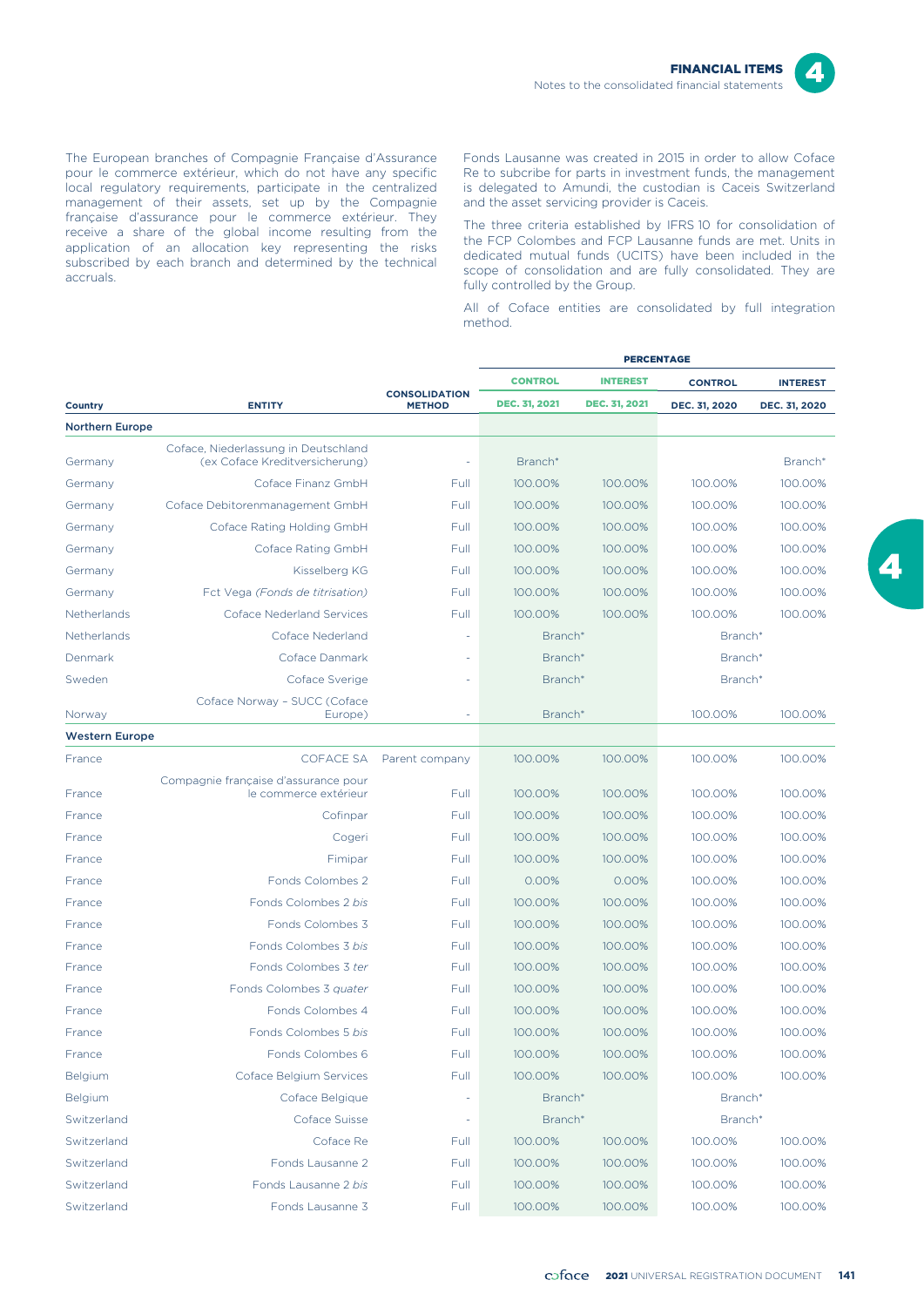

The European branches of Compagnie Française d'Assurance pour le commerce extérieur, which do not have any specific local regulatory requirements, participate in the centralized management of their assets, set up by the Compagnie française d'assurance pour le commerce extérieur. They receive a share of the global income resulting from the application of an allocation key representing the risks subscribed by each branch and determined by the technical accruals.

Fonds Lausanne was created in 2015 in order to allow Coface Re to subcribe for parts in investment funds, the management is delegated to Amundi, the custodian is Caceis Switzerland and the asset servicing provider is Caceis.

The three criteria established by IFRS 10 for consolidation of the FCP Colombes and FCP Lausanne funds are met. Units in dedicated mutual funds (UCITS) have been included in the scope of consolidation and are fully consolidated. They are fully controlled by the Group.

All of Coface entities are consolidated by full integration method.

|                        |                                                                        |                      | <b>PERCENTAGE</b>    |                      |                |                 |
|------------------------|------------------------------------------------------------------------|----------------------|----------------------|----------------------|----------------|-----------------|
|                        |                                                                        | <b>CONSOLIDATION</b> | <b>CONTROL</b>       | <b>INTEREST</b>      | <b>CONTROL</b> | <b>INTEREST</b> |
| Country                | <b>ENTITY</b>                                                          | <b>METHOD</b>        | <b>DEC. 31, 2021</b> | <b>DEC. 31, 2021</b> | DEC. 31, 2020  | DEC. 31, 2020   |
| <b>Northern Europe</b> |                                                                        |                      |                      |                      |                |                 |
| Germany                | Coface, Niederlassung in Deutschland<br>(ex Coface Kreditversicherung) | $\sim$               | Branch*              |                      |                | Branch*         |
| Germany                | Coface Finanz GmbH                                                     | Full                 | 100.00%              | 100.00%              | 100.00%        | 100.00%         |
| Germany                | Coface Debitorenmanagement GmbH                                        | Full                 | 100.00%              | 100.00%              | 100.00%        | 100.00%         |
| Germany                | Coface Rating Holding GmbH                                             | Full                 | 100.00%              | 100.00%              | 100.00%        | 100.00%         |
| Germany                | Coface Rating GmbH                                                     | Full                 | 100.00%              | 100.00%              | 100.00%        | 100.00%         |
| Germany                | Kisselberg KG                                                          | Full                 | 100.00%              | 100.00%              | 100.00%        | 100.00%         |
| Germany                | Fct Vega (Fonds de titrisation)                                        | Full                 | 100.00%              | 100.00%              | 100.00%        | 100.00%         |
| Netherlands            | <b>Coface Nederland Services</b>                                       | Full                 | 100.00%              | 100.00%              | 100.00%        | 100.00%         |
| Netherlands            | Coface Nederland                                                       | ÷,                   | Branch*              |                      | Branch*        |                 |
| Denmark                | Coface Danmark                                                         |                      | Branch*              |                      | Branch*        |                 |
| Sweden                 | Coface Sverige                                                         |                      | Branch*              |                      | Branch*        |                 |
| Norway                 | Coface Norway - SUCC (Coface<br>Europe)                                |                      | Branch*              |                      | 100.00%        | 100.00%         |
| <b>Western Europe</b>  |                                                                        |                      |                      |                      |                |                 |
| France                 | <b>COFACE SA</b>                                                       | Parent company       | 100.00%              | 100.00%              | 100.00%        | 100.00%         |
|                        | Compagnie française d'assurance pour                                   |                      |                      |                      |                |                 |
| France                 | le commerce extérieur                                                  | Full                 | 100.00%              | 100.00%              | 100.00%        | 100.00%         |
| France                 | Cofinpar                                                               | Full                 | 100.00%              | 100.00%              | 100.00%        | 100.00%         |
| France                 | Cogeri                                                                 | Full                 | 100.00%              | 100.00%              | 100.00%        | 100.00%         |
| France                 | Fimipar                                                                | Full                 | 100.00%              | 100.00%              | 100.00%        | 100.00%         |
| France                 | Fonds Colombes 2                                                       | Full                 | 0.00%                | 0.00%                | 100.00%        | 100.00%         |
| France                 | Fonds Colombes 2 bis                                                   | Full                 | 100.00%              | 100.00%              | 100.00%        | 100.00%         |
| France                 | Fonds Colombes 3                                                       | Full                 | 100.00%              | 100.00%              | 100.00%        | 100.00%         |
| France                 | Fonds Colombes 3 bis                                                   | Full                 | 100.00%              | 100.00%              | 100.00%        | 100.00%         |
| France                 | Fonds Colombes 3 ter                                                   | Full                 | 100.00%              | 100.00%              | 100.00%        | 100.00%         |
| France                 | Fonds Colombes 3 quater                                                | Full                 | 100.00%              | 100.00%              | 100.00%        | 100.00%         |
| France                 | Fonds Colombes 4                                                       | Full                 | 100.00%              | 100.00%              | 100.00%        | 100.00%         |
| France                 | Fonds Colombes 5 bis                                                   | Full                 | 100.00%              | 100.00%              | 100.00%        | 100.00%         |
| France                 | Fonds Colombes 6                                                       | Full                 | 100.00%              | 100.00%              | 100.00%        | 100.00%         |
| Belgium                | Coface Belgium Services                                                | Full                 | 100.00%              | 100.00%              | 100.00%        | 100.00%         |
| Belgium                | Coface Belgique                                                        | ÷,                   | Branch*              |                      | Branch*        |                 |
| Switzerland            | Coface Suisse                                                          | ÷,                   | Branch*              |                      | Branch*        |                 |
| Switzerland            | Coface Re                                                              | Full                 | 100.00%              | 100.00%              | 100.00%        | 100.00%         |
| Switzerland            | Fonds Lausanne 2                                                       | Full                 | 100.00%              | 100.00%              | 100.00%        | 100.00%         |
| Switzerland            | Fonds Lausanne 2 bis                                                   | Full                 | 100.00%              | 100.00%              | 100.00%        | 100.00%         |
| Switzerland            | Fonds Lausanne 3                                                       | Full                 | 100.00%              | 100.00%              | 100.00%        | 100.00%         |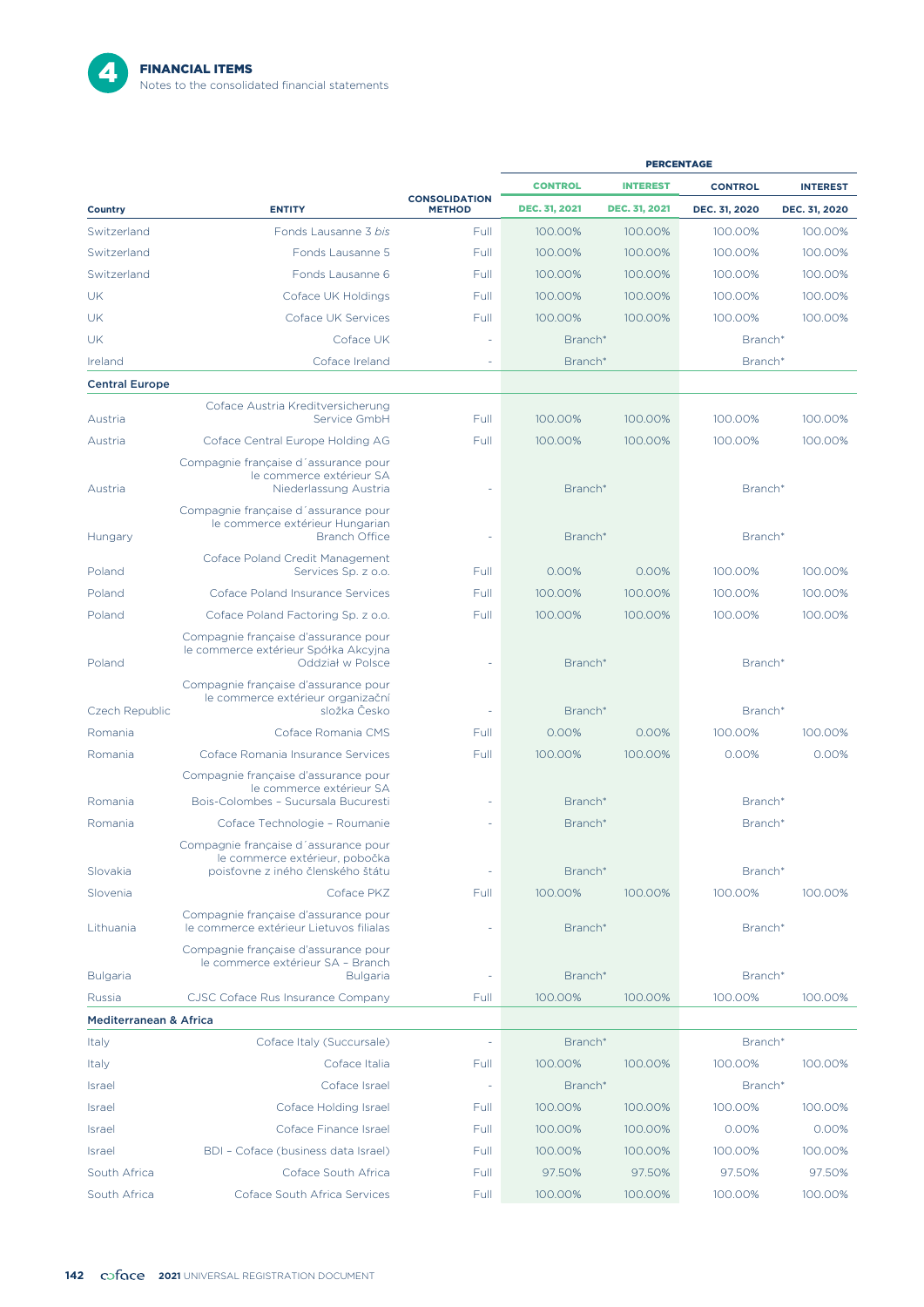

|                                   |                                                                           |                                       | <b>PERCENTAGE</b> |                 |                |                 |
|-----------------------------------|---------------------------------------------------------------------------|---------------------------------------|-------------------|-----------------|----------------|-----------------|
|                                   |                                                                           |                                       | <b>CONTROL</b>    | <b>INTEREST</b> | <b>CONTROL</b> | <b>INTEREST</b> |
| Country                           | <b>ENTITY</b>                                                             | <b>CONSOLIDATION</b><br><b>METHOD</b> | DEC. 31, 2021     | DEC. 31, 2021   | DEC. 31, 2020  | DEC. 31, 2020   |
| Switzerland                       | Fonds Lausanne 3 bis                                                      | Full                                  | 100.00%           | 100.00%         | 100.00%        | 100.00%         |
| Switzerland                       | Fonds Lausanne 5                                                          | Full                                  | 100.00%           | 100.00%         | 100.00%        | 100.00%         |
| Switzerland                       | Fonds Lausanne 6                                                          | Full                                  | 100.00%           | 100.00%         | 100.00%        | 100.00%         |
| UK                                | Coface UK Holdings                                                        | Full                                  | 100.00%           | 100.00%         | 100.00%        | 100.00%         |
| UK                                | Coface UK Services                                                        | Full                                  | 100.00%           | 100.00%         | 100.00%        | 100.00%         |
| UK                                | Coface UK                                                                 | ÷,                                    | Branch*           |                 | Branch*        |                 |
| Ireland                           | Coface Ireland                                                            | ÷,                                    | Branch*           |                 | Branch*        |                 |
| <b>Central Europe</b>             |                                                                           |                                       |                   |                 |                |                 |
|                                   | Coface Austria Kreditversicherung<br>Service GmbH                         |                                       |                   |                 |                |                 |
| Austria                           |                                                                           | Full                                  | 100.00%           | 100.00%         | 100.00%        | 100.00%         |
| Austria                           | Coface Central Europe Holding AG                                          | Full                                  | 100.00%           | 100.00%         | 100.00%        | 100.00%         |
|                                   | Compagnie française d'assurance pour<br>le commerce extérieur SA          |                                       |                   |                 |                |                 |
| Austria                           | Niederlassung Austria                                                     |                                       | Branch*           |                 | Branch*        |                 |
|                                   | Compagnie française d'assurance pour<br>le commerce extérieur Hungarian   |                                       |                   |                 |                |                 |
| Hungary                           | <b>Branch Office</b>                                                      | $\sim$                                | Branch*           |                 | Branch*        |                 |
| Poland                            | Coface Poland Credit Management<br>Services Sp. z o.o.                    | Full                                  | 0.00%             | 0.00%           | 100.00%        | 100.00%         |
| Poland                            | Coface Poland Insurance Services                                          | Full                                  | 100.00%           | 100.00%         | 100.00%        | 100.00%         |
| Poland                            | Coface Poland Factoring Sp. z o.o.                                        | Full                                  | 100.00%           | 100.00%         | 100.00%        | 100.00%         |
|                                   | Compagnie française d'assurance pour                                      |                                       |                   |                 |                |                 |
|                                   | le commerce extérieur Spółka Akcyjna                                      |                                       |                   |                 |                |                 |
| Poland                            | Oddział w Polsce                                                          | $\sim$                                | Branch*           |                 | Branch*        |                 |
|                                   | Compagnie française d'assurance pour<br>le commerce extérieur organizační |                                       |                   |                 |                |                 |
| Czech Republic                    | složka Česko                                                              | $\sim$                                | Branch*           |                 | Branch*        |                 |
| Romania                           | Coface Romania CMS                                                        | Full                                  | 0.00%             | 0.00%           | 100.00%        | 100.00%         |
| Romania                           | Coface Romania Insurance Services                                         | Full                                  | 100.00%           | 100.00%         | 0.00%          | 0.00%           |
|                                   | Compagnie française d'assurance pour<br>le commerce extérieur SA          |                                       |                   |                 |                |                 |
| Romania                           | Bois-Colombes - Sucursala Bucuresti                                       |                                       | Branch*           |                 | Branch*        |                 |
| Romania                           | Coface Technologie - Roumanie                                             |                                       | Branch*           |                 | Branch*        |                 |
|                                   | Compagnie française d'assurance pour                                      |                                       |                   |                 |                |                 |
| Slovakia                          | le commerce extérieur, pobočka<br>poisťovne z iného členského štátu       | ÷                                     | Branch*           |                 | Branch*        |                 |
| Slovenia                          | Coface PKZ                                                                | Full                                  | 100.00%           | 100.00%         | 100.00%        | 100.00%         |
|                                   | Compagnie française d'assurance pour                                      |                                       |                   |                 |                |                 |
| Lithuania                         | le commerce extérieur Lietuvos filialas                                   |                                       | Branch*           |                 | Branch*        |                 |
|                                   | Compagnie française d'assurance pour<br>le commerce extérieur SA - Branch |                                       |                   |                 |                |                 |
| <b>Bulgaria</b>                   | <b>Bulgaria</b>                                                           | $\bar{\phantom{a}}$                   | Branch*           |                 | Branch*        |                 |
| Russia                            | CJSC Coface Rus Insurance Company                                         | Full                                  | 100.00%           | 100.00%         | 100.00%        | 100.00%         |
| <b>Mediterranean &amp; Africa</b> |                                                                           |                                       |                   |                 |                |                 |
| Italy                             | Coface Italy (Succursale)                                                 | $\sim$                                | Branch*           |                 | Branch*        |                 |
| Italy                             | Coface Italia                                                             | Full                                  | 100.00%           | 100.00%         | 100.00%        | 100.00%         |
| <b>Israel</b>                     | Coface Israel                                                             | $\sim$                                | Branch*           |                 | Branch*        |                 |
| <b>Israel</b>                     | Coface Holding Israel                                                     | Full                                  | 100.00%           | 100.00%         | 100.00%        | 100.00%         |
| <b>Israel</b>                     | Coface Finance Israel                                                     | Full                                  | 100.00%           | 100.00%         | 0.00%          | 0.00%           |
| <b>Israel</b>                     | BDI - Coface (business data Israel)                                       | Full                                  | 100.00%           | 100.00%         | 100.00%        | 100.00%         |
| South Africa                      | Coface South Africa                                                       | Full                                  | 97.50%            | 97.50%          | 97.50%         | 97.50%          |
| South Africa                      | Coface South Africa Services                                              | Full                                  | 100.00%           | 100.00%         | 100.00%        | 100.00%         |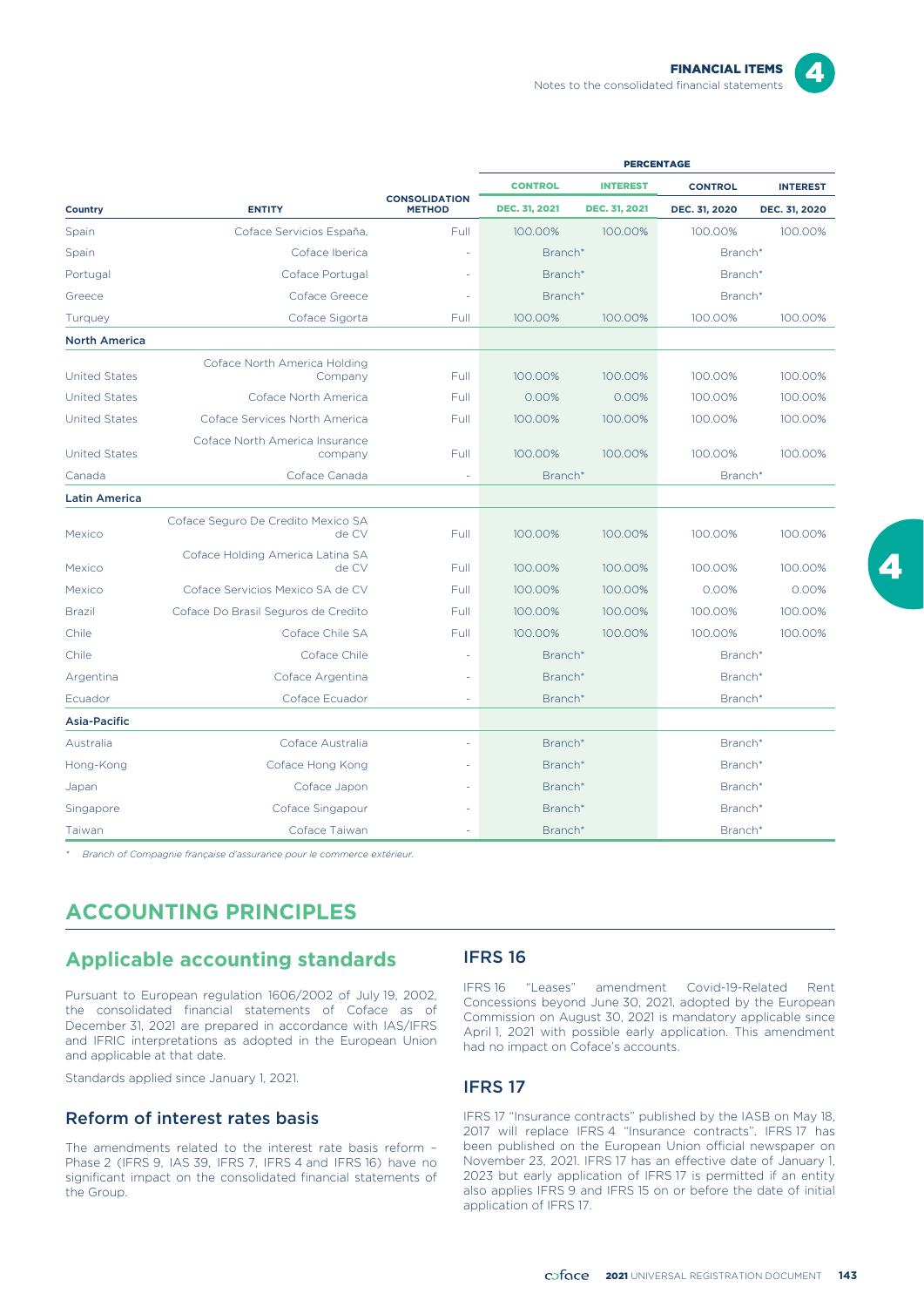

|                      |                                             |                                       | <b>PERCENTAGE</b> |                      |                |                 |  |
|----------------------|---------------------------------------------|---------------------------------------|-------------------|----------------------|----------------|-----------------|--|
|                      |                                             |                                       | <b>CONTROL</b>    | <b>INTEREST</b>      | <b>CONTROL</b> | <b>INTEREST</b> |  |
| Country              | <b>ENTITY</b>                               | <b>CONSOLIDATION</b><br><b>METHOD</b> | DEC. 31, 2021     | <b>DEC. 31, 2021</b> | DEC. 31, 2020  | DEC. 31, 2020   |  |
| Spain                | Coface Servicios España,                    | Full                                  | 100.00%           | 100.00%              | 100.00%        | 100.00%         |  |
| Spain                | Coface Iberica                              | ÷,                                    | Branch*           |                      | Branch*        |                 |  |
| Portugal             | Coface Portugal                             | ÷,                                    | Branch*           |                      | Branch*        |                 |  |
| Greece               | Coface Greece                               | ÷,                                    | Branch*           |                      | Branch*        |                 |  |
| Turquey              | Coface Sigorta                              | Full                                  | 100.00%           | 100.00%              | 100.00%        | 100.00%         |  |
| <b>North America</b> |                                             |                                       |                   |                      |                |                 |  |
| <b>United States</b> | Coface North America Holding<br>Company     | Full                                  | 100.00%           | 100.00%              | 100.00%        | 100.00%         |  |
| <b>United States</b> | Coface North America                        | Full                                  | 0.00%             | 0.00%                | 100.00%        | 100.00%         |  |
| <b>United States</b> | Coface Services North America               | Full                                  | 100.00%           | 100.00%              | 100.00%        | 100.00%         |  |
| <b>United States</b> | Coface North America Insurance<br>company   | Full                                  | 100.00%           | 100.00%              | 100.00%        | 100.00%         |  |
| Canada               | Coface Canada                               | ÷                                     | Branch*           |                      | Branch*        |                 |  |
| <b>Latin America</b> |                                             |                                       |                   |                      |                |                 |  |
| Mexico               | Coface Seguro De Credito Mexico SA<br>de CV | Full                                  | 100.00%           | 100.00%              | 100.00%        | 100.00%         |  |
| Mexico               | Coface Holding America Latina SA<br>de CV   | Full                                  | 100.00%           | 100.00%              | 100.00%        | 100.00%         |  |
| Mexico               | Coface Servicios Mexico SA de CV            | Full                                  | 100.00%           | 100.00%              | 0.00%          | 0.00%           |  |
| <b>Brazil</b>        | Coface Do Brasil Seguros de Credito         | Full                                  | 100.00%           | 100.00%              | 100.00%        | 100.00%         |  |
| Chile                | Coface Chile SA                             | Full                                  | 100.00%           | 100.00%              | 100.00%        | 100.00%         |  |
| Chile                | Coface Chile                                | ÷,                                    | Branch*           |                      | Branch*        |                 |  |
| Argentina            | Coface Argentina                            | ÷,                                    | Branch*           |                      | Branch*        |                 |  |
| Ecuador              | Coface Ecuador                              |                                       | Branch*           |                      | Branch*        |                 |  |
| Asia-Pacific         |                                             |                                       |                   |                      |                |                 |  |
| Australia            | Coface Australia                            |                                       | Branch*           |                      | Branch*        |                 |  |
| Hong-Kong            | Coface Hong Kong                            |                                       | Branch*           |                      | Branch*        |                 |  |
| Japan                | Coface Japon                                |                                       | Branch*           |                      | Branch*        |                 |  |
| Singapore            | Coface Singapour                            |                                       | Branch*           |                      | Branch*        |                 |  |
| Taiwan               | Coface Taiwan                               |                                       | Branch*           |                      | Branch*        |                 |  |

*\* Branch of Compagnie française d'assurance pour le commerce extérieur.*

# **ACCOUNTING PRINCIPLES**

### **Applicable accounting standards**

Pursuant to European regulation 1606/2002 of July 19, 2002, the consolidated financial statements of Coface as of December 31, 2021 are prepared in accordance with IAS/IFRS and IFRIC interpretations as adopted in the European Union and applicable at that date.

Standards applied since January 1, 2021.

#### Reform of interest rates basis

The amendments related to the interest rate basis reform – Phase 2 (IFRS 9, IAS 39, IFRS 7, IFRS 4 and IFRS 16) have no significant impact on the consolidated financial statements of the Group.

#### IFRS 16

IFRS 16 "Leases" amendment Covid-19-Related Rent Concessions beyond June 30, 2021, adopted by the European Commission on August 30, 2021 is mandatory applicable since April 1, 2021 with possible early application. This amendment had no impact on Coface's accounts.

#### IFRS 17

IFRS 17 "Insurance contracts" published by the IASB on May 18, 2017 will replace IFRS 4 "Insurance contracts". IFRS 17 has been published on the European Union official newspaper on November 23, 2021. IFRS 17 has an effective date of January 1, 2023 but early application of IFRS 17 is permitted if an entity also applies IFRS 9 and IFRS 15 on or before the date of initial application of IFRS 17.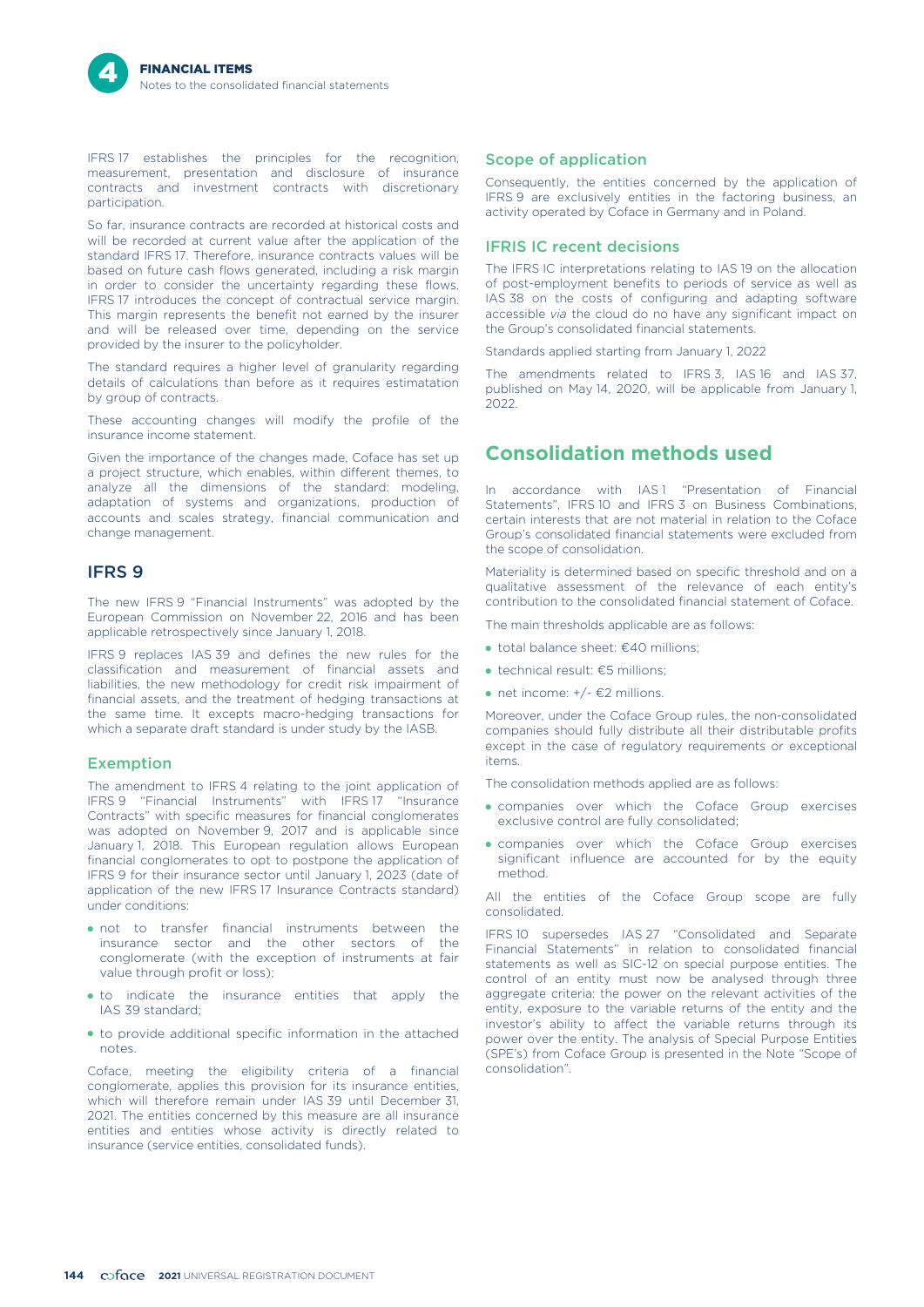IFRS 17 establishes the principles for the recognition, measurement, presentation and disclosure of insurance contracts and investment contracts with discretionary participation.

So far, insurance contracts are recorded at historical costs and will be recorded at current value after the application of the standard IFRS 17. Therefore, insurance contracts values will be based on future cash flows generated, including a risk margin in order to consider the uncertainty regarding these flows. IFRS 17 introduces the concept of contractual service margin. This margin represents the benefit not earned by the insurer and will be released over time, depending on the service provided by the insurer to the policyholder.

The standard requires a higher level of granularity regarding details of calculations than before as it requires estimatation by group of contracts.

These accounting changes will modify the profile of the insurance income statement.

Given the importance of the changes made, Coface has set up a project structure, which enables, within different themes, to analyze all the dimensions of the standard: modeling, adaptation of systems and organizations, production of accounts and scales strategy, financial communication and change management.

#### IFRS 9

The new IFRS 9 "Financial Instruments" was adopted by the European Commission on November 22, 2016 and has been applicable retrospectively since January 1, 2018.

IFRS 9 replaces IAS 39 and defines the new rules for the classification and measurement of financial assets and liabilities, the new methodology for credit risk impairment of financial assets, and the treatment of hedging transactions at the same time. It excepts macro-hedging transactions for which a separate draft standard is under study by the IASB.

#### Exemption

The amendment to IFRS 4 relating to the joint application of IFRS 9 "Financial Instruments" with IFRS 17 "Insurance Contracts" with specific measures for financial conglomerates was adopted on November 9, 2017 and is applicable since January 1, 2018. This European regulation allows European financial conglomerates to opt to postpone the application of IFRS 9 for their insurance sector until January 1, 2023 (date of application of the new IFRS 17 Insurance Contracts standard) under conditions:

- not to transfer financial instruments between the insurance sector and the other sectors of the conglomerate (with the exception of instruments at fair value through profit or loss);
- to indicate the insurance entities that apply the IAS 39 standard;
- to provide additional specific information in the attached notes.

Coface, meeting the eligibility criteria of a financial conglomerate, applies this provision for its insurance entities, which will therefore remain under IAS 39 until December 31, 2021. The entities concerned by this measure are all insurance entities and entities whose activity is directly related to insurance (service entities, consolidated funds).

#### Scope of application

Consequently, the entities concerned by the application of IFRS 9 are exclusively entities in the factoring business, an activity operated by Coface in Germany and in Poland.

#### IFRIS IC recent decisions

The IFRS IC interpretations relating to IAS 19 on the allocation of post-employment benefits to periods of service as well as IAS 38 on the costs of configuring and adapting software accessible *via* the cloud do no have any significant impact on the Group's consolidated financial statements.

Standards applied starting from January 1, 2022

The amendments related to IFRS 3, IAS 16 and IAS 37, published on May 14, 2020, will be applicable from January 1, 2022.

### **Consolidation methods used**

accordance with IAS1 "Presentation of Financial Statements", IFRS 10 and IFRS 3 on Business Combinations, certain interests that are not material in relation to the Coface Group's consolidated financial statements were excluded from the scope of consolidation.

Materiality is determined based on specific threshold and on a qualitative assessment of the relevance of each entity's contribution to the consolidated financial statement of Coface.

The main thresholds applicable are as follows:

- total balance sheet: €40 millions;
- technical result: €5 millions;
- net income:  $+/$   $\epsilon$ 2 millions.

Moreover, under the Coface Group rules, the non-consolidated companies should fully distribute all their distributable profits except in the case of regulatory requirements or exceptional items.

The consolidation methods applied are as follows:

- companies over which the Coface Group exercises exclusive control are fully consolidated;
- companies over which the Coface Group exercises significant influence are accounted for by the equity method.

All the entities of the Coface Group scope are fully consolidated.

IFRS 10 supersedes IAS 27 "Consolidated and Separate Financial Statements" in relation to consolidated financial statements as well as SIC-12 on special purpose entities. The control of an entity must now be analysed through three aggregate criteria: the power on the relevant activities of the entity, exposure to the variable returns of the entity and the investor's ability to affect the variable returns through its power over the entity. The analysis of Special Purpose Entities (SPE's) from Coface Group is presented in the Note "Scope of consolidation".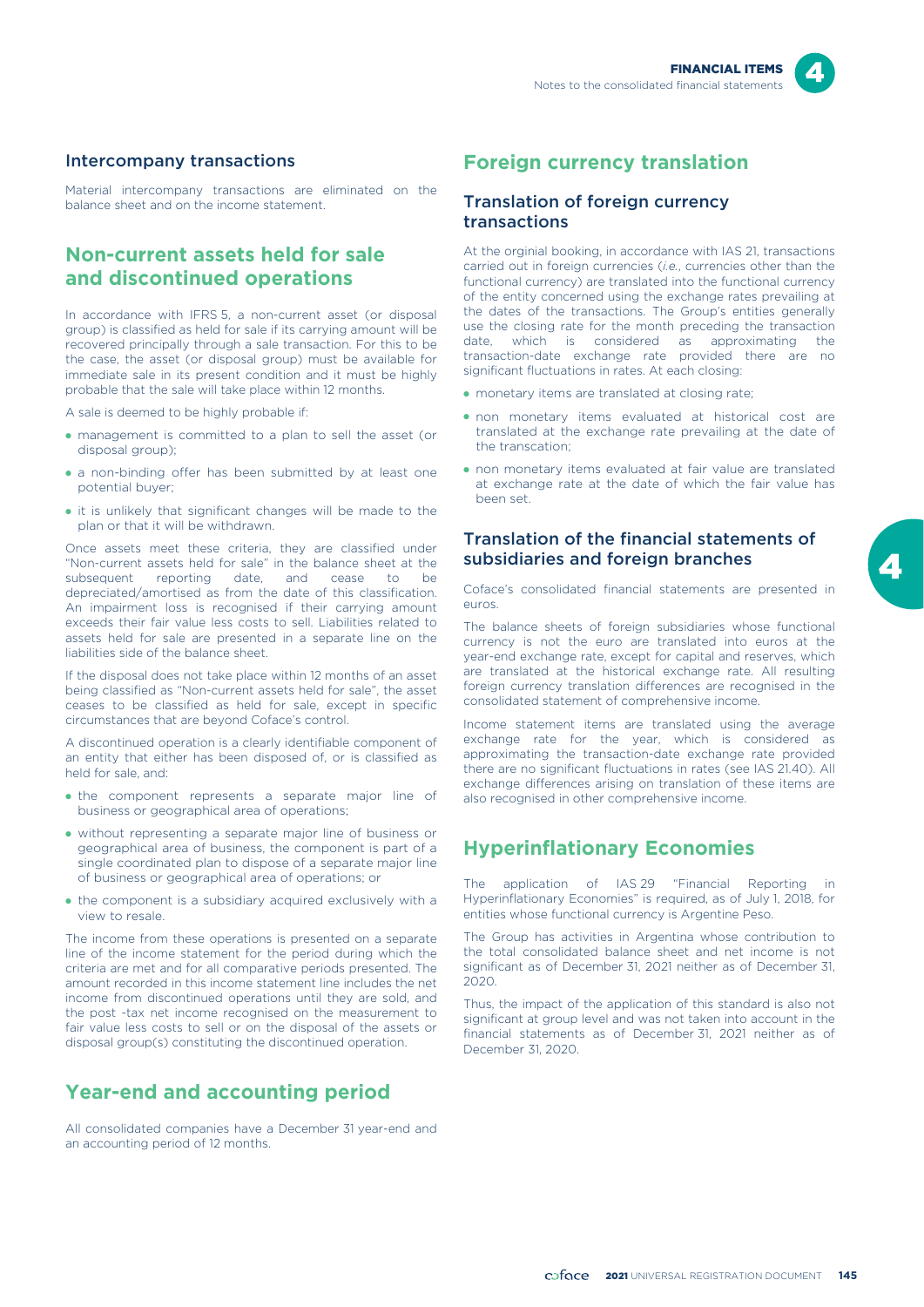

#### Intercompany transactions

Material intercompany transactions are eliminated on the balance sheet and on the income statement.

### **Non-current assets held for sale and discontinued operations**

In accordance with IFRS 5, a non-current asset (or disposal group) is classified as held for sale if its carrying amount will be recovered principally through a sale transaction. For this to be the case, the asset (or disposal group) must be available for immediate sale in its present condition and it must be highly probable that the sale will take place within 12 months.

A sale is deemed to be highly probable if:

- management is committed to a plan to sell the asset (or disposal group);
- a non-binding offer has been submitted by at least one potential buyer;
- it is unlikely that significant changes will be made to the plan or that it will be withdrawn.

Once assets meet these criteria, they are classified under "Non-current assets held for sale" in the balance sheet at the subsequent reporting date, and cease to be depreciated/amortised as from the date of this classification. An impairment loss is recognised if their carrying amount exceeds their fair value less costs to sell. Liabilities related to assets held for sale are presented in a separate line on the liabilities side of the balance sheet.

If the disposal does not take place within 12 months of an asset being classified as "Non-current assets held for sale", the asset ceases to be classified as held for sale, except in specific circumstances that are beyond Coface's control.

A discontinued operation is a clearly identifiable component of an entity that either has been disposed of, or is classified as held for sale, and:

- the component represents a separate major line of business or geographical area of operations;
- without representing a separate major line of business or geographical area of business, the component is part of a single coordinated plan to dispose of a separate major line of business or geographical area of operations; or
- the component is a subsidiary acquired exclusively with a view to resale.

The income from these operations is presented on a separate line of the income statement for the period during which the criteria are met and for all comparative periods presented. The amount recorded in this income statement line includes the net income from discontinued operations until they are sold, and the post -tax net income recognised on the measurement to fair value less costs to sell or on the disposal of the assets or disposal group(s) constituting the discontinued operation.

### **Year-end and accounting period**

All consolidated companies have a December 31 year-end and an accounting period of 12 months.

### **Foreign currency translation**

#### Translation of foreign currency transactions

At the orginial booking, in accordance with IAS 21, transactions carried out in foreign currencies (*i.e.*, currencies other than the functional currency) are translated into the functional currency of the entity concerned using the exchange rates prevailing at the dates of the transactions. The Group's entities generally use the closing rate for the month preceding the transaction date, which is considered as approximating the transaction-date exchange rate provided there are no significant fluctuations in rates. At each closing:

- monetary items are translated at closing rate;
- non monetary items evaluated at historical cost are translated at the exchange rate prevailing at the date of the transcation;
- non monetary items evaluated at fair value are translated at exchange rate at the date of which the fair value has been set.

#### Translation of the financial statements of subsidiaries and foreign branches

Coface's consolidated financial statements are presented in euros.

The balance sheets of foreign subsidiaries whose functional currency is not the euro are translated into euros at the year-end exchange rate, except for capital and reserves, which are translated at the historical exchange rate. All resulting foreign currency translation differences are recognised in the consolidated statement of comprehensive income.

Income statement items are translated using the average exchange rate for the year, which is considered as approximating the transaction-date exchange rate provided there are no significant fluctuations in rates (see IAS 21.40). All exchange differences arising on translation of these items are also recognised in other comprehensive income.

### **Hyperinflationary Economies**

The application of IAS 29 "Financial Reporting in Hyperinflationary Economies" is required, as of July 1, 2018, for entities whose functional currency is Argentine Peso.

The Group has activities in Argentina whose contribution to the total consolidated balance sheet and net income is not significant as of December 31, 2021 neither as of December 31, 2020.

Thus, the impact of the application of this standard is also not significant at group level and was not taken into account in the financial statements as of December 31, 2021 neither as of December 31, 2020.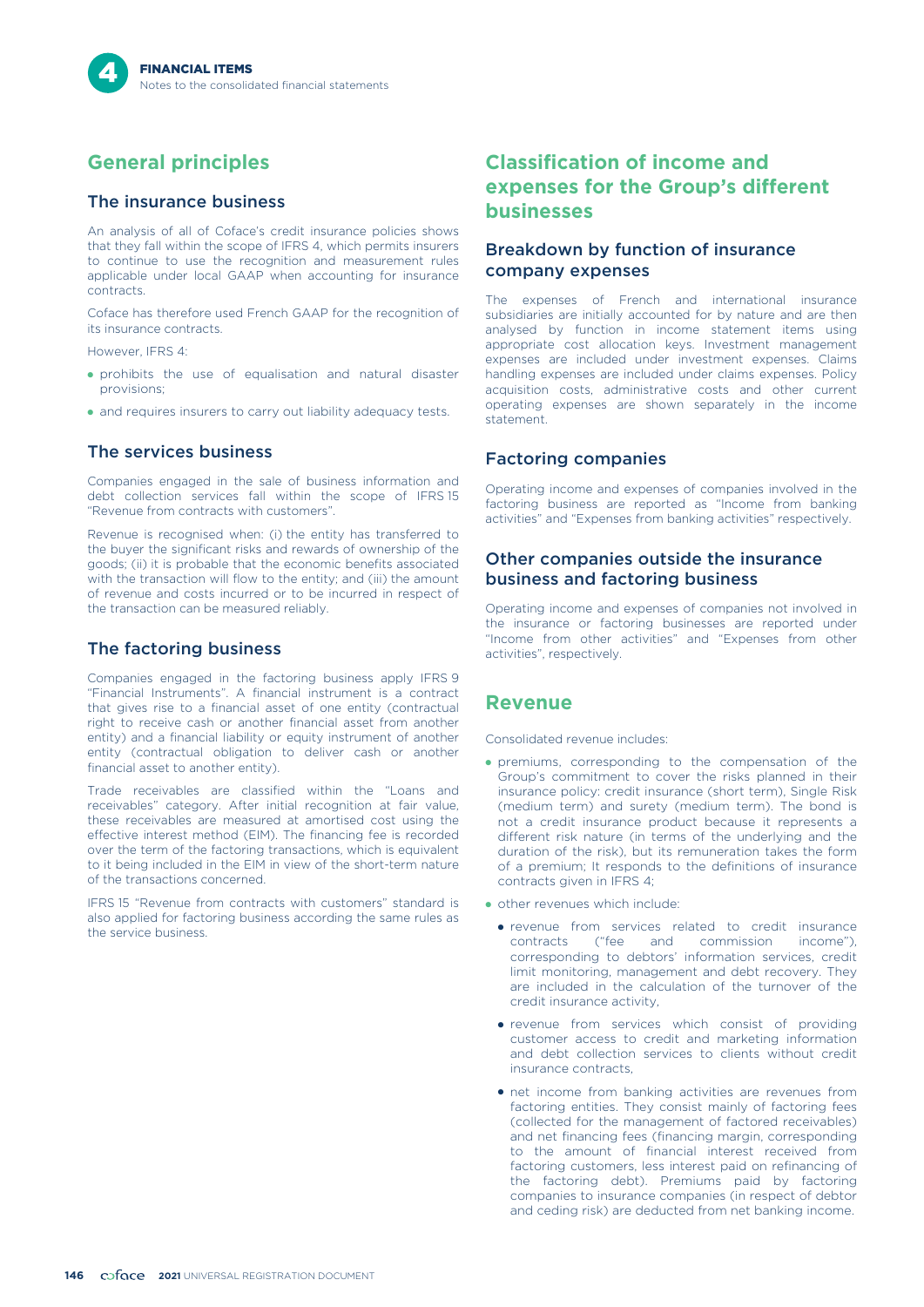# **General principles**

#### The insurance business

An analysis of all of Coface's credit insurance policies shows that they fall within the scope of IFRS 4, which permits insurers to continue to use the recognition and measurement rules applicable under local GAAP when accounting for insurance contracts.

Coface has therefore used French GAAP for the recognition of its insurance contracts.

However, IFRS 4:

- prohibits the use of equalisation and natural disaster provisions;
- and requires insurers to carry out liability adequacy tests.

#### The services business

Companies engaged in the sale of business information and debt collection services fall within the scope of IFRS 15 "Revenue from contracts with customers".

Revenue is recognised when: (i) the entity has transferred to the buyer the significant risks and rewards of ownership of the goods; (ii) it is probable that the economic benefits associated with the transaction will flow to the entity; and (iii) the amount of revenue and costs incurred or to be incurred in respect of the transaction can be measured reliably.

#### The factoring business

Companies engaged in the factoring business apply IFRS 9 "Financial Instruments". A financial instrument is a contract that gives rise to a financial asset of one entity (contractual right to receive cash or another financial asset from another entity) and a financial liability or equity instrument of another entity (contractual obligation to deliver cash or another financial asset to another entity).

Trade receivables are classified within the "Loans and receivables" category. After initial recognition at fair value, these receivables are measured at amortised cost using the effective interest method (EIM). The financing fee is recorded over the term of the factoring transactions, which is equivalent to it being included in the EIM in view of the short-term nature of the transactions concerned.

IFRS 15 "Revenue from contracts with customers" standard is also applied for factoring business according the same rules as the service business.

### **Classification of income and expenses for the Group's different businesses**

#### Breakdown by function of insurance company expenses

The expenses of French and international insurance subsidiaries are initially accounted for by nature and are then analysed by function in income statement items using appropriate cost allocation keys. Investment management expenses are included under investment expenses. Claims handling expenses are included under claims expenses. Policy acquisition costs, administrative costs and other current operating expenses are shown separately in the income statement.

#### Factoring companies

Operating income and expenses of companies involved in the factoring business are reported as "Income from banking activities" and "Expenses from banking activities" respectively.

#### Other companies outside the insurance business and factoring business

Operating income and expenses of companies not involved in the insurance or factoring businesses are reported under "Income from other activities" and "Expenses from other activities", respectively.

#### **Revenue**

Consolidated revenue includes:

- premiums, corresponding to the compensation of the Group's commitment to cover the risks planned in their insurance policy: credit insurance (short term), Single Risk (medium term) and surety (medium term). The bond is not a credit insurance product because it represents a different risk nature (in terms of the underlying and the duration of the risk), but its remuneration takes the form of a premium; It responds to the definitions of insurance contracts given in IFRS 4;
- other revenues which include:
	- revenue from services related to credit insurance contracts ("fee and commission income"), corresponding to debtors' information services, credit limit monitoring, management and debt recovery. They are included in the calculation of the turnover of the credit insurance activity,
	- revenue from services which consist of providing customer access to credit and marketing information and debt collection services to clients without credit insurance contracts,
	- net income from banking activities are revenues from factoring entities. They consist mainly of factoring fees (collected for the management of factored receivables) and net financing fees (financing margin, corresponding to the amount of financial interest received from factoring customers, less interest paid on refinancing of the factoring debt). Premiums paid by factoring companies to insurance companies (in respect of debtor and ceding risk) are deducted from net banking income.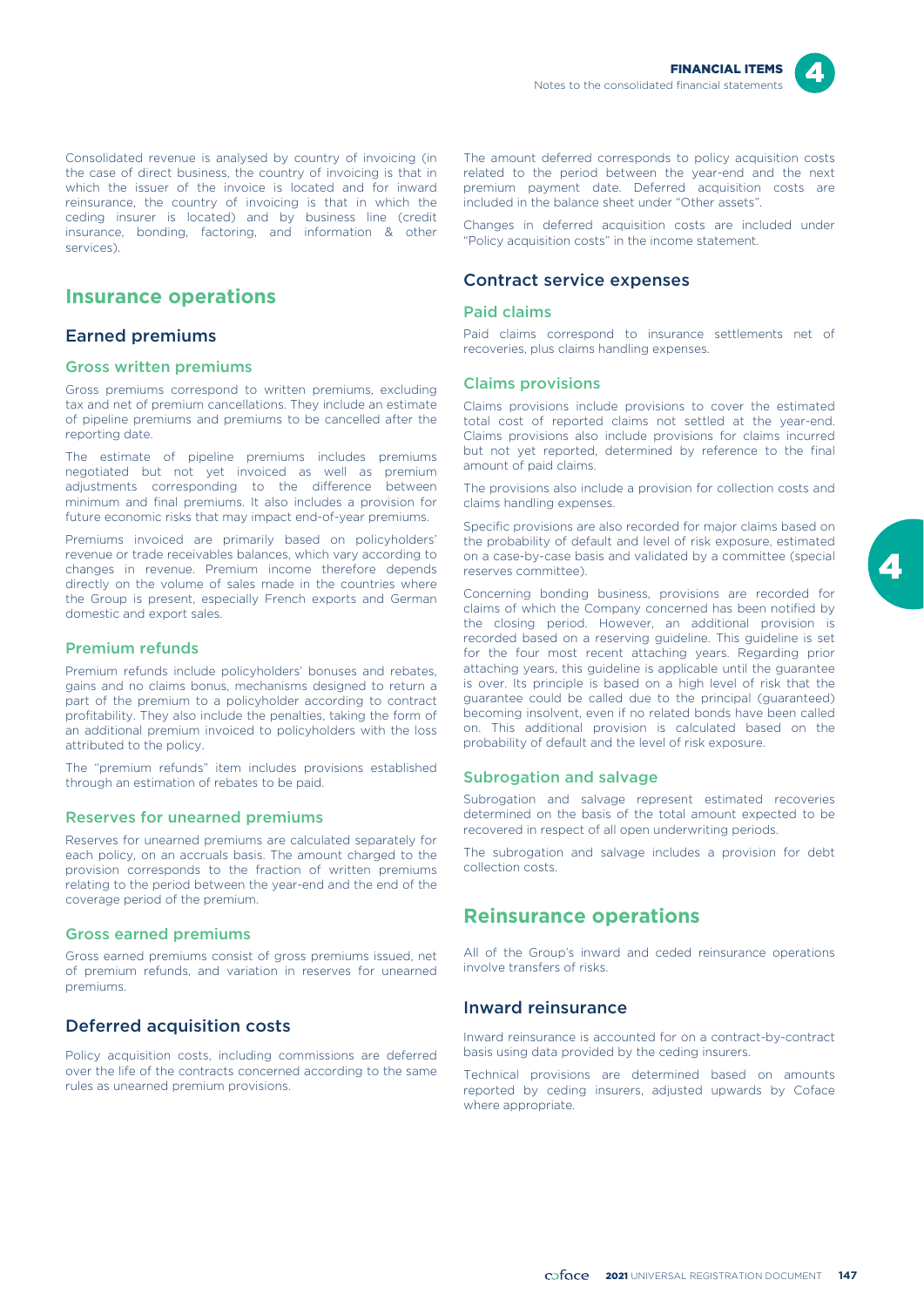

Consolidated revenue is analysed by country of invoicing (in the case of direct business, the country of invoicing is that in which the issuer of the invoice is located and for inward reinsurance, the country of invoicing is that in which the ceding insurer is located) and by business line (credit insurance, bonding, factoring, and information & other services).

#### **Insurance operations**

#### Earned premiums

#### Gross written premiums

Gross premiums correspond to written premiums, excluding tax and net of premium cancellations. They include an estimate of pipeline premiums and premiums to be cancelled after the reporting date.

The estimate of pipeline premiums includes premiums negotiated but not yet invoiced as well as premium adjustments corresponding to the difference between minimum and final premiums. It also includes a provision for future economic risks that may impact end-of-year premiums.

Premiums invoiced are primarily based on policyholders' revenue or trade receivables balances, which vary according to changes in revenue. Premium income therefore depends directly on the volume of sales made in the countries where the Group is present, especially French exports and German domestic and export sales.

#### Premium refunds

Premium refunds include policyholders' bonuses and rebates, gains and no claims bonus, mechanisms designed to return a part of the premium to a policyholder according to contract profitability. They also include the penalties, taking the form of an additional premium invoiced to policyholders with the loss attributed to the policy.

The "premium refunds" item includes provisions established through an estimation of rebates to be paid.

#### Reserves for unearned premiums

Reserves for unearned premiums are calculated separately for each policy, on an accruals basis. The amount charged to the provision corresponds to the fraction of written premiums relating to the period between the year-end and the end of the coverage period of the premium.

#### Gross earned premiums

Gross earned premiums consist of gross premiums issued, net of premium refunds, and variation in reserves for unearned premiums.

#### Deferred acquisition costs

Policy acquisition costs, including commissions are deferred over the life of the contracts concerned according to the same rules as unearned premium provisions.

The amount deferred corresponds to policy acquisition costs related to the period between the year-end and the next premium payment date. Deferred acquisition costs are included in the balance sheet under "Other assets".

Changes in deferred acquisition costs are included under "Policy acquisition costs" in the income statement.

#### Contract service expenses

#### Paid claims

Paid claims correspond to insurance settlements net of recoveries, plus claims handling expenses.

#### Claims provisions

Claims provisions include provisions to cover the estimated total cost of reported claims not settled at the year-end. Claims provisions also include provisions for claims incurred but not yet reported, determined by reference to the final amount of paid claims.

The provisions also include a provision for collection costs and claims handling expenses.

Specific provisions are also recorded for major claims based on the probability of default and level of risk exposure, estimated on a case-by-case basis and validated by a committee (special reserves committee).

Concerning bonding business, provisions are recorded for claims of which the Company concerned has been notified by the closing period. However, an additional provision is recorded based on a reserving guideline. This guideline is set for the four most recent attaching years. Regarding prior attaching years, this guideline is applicable until the guarantee is over. Its principle is based on a high level of risk that the guarantee could be called due to the principal (guaranteed) becoming insolvent, even if no related bonds have been called on. This additional provision is calculated based on the probability of default and the level of risk exposure.

#### Subrogation and salvage

Subrogation and salvage represent estimated recoveries determined on the basis of the total amount expected to be recovered in respect of all open underwriting periods.

The subrogation and salvage includes a provision for debt collection costs.

#### **Reinsurance operations**

All of the Group's inward and ceded reinsurance operations involve transfers of risks.

#### Inward reinsurance

Inward reinsurance is accounted for on a contract-by-contract basis using data provided by the ceding insurers.

Technical provisions are determined based on amounts reported by ceding insurers, adjusted upwards by Coface where appropriate.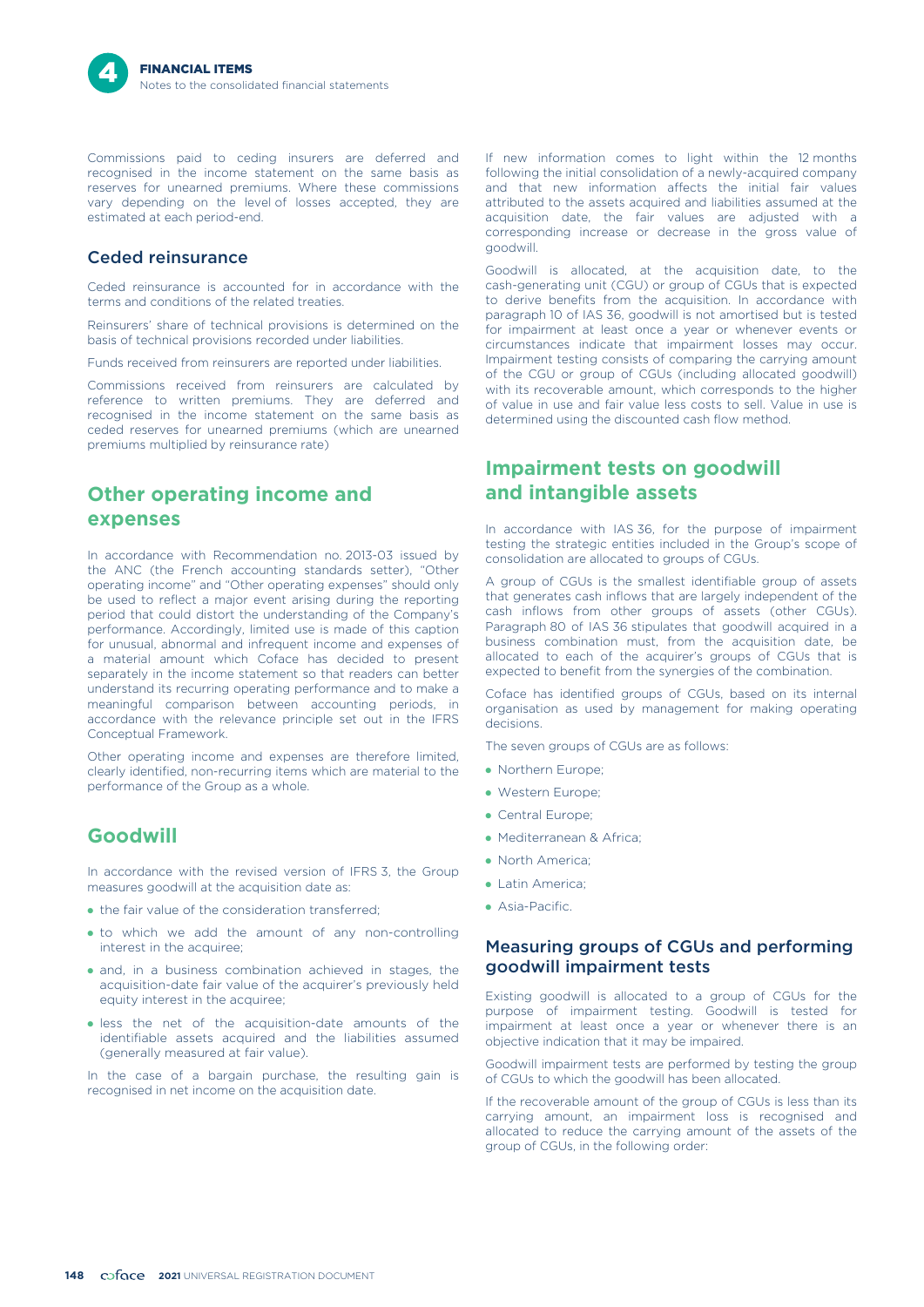Commissions paid to ceding insurers are deferred and recognised in the income statement on the same basis as reserves for unearned premiums. Where these commissions vary depending on the level of losses accepted, they are estimated at each period-end.

#### Ceded reinsurance

Ceded reinsurance is accounted for in accordance with the terms and conditions of the related treaties.

Reinsurers' share of technical provisions is determined on the basis of technical provisions recorded under liabilities.

Funds received from reinsurers are reported under liabilities.

Commissions received from reinsurers are calculated by reference to written premiums. They are deferred and recognised in the income statement on the same basis as ceded reserves for unearned premiums (which are unearned premiums multiplied by reinsurance rate)

### **Other operating income and expenses**

In accordance with Recommendation no. 2013-03 issued by the ANC (the French accounting standards setter), "Other operating income" and "Other operating expenses" should only be used to reflect a major event arising during the reporting period that could distort the understanding of the Company's performance. Accordingly, limited use is made of this caption for unusual, abnormal and infrequent income and expenses of a material amount which Coface has decided to present separately in the income statement so that readers can better understand its recurring operating performance and to make a meaningful comparison between accounting periods, in accordance with the relevance principle set out in the IFRS Conceptual Framework.

Other operating income and expenses are therefore limited, clearly identified, non-recurring items which are material to the performance of the Group as a whole.

### **Goodwill**

In accordance with the revised version of IFRS 3, the Group measures goodwill at the acquisition date as:

- the fair value of the consideration transferred;
- to which we add the amount of any non-controlling interest in the acquiree;
- and, in a business combination achieved in stages, the acquisition-date fair value of the acquirer's previously held equity interest in the acquiree;
- less the net of the acquisition-date amounts of the identifiable assets acquired and the liabilities assumed (generally measured at fair value).

In the case of a bargain purchase, the resulting gain is recognised in net income on the acquisition date.

If new information comes to light within the 12 months following the initial consolidation of a newly-acquired company and that new information affects the initial fair values attributed to the assets acquired and liabilities assumed at the acquisition date, the fair values are adjusted with a corresponding increase or decrease in the gross value of goodwill.

Goodwill is allocated, at the acquisition date, to the cash-generating unit (CGU) or group of CGUs that is expected to derive benefits from the acquisition. In accordance with paragraph 10 of IAS 36, goodwill is not amortised but is tested for impairment at least once a year or whenever events or circumstances indicate that impairment losses may occur. Impairment testing consists of comparing the carrying amount of the CGU or group of CGUs (including allocated goodwill) with its recoverable amount, which corresponds to the higher of value in use and fair value less costs to sell. Value in use is determined using the discounted cash flow method.

### **Impairment tests on goodwill and intangible assets**

In accordance with IAS 36, for the purpose of impairment testing the strategic entities included in the Group's scope of consolidation are allocated to groups of CGUs.

A group of CGUs is the smallest identifiable group of assets that generates cash inflows that are largely independent of the cash inflows from other groups of assets (other CGUs). Paragraph 80 of IAS 36 stipulates that goodwill acquired in a business combination must, from the acquisition date, be allocated to each of the acquirer's groups of CGUs that is expected to benefit from the synergies of the combination.

Coface has identified groups of CGUs, based on its internal organisation as used by management for making operating decisions.

The seven groups of CGUs are as follows:

- Northern Europe;
- Western Europe;
- Central Europe;
- Mediterranean & Africa;
- North America;
- Latin America;
- Asia-Pacific.

#### Measuring groups of CGUs and performing goodwill impairment tests

Existing goodwill is allocated to a group of CGUs for the purpose of impairment testing. Goodwill is tested for impairment at least once a year or whenever there is an objective indication that it may be impaired.

Goodwill impairment tests are performed by testing the group of CGUs to which the goodwill has been allocated.

If the recoverable amount of the group of CGUs is less than its carrying amount, an impairment loss is recognised and allocated to reduce the carrying amount of the assets of the group of CGUs, in the following order: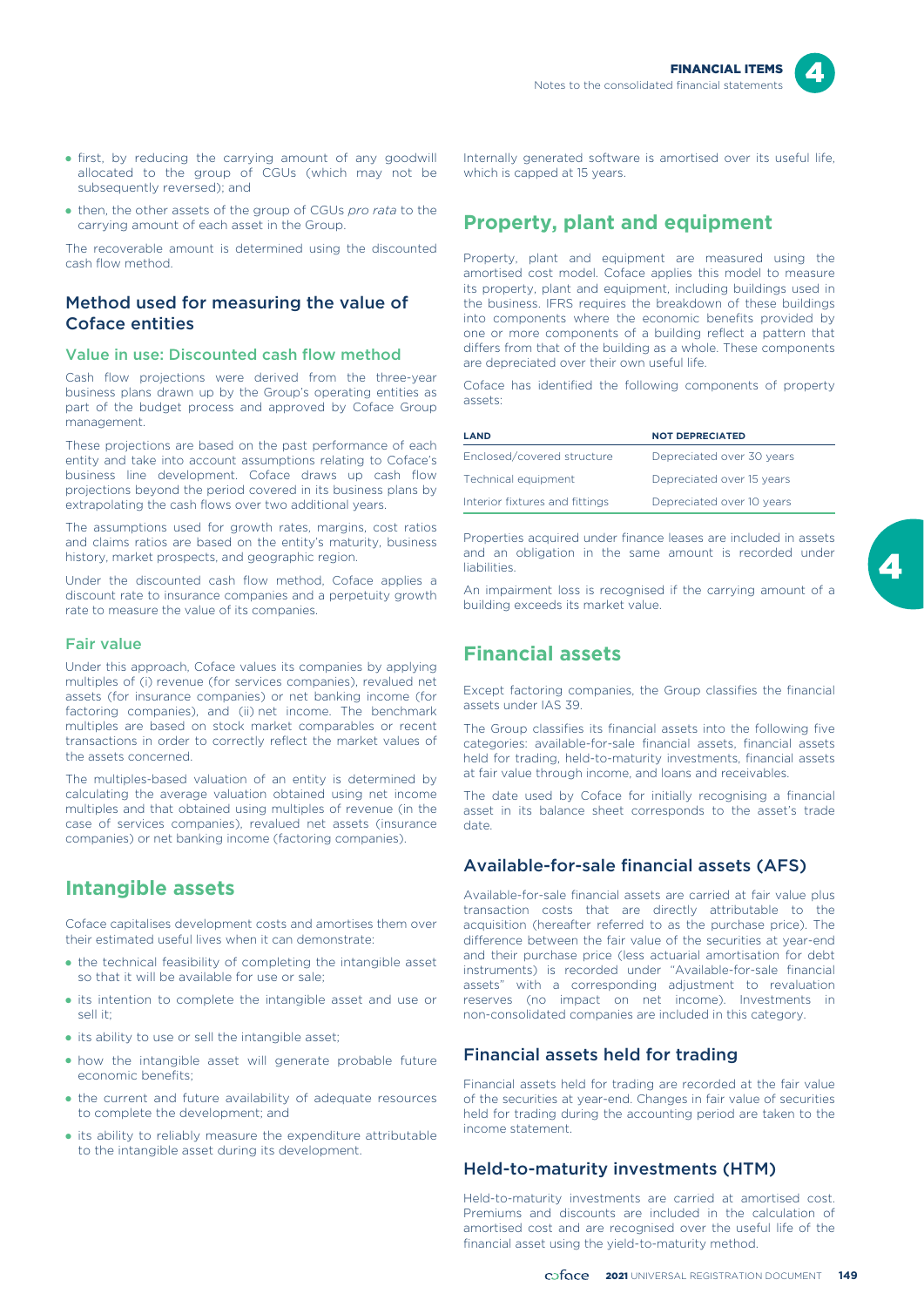

- first, by reducing the carrying amount of any goodwill allocated to the group of CGUs (which may not be subsequently reversed); and
- then, the other assets of the group of CGUs *pro rata* to the carrying amount of each asset in the Group.

The recoverable amount is determined using the discounted cash flow method.

#### Method used for measuring the value of Coface entities

#### Value in use: Discounted cash flow method

Cash flow projections were derived from the three-year business plans drawn up by the Group's operating entities as part of the budget process and approved by Coface Group management.

These projections are based on the past performance of each entity and take into account assumptions relating to Coface's business line development. Coface draws up cash flow projections beyond the period covered in its business plans by extrapolating the cash flows over two additional years.

The assumptions used for growth rates, margins, cost ratios and claims ratios are based on the entity's maturity, business history, market prospects, and geographic region.

Under the discounted cash flow method, Coface applies a discount rate to insurance companies and a perpetuity growth rate to measure the value of its companies.

#### Fair value

Under this approach, Coface values its companies by applying multiples of (i) revenue (for services companies), revalued net assets (for insurance companies) or net banking income (for factoring companies), and (ii) net income. The benchmark multiples are based on stock market comparables or recent transactions in order to correctly reflect the market values of the assets concerned.

The multiples-based valuation of an entity is determined by calculating the average valuation obtained using net income multiples and that obtained using multiples of revenue (in the case of services companies), revalued net assets (insurance companies) or net banking income (factoring companies).

#### **Intangible assets**

Coface capitalises development costs and amortises them over their estimated useful lives when it can demonstrate:

- the technical feasibility of completing the intangible asset so that it will be available for use or sale;
- its intention to complete the intangible asset and use or sell it;
- its ability to use or sell the intangible asset;
- how the intangible asset will generate probable future economic benefits;
- the current and future availability of adequate resources to complete the development; and
- its ability to reliably measure the expenditure attributable to the intangible asset during its development.

Internally generated software is amortised over its useful life, which is capped at 15 years.

### **Property, plant and equipment**

Property, plant and equipment are measured using the amortised cost model. Coface applies this model to measure its property, plant and equipment, including buildings used in the business. IFRS requires the breakdown of these buildings into components where the economic benefits provided by one or more components of a building reflect a pattern that differs from that of the building as a whole. These components are depreciated over their own useful life.

Coface has identified the following components of property assets:

| <b>LAND</b>                    | <b>NOT DEPRECIATED</b>    |
|--------------------------------|---------------------------|
| Enclosed/covered structure     | Depreciated over 30 years |
| Technical equipment            | Depreciated over 15 years |
| Interior fixtures and fittings | Depreciated over 10 years |
|                                |                           |

Properties acquired under finance leases are included in assets and an obligation in the same amount is recorded under liabilities.

An impairment loss is recognised if the carrying amount of a building exceeds its market value.

#### **Financial assets**

Except factoring companies, the Group classifies the financial assets under IAS 39.

The Group classifies its financial assets into the following five categories: available-for-sale financial assets, financial assets held for trading, held-to-maturity investments, financial assets at fair value through income, and loans and receivables.

The date used by Coface for initially recognising a financial asset in its balance sheet corresponds to the asset's trade date.

#### Available-for-sale financial assets (AFS)

Available-for-sale financial assets are carried at fair value plus transaction costs that are directly attributable to the acquisition (hereafter referred to as the purchase price). The difference between the fair value of the securities at year-end and their purchase price (less actuarial amortisation for debt instruments) is recorded under "Available-for-sale financial assets" with a corresponding adjustment to revaluation reserves (no impact on net income). Investments in non-consolidated companies are included in this category.

#### Financial assets held for trading

Financial assets held for trading are recorded at the fair value of the securities at year-end. Changes in fair value of securities held for trading during the accounting period are taken to the income statement.

#### Held-to-maturity investments (HTM)

Held-to-maturity investments are carried at amortised cost. Premiums and discounts are included in the calculation of amortised cost and are recognised over the useful life of the financial asset using the yield-to-maturity method.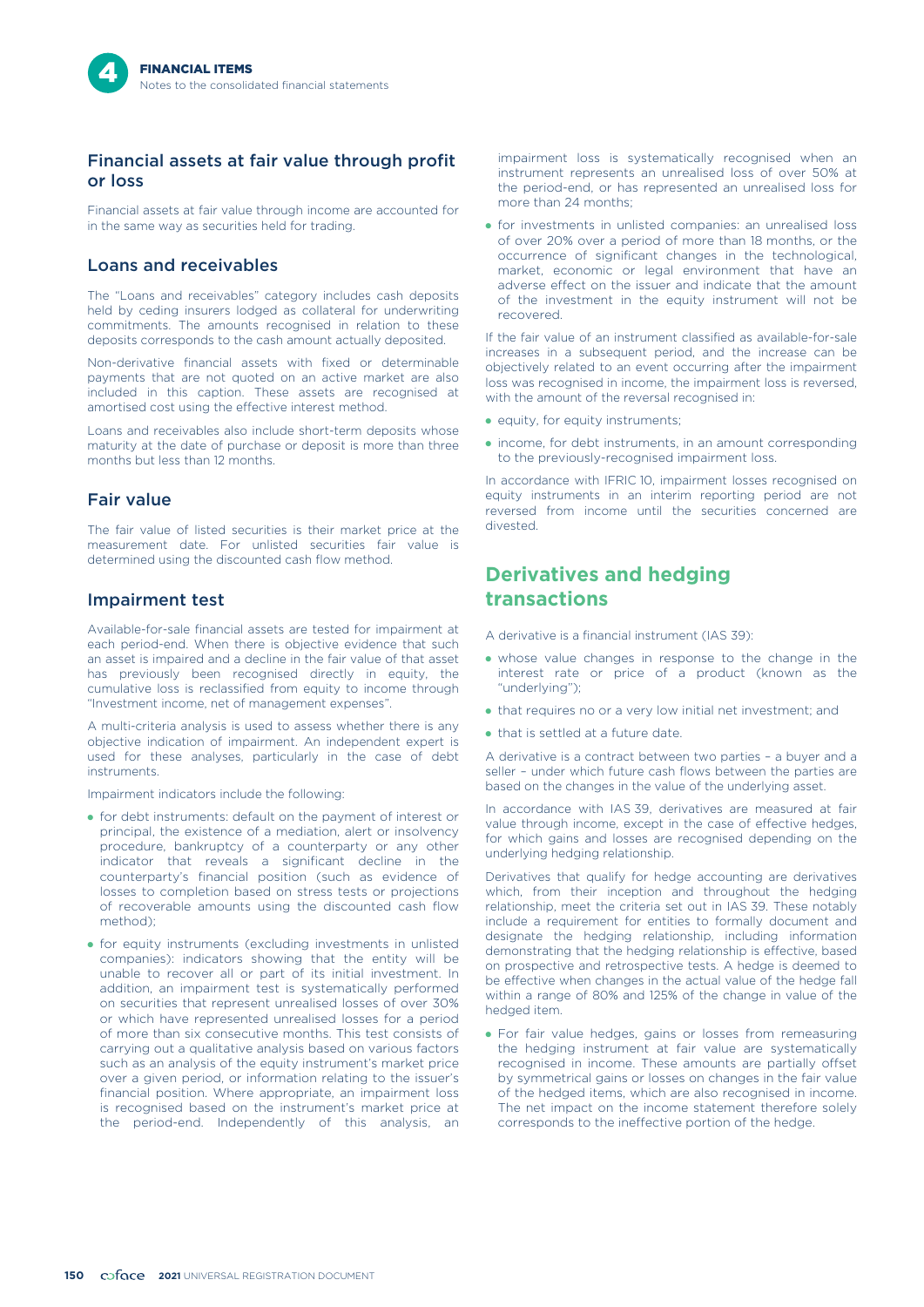#### Financial assets at fair value through profit or loss

Financial assets at fair value through income are accounted for in the same way as securities held for trading.

#### Loans and receivables

The "Loans and receivables" category includes cash deposits held by ceding insurers lodged as collateral for underwriting commitments. The amounts recognised in relation to these deposits corresponds to the cash amount actually deposited.

Non-derivative financial assets with fixed or determinable payments that are not quoted on an active market are also included in this caption. These assets are recognised at amortised cost using the effective interest method.

Loans and receivables also include short-term deposits whose maturity at the date of purchase or deposit is more than three months but less than 12 months.

#### Fair value

The fair value of listed securities is their market price at the measurement date. For unlisted securities fair value is determined using the discounted cash flow method.

#### Impairment test

Available-for-sale financial assets are tested for impairment at each period-end. When there is objective evidence that such an asset is impaired and a decline in the fair value of that asset has previously been recognised directly in equity, the cumulative loss is reclassified from equity to income through "Investment income, net of management expenses".

A multi-criteria analysis is used to assess whether there is any objective indication of impairment. An independent expert is used for these analyses, particularly in the case of debt instruments.

Impairment indicators include the following:

- for debt instruments: default on the payment of interest or principal, the existence of a mediation, alert or insolvency procedure, bankruptcy of a counterparty or any other indicator that reveals a significant decline in the counterparty's financial position (such as evidence of losses to completion based on stress tests or projections of recoverable amounts using the discounted cash flow method);
- for equity instruments (excluding investments in unlisted companies): indicators showing that the entity will be unable to recover all or part of its initial investment. In addition, an impairment test is systematically performed on securities that represent unrealised losses of over 30% or which have represented unrealised losses for a period of more than six consecutive months. This test consists of carrying out a qualitative analysis based on various factors such as an analysis of the equity instrument's market price over a given period, or information relating to the issuer's financial position. Where appropriate, an impairment loss is recognised based on the instrument's market price at the period-end. Independently of this analysis, an

impairment loss is systematically recognised when an instrument represents an unrealised loss of over 50% at the period-end, or has represented an unrealised loss for more than 24 months;

- for investments in unlisted companies: an unrealised loss of over 20% over a period of more than 18 months, or the occurrence of significant changes in the technological, market, economic or legal environment that have an adverse effect on the issuer and indicate that the amount of the investment in the equity instrument will not be recovered.

If the fair value of an instrument classified as available-for-sale increases in a subsequent period, and the increase can be objectively related to an event occurring after the impairment loss was recognised in income, the impairment loss is reversed, with the amount of the reversal recognised in:

- equity, for equity instruments;
- income, for debt instruments, in an amount corresponding to the previously-recognised impairment loss.

In accordance with IFRIC 10, impairment losses recognised on equity instruments in an interim reporting period are not reversed from income until the securities concerned are divested

### **Derivatives and hedging transactions**

A derivative is a financial instrument (IAS 39):

- whose value changes in response to the change in the interest rate or price of a product (known as the "underlying");
- that requires no or a very low initial net investment; and
- that is settled at a future date.

A derivative is a contract between two parties – a buyer and a seller – under which future cash flows between the parties are based on the changes in the value of the underlying asset.

In accordance with IAS 39, derivatives are measured at fair value through income, except in the case of effective hedges, for which gains and losses are recognised depending on the underlying hedging relationship.

Derivatives that qualify for hedge accounting are derivatives which, from their inception and throughout the hedging relationship, meet the criteria set out in IAS 39. These notably include a requirement for entities to formally document and designate the hedging relationship, including information demonstrating that the hedging relationship is effective, based on prospective and retrospective tests. A hedge is deemed to be effective when changes in the actual value of the hedge fall within a range of 80% and 125% of the change in value of the hedged item.

- For fair value hedges, gains or losses from remeasuring the hedging instrument at fair value are systematically recognised in income. These amounts are partially offset by symmetrical gains or losses on changes in the fair value of the hedged items, which are also recognised in income. The net impact on the income statement therefore solely corresponds to the ineffective portion of the hedge.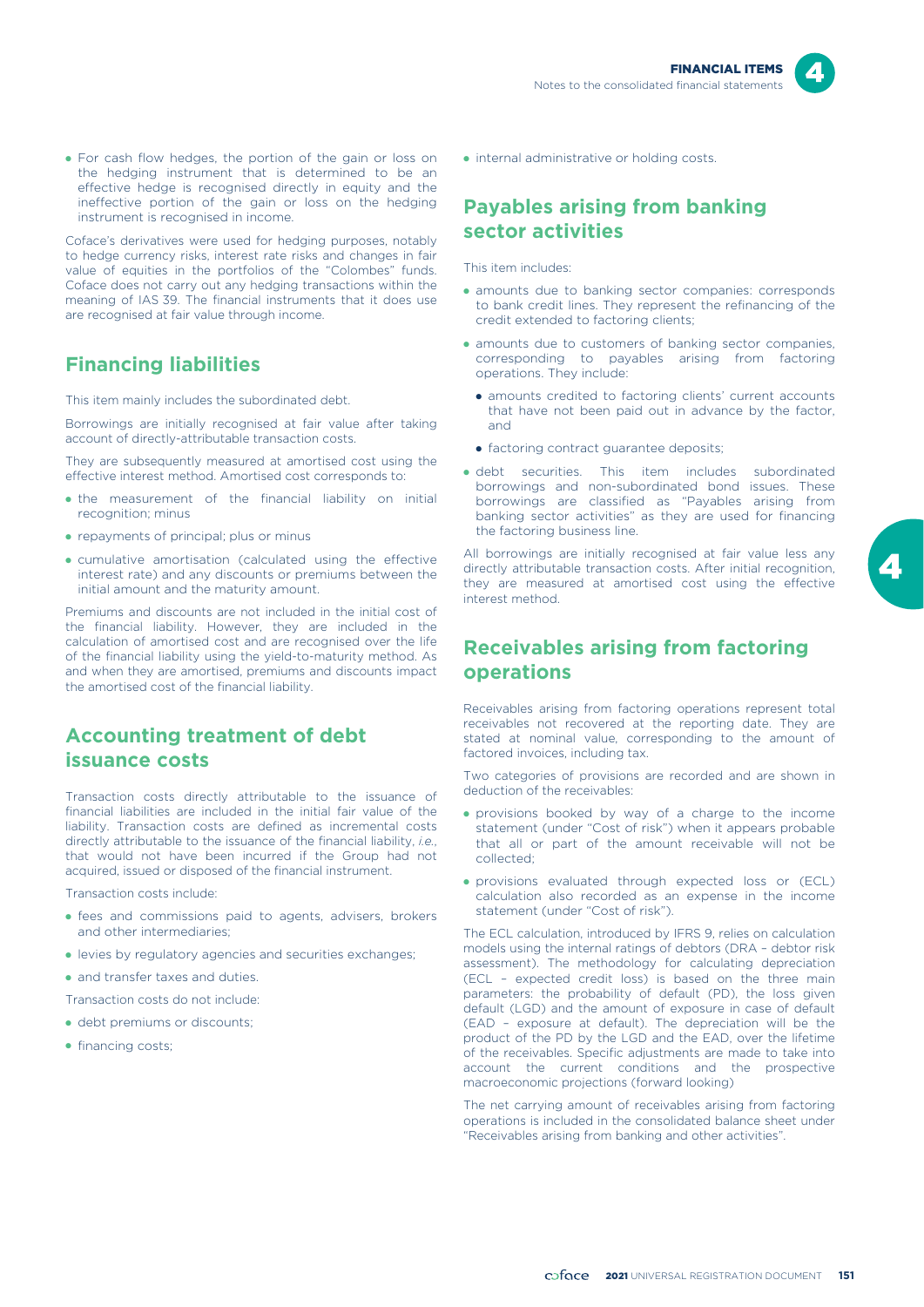

- For cash flow hedges, the portion of the gain or loss on the hedging instrument that is determined to be an effective hedge is recognised directly in equity and the ineffective portion of the gain or loss on the hedging instrument is recognised in income.

Coface's derivatives were used for hedging purposes, notably to hedge currency risks, interest rate risks and changes in fair value of equities in the portfolios of the "Colombes" funds. Coface does not carry out any hedging transactions within the meaning of IAS 39. The financial instruments that it does use are recognised at fair value through income.

### **Financing liabilities**

This item mainly includes the subordinated debt.

Borrowings are initially recognised at fair value after taking account of directly-attributable transaction costs.

They are subsequently measured at amortised cost using the effective interest method. Amortised cost corresponds to:

- the measurement of the financial liability on initial recognition; minus
- repayments of principal; plus or minus
- cumulative amortisation (calculated using the effective interest rate) and any discounts or premiums between the initial amount and the maturity amount.

Premiums and discounts are not included in the initial cost of the financial liability. However, they are included in the calculation of amortised cost and are recognised over the life of the financial liability using the yield-to-maturity method. As and when they are amortised, premiums and discounts impact the amortised cost of the financial liability.

### **Accounting treatment of debt issuance costs**

Transaction costs directly attributable to the issuance of financial liabilities are included in the initial fair value of the liability. Transaction costs are defined as incremental costs directly attributable to the issuance of the financial liability, *i.e.*, that would not have been incurred if the Group had not acquired, issued or disposed of the financial instrument.

Transaction costs include:

- fees and commissions paid to agents, advisers, brokers and other intermediaries;
- levies by regulatory agencies and securities exchanges;
- and transfer taxes and duties.

Transaction costs do not include:

- debt premiums or discounts;
- financing costs;

• internal administrative or holding costs.

### **Payables arising from banking sector activities**

This item includes:

- amounts due to banking sector companies: corresponds to bank credit lines. They represent the refinancing of the credit extended to factoring clients;
- amounts due to customers of banking sector companies, corresponding to payables arising from factoring operations. They include:
	- amounts credited to factoring clients' current accounts that have not been paid out in advance by the factor, and
	- factoring contract guarantee deposits;
- debt securities. This item includes subordinated borrowings and non-subordinated bond issues. These borrowings are classified as "Payables arising from banking sector activities" as they are used for financing the factoring business line.

All borrowings are initially recognised at fair value less any directly attributable transaction costs. After initial recognition, they are measured at amortised cost using the effective interest method.

### **Receivables arising from factoring operations**

Receivables arising from factoring operations represent total receivables not recovered at the reporting date. They are stated at nominal value, corresponding to the amount of factored invoices, including tax.

Two categories of provisions are recorded and are shown in deduction of the receivables:

- provisions booked by way of a charge to the income statement (under "Cost of risk") when it appears probable that all or part of the amount receivable will not be collected;
- provisions evaluated through expected loss or (ECL) calculation also recorded as an expense in the income statement (under "Cost of risk").

The ECL calculation, introduced by IFRS 9, relies on calculation models using the internal ratings of debtors (DRA – debtor risk assessment). The methodology for calculating depreciation (ECL – expected credit loss) is based on the three main parameters: the probability of default (PD), the loss given default (LGD) and the amount of exposure in case of default (EAD – exposure at default). The depreciation will be the product of the PD by the LGD and the EAD, over the lifetime of the receivables. Specific adjustments are made to take into account the current conditions and the prospective macroeconomic projections (forward looking)

The net carrying amount of receivables arising from factoring operations is included in the consolidated balance sheet under "Receivables arising from banking and other activities".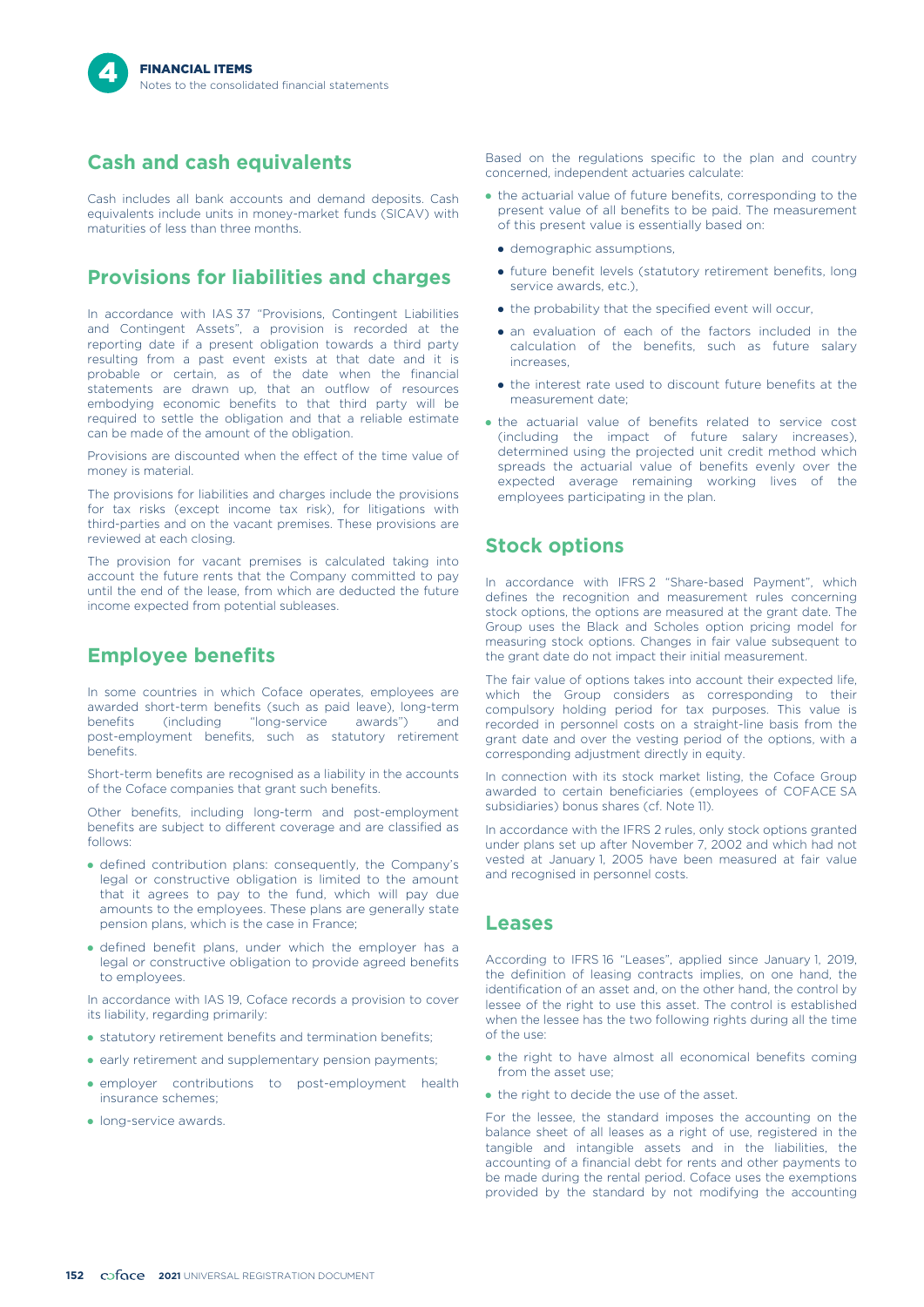### **Cash and cash equivalents**

Cash includes all bank accounts and demand deposits. Cash equivalents include units in money-market funds (SICAV) with maturities of less than three months.

### **Provisions for liabilities and charges**

In accordance with IAS 37 "Provisions, Contingent Liabilities and Contingent Assets", a provision is recorded at the reporting date if a present obligation towards a third party resulting from a past event exists at that date and it is probable or certain, as of the date when the financial statements are drawn up, that an outflow of resources embodying economic benefits to that third party will be required to settle the obligation and that a reliable estimate can be made of the amount of the obligation.

Provisions are discounted when the effect of the time value of money is material.

The provisions for liabilities and charges include the provisions for tax risks (except income tax risk), for litigations with third-parties and on the vacant premises. These provisions are reviewed at each closing.

The provision for vacant premises is calculated taking into account the future rents that the Company committed to pay until the end of the lease, from which are deducted the future income expected from potential subleases.

### **Employee benefits**

In some countries in which Coface operates, employees are awarded short-term benefits (such as paid leave), long-term benefits (including "long-service awards") and post-employment benefits, such as statutory retirement benefits.

Short-term benefits are recognised as a liability in the accounts of the Coface companies that grant such benefits.

Other benefits, including long-term and post-employment benefits are subject to different coverage and are classified as follows:

- defined contribution plans: consequently, the Company's legal or constructive obligation is limited to the amount that it agrees to pay to the fund, which will pay due amounts to the employees. These plans are generally state pension plans, which is the case in France;
- defined benefit plans, under which the employer has a legal or constructive obligation to provide agreed benefits to employees.

In accordance with IAS 19, Coface records a provision to cover its liability, regarding primarily:

- statutory retirement benefits and termination benefits;
- early retirement and supplementary pension payments;
- employer contributions to post-employment health insurance schemes;
- long-service awards.

Based on the regulations specific to the plan and country concerned, independent actuaries calculate:

- the actuarial value of future benefits, corresponding to the present value of all benefits to be paid. The measurement of this present value is essentially based on:
	- demographic assumptions,
	- future benefit levels (statutory retirement benefits, long service awards, etc.),
	- $\bullet$  the probability that the specified event will occur,
	- an evaluation of each of the factors included in the calculation of the benefits, such as future salary increases,
	- the interest rate used to discount future benefits at the measurement date;
- the actuarial value of benefits related to service cost (including the impact of future salary increases), determined using the projected unit credit method which spreads the actuarial value of benefits evenly over the expected average remaining working lives of the employees participating in the plan.

### **Stock options**

In accordance with IFRS 2 "Share-based Payment", which defines the recognition and measurement rules concerning stock options, the options are measured at the grant date. The Group uses the Black and Scholes option pricing model for measuring stock options. Changes in fair value subsequent to the grant date do not impact their initial measurement.

The fair value of options takes into account their expected life, which the Group considers as corresponding to their compulsory holding period for tax purposes. This value is recorded in personnel costs on a straight-line basis from the grant date and over the vesting period of the options, with a corresponding adjustment directly in equity.

In connection with its stock market listing, the Coface Group awarded to certain beneficiaries (employees of COFACE SA subsidiaries) bonus shares (cf. Note 11).

In accordance with the IFRS 2 rules, only stock options granted under plans set up after November 7, 2002 and which had not vested at January 1, 2005 have been measured at fair value and recognised in personnel costs.

#### **Leases**

According to IFRS 16 "Leases", applied since January 1, 2019, the definition of leasing contracts implies, on one hand, the identification of an asset and, on the other hand, the control by lessee of the right to use this asset. The control is established when the lessee has the two following rights during all the time of the use:

- the right to have almost all economical benefits coming from the asset use;
- the right to decide the use of the asset.

For the lessee, the standard imposes the accounting on the balance sheet of all leases as a right of use, registered in the tangible and intangible assets and in the liabilities, the accounting of a financial debt for rents and other payments to be made during the rental period. Coface uses the exemptions provided by the standard by not modifying the accounting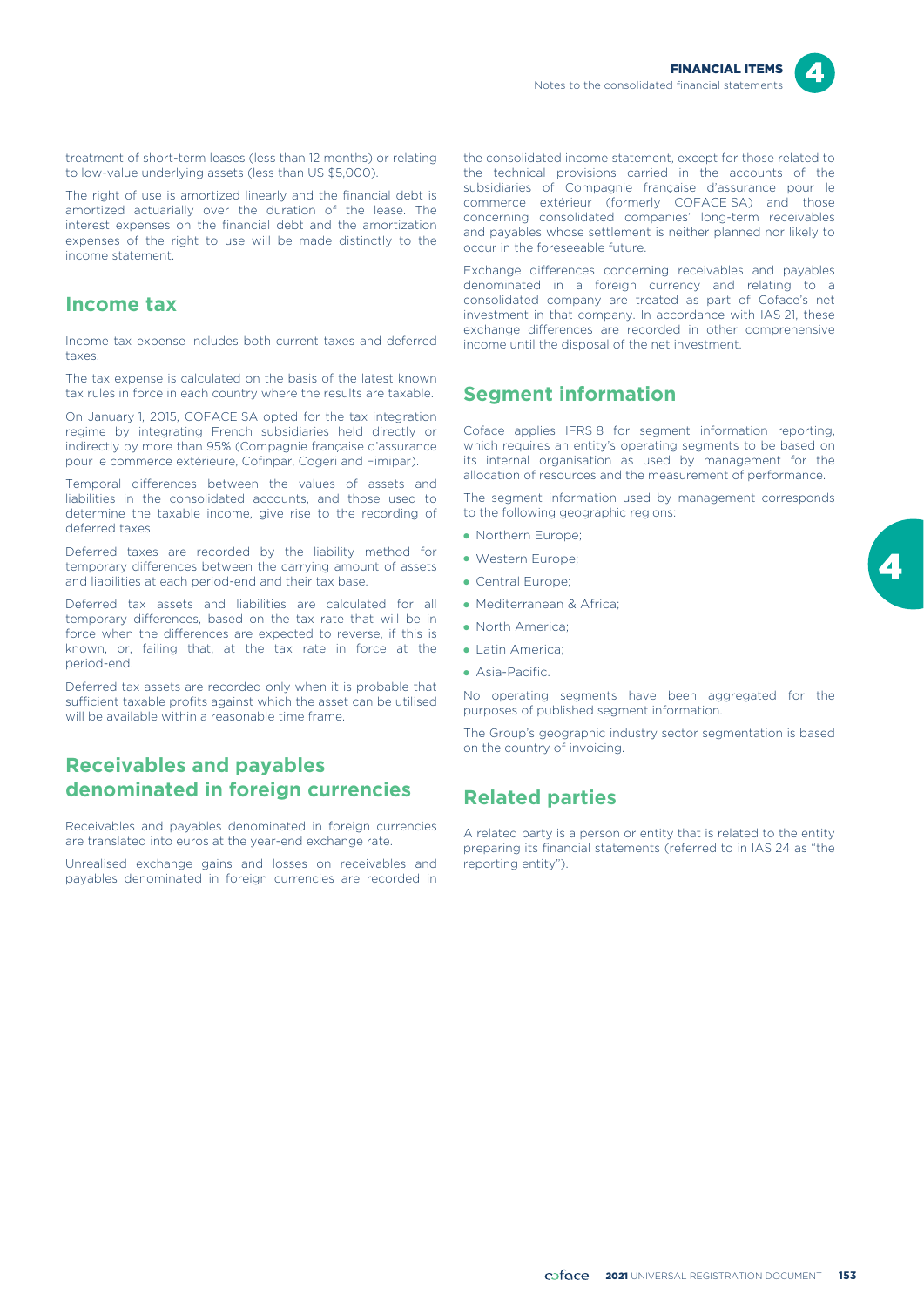FINANCIAL ITEMS Notes to the consolidated financial statements



treatment of short-term leases (less than 12 months) or relating to low-value underlying assets (less than US \$5,000).

The right of use is amortized linearly and the financial debt is amortized actuarially over the duration of the lease. The interest expenses on the financial debt and the amortization expenses of the right to use will be made distinctly to the income statement.

#### **Income tax**

Income tax expense includes both current taxes and deferred taxes.

The tax expense is calculated on the basis of the latest known tax rules in force in each country where the results are taxable.

On January 1, 2015, COFACE SA opted for the tax integration regime by integrating French subsidiaries held directly or indirectly by more than 95% (Compagnie française d'assurance pour le commerce extérieure, Cofinpar, Cogeri and Fimipar).

Temporal differences between the values of assets and liabilities in the consolidated accounts, and those used to determine the taxable income, give rise to the recording of deferred taxes.

Deferred taxes are recorded by the liability method for temporary differences between the carrying amount of assets and liabilities at each period-end and their tax base.

Deferred tax assets and liabilities are calculated for all temporary differences, based on the tax rate that will be in force when the differences are expected to reverse, if this is known, or, failing that, at the tax rate in force at the period-end.

Deferred tax assets are recorded only when it is probable that sufficient taxable profits against which the asset can be utilised will be available within a reasonable time frame.

### **Receivables and payables denominated in foreign currencies**

Receivables and payables denominated in foreign currencies are translated into euros at the year-end exchange rate.

Unrealised exchange gains and losses on receivables and payables denominated in foreign currencies are recorded in

the consolidated income statement, except for those related to the technical provisions carried in the accounts of the subsidiaries of Compagnie française d'assurance pour le commerce extérieur (formerly COFACE SA) and those concerning consolidated companies' long-term receivables and payables whose settlement is neither planned nor likely to occur in the foreseeable future.

Exchange differences concerning receivables and payables denominated in a foreign currency and relating to a consolidated company are treated as part of Coface's net investment in that company. In accordance with IAS 21, these exchange differences are recorded in other comprehensive income until the disposal of the net investment.

### **Segment information**

Coface applies IFRS 8 for segment information reporting, which requires an entity's operating segments to be based on its internal organisation as used by management for the allocation of resources and the measurement of performance.

The segment information used by management corresponds to the following geographic regions:

- Northern Europe;
- Western Europe;
- Central Europe;
- Mediterranean & Africa;
- North America;
- Latin America;
- Asia-Pacific.

No operating segments have been aggregated for the purposes of published segment information.

The Group's geographic industry sector segmentation is based on the country of invoicing.

### **Related parties**

A related party is a person or entity that is related to the entity preparing its financial statements (referred to in IAS 24 as "the reporting entity").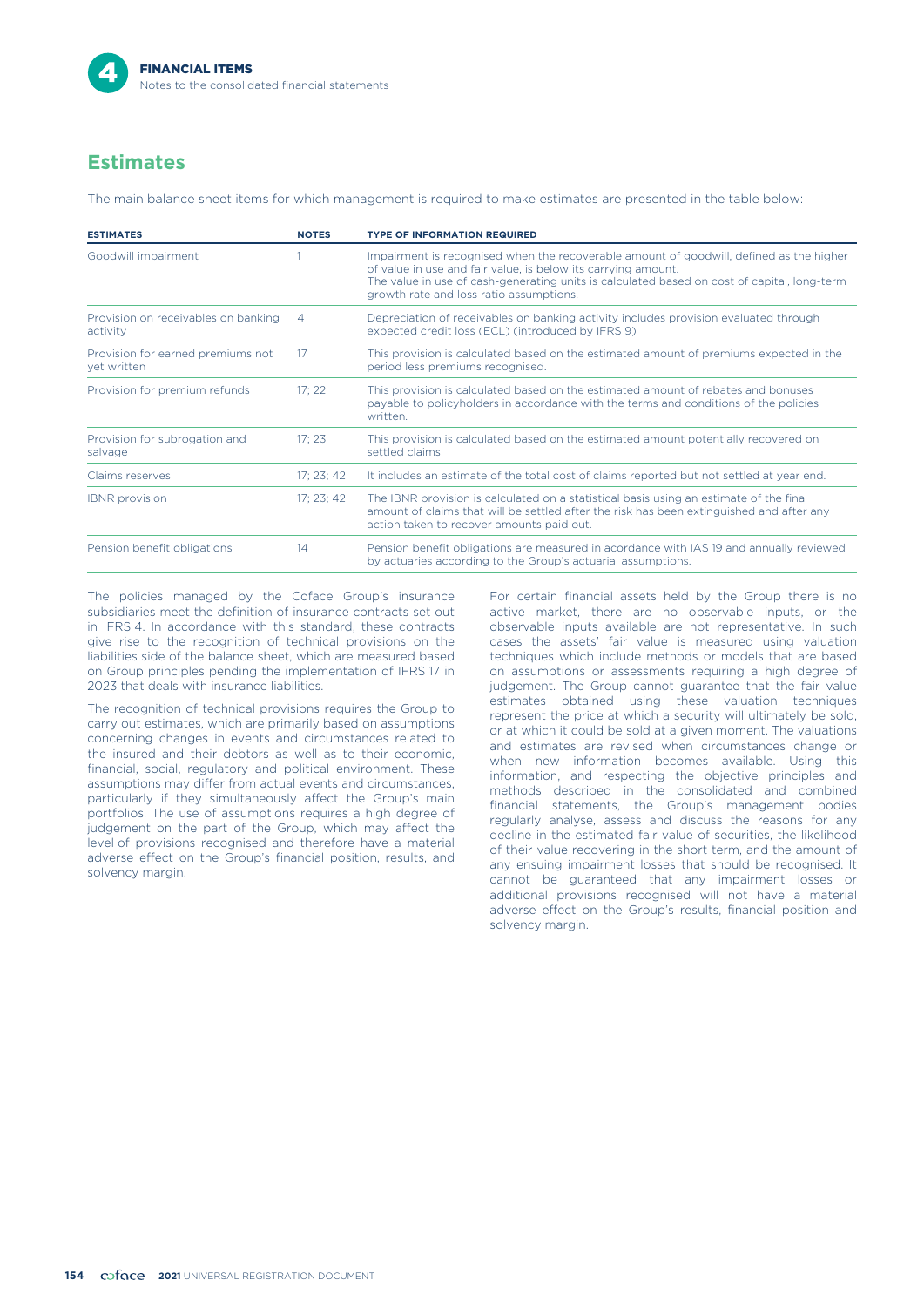### **Estimates**

The main balance sheet items for which management is required to make estimates are presented in the table below:

| <b>ESTIMATES</b>                                 | <b>NOTES</b>   | <b>TYPE OF INFORMATION REQUIRED</b>                                                                                                                                                                                                                                                                |
|--------------------------------------------------|----------------|----------------------------------------------------------------------------------------------------------------------------------------------------------------------------------------------------------------------------------------------------------------------------------------------------|
| Goodwill impairment                              |                | Impairment is recognised when the recoverable amount of goodwill, defined as the higher<br>of value in use and fair value, is below its carrying amount.<br>The value in use of cash-generating units is calculated based on cost of capital, long-term<br>growth rate and loss ratio assumptions. |
| Provision on receivables on banking<br>activity  | $\overline{4}$ | Depreciation of receivables on banking activity includes provision evaluated through<br>expected credit loss (ECL) (introduced by IFRS 9)                                                                                                                                                          |
| Provision for earned premiums not<br>yet written | 17             | This provision is calculated based on the estimated amount of premiums expected in the<br>period less premiums recognised.                                                                                                                                                                         |
| Provision for premium refunds                    | 17:22          | This provision is calculated based on the estimated amount of rebates and bonuses<br>payable to policyholders in accordance with the terms and conditions of the policies<br>written.                                                                                                              |
| Provision for subrogation and<br>salvage         | 17:23          | This provision is calculated based on the estimated amount potentially recovered on<br>settled claims.                                                                                                                                                                                             |
| Claims reserves                                  | 17; 23; 42     | It includes an estimate of the total cost of claims reported but not settled at year end.                                                                                                                                                                                                          |
| <b>IBNR</b> provision                            | 17; 23; 42     | The IBNR provision is calculated on a statistical basis using an estimate of the final<br>amount of claims that will be settled after the risk has been extinguished and after any<br>action taken to recover amounts paid out.                                                                    |
| Pension benefit obligations                      | 14             | Pension benefit obligations are measured in acordance with IAS 19 and annually reviewed<br>by actuaries according to the Group's actuarial assumptions.                                                                                                                                            |

The policies managed by the Coface Group's insurance subsidiaries meet the definition of insurance contracts set out in IFRS 4. In accordance with this standard, these contracts give rise to the recognition of technical provisions on the liabilities side of the balance sheet, which are measured based on Group principles pending the implementation of IFRS 17 in 2023 that deals with insurance liabilities.

The recognition of technical provisions requires the Group to carry out estimates, which are primarily based on assumptions concerning changes in events and circumstances related to the insured and their debtors as well as to their economic, financial, social, regulatory and political environment. These assumptions may differ from actual events and circumstances, particularly if they simultaneously affect the Group's main portfolios. The use of assumptions requires a high degree of judgement on the part of the Group, which may affect the level of provisions recognised and therefore have a material adverse effect on the Group's financial position, results, and solvency margin.

For certain financial assets held by the Group there is no active market, there are no observable inputs, or the observable inputs available are not representative. In such cases the assets' fair value is measured using valuation techniques which include methods or models that are based on assumptions or assessments requiring a high degree of judgement. The Group cannot guarantee that the fair value estimates obtained using these valuation techniques represent the price at which a security will ultimately be sold, or at which it could be sold at a given moment. The valuations and estimates are revised when circumstances change or when new information becomes available. Using this information, and respecting the objective principles and methods described in the consolidated and combined financial statements, the Group's management bodies regularly analyse, assess and discuss the reasons for any decline in the estimated fair value of securities, the likelihood of their value recovering in the short term, and the amount of any ensuing impairment losses that should be recognised. It cannot be guaranteed that any impairment losses or additional provisions recognised will not have a material adverse effect on the Group's results, financial position and solvency margin.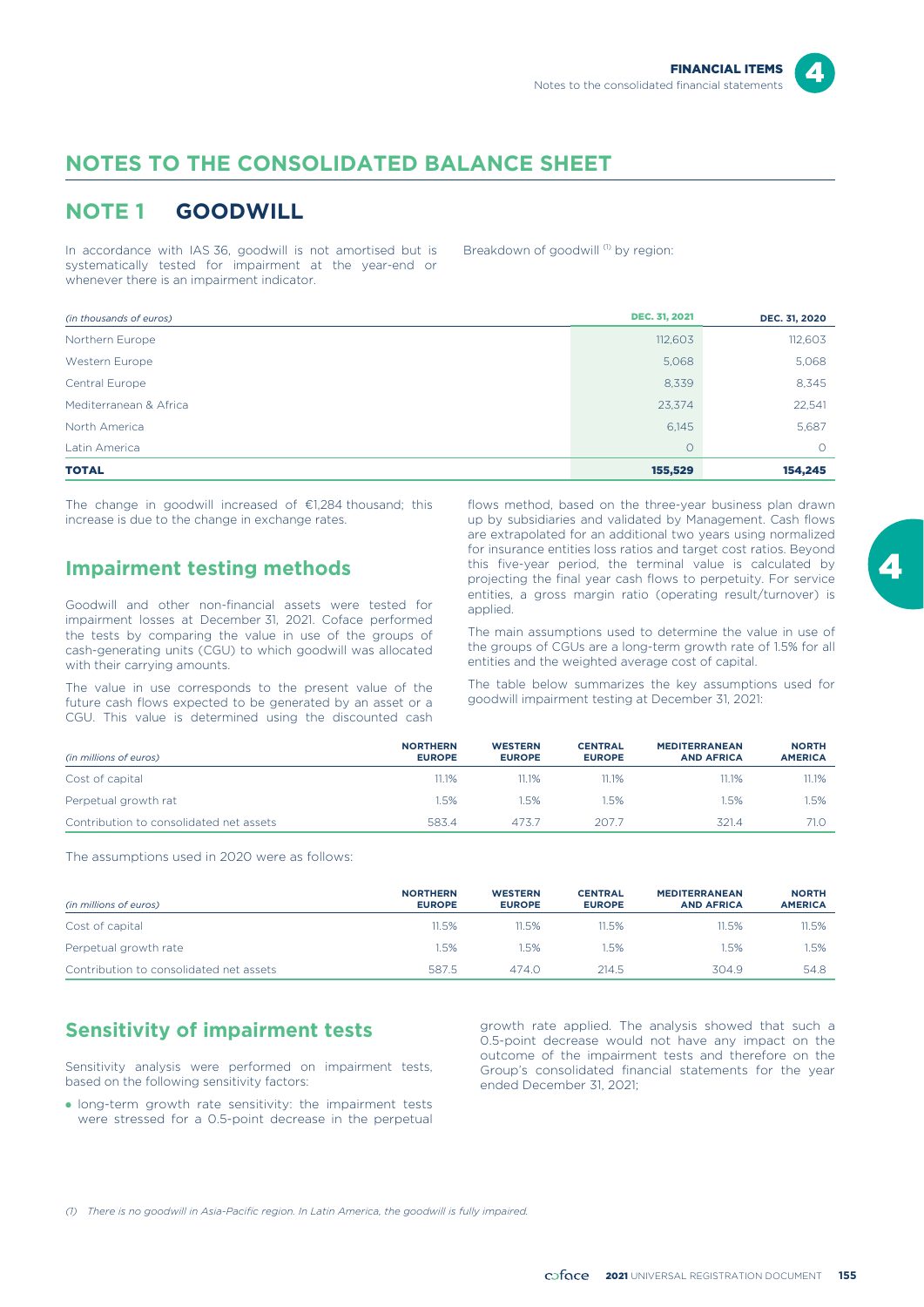

# **NOTES TO THE CONSOLIDATED BALANCE SHEET**

# **NOTE 1 GOODWILL**

In accordance with IAS 36, goodwill is not amortised but is systematically tested for impairment at the year-end or whenever there is an impairment indicator.

Breakdown of goodwill <sup>(1)</sup> by region:

| (in thousands of euros) | <b>DEC. 31, 2021</b> | DEC. 31, 2020 |
|-------------------------|----------------------|---------------|
| Northern Europe         | 112,603              | 112,603       |
| Western Europe          | 5,068                | 5,068         |
| Central Europe          | 8,339                | 8,345         |
| Mediterranean & Africa  | 23,374               | 22,541        |
| North America           | 6,145                | 5,687         |
| Latin America           | $\circ$              | $\circ$       |
| <b>TOTAL</b>            | 155,529              | 154,245       |

The change in goodwill increased of €1,284 thousand; this increase is due to the change in exchange rates.

### **Impairment testing methods**

Goodwill and other non-financial assets were tested for impairment losses at December 31, 2021. Coface performed the tests by comparing the value in use of the groups of cash-generating units (CGU) to which goodwill was allocated with their carrying amounts.

The value in use corresponds to the present value of the future cash flows expected to be generated by an asset or a CGU. This value is determined using the discounted cash

flows method, based on the three-year business plan drawn up by subsidiaries and validated by Management. Cash flows are extrapolated for an additional two years using normalized for insurance entities loss ratios and target cost ratios. Beyond this five-year period, the terminal value is calculated by projecting the final year cash flows to perpetuity. For service entities, a gross margin ratio (operating result/turnover) is applied.

The main assumptions used to determine the value in use of the groups of CGUs are a long-term growth rate of 1.5% for all entities and the weighted average cost of capital.

The table below summarizes the key assumptions used for goodwill impairment testing at December 31, 2021:

| (in millions of euros)                  | <b>NORTHERN</b><br><b>EUROPE</b> | <b>WESTERN</b><br><b>EUROPE</b> | <b>CENTRAL</b><br><b>EUROPE</b> | <b>MEDITERRANEAN</b><br><b>AND AFRICA</b> | <b>NORTH</b><br><b>AMERICA</b> |
|-----------------------------------------|----------------------------------|---------------------------------|---------------------------------|-------------------------------------------|--------------------------------|
| Cost of capital                         | 11.1%                            | 11.1%                           | 11.1%                           | 11.1%                                     | 11.1%                          |
| Perpetual growth rat                    | 1.5%                             | .5%                             | .5%                             | 1.5%                                      | .5%                            |
| Contribution to consolidated net assets | 583.4                            | 473.7                           | 207.7                           | 321.4                                     |                                |

The assumptions used in 2020 were as follows:

| (in millions of euros)                  | <b>NORTHERN</b><br><b>EUROPE</b> | <b>WESTERN</b><br><b>EUROPE</b> | <b>CENTRAL</b><br><b>EUROPE</b> | <b>MEDITERRANEAN</b><br><b>AND AFRICA</b> | <b>NORTH</b><br><b>AMERICA</b> |
|-----------------------------------------|----------------------------------|---------------------------------|---------------------------------|-------------------------------------------|--------------------------------|
| Cost of capital                         | 11.5%                            | 11.5%                           | 11.5%                           | 11.5%                                     | 11.5%                          |
| Perpetual growth rate                   | .5%                              | .5%                             | .5%                             | 1.5%                                      | .5%                            |
| Contribution to consolidated net assets | 587.5                            | 474.0                           | 214.5                           | 304.9                                     | 54.8                           |

### **Sensitivity of impairment tests**

Sensitivity analysis were performed on impairment tests, based on the following sensitivity factors:

- long-term growth rate sensitivity: the impairment tests were stressed for a 0.5-point decrease in the perpetual

growth rate applied. The analysis showed that such a 0.5-point decrease would not have any impact on the outcome of the impairment tests and therefore on the Group's consolidated financial statements for the year ended December 31, 2021;

*(1) There is no goodwill in Asia-Pacific region. In Latin America, the goodwill is fully impaired.*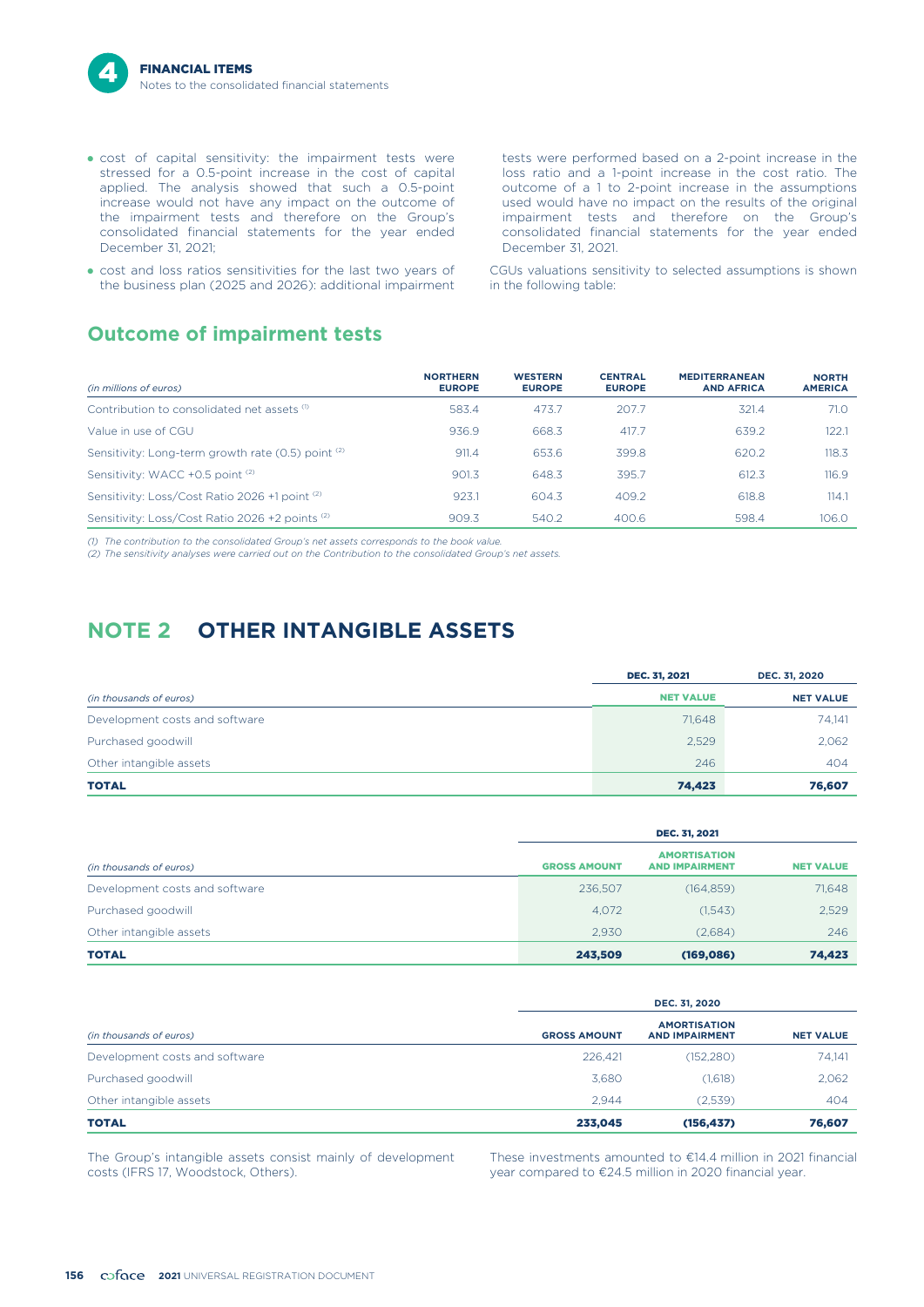- cost of capital sensitivity: the impairment tests were stressed for a 0.5-point increase in the cost of capital applied. The analysis showed that such a 0.5-point increase would not have any impact on the outcome of the impairment tests and therefore on the Group's consolidated financial statements for the year ended December 31, 2021;
- cost and loss ratios sensitivities for the last two years of the business plan (2025 and 2026): additional impairment

tests were performed based on a 2-point increase in the loss ratio and a 1-point increase in the cost ratio. The outcome of a 1 to 2-point increase in the assumptions used would have no impact on the results of the original impairment tests and therefore on the Group's consolidated financial statements for the year ended December 31, 2021.

CGUs valuations sensitivity to selected assumptions is shown in the following table:

### **Outcome of impairment tests**

| (in millions of euros)                                        | <b>NORTHERN</b><br><b>EUROPE</b> | <b>WESTERN</b><br><b>EUROPE</b> | <b>CENTRAL</b><br><b>EUROPE</b> | <b>MEDITERRANEAN</b><br><b>AND AFRICA</b> | <b>NORTH</b><br><b>AMERICA</b> |
|---------------------------------------------------------------|----------------------------------|---------------------------------|---------------------------------|-------------------------------------------|--------------------------------|
| Contribution to consolidated net assets (1)                   | 583.4                            | 473.7                           | 207.7                           | 321.4                                     | 71.0                           |
| Value in use of CGU                                           | 936.9                            | 668.3                           | 417.7                           | 639.2                                     | 122.1                          |
| Sensitivity: Long-term growth rate (0.5) point <sup>(2)</sup> | 911.4                            | 653.6                           | 399.8                           | 620.2                                     | 118.3                          |
| Sensitivity: WACC +0.5 point <sup>(2)</sup>                   | 901.3                            | 648.3                           | 395.7                           | 612.3                                     | 116.9                          |
| Sensitivity: Loss/Cost Ratio 2026 +1 point (2)                | 923.1                            | 604.3                           | 409.2                           | 618.8                                     | 114.1                          |
| Sensitivity: Loss/Cost Ratio 2026 +2 points <sup>(2)</sup>    | 909.3                            | 540.2                           | 400.6                           | 598.4                                     | 106.0                          |

*(1) The contribution to the consolidated Group's net assets corresponds to the book value.*

*(2) The sensitivity analyses were carried out on the Contribution to the consolidated Group's net assets.*

# **NOTE 2 OTHER INTANGIBLE ASSETS**

|                                | <b>DEC. 31, 2021</b> | DEC. 31, 2020    |
|--------------------------------|----------------------|------------------|
| (in thousands of euros)        | <b>NET VALUE</b>     | <b>NET VALUE</b> |
| Development costs and software | 71,648               | 74,141           |
| Purchased goodwill             | 2,529                | 2,062            |
| Other intangible assets        | 246                  | 404              |
| <b>TOTAL</b>                   | 74,423               | 76,607           |

|                                | <b>DEC. 31, 2021</b> |                                              |                  |  |  |  |
|--------------------------------|----------------------|----------------------------------------------|------------------|--|--|--|
| (in thousands of euros)        | <b>GROSS AMOUNT</b>  | <b>AMORTISATION</b><br><b>AND IMPAIRMENT</b> | <b>NET VALUE</b> |  |  |  |
| Development costs and software | 236.507              | (164, 859)                                   | 71,648           |  |  |  |
| Purchased goodwill             | 4.072                | (1,543)                                      | 2,529            |  |  |  |
| Other intangible assets        | 2.930                | (2,684)                                      | 246              |  |  |  |
| <b>TOTAL</b>                   | 243,509              | (169, 086)                                   | 74,423           |  |  |  |

|                                | DEC. 31, 2020       |                                              |                  |  |  |  |
|--------------------------------|---------------------|----------------------------------------------|------------------|--|--|--|
| (in thousands of euros)        | <b>GROSS AMOUNT</b> | <b>AMORTISATION</b><br><b>AND IMPAIRMENT</b> | <b>NET VALUE</b> |  |  |  |
| Development costs and software | 226.421             | (152, 280)                                   | 74.141           |  |  |  |
| Purchased goodwill             | 3,680               | (1,618)                                      | 2,062            |  |  |  |
| Other intangible assets        | 2.944               | (2,539)                                      | 404              |  |  |  |
| <b>TOTAL</b>                   | 233,045             | (156, 437)                                   | 76,607           |  |  |  |

The Group's intangible assets consist mainly of development costs (IFRS 17, Woodstock, Others).

These investments amounted to €14.4 million in 2021 financial year compared to €24.5 million in 2020 financial year.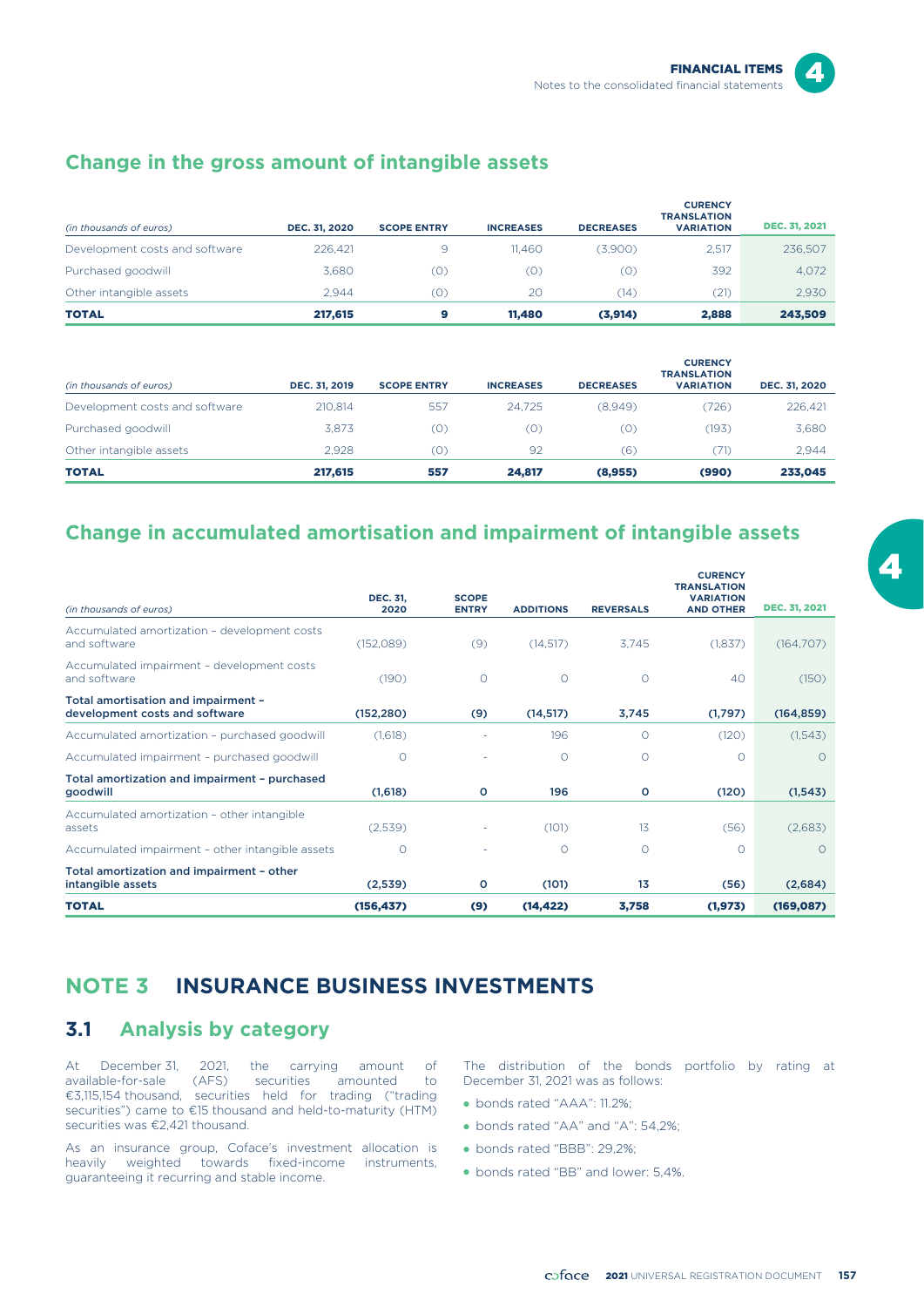### **Change in the gross amount of intangible assets**

| (in thousands of euros)        | DEC. 31, 2020 | <b>SCOPE ENTRY</b> | <b>INCREASES</b> | <b>DECREASES</b> | <b>CURENCY</b><br><b>TRANSLATION</b><br><b>VARIATION</b> | <b>DEC. 31, 2021</b> |
|--------------------------------|---------------|--------------------|------------------|------------------|----------------------------------------------------------|----------------------|
| Development costs and software | 226.421       | 9                  | 11.460           | (3,900)          | 2.517                                                    | 236,507              |
| Purchased goodwill             | 3.680         | (O)                | (0)              | (O)              | 392                                                      | 4,072                |
| Other intangible assets        | 2.944         | (0)                | 20               | (14)             | (21)                                                     | 2,930                |
| <b>TOTAL</b>                   | 217.615       | 9                  | 11.480           | (3,914)          | 2,888                                                    | 243,509              |

| (in thousands of euros)        | DEC. 31, 2019 | <b>SCOPE ENTRY</b> | <b>INCREASES</b> | <b>DECREASES</b> | <b>CURENCY</b><br><b>TRANSLATION</b><br><b>VARIATION</b> | <b>DEC. 31, 2020</b> |
|--------------------------------|---------------|--------------------|------------------|------------------|----------------------------------------------------------|----------------------|
| Development costs and software | 210.814       | 557                | 24.725           | (8,949)          | (726)                                                    | 226.421              |
| Purchased goodwill             | 3.873         | (0)                | (0)              | (O)              | (193)                                                    | 3,680                |
| Other intangible assets        | 2.928         | (0)                | 92               | (6)              | (71)                                                     | 2,944                |
| <b>TOTAL</b>                   | 217,615       | 557                | 24,817           | (8,955)          | (990)                                                    | 233,045              |

### **Change in accumulated amortisation and impairment of intangible assets**

| (in thousands of euros)                                      | <b>DEC. 31,</b><br>2020 | <b>SCOPE</b><br><b>ENTRY</b> | <b>ADDITIONS</b> | <b>REVERSALS</b> | <b>CURENCY</b><br><b>TRANSLATION</b><br><b>VARIATION</b><br><b>AND OTHER</b> | <b>DEC. 31, 2021</b> |
|--------------------------------------------------------------|-------------------------|------------------------------|------------------|------------------|------------------------------------------------------------------------------|----------------------|
|                                                              |                         |                              |                  |                  |                                                                              |                      |
| Accumulated amortization - development costs<br>and software | (152,089)               | (9)                          | (14, 517)        | 3.745            | (1,837)                                                                      | (164, 707)           |
| Accumulated impairment - development costs                   |                         |                              |                  |                  |                                                                              |                      |
| and software                                                 | (190)                   | $\circ$                      | $\circ$          | O                | 40                                                                           | (150)                |
| Total amortisation and impairment -                          |                         |                              |                  |                  |                                                                              |                      |
| development costs and software                               | (152, 280)              | (9)                          | (14, 517)        | 3,745            | (1,797)                                                                      | (164, 859)           |
| Accumulated amortization - purchased goodwill                | (1,618)                 |                              | 196              | O                | (120)                                                                        | (1,543)              |
| Accumulated impairment - purchased goodwill                  | $\Omega$                |                              | $\circ$          | $\circ$          | $\Omega$                                                                     | $\Omega$             |
| Total amortization and impairment - purchased                |                         |                              |                  |                  |                                                                              |                      |
| goodwill                                                     | (1,618)                 | $\circ$                      | 196              | $\circ$          | (120)                                                                        | (1,543)              |
| Accumulated amortization - other intangible                  |                         |                              |                  |                  |                                                                              |                      |
| assets                                                       | (2,539)                 |                              | (101)            | 13               | (56)                                                                         | (2,683)              |
| Accumulated impairment - other intangible assets             | $\Omega$                |                              | $\circ$          | $\circ$          | $\bigcap$                                                                    | $\Omega$             |
| Total amortization and impairment - other                    |                         |                              |                  |                  |                                                                              |                      |
| intangible assets                                            | (2,539)                 | $\circ$                      | (101)            | 13               | (56)                                                                         | (2,684)              |
| <b>TOTAL</b>                                                 | (156, 437)              | (9)                          | (14, 422)        | 3,758            | (1, 973)                                                                     | (169, 087)           |

# **NOTE 3 INSURANCE BUSINESS INVESTMENTS**

### **3.1 Analysis by category**

At December 31, 2021, the carrying amount of available-for-sale (AFS) securities amounted to €3,115,154 thousand, securities held for trading ("trading securities") came to €15 thousand and held-to-maturity (HTM) securities was €2,421 thousand.

As an insurance group, Coface's investment allocation is heavily weighted towards fixed-income instruments, guaranteeing it recurring and stable income.

The distribution of the bonds portfolio by rating at December 31, 2021 was as follows:

- bonds rated "AAA": 11.2%;
- bonds rated "AA" and "A": 54,2%;
- bonds rated "BBB": 29,2%;
- bonds rated "BB" and lower: 5,4%.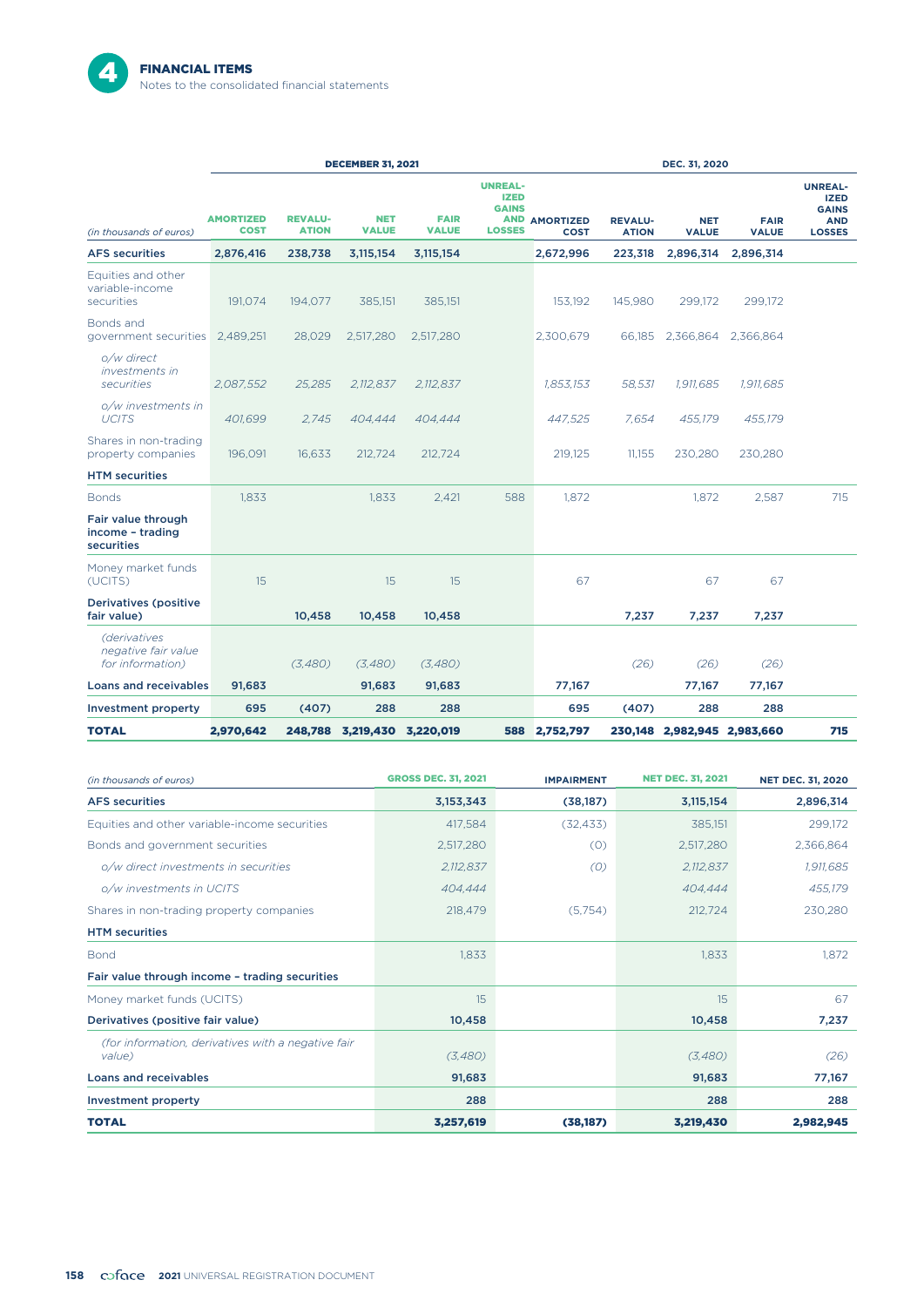$\blacktriangle$ 

|                                                                |                                 |                                | <b>DECEMBER 31, 2021</b>    |                             |                                                                |                                     |                                | DEC. 31, 2020               |                             |                                                                              |
|----------------------------------------------------------------|---------------------------------|--------------------------------|-----------------------------|-----------------------------|----------------------------------------------------------------|-------------------------------------|--------------------------------|-----------------------------|-----------------------------|------------------------------------------------------------------------------|
| (in thousands of euros)                                        | <b>AMORTIZED</b><br><b>COST</b> | <b>REVALU-</b><br><b>ATION</b> | <b>NET</b><br><b>VALUE</b>  | <b>FAIR</b><br><b>VALUE</b> | <b>UNREAL-</b><br><b>IZED</b><br><b>GAINS</b><br><b>LOSSES</b> | <b>AND AMORTIZED</b><br><b>COST</b> | <b>REVALU-</b><br><b>ATION</b> | <b>NET</b><br><b>VALUE</b>  | <b>FAIR</b><br><b>VALUE</b> | <b>UNREAL-</b><br><b>IZED</b><br><b>GAINS</b><br><b>AND</b><br><b>LOSSES</b> |
| <b>AFS</b> securities                                          | 2,876,416                       | 238,738                        | 3,115,154                   | 3,115,154                   |                                                                | 2,672,996                           | 223,318                        | 2,896,314                   | 2,896,314                   |                                                                              |
| Equities and other<br>variable-income<br>securities            | 191,074                         | 194,077                        | 385,151                     | 385,151                     |                                                                | 153,192                             | 145,980                        | 299,172                     | 299,172                     |                                                                              |
| Bonds and<br>government securities                             | 2,489,251                       | 28,029                         | 2,517,280                   | 2,517,280                   |                                                                | 2,300,679                           | 66,185                         | 2,366,864                   | 2,366,864                   |                                                                              |
| o/w direct<br><i>investments in</i><br>securities              | 2,087,552                       | 25,285                         | 2,112,837                   | 2,112,837                   |                                                                | 1,853,153                           | 58,531                         | 1,911,685                   | 1,911,685                   |                                                                              |
| o/w investments in<br><b>UCITS</b>                             | 401,699                         | 2,745                          | 404,444                     | 404.444                     |                                                                | 447,525                             | 7,654                          | 455,179                     | 455,179                     |                                                                              |
| Shares in non-trading<br>property companies                    | 196,091                         | 16,633                         | 212,724                     | 212,724                     |                                                                | 219,125                             | 11,155                         | 230,280                     | 230,280                     |                                                                              |
| <b>HTM</b> securities                                          |                                 |                                |                             |                             |                                                                |                                     |                                |                             |                             |                                                                              |
| <b>Bonds</b>                                                   | 1,833                           |                                | 1,833                       | 2,421                       | 588                                                            | 1,872                               |                                | 1,872                       | 2,587                       | 715                                                                          |
| Fair value through<br>income - trading<br>securities           |                                 |                                |                             |                             |                                                                |                                     |                                |                             |                             |                                                                              |
| Money market funds<br>(UCITS)                                  | 15                              |                                | 15                          | 15                          |                                                                | 67                                  |                                | 67                          | 67                          |                                                                              |
| <b>Derivatives (positive</b><br>fair value)                    |                                 | 10,458                         | 10,458                      | 10,458                      |                                                                |                                     | 7,237                          | 7,237                       | 7,237                       |                                                                              |
| <i>(derivatives</i><br>negative fair value<br>for information) |                                 | (3,480)                        | (3,480)                     | (3,480)                     |                                                                |                                     | (26)                           | (26)                        | (26)                        |                                                                              |
| <b>Loans and receivables</b>                                   | 91,683                          |                                | 91,683                      | 91,683                      |                                                                | 77,167                              |                                | 77,167                      | 77,167                      |                                                                              |
| Investment property                                            | 695                             | (407)                          | 288                         | 288                         |                                                                | 695                                 | (407)                          | 288                         | 288                         |                                                                              |
| <b>TOTAL</b>                                                   | 2,970,642                       |                                | 248,788 3,219,430 3,220,019 |                             |                                                                | 588 2,752,797                       |                                | 230,148 2,982,945 2,983,660 |                             | 715                                                                          |

| (in thousands of euros)                                      | <b>GROSS DEC. 31, 2021</b> | <b>IMPAIRMENT</b> | <b>NET DEC. 31, 2021</b> | <b>NET DEC. 31, 2020</b> |
|--------------------------------------------------------------|----------------------------|-------------------|--------------------------|--------------------------|
| <b>AFS</b> securities                                        | 3,153,343                  | (38, 187)         | 3,115,154                | 2,896,314                |
| Equities and other variable-income securities                | 417,584                    | (32, 433)         | 385,151                  | 299,172                  |
| Bonds and government securities                              | 2,517,280                  | (0)               | 2,517,280                | 2,366,864                |
| o/w direct investments in securities                         | 2,112,837                  | (0)               | 2,112,837                | 1,911,685                |
| o/w investments in UCITS                                     | 404,444                    |                   | 404,444                  | 455,179                  |
| Shares in non-trading property companies                     | 218,479                    | (5,754)           | 212,724                  | 230,280                  |
| <b>HTM</b> securities                                        |                            |                   |                          |                          |
| <b>Bond</b>                                                  | 1,833                      |                   | 1,833                    | 1,872                    |
| Fair value through income - trading securities               |                            |                   |                          |                          |
| Money market funds (UCITS)                                   | 15                         |                   | 15                       | 67                       |
| Derivatives (positive fair value)                            | 10,458                     |                   | 10,458                   | 7,237                    |
| (for information, derivatives with a negative fair<br>value) | (3,480)                    |                   | (3,480)                  | (26)                     |
| Loans and receivables                                        | 91,683                     |                   | 91,683                   | 77,167                   |
| <b>Investment property</b>                                   | 288                        |                   | 288                      | 288                      |
| <b>TOTAL</b>                                                 | 3,257,619                  | (38, 187)         | 3,219,430                | 2,982,945                |

**158 COFOCE 2021** UNIVERSAL REGISTRATION DOCUMENT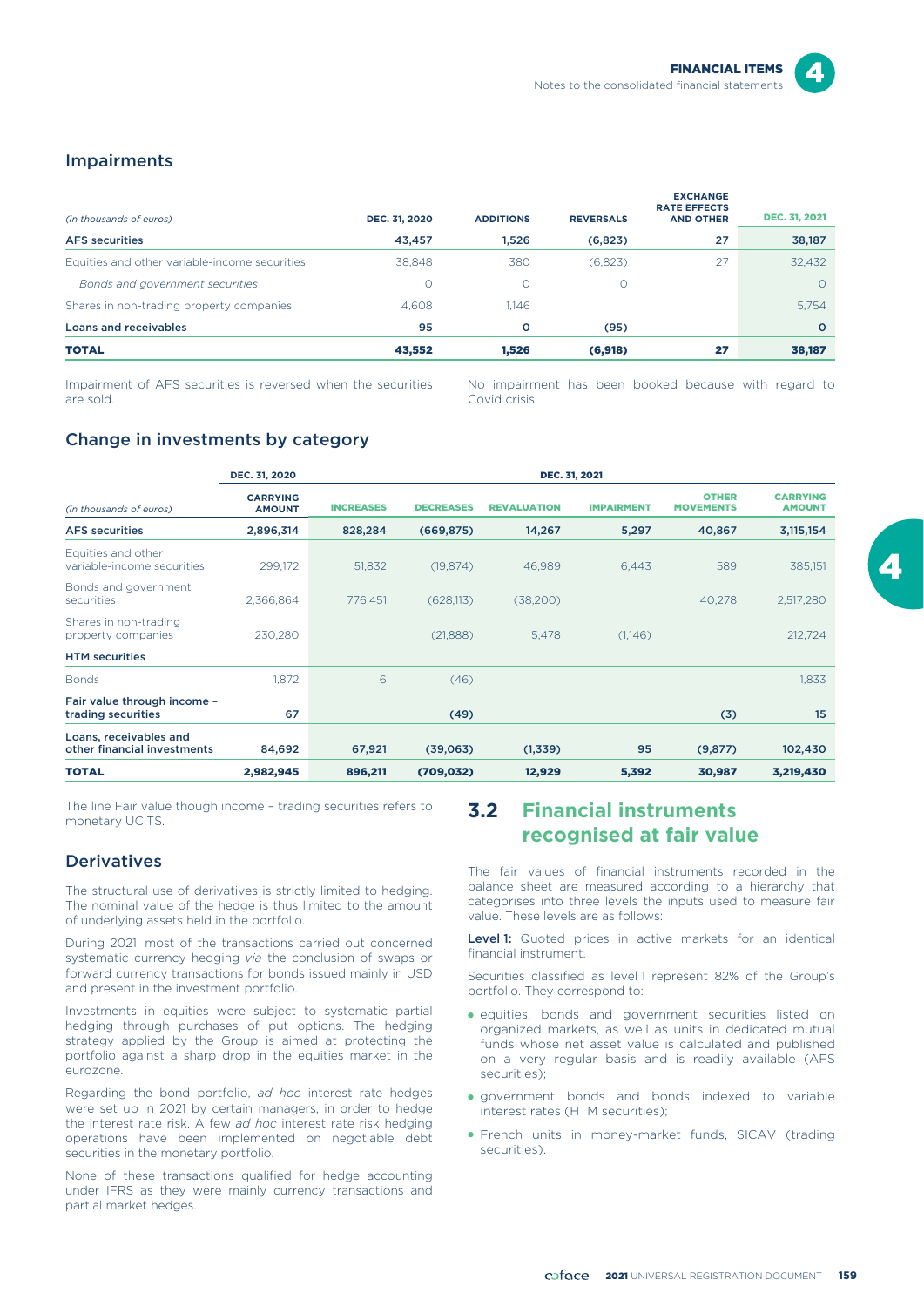#### Impairments

| (in thousands of euros)                       | DEC. 31, 2020 | <b>ADDITIONS</b> | <b>REVERSALS</b> | <b>EXCHANGE</b><br><b>RATE EFFECTS</b><br><b>AND OTHER</b> | <b>DEC. 31, 2021</b> |
|-----------------------------------------------|---------------|------------------|------------------|------------------------------------------------------------|----------------------|
| <b>AFS</b> securities                         | 43.457        | 1.526            | (6,823)          | 27                                                         | 38,187               |
| Equities and other variable-income securities | 38.848        | 380              | (6,823)          | 27                                                         | 32,432               |
| Bonds and government securities               | $\Omega$      | $\circ$          | O                |                                                            |                      |
| Shares in non-trading property companies      | 4.608         | 1.146            |                  |                                                            | 5,754                |
| Loans and receivables                         | 95            | $\circ$          | (95)             |                                                            | $\circ$              |
| <b>TOTAL</b>                                  | 43,552        | 1.526            | (6,918)          | 27                                                         | 38,187               |

Impairment of AFS securities is reversed when the securities are sold.

No impairment has been booked because with regard to Covid crisis.

### Change in investments by category

|                                                       | DEC. 31, 2020                    |                  |                  | <b>DEC. 31, 2021</b> |                   |                                  |                                  |
|-------------------------------------------------------|----------------------------------|------------------|------------------|----------------------|-------------------|----------------------------------|----------------------------------|
| (in thousands of euros)                               | <b>CARRYING</b><br><b>AMOUNT</b> | <b>INCREASES</b> | <b>DECREASES</b> | <b>REVALUATION</b>   | <b>IMPAIRMENT</b> | <b>OTHER</b><br><b>MOVEMENTS</b> | <b>CARRYING</b><br><b>AMOUNT</b> |
| <b>AFS</b> securities                                 | 2,896,314                        | 828,284          | (669, 875)       | 14,267               | 5,297             | 40,867                           | 3,115,154                        |
| Equities and other<br>variable-income securities      | 299,172                          | 51,832           | (19, 874)        | 46,989               | 6,443             | 589                              | 385,151                          |
| Bonds and government<br>securities                    | 2,366,864                        | 776,451          | (628, 113)       | (38,200)             |                   | 40,278                           | 2,517,280                        |
| Shares in non-trading<br>property companies           | 230,280                          |                  | (21,888)         | 5,478                | (1,146)           |                                  | 212,724                          |
| <b>HTM</b> securities                                 |                                  |                  |                  |                      |                   |                                  |                                  |
| <b>Bonds</b>                                          | 1,872                            | 6                | (46)             |                      |                   |                                  | 1,833                            |
| Fair value through income -<br>trading securities     | 67                               |                  | (49)             |                      |                   | (3)                              | 15                               |
| Loans, receivables and<br>other financial investments | 84,692                           | 67,921           | (39,063)         | (1,339)              | 95                | (9,877)                          | 102,430                          |
| <b>TOTAL</b>                                          | 2,982,945                        | 896,211          | (709, 032)       | 12,929               | 5,392             | 30,987                           | 3,219,430                        |

The line Fair value though income – trading securities refers to monetary UCITS.

### **Derivatives**

The structural use of derivatives is strictly limited to hedging. The nominal value of the hedge is thus limited to the amount of underlying assets held in the portfolio.

During 2021, most of the transactions carried out concerned systematic currency hedging *via* the conclusion of swaps or forward currency transactions for bonds issued mainly in USD and present in the investment portfolio.

Investments in equities were subject to systematic partial hedging through purchases of put options. The hedging strategy applied by the Group is aimed at protecting the portfolio against a sharp drop in the equities market in the eurozone.

Regarding the bond portfolio, *ad hoc* interest rate hedges were set up in 2021 by certain managers, in order to hedge the interest rate risk. A few *ad hoc* interest rate risk hedging operations have been implemented on negotiable debt securities in the monetary portfolio.

None of these transactions qualified for hedge accounting under IFRS as they were mainly currency transactions and partial market hedges.

### **3.2 Financial instruments recognised at fair value**

The fair values of financial instruments recorded in the balance sheet are measured according to a hierarchy that categorises into three levels the inputs used to measure fair value. These levels are as follows:

Level 1: Quoted prices in active markets for an identical financial instrument.

Securities classified as level 1 represent 82% of the Group's portfolio. They correspond to:

- equities, bonds and government securities listed on organized markets, as well as units in dedicated mutual funds whose net asset value is calculated and published on a very regular basis and is readily available (AFS securities);
- government bonds and bonds indexed to variable interest rates (HTM securities);
- French units in money-market funds, SICAV (trading securities).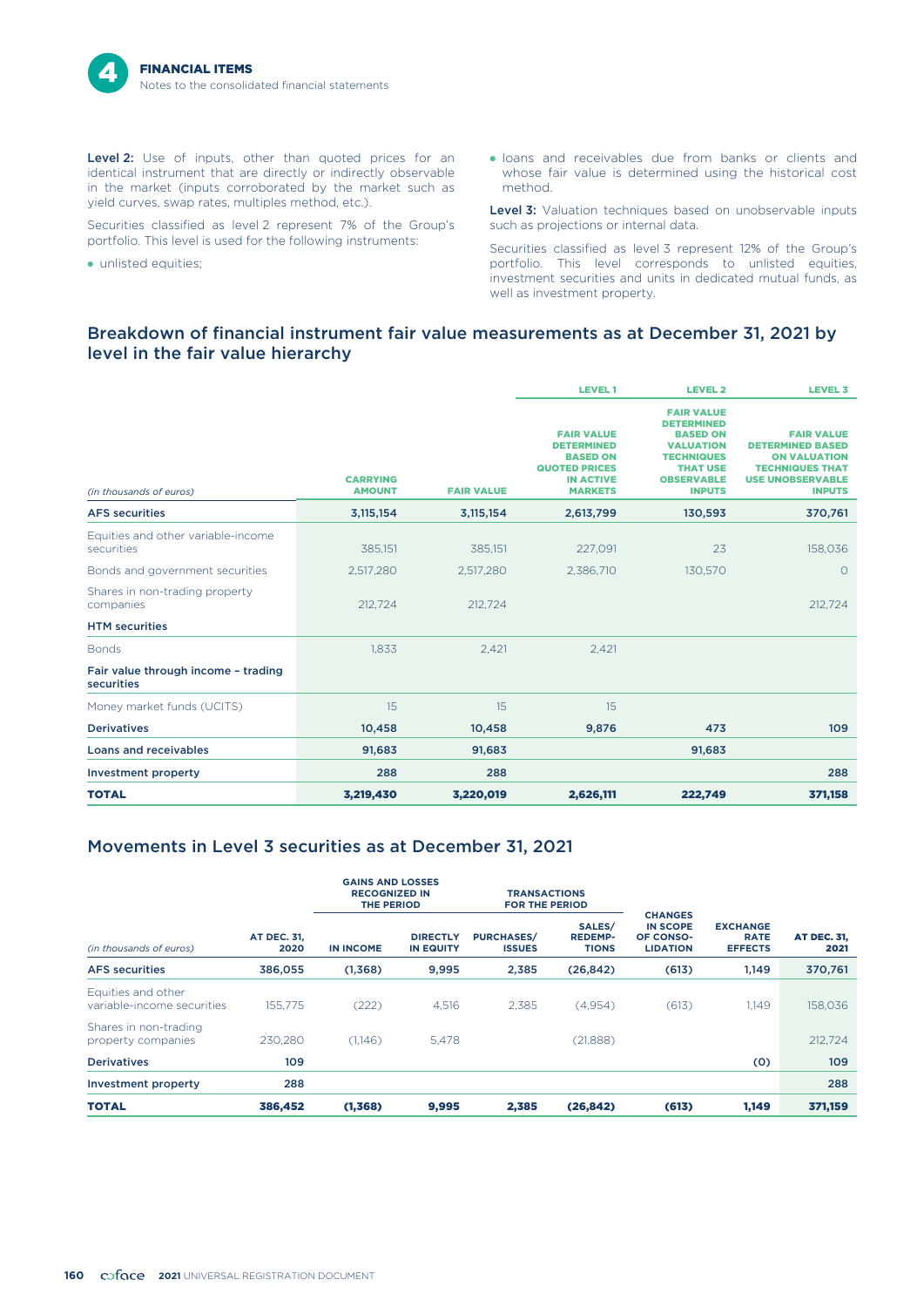Level 2: Use of inputs, other than quoted prices for an identical instrument that are directly or indirectly observable in the market (inputs corroborated by the market such as yield curves, swap rates, multiples method, etc.).

Securities classified as level 2 represent 7% of the Group's portfolio. This level is used for the following instruments:

• unlisted equities;

- loans and receivables due from banks or clients and whose fair value is determined using the historical cost method.

Level 3: Valuation techniques based on unobservable inputs such as projections or internal data.

Securities classified as level 3 represent 12% of the Group's portfolio. This level corresponds to unlisted equities, investment securities and units in dedicated mutual funds, as well as investment property.

### Breakdown of financial instrument fair value measurements as at December 31, 2021 by level in the fair value hierarchy

|                                                   |                                  |                   | <b>LEVEL1</b>                                                                                                           | <b>LEVEL 2</b>                                                                                                                                              | <b>LEVEL 3</b>                                                                                                                            |
|---------------------------------------------------|----------------------------------|-------------------|-------------------------------------------------------------------------------------------------------------------------|-------------------------------------------------------------------------------------------------------------------------------------------------------------|-------------------------------------------------------------------------------------------------------------------------------------------|
| (in thousands of euros)                           | <b>CARRYING</b><br><b>AMOUNT</b> | <b>FAIR VALUE</b> | <b>FAIR VALUE</b><br><b>DETERMINED</b><br><b>BASED ON</b><br><b>QUOTED PRICES</b><br><b>IN ACTIVE</b><br><b>MARKETS</b> | <b>FAIR VALUE</b><br><b>DETERMINED</b><br><b>BASED ON</b><br><b>VALUATION</b><br><b>TECHNIQUES</b><br><b>THAT USE</b><br><b>OBSERVABLE</b><br><b>INPUTS</b> | <b>FAIR VALUE</b><br><b>DETERMINED BASED</b><br><b>ON VALUATION</b><br><b>TECHNIQUES THAT</b><br><b>USE UNOBSERVABLE</b><br><b>INPUTS</b> |
| <b>AFS</b> securities                             | 3,115,154                        | 3,115,154         | 2,613,799                                                                                                               | 130,593                                                                                                                                                     | 370,761                                                                                                                                   |
| Equities and other variable-income<br>securities  | 385,151                          | 385,151           | 227,091                                                                                                                 | 23                                                                                                                                                          | 158,036                                                                                                                                   |
| Bonds and government securities                   | 2,517,280                        | 2,517,280         | 2,386,710                                                                                                               | 130,570                                                                                                                                                     | $\circ$                                                                                                                                   |
| Shares in non-trading property<br>companies       | 212,724                          | 212.724           |                                                                                                                         |                                                                                                                                                             | 212,724                                                                                                                                   |
| <b>HTM</b> securities                             |                                  |                   |                                                                                                                         |                                                                                                                                                             |                                                                                                                                           |
| <b>Bonds</b>                                      | 1.833                            | 2.421             | 2,421                                                                                                                   |                                                                                                                                                             |                                                                                                                                           |
| Fair value through income - trading<br>securities |                                  |                   |                                                                                                                         |                                                                                                                                                             |                                                                                                                                           |
| Money market funds (UCITS)                        | 15                               | 15                | 15                                                                                                                      |                                                                                                                                                             |                                                                                                                                           |
| <b>Derivatives</b>                                | 10,458                           | 10,458            | 9,876                                                                                                                   | 473                                                                                                                                                         | 109                                                                                                                                       |
| <b>Loans and receivables</b>                      | 91,683                           | 91,683            |                                                                                                                         | 91,683                                                                                                                                                      |                                                                                                                                           |
| <b>Investment property</b>                        | 288                              | 288               |                                                                                                                         |                                                                                                                                                             | 288                                                                                                                                       |
| <b>TOTAL</b>                                      | 3,219,430                        | 3,220,019         | 2,626,111                                                                                                               | 222,749                                                                                                                                                     | 371,158                                                                                                                                   |

#### Movements in Level 3 securities as at December 31, 2021

|                                                  |                            | <b>GAINS AND LOSSES</b><br><b>RECOGNIZED IN</b><br>THE PERIOD |                                     | <b>TRANSACTIONS</b><br><b>FOR THE PERIOD</b> |                                          |                                                                   |                                                  |                            |
|--------------------------------------------------|----------------------------|---------------------------------------------------------------|-------------------------------------|----------------------------------------------|------------------------------------------|-------------------------------------------------------------------|--------------------------------------------------|----------------------------|
| (in thousands of euros)                          | <b>AT DEC. 31,</b><br>2020 | <b>IN INCOME</b>                                              | <b>DIRECTLY</b><br><b>IN EQUITY</b> | <b>PURCHASES/</b><br><b>ISSUES</b>           | SALES/<br><b>REDEMP-</b><br><b>TIONS</b> | <b>CHANGES</b><br><b>IN SCOPE</b><br>OF CONSO-<br><b>LIDATION</b> | <b>EXCHANGE</b><br><b>RATE</b><br><b>EFFECTS</b> | <b>AT DEC. 31,</b><br>2021 |
| <b>AFS</b> securities                            | 386,055                    | (1,368)                                                       | 9,995                               | 2,385                                        | (26, 842)                                | (613)                                                             | 1,149                                            | 370,761                    |
| Equities and other<br>variable-income securities | 155.775                    | (222)                                                         | 4,516                               | 2,385                                        | (4.954)                                  | (613)                                                             | 1.149                                            | 158,036                    |
| Shares in non-trading<br>property companies      | 230.280                    | (1,146)                                                       | 5.478                               |                                              | (21,888)                                 |                                                                   |                                                  | 212,724                    |
| <b>Derivatives</b>                               | 109                        |                                                               |                                     |                                              |                                          |                                                                   | (0)                                              | 109                        |
| <b>Investment property</b>                       | 288                        |                                                               |                                     |                                              |                                          |                                                                   |                                                  | 288                        |
| <b>TOTAL</b>                                     | 386,452                    | (1,368)                                                       | 9,995                               | 2,385                                        | (26, 842)                                | (613)                                                             | 1,149                                            | 371,159                    |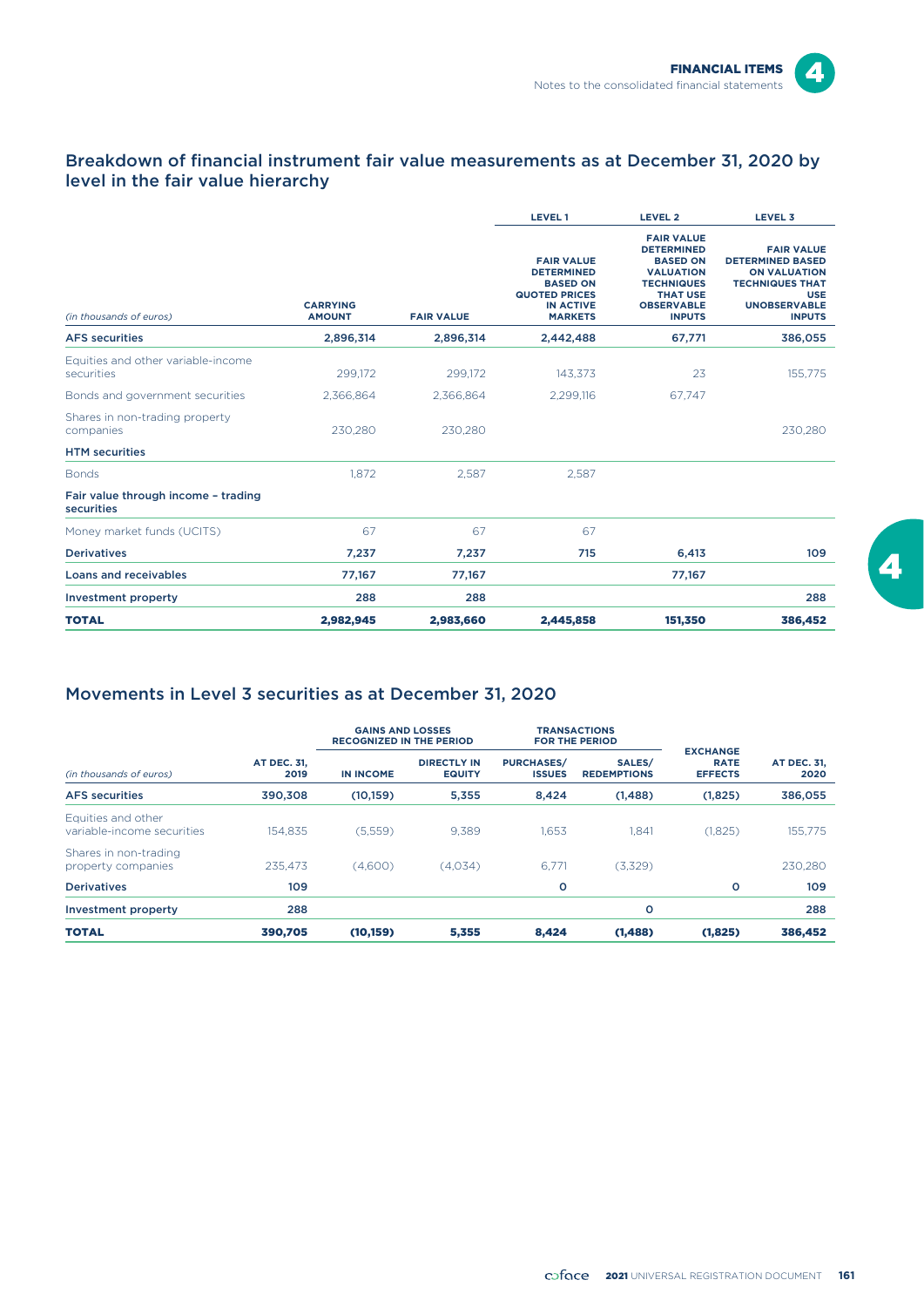$\boldsymbol{4}$ 

#### Breakdown of financial instrument fair value measurements as at December 31, 2020 by level in the fair value hierarchy

|                                                   |                                  |                   | <b>LEVEL1</b>                                                                                                           | LEVEL 2                                                                                                                                                     | <b>LEVEL 3</b>                                                                                                                                      |
|---------------------------------------------------|----------------------------------|-------------------|-------------------------------------------------------------------------------------------------------------------------|-------------------------------------------------------------------------------------------------------------------------------------------------------------|-----------------------------------------------------------------------------------------------------------------------------------------------------|
| (in thousands of euros)                           | <b>CARRYING</b><br><b>AMOUNT</b> | <b>FAIR VALUE</b> | <b>FAIR VALUE</b><br><b>DETERMINED</b><br><b>BASED ON</b><br><b>QUOTED PRICES</b><br><b>IN ACTIVE</b><br><b>MARKETS</b> | <b>FAIR VALUE</b><br><b>DETERMINED</b><br><b>BASED ON</b><br><b>VALUATION</b><br><b>TECHNIQUES</b><br><b>THAT USE</b><br><b>OBSERVABLE</b><br><b>INPUTS</b> | <b>FAIR VALUE</b><br><b>DETERMINED BASED</b><br><b>ON VALUATION</b><br><b>TECHNIQUES THAT</b><br><b>USE</b><br><b>UNOBSERVABLE</b><br><b>INPUTS</b> |
| <b>AFS</b> securities                             | 2,896,314                        | 2,896,314         | 2,442,488                                                                                                               | 67,771                                                                                                                                                      | 386,055                                                                                                                                             |
| Equities and other variable-income<br>securities  | 299,172                          | 299,172           | 143,373                                                                                                                 | 23                                                                                                                                                          | 155,775                                                                                                                                             |
| Bonds and government securities                   | 2,366,864                        | 2,366,864         | 2.299.116                                                                                                               | 67.747                                                                                                                                                      |                                                                                                                                                     |
| Shares in non-trading property<br>companies       | 230,280                          | 230,280           |                                                                                                                         |                                                                                                                                                             | 230,280                                                                                                                                             |
| <b>HTM</b> securities                             |                                  |                   |                                                                                                                         |                                                                                                                                                             |                                                                                                                                                     |
| <b>Bonds</b>                                      | 1.872                            | 2.587             | 2.587                                                                                                                   |                                                                                                                                                             |                                                                                                                                                     |
| Fair value through income - trading<br>securities |                                  |                   |                                                                                                                         |                                                                                                                                                             |                                                                                                                                                     |
| Money market funds (UCITS)                        | 67                               | 67                | 67                                                                                                                      |                                                                                                                                                             |                                                                                                                                                     |
| <b>Derivatives</b>                                | 7,237                            | 7,237             | 715                                                                                                                     | 6,413                                                                                                                                                       | 109                                                                                                                                                 |
| Loans and receivables                             | 77,167                           | 77,167            |                                                                                                                         | 77,167                                                                                                                                                      |                                                                                                                                                     |
| <b>Investment property</b>                        | 288                              | 288               |                                                                                                                         |                                                                                                                                                             | 288                                                                                                                                                 |
| <b>TOTAL</b>                                      | 2,982,945                        | 2,983,660         | 2,445,858                                                                                                               | 151,350                                                                                                                                                     | 386,452                                                                                                                                             |

#### Movements in Level 3 securities as at December 31, 2020

|                                                  |                     | <b>GAINS AND LOSSES</b><br><b>RECOGNIZED IN THE PERIOD</b> |                                     |                                    | <b>TRANSACTIONS</b><br><b>FOR THE PERIOD</b> |                                                  |                            |  |
|--------------------------------------------------|---------------------|------------------------------------------------------------|-------------------------------------|------------------------------------|----------------------------------------------|--------------------------------------------------|----------------------------|--|
| (in thousands of euros)                          | AT DEC. 31,<br>2019 | <b>IN INCOME</b>                                           | <b>DIRECTLY IN</b><br><b>EQUITY</b> | <b>PURCHASES/</b><br><b>ISSUES</b> | SALES/<br><b>REDEMPTIONS</b>                 | <b>EXCHANGE</b><br><b>RATE</b><br><b>EFFECTS</b> | <b>AT DEC. 31,</b><br>2020 |  |
| <b>AFS</b> securities                            | 390.308             | (10, 159)                                                  | 5,355                               | 8,424                              | (1,488)                                      | (1,825)                                          | 386,055                    |  |
| Equities and other<br>variable-income securities | 154.835             | (5,559)                                                    | 9.389                               | 1.653                              | 1,841                                        | (1,825)                                          | 155,775                    |  |
| Shares in non-trading<br>property companies      | 235.473             | (4,600)                                                    | (4.034)                             | 6.771                              | (3,329)                                      |                                                  | 230.280                    |  |
| <b>Derivatives</b>                               | 109                 |                                                            |                                     | $\circ$                            |                                              | o                                                | 109                        |  |
| Investment property                              | 288                 |                                                            |                                     |                                    | $\circ$                                      |                                                  | 288                        |  |
| <b>TOTAL</b>                                     | 390,705             | (10, 159)                                                  | 5,355                               | 8,424                              | (1,488)                                      | (1,825)                                          | 386,452                    |  |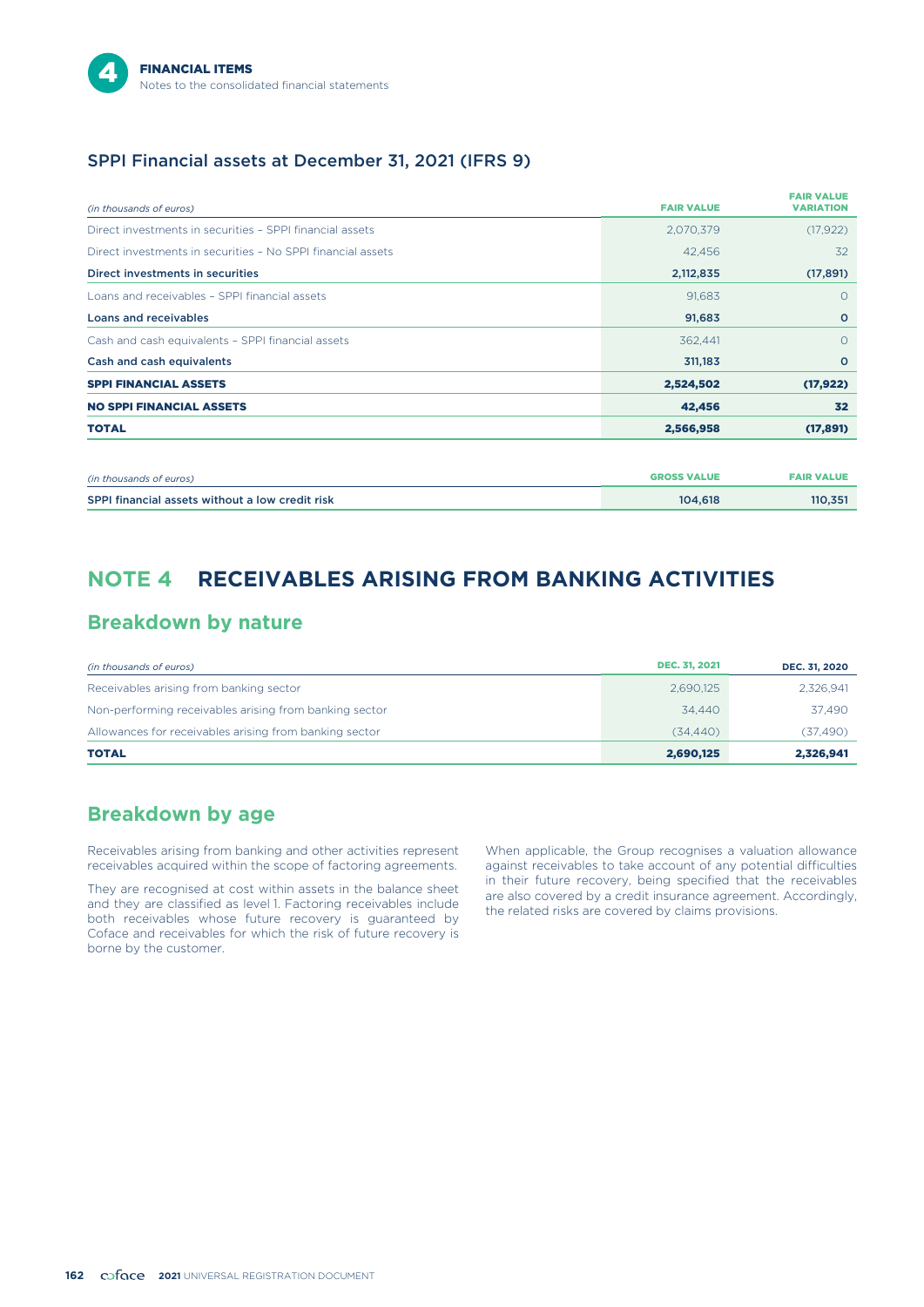#### SPPI Financial assets at December 31, 2021 (IFRS 9)

| (in thousands of euros)                                     | <b>FAIR VALUE</b>  | <b>FAIR VALUE</b><br><b>VARIATION</b> |
|-------------------------------------------------------------|--------------------|---------------------------------------|
| Direct investments in securities - SPPI financial assets    | 2,070,379          | (17, 922)                             |
| Direct investments in securities - No SPPI financial assets | 42,456             | 32                                    |
| Direct investments in securities                            | 2,112,835          | (17, 891)                             |
| Loans and receivables - SPPI financial assets               | 91,683             | 0                                     |
| Loans and receivables                                       | 91,683             | $\circ$                               |
| Cash and cash equivalents - SPPI financial assets           | 362,441            | $\circ$                               |
| Cash and cash equivalents                                   | 311,183            | $\circ$                               |
| <b>SPPI FINANCIAL ASSETS</b>                                | 2,524,502          | (17, 922)                             |
| <b>NO SPPI FINANCIAL ASSETS</b>                             | 42,456             | 32                                    |
| <b>TOTAL</b>                                                | 2,566,958          | (17, 891)                             |
|                                                             |                    |                                       |
| (in thousands of euros)                                     | <b>GROSS VALUE</b> | <b>FAIR VALUE</b>                     |
| SPPI financial assets without a low credit risk             | 104,618            | 110,351                               |

# **NOTE 4 RECEIVABLES ARISING FROM BANKING ACTIVITIES**

### **Breakdown by nature**

| (in thousands of euros)                                | <b>DEC. 31, 2021</b> | DEC. 31, 2020 |
|--------------------------------------------------------|----------------------|---------------|
| Receivables arising from banking sector                | 2.690.125            | 2.326.941     |
| Non-performing receivables arising from banking sector | 34.440               | 37.490        |
| Allowances for receivables arising from banking sector | (34.440)             | (37, 490)     |
| <b>TOTAL</b>                                           | 2,690,125            | 2,326,941     |

### **Breakdown by age**

Receivables arising from banking and other activities represent receivables acquired within the scope of factoring agreements.

They are recognised at cost within assets in the balance sheet and they are classified as level 1. Factoring receivables include both receivables whose future recovery is guaranteed by Coface and receivables for which the risk of future recovery is borne by the customer.

When applicable, the Group recognises a valuation allowance against receivables to take account of any potential difficulties in their future recovery, being specified that the receivables are also covered by a credit insurance agreement. Accordingly, the related risks are covered by claims provisions.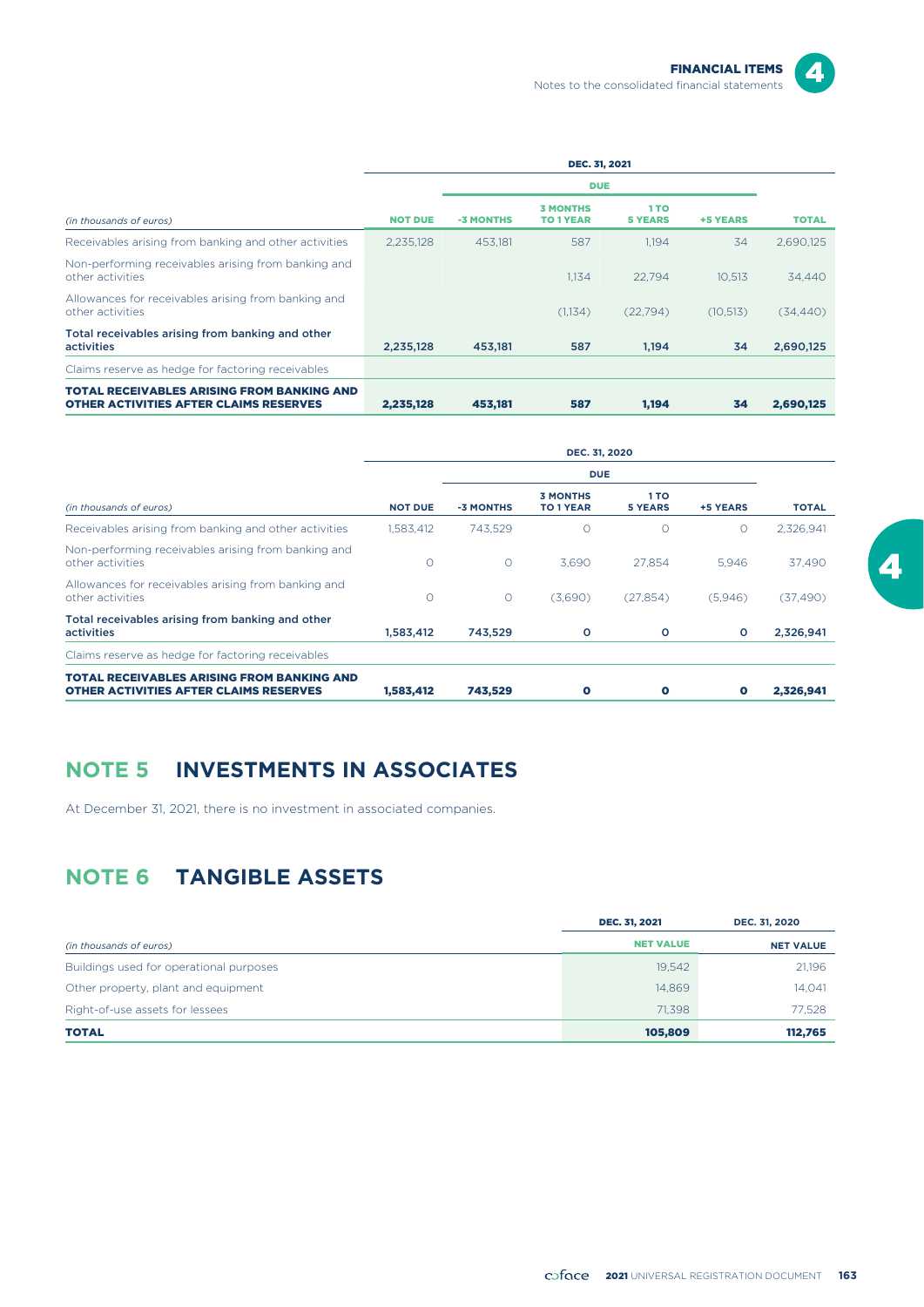$\boldsymbol{A}$ 

|                                                                                                    |                |           | <b>DEC. 31, 2021</b>                |                        |                 |              |
|----------------------------------------------------------------------------------------------------|----------------|-----------|-------------------------------------|------------------------|-----------------|--------------|
|                                                                                                    |                |           | <b>DUE</b>                          |                        |                 |              |
| (in thousands of euros)                                                                            | <b>NOT DUE</b> | -3 MONTHS | <b>3 MONTHS</b><br><b>TO 1 YEAR</b> | 1 TO<br><b>5 YEARS</b> | <b>+5 YEARS</b> | <b>TOTAL</b> |
| Receivables arising from banking and other activities                                              | 2.235.128      | 453.181   | 587                                 | 1.194                  | 34              | 2,690,125    |
| Non-performing receivables arising from banking and<br>other activities                            |                |           | 1.134                               | 22.794                 | 10.513          | 34.440       |
| Allowances for receivables arising from banking and<br>other activities                            |                |           | (1.134)                             | (22.794)               | (10.513)        | (34, 440)    |
| Total receivables arising from banking and other<br>activities                                     | 2,235,128      | 453,181   | 587                                 | 1,194                  | 34              | 2,690,125    |
| Claims reserve as hedge for factoring receivables                                                  |                |           |                                     |                        |                 |              |
| <b>TOTAL RECEIVABLES ARISING FROM BANKING AND</b><br><b>OTHER ACTIVITIES AFTER CLAIMS RESERVES</b> | 2,235,128      | 453,181   | 587                                 | 1,194                  | 34              | 2,690,125    |

|                                                                                                    |                |           | <b>DUE</b>                          |                        |           |              |
|----------------------------------------------------------------------------------------------------|----------------|-----------|-------------------------------------|------------------------|-----------|--------------|
| (in thousands of euros)                                                                            | <b>NOT DUE</b> | -3 MONTHS | <b>3 MONTHS</b><br><b>TO 1 YEAR</b> | 1 TO<br><b>5 YEARS</b> | +5 YEARS  | <b>TOTAL</b> |
| Receivables arising from banking and other activities                                              | 1,583,412      | 743.529   | $\Omega$                            | $\circ$                | $\circ$   | 2,326,941    |
| Non-performing receivables arising from banking and<br>other activities                            | $\bigcirc$     | $\Omega$  | 3.690                               | 27.854                 | 5.946     | 37.490       |
| Allowances for receivables arising from banking and<br>other activities                            | $\circ$        | $\circ$   | (3,690)                             | (27, 854)              | (5.946)   | (37, 490)    |
| Total receivables arising from banking and other<br>activities                                     | 1,583,412      | 743,529   | $\circ$                             | o                      | $\circ$   | 2,326,941    |
| Claims reserve as hedge for factoring receivables                                                  |                |           |                                     |                        |           |              |
| <b>TOTAL RECEIVABLES ARISING FROM BANKING AND</b><br><b>OTHER ACTIVITIES AFTER CLAIMS RESERVES</b> | 1,583,412      | 743,529   | $\mathbf o$                         | O                      | $\bullet$ | 2,326,941    |

# **NOTE 5 INVESTMENTS IN ASSOCIATES**

At December 31, 2021, there is no investment in associated companies.

# **NOTE 6 TANGIBLE ASSETS**

|                                         | <b>DEC. 31, 2021</b> | DEC. 31, 2020    |
|-----------------------------------------|----------------------|------------------|
| (in thousands of euros)                 | <b>NET VALUE</b>     | <b>NET VALUE</b> |
| Buildings used for operational purposes | 19.542               | 21,196           |
| Other property, plant and equipment     | 14.869               | 14,041           |
| Right-of-use assets for lessees         | 71.398               | 77,528           |
| <b>TOTAL</b>                            | 105,809              | 112,765          |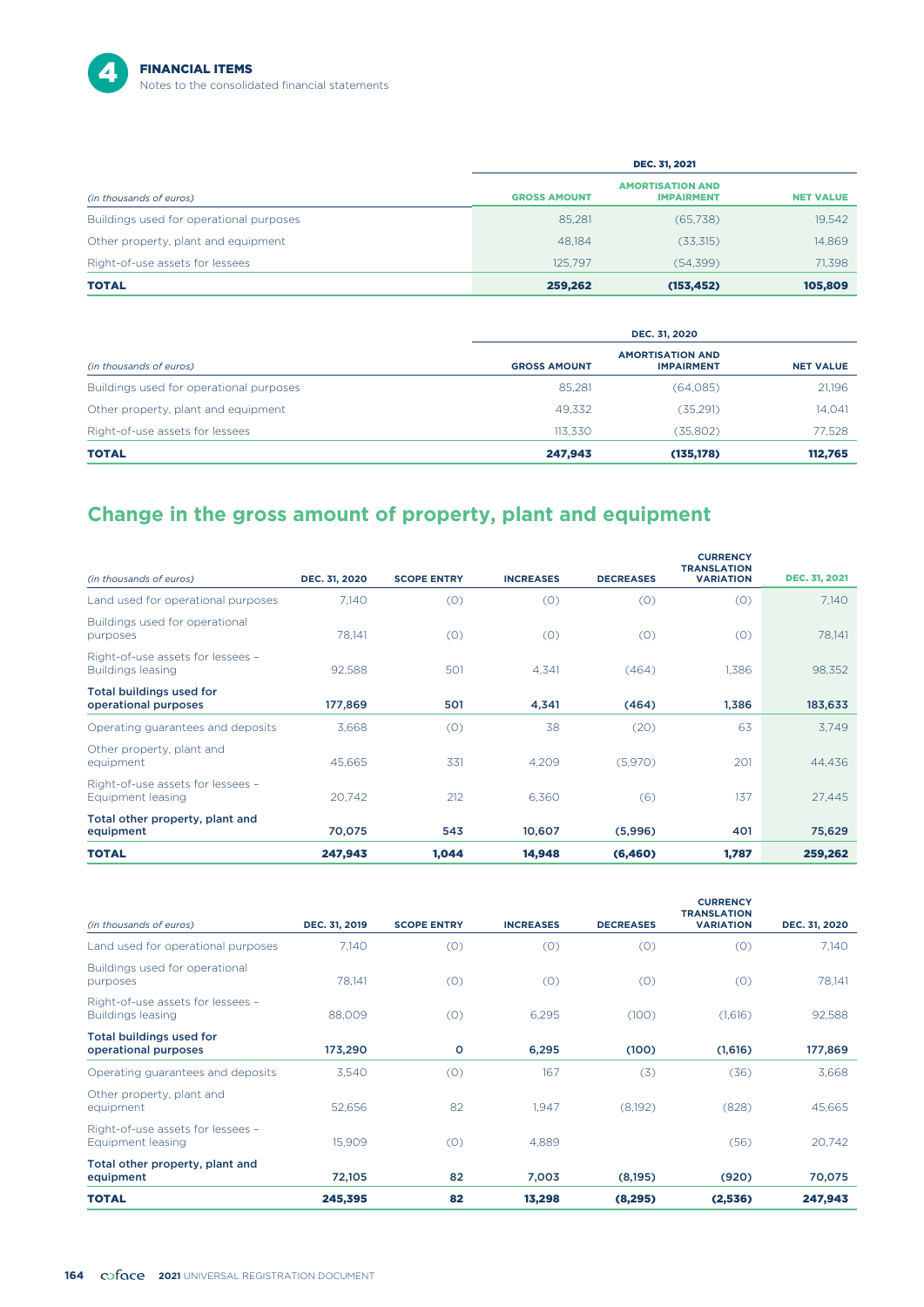

|                                         | <b>DEC. 31, 2021</b> |                                              |                  |  |  |
|-----------------------------------------|----------------------|----------------------------------------------|------------------|--|--|
| (in thousands of euros)                 | <b>GROSS AMOUNT</b>  | <b>AMORTISATION AND</b><br><b>IMPAIRMENT</b> | <b>NET VALUE</b> |  |  |
| Buildings used for operational purposes | 85.281               | (65,738)                                     | 19,542           |  |  |
| Other property, plant and equipment     | 48.184               | (33,315)                                     | 14,869           |  |  |
| Right-of-use assets for lessees         | 125.797              | (54.399)                                     | 71,398           |  |  |
| <b>TOTAL</b>                            | 259,262              | (153, 452)                                   | 105,809          |  |  |

|                                         | DEC. 31, 2020       |                                              |                  |  |  |
|-----------------------------------------|---------------------|----------------------------------------------|------------------|--|--|
| (in thousands of euros)                 | <b>GROSS AMOUNT</b> | <b>AMORTISATION AND</b><br><b>IMPAIRMENT</b> | <b>NET VALUE</b> |  |  |
| Buildings used for operational purposes | 85.281              | (64,085)                                     | 21,196           |  |  |
| Other property, plant and equipment     | 49.332              | (35,291)                                     | 14,041           |  |  |
| Right-of-use assets for lessees         | 113.330             | (35.802)                                     | 77,528           |  |  |
| <b>TOTAL</b>                            | 247,943             | (135, 178)                                   | 112,765          |  |  |

# **Change in the gross amount of property, plant and equipment**

| (in thousands of euros)                                       | DEC. 31, 2020 | <b>SCOPE ENTRY</b> | <b>INCREASES</b> | <b>DECREASES</b> | <b>CURRENCY</b><br><b>TRANSLATION</b><br><b>VARIATION</b> | <b>DEC. 31, 2021</b> |
|---------------------------------------------------------------|---------------|--------------------|------------------|------------------|-----------------------------------------------------------|----------------------|
| Land used for operational purposes                            | 7,140         | (0)                | (0)              | (0)              | (0)                                                       | 7,140                |
| Buildings used for operational<br>purposes                    | 78,141        | (0)                | (0)              | (0)              | (0)                                                       | 78,141               |
| Right-of-use assets for lessees -<br><b>Buildings leasing</b> | 92.588        | 501                | 4.341            | (464)            | 1.386                                                     | 98,352               |
| Total buildings used for<br>operational purposes              | 177,869       | 501                | 4,341            | (464)            | 1,386                                                     | 183,633              |
| Operating guarantees and deposits                             | 3,668         | (0)                | 38               | (20)             | 63                                                        | 3,749                |
| Other property, plant and<br>equipment                        | 45.665        | 331                | 4.209            | (5,970)          | 201                                                       | 44,436               |
| Right-of-use assets for lessees -<br>Equipment leasing        | 20.742        | 212                | 6,360            | (6)              | 137                                                       | 27,445               |
| Total other property, plant and<br>equipment                  | 70,075        | 543                | 10,607           | (5,996)          | 401                                                       | 75,629               |
| <b>TOTAL</b>                                                  | 247,943       | 1,044              | 14,948           | (6,460)          | 1,787                                                     | 259,262              |

| (in thousands of euros)                                       | DEC. 31, 2019 | <b>SCOPE ENTRY</b> | <b>INCREASES</b> | <b>DECREASES</b> | <b>CURRENCY</b><br><b>TRANSLATION</b><br><b>VARIATION</b> | DEC. 31, 2020 |
|---------------------------------------------------------------|---------------|--------------------|------------------|------------------|-----------------------------------------------------------|---------------|
| Land used for operational purposes                            | 7.140         | (0)                | (0)              | (0)              | (0)                                                       | 7,140         |
| Buildings used for operational<br>purposes                    | 78.141        | (0)                | (0)              | (0)              | (0)                                                       | 78,141        |
| Right-of-use assets for lessees -<br><b>Buildings leasing</b> | 88.009        | (0)                | 6,295            | (100)            | (1,616)                                                   | 92,588        |
| <b>Total buildings used for</b><br>operational purposes       | 173,290       | o                  | 6,295            | (100)            | (1,616)                                                   | 177,869       |
| Operating guarantees and deposits                             | 3,540         | (0)                | 167              | (3)              | (36)                                                      | 3,668         |
| Other property, plant and<br>equipment                        | 52,656        | 82                 | 1,947            | (8,192)          | (828)                                                     | 45,665        |
| Right-of-use assets for lessees -<br>Equipment leasing        | 15,909        | (0)                | 4,889            |                  | (56)                                                      | 20,742        |
| Total other property, plant and<br>equipment                  | 72,105        | 82                 | 7,003            | (8, 195)         | (920)                                                     | 70,075        |
| <b>TOTAL</b>                                                  | 245,395       | 82                 | 13,298           | (8, 295)         | (2,536)                                                   | 247,943       |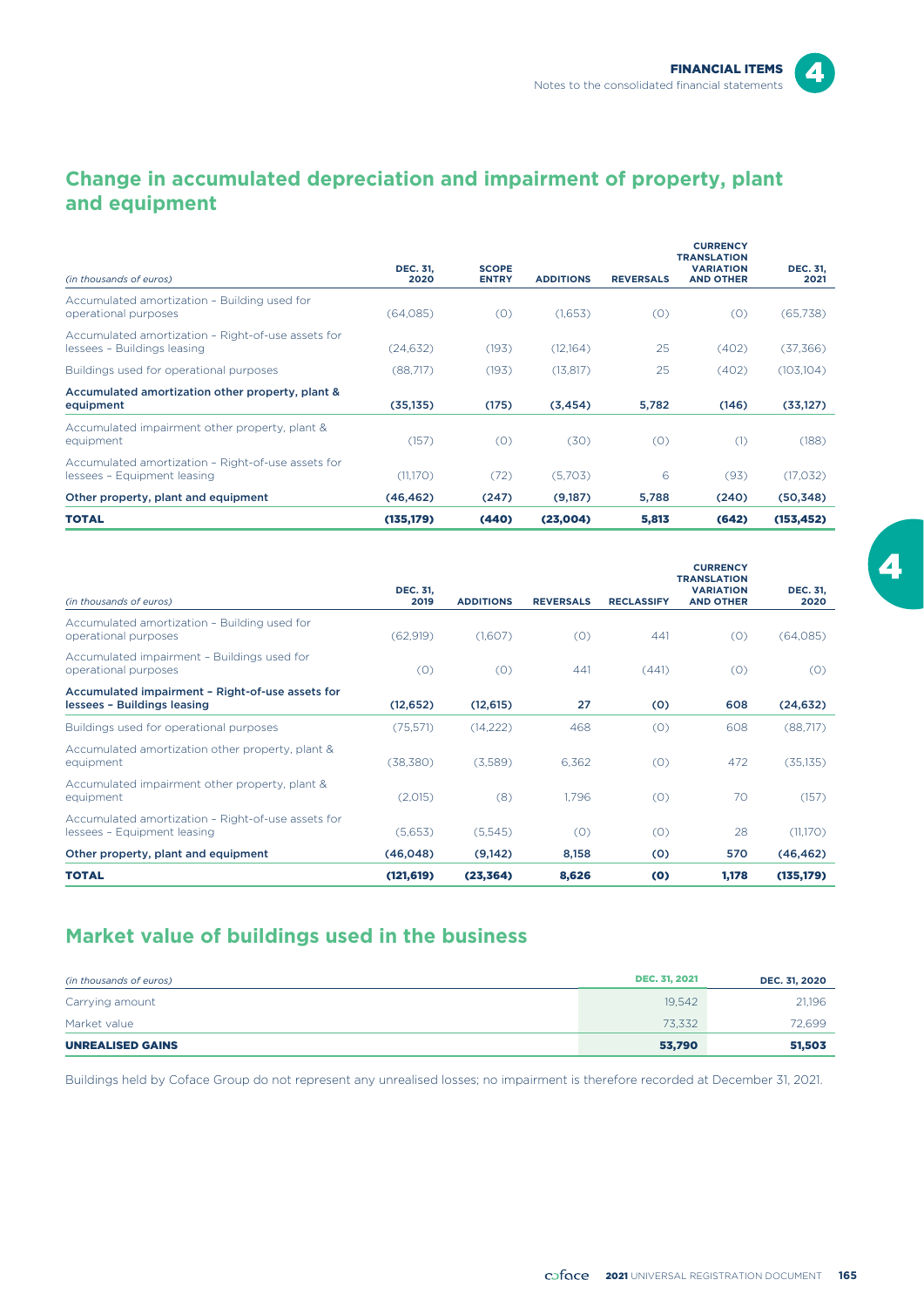

# **Change in accumulated depreciation and impairment of property, plant and equipment**

| (in thousands of euros)                                                           | <b>DEC. 31,</b><br>2020 | <b>SCOPE</b><br><b>ENTRY</b> | <b>ADDITIONS</b> | <b>REVERSALS</b> | <b>CURRENCY</b><br><b>TRANSLATION</b><br><b>VARIATION</b><br><b>AND OTHER</b> | <b>DEC. 31,</b><br>2021 |
|-----------------------------------------------------------------------------------|-------------------------|------------------------------|------------------|------------------|-------------------------------------------------------------------------------|-------------------------|
| Accumulated amortization - Building used for<br>operational purposes              | (64,085)                | (0)                          | (1,653)          | (0)              | (0)                                                                           | (65, 738)               |
| Accumulated amortization - Right-of-use assets for<br>lessees - Buildings leasing | (24, 632)               | (193)                        | (12.164)         | 25               | (402)                                                                         | (37, 366)               |
| Buildings used for operational purposes                                           | (88,717)                | (193)                        | (13, 817)        | 25               | (402)                                                                         | (103, 104)              |
| Accumulated amortization other property, plant &<br>equipment                     | (35, 135)               | (175)                        | (3, 454)         | 5,782            | (146)                                                                         | (33, 127)               |
| Accumulated impairment other property, plant &<br>equipment                       | (157)                   | (0)                          | (30)             | (0)              | (1)                                                                           | (188)                   |
| Accumulated amortization - Right-of-use assets for<br>lessees - Equipment leasing | (11,170)                | (72)                         | (5,703)          | 6                | (93)                                                                          | (17,032)                |
| Other property, plant and equipment                                               | (46, 462)               | (247)                        | (9,187)          | 5,788            | (240)                                                                         | (50, 348)               |
| <b>TOTAL</b>                                                                      | (135, 179)              | (440)                        | (23,004)         | 5,813            | (642)                                                                         | (153, 452)              |

| (in thousands of euros)                                                           | <b>DEC. 31,</b><br>2019 | <b>ADDITIONS</b> | <b>REVERSALS</b> | <b>RECLASSIFY</b> | <b>CURRENCY</b><br><b>TRANSLATION</b><br><b>VARIATION</b><br><b>AND OTHER</b> | <b>DEC. 31,</b><br>2020 |
|-----------------------------------------------------------------------------------|-------------------------|------------------|------------------|-------------------|-------------------------------------------------------------------------------|-------------------------|
| Accumulated amortization - Building used for<br>operational purposes              | (62, 919)               | (1,607)          | (0)              | 441               | (0)                                                                           | (64,085)                |
| Accumulated impairment - Buildings used for<br>operational purposes               | (0)                     | (0)              | 441              | (441)             | (0)                                                                           | (0)                     |
| Accumulated impairment - Right-of-use assets for<br>lessees - Buildings leasing   | (12, 652)               | (12, 615)        | 27               | (0)               | 608                                                                           | (24, 632)               |
| Buildings used for operational purposes                                           | (75,571)                | (14, 222)        | 468              | (0)               | 608                                                                           | (88,717)                |
| Accumulated amortization other property, plant &<br>equipment                     | (38, 380)               | (3,589)          | 6,362            | (0)               | 472                                                                           | (35, 135)               |
| Accumulated impairment other property, plant &<br>equipment                       | (2,015)                 | (8)              | 1,796            | (0)               | 70                                                                            | (157)                   |
| Accumulated amortization - Right-of-use assets for<br>lessees - Equipment leasing | (5,653)                 | (5,545)          | (0)              | (0)               | 28                                                                            | (11,170)                |
| Other property, plant and equipment                                               | (46,048)                | (9,142)          | 8,158            | (0)               | 570                                                                           | (46, 462)               |
| <b>TOTAL</b>                                                                      | (121, 619)              | (23, 364)        | 8,626            | (0)               | 1,178                                                                         | (135, 179)              |

# **Market value of buildings used in the business**

| (in thousands of euros) | <b>DEC. 31, 2021</b> | DEC. 31, 2020 |
|-------------------------|----------------------|---------------|
| Carrying amount         | 19.542               | 21.196        |
| Market value            | 73,332               | 72,699        |
| <b>UNREALISED GAINS</b> | 53,790               | 51,503        |

Buildings held by Coface Group do not represent any unrealised losses; no impairment is therefore recorded at December 31, 2021.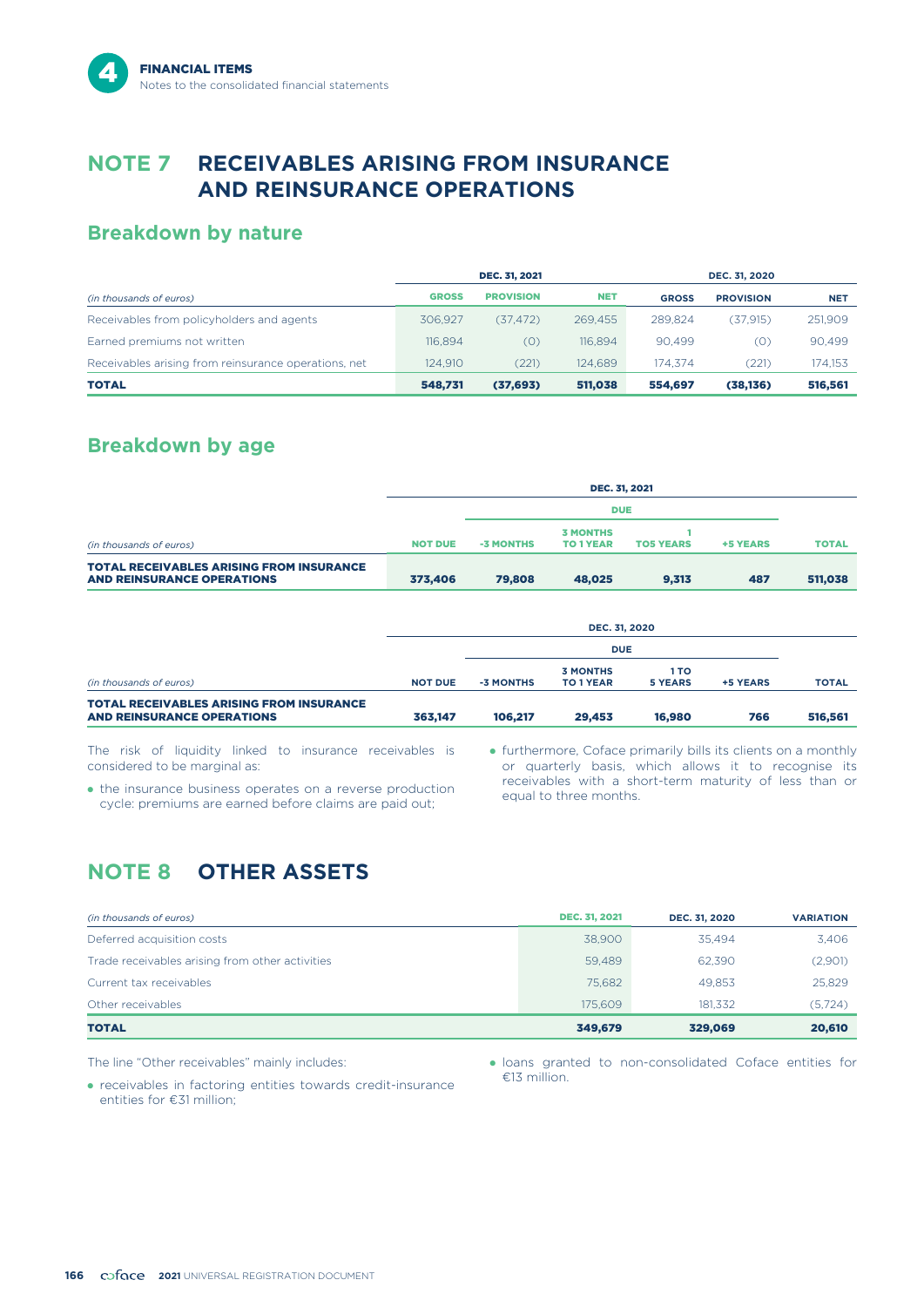# **NOTE 7 RECEIVABLES ARISING FROM INSURANCE AND REINSURANCE OPERATIONS**

### **Breakdown by nature**

|                                                      | <b>DEC. 31, 2021</b> |                  |            | <b>DEC. 31, 2020</b> |                  |            |  |
|------------------------------------------------------|----------------------|------------------|------------|----------------------|------------------|------------|--|
| (in thousands of euros)                              | <b>GROSS</b>         | <b>PROVISION</b> | <b>NET</b> | <b>GROSS</b>         | <b>PROVISION</b> | <b>NET</b> |  |
| Receivables from policyholders and agents            | 306.927              | (37.472)         | 269.455    | 289.824              | (37.915)         | 251,909    |  |
| Earned premiums not written                          | 116.894              | (0)              | 116.894    | 90.499               | (0)              | 90.499     |  |
| Receivables arising from reinsurance operations, net | 124.910              | (221)            | 124.689    | 174.374              | (221)            | 174.153    |  |
| <b>TOTAL</b>                                         | 548,731              | (37, 693)        | 511.038    | 554.697              | (38, 136)        | 516,561    |  |

### **Breakdown by age**

| <b>DEC. 31, 2021</b> |            |                                     |                        |                             |              |  |
|----------------------|------------|-------------------------------------|------------------------|-----------------------------|--------------|--|
|                      |            |                                     |                        |                             |              |  |
| <b>NOT DUE</b>       | -3 MONTHS  | <b>3 MONTHS</b><br><b>TO 1 YEAR</b> | <b>TO5 YEARS</b>       | <b>+5 YEARS</b>             | <b>TOTAL</b> |  |
| 373,406              | 79,808     | 48,025                              | 9,313                  | 487                         | 511,038      |  |
|                      |            |                                     |                        |                             |              |  |
|                      | <b>DUE</b> |                                     |                        |                             |              |  |
| <b>NOT DUE</b>       | -3 MONTHS  | <b>3 MONTHS</b><br><b>TO 1 YEAR</b> | 1 TO<br><b>5 YEARS</b> | +5 YEARS                    | <b>TOTAL</b> |  |
| 363,147              | 106,217    | 29,453                              | 16,980                 | 766                         | 516,561      |  |
|                      |            |                                     |                        | <b>DUE</b><br>DEC. 31, 2020 |              |  |

The risk of liquidity linked to insurance receivables is considered to be marginal as:

• the insurance business operates on a reverse production cycle: premiums are earned before claims are paid out;

- furthermore, Coface primarily bills its clients on a monthly or quarterly basis, which allows it to recognise its receivables with a short-term maturity of less than or equal to three months.

# **NOTE 8 OTHER ASSETS**

| (in thousands of euros)                         | <b>DEC. 31, 2021</b> | <b>DEC. 31, 2020</b> | <b>VARIATION</b> |
|-------------------------------------------------|----------------------|----------------------|------------------|
| Deferred acquisition costs                      | 38,900               | 35.494               | 3,406            |
| Trade receivables arising from other activities | 59,489               | 62.390               | (2,901)          |
| Current tax receivables                         | 75.682               | 49.853               | 25,829           |
| Other receivables                               | 175,609              | 181.332              | (5, 724)         |
| <b>TOTAL</b>                                    | 349,679              | 329,069              | 20,610           |

The line "Other receivables" mainly includes:

- loans granted to non-consolidated Coface entities for €13 million.

• receivables in factoring entities towards credit-insurance entities for €31 million;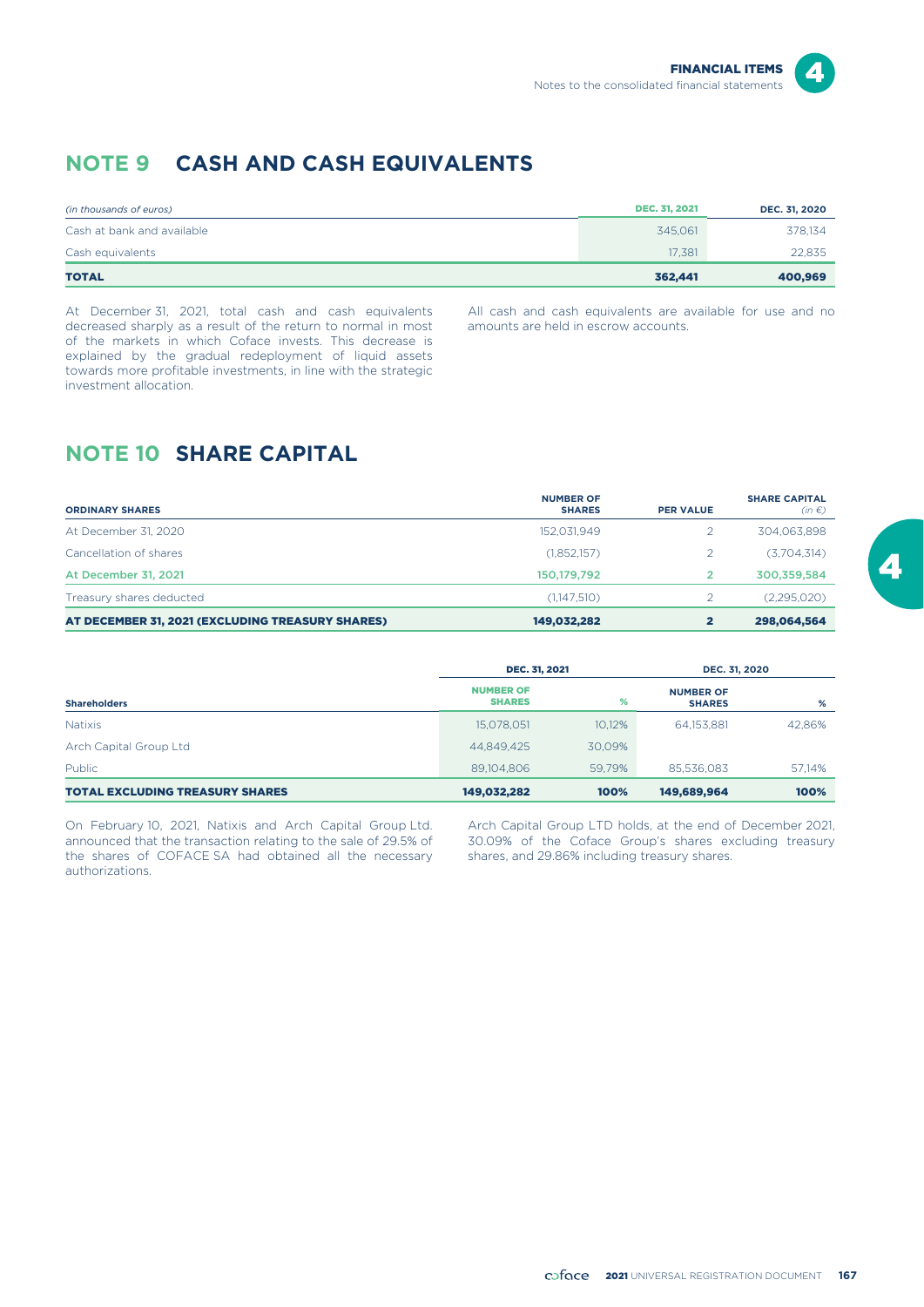# **NOTE 9 CASH AND CASH EQUIVALENTS**

| (in thousands of euros)    | <b>DEC. 31, 2021</b> | DEC. 31, 2020 |
|----------------------------|----------------------|---------------|
| Cash at bank and available | 345.061              | 378,134       |
| Cash equivalents           | 17.381               | 22,835        |
| <b>TOTAL</b>               | 362,441              | 400,969       |

At December 31, 2021, total cash and cash equivalents decreased sharply as a result of the return to normal in most of the markets in which Coface invests. This decrease is explained by the gradual redeployment of liquid assets towards more profitable investments, in line with the strategic investment allocation.

All cash and cash equivalents are available for use and no amounts are held in escrow accounts.

# **NOTE 10 SHARE CAPITAL**

| <b>ORDINARY SHARES</b>                           | <b>NUMBER OF</b><br><b>SHARES</b> | <b>PER VALUE</b>        | <b>SHARE CAPITAL</b><br>$(in \in)$ |
|--------------------------------------------------|-----------------------------------|-------------------------|------------------------------------|
| At December 31, 2020                             | 152,031,949                       |                         | 304,063,898                        |
| Cancellation of shares                           | (1,852,157)                       |                         | (3,704,314)                        |
| At December 31, 2021                             | 150.179.792                       |                         | 300,359,584                        |
| Treasury shares deducted                         | (1,147,510)                       |                         | (2,295,020)                        |
| AT DECEMBER 31, 2021 (EXCLUDING TREASURY SHARES) | 149,032,282                       | $\overline{\mathbf{2}}$ | 298.064.564                        |

|                                        | DEC. 31, 2021                     |        | DEC. 31, 2020                     |        |  |
|----------------------------------------|-----------------------------------|--------|-----------------------------------|--------|--|
| <b>Shareholders</b>                    | <b>NUMBER OF</b><br><b>SHARES</b> | %      | <b>NUMBER OF</b><br><b>SHARES</b> | %      |  |
| <b>Natixis</b>                         | 15,078,051                        | 10,12% | 64.153.881                        | 42,86% |  |
| Arch Capital Group Ltd                 | 44.849.425                        | 30.09% |                                   |        |  |
| Public                                 | 89,104,806                        | 59.79% | 85,536,083                        | 57,14% |  |
| <b>TOTAL EXCLUDING TREASURY SHARES</b> | 149,032,282                       | 100%   | 149,689,964                       | 100%   |  |

On February 10, 2021, Natixis and Arch Capital Group Ltd. announced that the transaction relating to the sale of 29.5% of the shares of COFACE SA had obtained all the necessary authorizations.

Arch Capital Group LTD holds, at the end of December 2021, 30.09% of the Coface Group's shares excluding treasury shares, and 29.86% including treasury shares.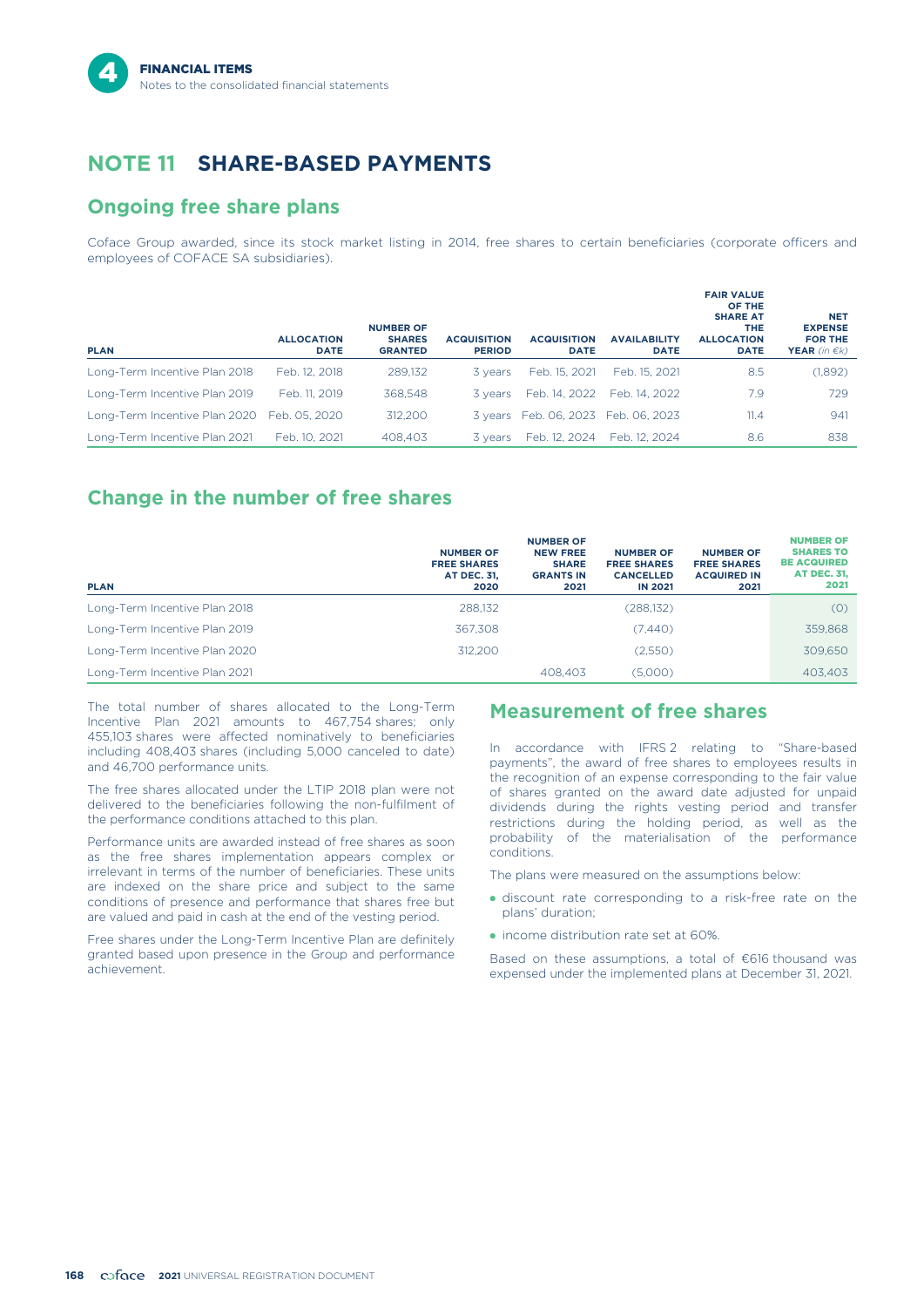# **NOTE 11 SHARE-BASED PAYMENTS**

### **Ongoing free share plans**

Coface Group awarded, since its stock market listing in 2014, free shares to certain beneficiaries (corporate officers and employees of COFACE SA subsidiaries).

| <b>PLAN</b>                                 | <b>ALLOCATION</b><br><b>DATE</b> | <b>NUMBER OF</b><br><b>SHARES</b><br><b>GRANTED</b> | <b>ACQUISITION</b><br><b>PERIOD</b> | <b>ACQUISITION</b><br><b>DATE</b>   | <b>AVAILABILITY</b><br><b>DATE</b> | <b>FAIR VALUE</b><br>OF THE<br><b>SHARE AT</b><br><b>THE</b><br><b>ALLOCATION</b><br><b>DATE</b> | <b>NET</b><br><b>EXPENSE</b><br><b>FOR THE</b><br><b>YEAR</b> (in $\in$ k) |
|---------------------------------------------|----------------------------------|-----------------------------------------------------|-------------------------------------|-------------------------------------|------------------------------------|--------------------------------------------------------------------------------------------------|----------------------------------------------------------------------------|
| Long-Term Incentive Plan 2018               | Feb. 12, 2018                    | 289.132                                             | 3 years                             | Feb. 15, 2021                       | Feb. 15, 2021                      | 8.5                                                                                              | (1,892)                                                                    |
| Long-Term Incentive Plan 2019               | Feb. 11, 2019                    | 368.548                                             |                                     | 3 years Feb. 14, 2022               | Feb. 14, 2022                      | 7.9                                                                                              | 729                                                                        |
| Long-Term Incentive Plan 2020 Feb. 05, 2020 |                                  | 312.200                                             |                                     | 3 years Feb. 06, 2023 Feb. 06, 2023 |                                    | 11.4                                                                                             | 941                                                                        |
| Long-Term Incentive Plan 2021               | Feb. 10, 2021                    | 408,403                                             | 3 vears                             | Feb. 12, 2024                       | Feb. 12, 2024                      | 8.6                                                                                              | 838                                                                        |

### **Change in the number of free shares**

| <b>PLAN</b>                   | <b>NUMBER OF</b><br><b>FREE SHARES</b><br><b>AT DEC. 31.</b><br>2020 | <b>NUMBER OF</b><br><b>NEW FREE</b><br><b>SHARE</b><br><b>GRANTS IN</b><br>2021 | <b>NUMBER OF</b><br><b>FREE SHARES</b><br><b>CANCELLED</b><br><b>IN 2021</b> | <b>NUMBER OF</b><br><b>FREE SHARES</b><br><b>ACQUIRED IN</b><br>2021 | <b>NUMBER OF</b><br><b>SHARES TO</b><br><b>BE ACQUIRED</b><br><b>AT DEC. 31,</b><br>2021 |
|-------------------------------|----------------------------------------------------------------------|---------------------------------------------------------------------------------|------------------------------------------------------------------------------|----------------------------------------------------------------------|------------------------------------------------------------------------------------------|
| Long-Term Incentive Plan 2018 | 288.132                                                              |                                                                                 | (288, 132)                                                                   |                                                                      | (0)                                                                                      |
| Long-Term Incentive Plan 2019 | 367.308                                                              |                                                                                 | (7,440)                                                                      |                                                                      | 359.868                                                                                  |
| Long-Term Incentive Plan 2020 | 312.200                                                              |                                                                                 | (2,550)                                                                      |                                                                      | 309.650                                                                                  |
| Long-Term Incentive Plan 2021 |                                                                      | 408,403                                                                         | (5,000)                                                                      |                                                                      | 403.403                                                                                  |

The total number of shares allocated to the Long-Term Incentive Plan 2021 amounts to 467,754 shares; only 455,103 shares were affected nominatively to beneficiaries including 408,403 shares (including 5,000 canceled to date) and 46,700 performance units.

The free shares allocated under the LTIP 2018 plan were not delivered to the beneficiaries following the non-fulfilment of the performance conditions attached to this plan.

Performance units are awarded instead of free shares as soon as the free shares implementation appears complex or irrelevant in terms of the number of beneficiaries. These units are indexed on the share price and subject to the same conditions of presence and performance that shares free but are valued and paid in cash at the end of the vesting period.

Free shares under the Long-Term Incentive Plan are definitely granted based upon presence in the Group and performance achievement.

### **Measurement of free shares**

In accordance with IFRS 2 relating to "Share-based payments", the award of free shares to employees results in the recognition of an expense corresponding to the fair value of shares granted on the award date adjusted for unpaid dividends during the rights vesting period and transfer restrictions during the holding period, as well as the probability of the materialisation of the performance conditions.

The plans were measured on the assumptions below:

- discount rate corresponding to a risk-free rate on the plans' duration;
- income distribution rate set at 60%.

Based on these assumptions, a total of €616 thousand was expensed under the implemented plans at December 31, 2021.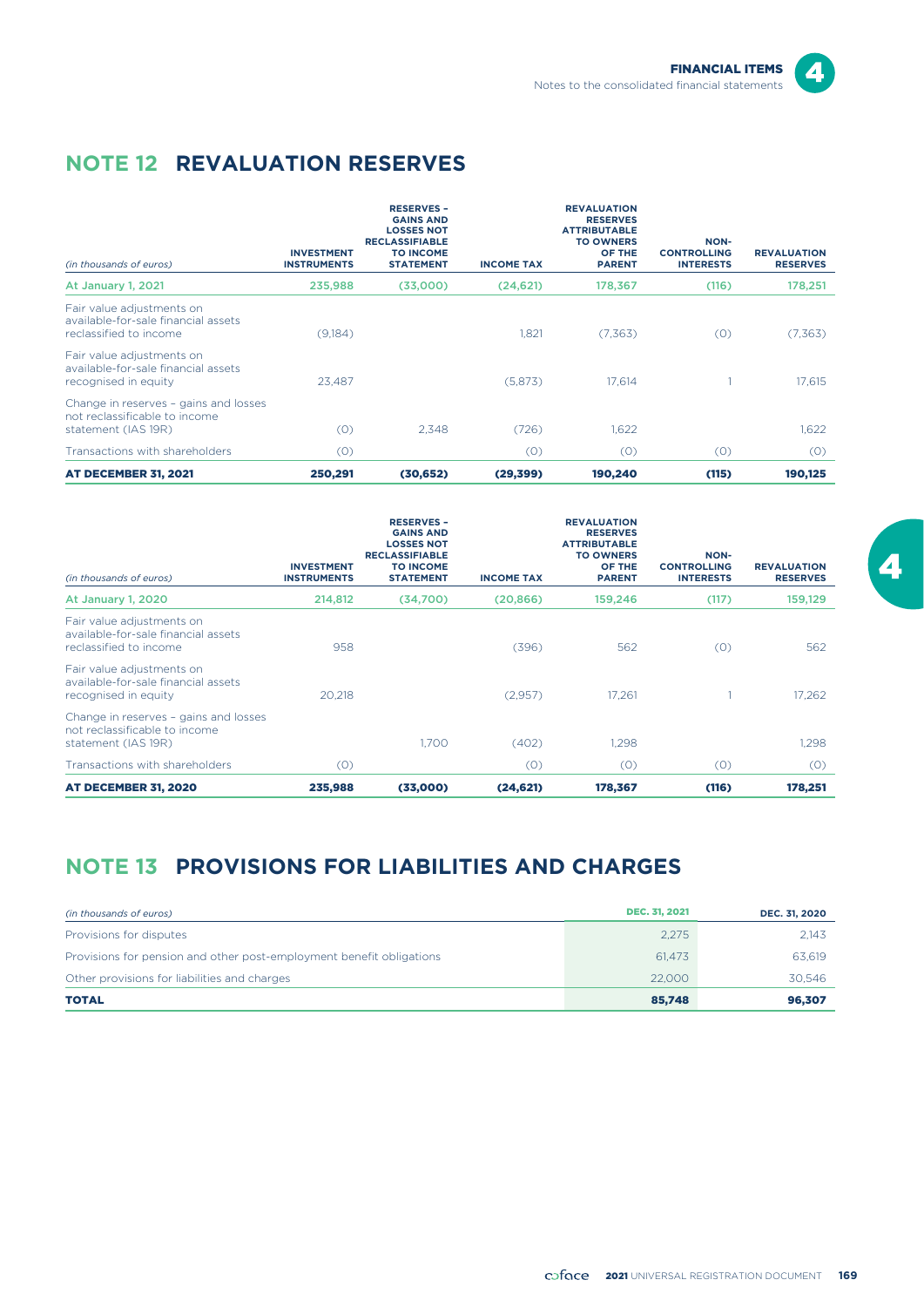

# **NOTE 12 REVALUATION RESERVES**

| (in thousands of euros)                                                                       | <b>INVESTMENT</b><br><b>INSTRUMENTS</b> | <b>RESERVES-</b><br><b>GAINS AND</b><br><b>LOSSES NOT</b><br><b>RECLASSIFIABLE</b><br><b>TO INCOME</b><br><b>STATEMENT</b> | <b>INCOME TAX</b> | <b>REVALUATION</b><br><b>RESERVES</b><br><b>ATTRIBUTABLE</b><br><b>TO OWNERS</b><br>OF THE<br><b>PARENT</b> | NON-<br><b>CONTROLLING</b><br><b>INTERESTS</b> | <b>REVALUATION</b><br><b>RESERVES</b> |
|-----------------------------------------------------------------------------------------------|-----------------------------------------|----------------------------------------------------------------------------------------------------------------------------|-------------------|-------------------------------------------------------------------------------------------------------------|------------------------------------------------|---------------------------------------|
| At January 1, 2021                                                                            | 235,988                                 | (33,000)                                                                                                                   | (24, 621)         | 178,367                                                                                                     | (116)                                          | 178,251                               |
| Fair value adjustments on<br>available-for-sale financial assets<br>reclassified to income    | (9,184)                                 |                                                                                                                            | 1,821             | (7,363)                                                                                                     | (0)                                            | (7,363)                               |
| Fair value adjustments on<br>available-for-sale financial assets<br>recognised in equity      | 23.487                                  |                                                                                                                            | (5,873)           | 17.614                                                                                                      |                                                | 17,615                                |
| Change in reserves - gains and losses<br>not reclassificable to income<br>statement (IAS 19R) | (0)                                     | 2.348                                                                                                                      | (726)             | 1,622                                                                                                       |                                                | 1.622                                 |
| Transactions with shareholders                                                                | (0)                                     |                                                                                                                            | (0)               | (0)                                                                                                         | (0)                                            | (0)                                   |
| <b>AT DECEMBER 31, 2021</b>                                                                   | 250,291                                 | (30, 652)                                                                                                                  | (29, 399)         | 190,240                                                                                                     | (115)                                          | 190,125                               |

| (in thousands of euros)                                                                       | <b>INVESTMENT</b><br><b>INSTRUMENTS</b> | <b>RESERVES-</b><br><b>GAINS AND</b><br><b>LOSSES NOT</b><br><b>RECLASSIFIABLE</b><br><b>TO INCOME</b><br><b>STATEMENT</b> | <b>INCOME TAX</b> | <b>REVALUATION</b><br><b>RESERVES</b><br><b>ATTRIBUTABLE</b><br><b>TO OWNERS</b><br>OF THE<br><b>PARENT</b> | NON-<br><b>CONTROLLING</b><br><b>INTERESTS</b> | <b>REVALUATION</b><br><b>RESERVES</b> |
|-----------------------------------------------------------------------------------------------|-----------------------------------------|----------------------------------------------------------------------------------------------------------------------------|-------------------|-------------------------------------------------------------------------------------------------------------|------------------------------------------------|---------------------------------------|
| At January 1, 2020                                                                            | 214,812                                 | (34,700)                                                                                                                   | (20, 866)         | 159,246                                                                                                     | (117)                                          | 159,129                               |
| Fair value adjustments on<br>available-for-sale financial assets<br>reclassified to income    | 958                                     |                                                                                                                            | (396)             | 562                                                                                                         | (0)                                            | 562                                   |
| Fair value adjustments on<br>available-for-sale financial assets<br>recognised in equity      | 20,218                                  |                                                                                                                            | (2,957)           | 17.261                                                                                                      |                                                | 17,262                                |
| Change in reserves - gains and losses<br>not reclassificable to income<br>statement (IAS 19R) |                                         | 1.700                                                                                                                      | (402)             | 1,298                                                                                                       |                                                | 1,298                                 |
| Transactions with shareholders                                                                | (0)                                     |                                                                                                                            | (0)               | (0)                                                                                                         | (0)                                            | (0)                                   |
| <b>AT DECEMBER 31, 2020</b>                                                                   | 235,988                                 | (33,000)                                                                                                                   | (24, 621)         | 178,367                                                                                                     | (116)                                          | 178,251                               |

# **NOTE 13 PROVISIONS FOR LIABILITIES AND CHARGES**

| (in thousands of euros)                                              | <b>DEC. 31, 2021</b> | DEC. 31, 2020 |
|----------------------------------------------------------------------|----------------------|---------------|
| Provisions for disputes                                              | 2.275                | 2.143         |
| Provisions for pension and other post-employment benefit obligations | 61.473               | 63.619        |
| Other provisions for liabilities and charges                         | 22,000               | 30.546        |
| <b>TOTAL</b>                                                         | 85,748               | 96,307        |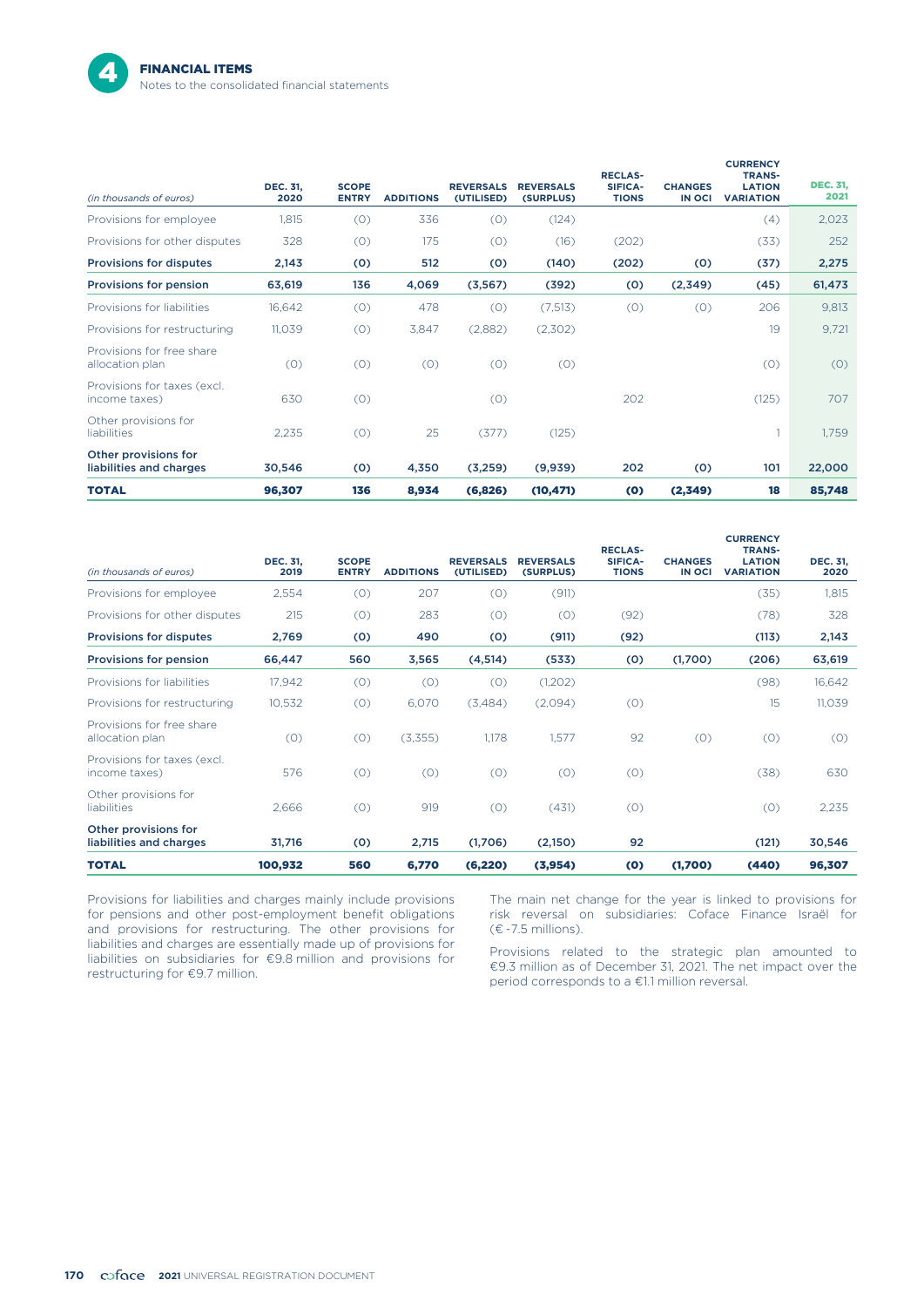

| (in thousands of euros)                         | <b>DEC. 31,</b><br>2020 | <b>SCOPE</b><br><b>ENTRY</b> | <b>ADDITIONS</b> | <b>REVERSALS</b><br>(UTILISED) | <b>REVERSALS</b><br>(SURPLUS) | <b>RECLAS-</b><br>SIFICA-<br><b>TIONS</b> | <b>CHANGES</b><br><b>IN OCI</b> | <b>CURRENCY</b><br><b>TRANS-</b><br><b>LATION</b><br><b>VARIATION</b> | <b>DEC. 31.</b><br>2021 |
|-------------------------------------------------|-------------------------|------------------------------|------------------|--------------------------------|-------------------------------|-------------------------------------------|---------------------------------|-----------------------------------------------------------------------|-------------------------|
| Provisions for employee                         | 1,815                   | (0)                          | 336              | (0)                            | (124)                         |                                           |                                 | (4)                                                                   | 2,023                   |
| Provisions for other disputes                   | 328                     | (0)                          | 175              | (0)                            | (16)                          | (202)                                     |                                 | (33)                                                                  | 252                     |
| <b>Provisions for disputes</b>                  | 2,143                   | (0)                          | 512              | (0)                            | (140)                         | (202)                                     | (0)                             | (37)                                                                  | 2,275                   |
| Provisions for pension                          | 63,619                  | 136                          | 4,069            | (3,567)                        | (392)                         | (0)                                       | (2,349)                         | (45)                                                                  | 61,473                  |
| Provisions for liabilities                      | 16,642                  | (0)                          | 478              | (0)                            | (7,513)                       | (0)                                       | (0)                             | 206                                                                   | 9,813                   |
| Provisions for restructuring                    | 11,039                  | (0)                          | 3,847            | (2,882)                        | (2,302)                       |                                           |                                 | 19                                                                    | 9,721                   |
| Provisions for free share<br>allocation plan    | (0)                     | (0)                          | (0)              | (0)                            | (0)                           |                                           |                                 | (0)                                                                   | (0)                     |
| Provisions for taxes (excl.<br>income taxes)    | 630                     | (0)                          |                  | (0)                            |                               | 202                                       |                                 | (125)                                                                 | 707                     |
| Other provisions for<br><b>liabilities</b>      | 2,235                   | (0)                          | 25               | (377)                          | (125)                         |                                           |                                 |                                                                       | 1,759                   |
| Other provisions for<br>liabilities and charges | 30,546                  | (0)                          | 4,350            | (3,259)                        | (9,939)                       | 202                                       | (0)                             | 101                                                                   | 22,000                  |
| <b>TOTAL</b>                                    | 96,307                  | 136                          | 8,934            | (6,826)                        | (10, 471)                     | (0)                                       | (2,349)                         | 18                                                                    | 85,748                  |

| (in thousands of euros)                         | <b>DEC. 31,</b><br>2019 | <b>SCOPE</b><br><b>ENTRY</b> | <b>ADDITIONS</b> | <b>REVERSALS</b><br>(UTILISED) | <b>REVERSALS</b><br>(SURPLUS) | <b>RECLAS-</b><br>SIFICA-<br><b>TIONS</b> | <b>CHANGES</b><br><b>IN OCI</b> | <b>CURRENCY</b><br><b>TRANS-</b><br><b>LATION</b><br><b>VARIATION</b> | <b>DEC. 31,</b><br>2020 |
|-------------------------------------------------|-------------------------|------------------------------|------------------|--------------------------------|-------------------------------|-------------------------------------------|---------------------------------|-----------------------------------------------------------------------|-------------------------|
| Provisions for employee                         | 2,554                   | (0)                          | 207              | (0)                            | (911)                         |                                           |                                 | (35)                                                                  | 1,815                   |
| Provisions for other disputes                   | 215                     | (0)                          | 283              | (0)                            | (0)                           | (92)                                      |                                 | (78)                                                                  | 328                     |
| <b>Provisions for disputes</b>                  | 2,769                   | (0)                          | 490              | (0)                            | (911)                         | (92)                                      |                                 | (113)                                                                 | 2,143                   |
| <b>Provisions for pension</b>                   | 66,447                  | 560                          | 3,565            | (4, 514)                       | (533)                         | (0)                                       | (1,700)                         | (206)                                                                 | 63,619                  |
| Provisions for liabilities                      | 17,942                  | (0)                          | (0)              | (0)                            | (1,202)                       |                                           |                                 | (98)                                                                  | 16,642                  |
| Provisions for restructuring                    | 10,532                  | (0)                          | 6,070            | (3,484)                        | (2,094)                       | (0)                                       |                                 | 15                                                                    | 11,039                  |
| Provisions for free share<br>allocation plan    | (0)                     | (0)                          | (3,355)          | 1,178                          | 1,577                         | 92                                        | (0)                             | (0)                                                                   | (0)                     |
| Provisions for taxes (excl.<br>income taxes)    | 576                     | (0)                          | (0)              | (0)                            | (0)                           | (0)                                       |                                 | (38)                                                                  | 630                     |
| Other provisions for<br><b>liabilities</b>      | 2,666                   | (0)                          | 919              | (0)                            | (431)                         | (0)                                       |                                 | (0)                                                                   | 2,235                   |
| Other provisions for<br>liabilities and charges | 31,716                  | (0)                          | 2,715            | (1,706)                        | (2,150)                       | 92                                        |                                 | (121)                                                                 | 30,546                  |
| <b>TOTAL</b>                                    | 100,932                 | 560                          | 6,770            | (6, 220)                       | (3,954)                       | (0)                                       | (1,700)                         | (440)                                                                 | 96,307                  |

Provisions for liabilities and charges mainly include provisions for pensions and other post-employment benefit obligations and provisions for restructuring. The other provisions for liabilities and charges are essentially made up of provisions for liabilities on subsidiaries for €9.8 million and provisions for restructuring for €9.7 million.

The main net change for the year is linked to provisions for risk reversal on subsidiaries: Coface Finance Israël for (€ -7.5 millions).

Provisions related to the strategic plan amounted to €9.3 million as of December 31, 2021. The net impact over the period corresponds to a €1.1 million reversal.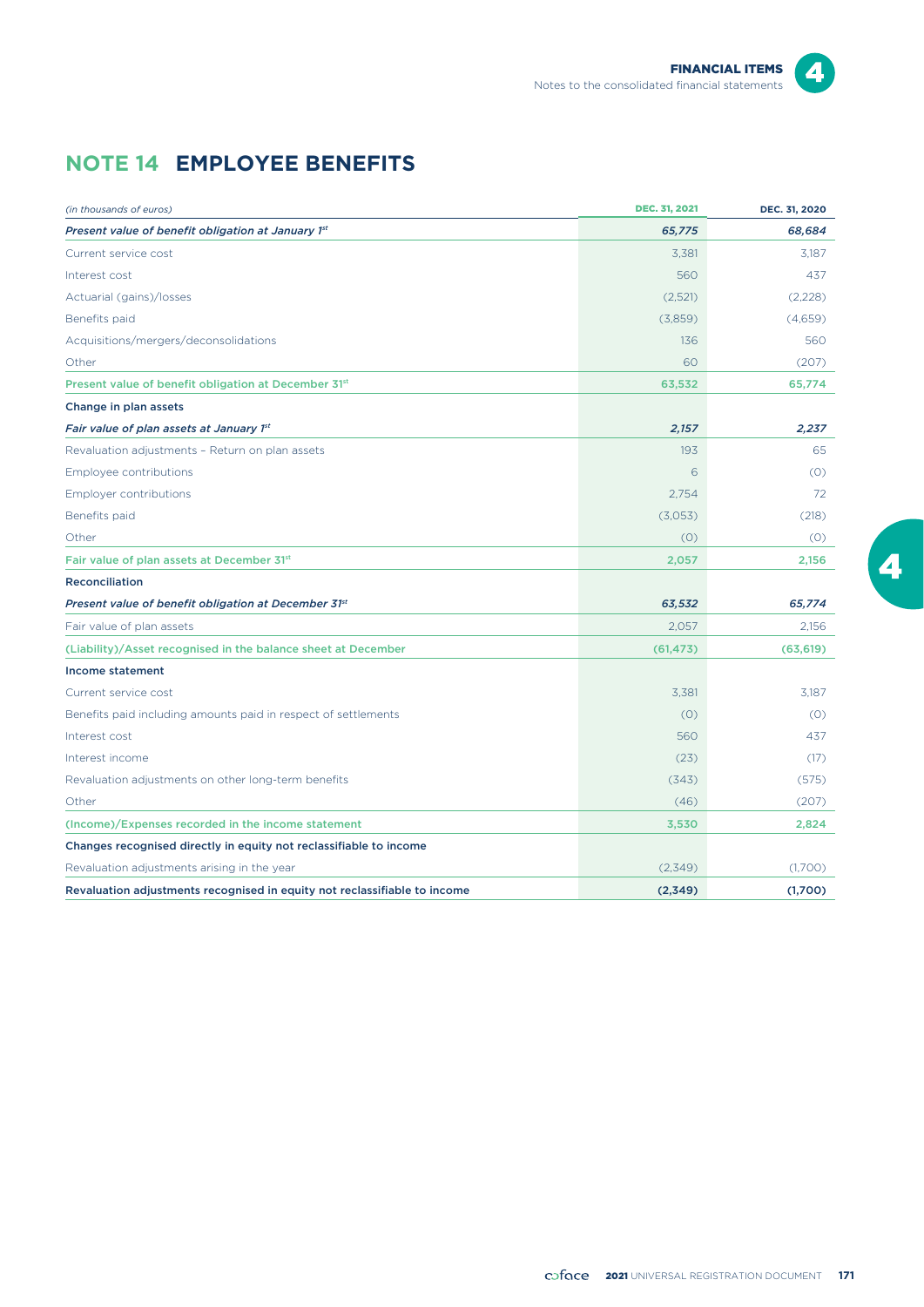

# **NOTE 14 EMPLOYEE BENEFITS**

| (in thousands of euros)                                                   | DEC. 31, 2021 | DEC. 31, 2020 |
|---------------------------------------------------------------------------|---------------|---------------|
| Present value of benefit obligation at January 1st                        | 65,775        | 68,684        |
| Current service cost                                                      | 3,381         | 3,187         |
| Interest cost                                                             | 560           | 437           |
| Actuarial (gains)/losses                                                  | (2,521)       | (2,228)       |
| Benefits paid                                                             | (3,859)       | (4,659)       |
| Acquisitions/mergers/deconsolidations                                     | 136           | 560           |
| Other                                                                     | 60            | (207)         |
| Present value of benefit obligation at December 31st                      | 63,532        | 65,774        |
| Change in plan assets                                                     |               |               |
| Fair value of plan assets at January 1st                                  | 2,157         | 2,237         |
| Revaluation adjustments - Return on plan assets                           | 193           | 65            |
| Employee contributions                                                    | 6             | (0)           |
| <b>Employer contributions</b>                                             | 2,754         | 72            |
| Benefits paid                                                             | (3,053)       | (218)         |
| Other                                                                     | (0)           | (0)           |
| Fair value of plan assets at December 31st                                | 2,057         | 2,156         |
| Reconciliation                                                            |               |               |
| Present value of benefit obligation at December 31st                      | 63,532        | 65,774        |
| Fair value of plan assets                                                 | 2,057         | 2,156         |
| (Liability)/Asset recognised in the balance sheet at December             | (61, 473)     | (63, 619)     |
| Income statement                                                          |               |               |
| Current service cost                                                      | 3.381         | 3.187         |
| Benefits paid including amounts paid in respect of settlements            | (0)           | (0)           |
| Interest cost                                                             | 560           | 437           |
| Interest income                                                           | (23)          | (17)          |
| Revaluation adjustments on other long-term benefits                       | (343)         | (575)         |
| Other                                                                     | (46)          | (207)         |
| (Income)/Expenses recorded in the income statement                        | 3,530         | 2,824         |
| Changes recognised directly in equity not reclassifiable to income        |               |               |
| Revaluation adjustments arising in the year                               | (2,349)       | (1,700)       |
| Revaluation adjustments recognised in equity not reclassifiable to income | (2,349)       | (1,700)       |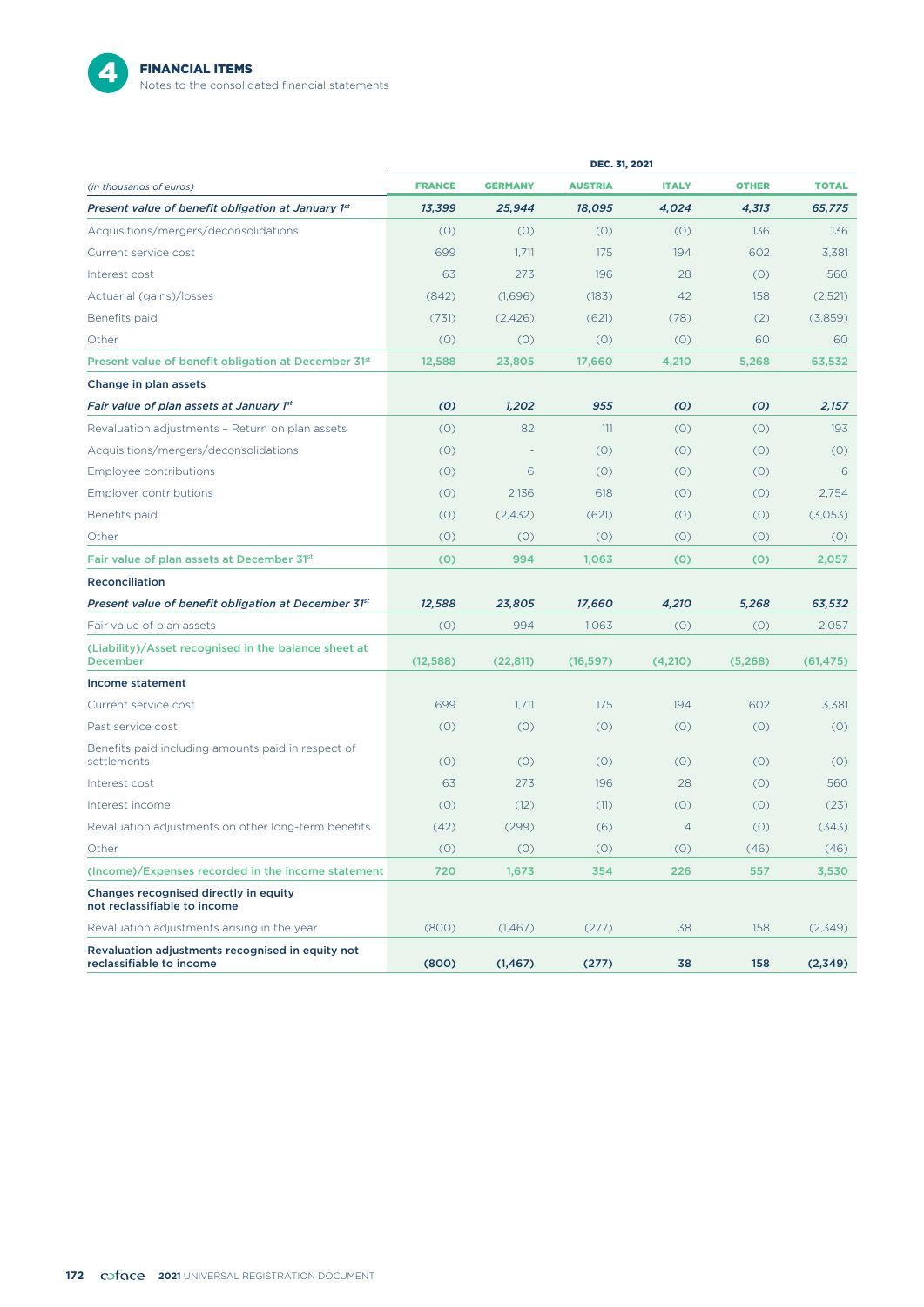

|                                                                              |               |                | DEC. 31, 2021  |                |              |              |
|------------------------------------------------------------------------------|---------------|----------------|----------------|----------------|--------------|--------------|
| (in thousands of euros)                                                      | <b>FRANCE</b> | <b>GERMANY</b> | <b>AUSTRIA</b> | <b>ITALY</b>   | <b>OTHER</b> | <b>TOTAL</b> |
| Present value of benefit obligation at January 1st                           | 13,399        | 25,944         | 18,095         | 4,024          | 4,313        | 65,775       |
| Acquisitions/mergers/deconsolidations                                        | (0)           | (0)            | (0)            | (0)            | 136          | 136          |
| Current service cost                                                         | 699           | 1,711          | 175            | 194            | 602          | 3,381        |
| Interest cost                                                                | 63            | 273            | 196            | 28             | (0)          | 560          |
| Actuarial (gains)/losses                                                     | (842)         | (1,696)        | (183)          | 42             | 158          | (2,521)      |
| Benefits paid                                                                | (731)         | (2,426)        | (621)          | (78)           | (2)          | (3,859)      |
| Other                                                                        | (0)           | (0)            | (0)            | (0)            | 60           | 60           |
| Present value of benefit obligation at December 31st                         | 12,588        | 23,805         | 17,660         | 4,210          | 5,268        | 63,532       |
| Change in plan assets                                                        |               |                |                |                |              |              |
| Fair value of plan assets at January 1st                                     | (0)           | 1,202          | 955            | (0)            | (0)          | 2,157        |
| Revaluation adjustments - Return on plan assets                              | (0)           | 82             | 111            | (0)            | (0)          | 193          |
| Acquisitions/mergers/deconsolidations                                        | (0)           |                | (0)            | (0)            | (0)          | (0)          |
| Employee contributions                                                       | (0)           | 6              | (0)            | (0)            | (0)          | 6            |
| <b>Employer contributions</b>                                                | (0)           | 2,136          | 618            | (0)            | (0)          | 2,754        |
| Benefits paid                                                                | (0)           | (2,432)        | (621)          | (0)            | (0)          | (3,053)      |
| Other                                                                        | (0)           | (0)            | (0)            | (0)            | (0)          | (0)          |
| Fair value of plan assets at December 31st                                   | (0)           | 994            | 1,063          | (0)            | (0)          | 2,057        |
| <b>Reconciliation</b>                                                        |               |                |                |                |              |              |
| Present value of benefit obligation at December 31st                         | 12,588        | 23,805         | 17,660         | 4,210          | 5,268        | 63,532       |
| Fair value of plan assets                                                    | (0)           | 994            | 1,063          | (0)            | (0)          | 2,057        |
| (Liability)/Asset recognised in the balance sheet at<br><b>December</b>      | (12, 588)     | (22, 811)      | (16, 597)      | (4,210)        | (5,268)      | (61, 475)    |
| Income statement                                                             |               |                |                |                |              |              |
| Current service cost                                                         | 699           | 1,711          | 175            | 194            | 602          | 3,381        |
| Past service cost                                                            | (0)           | (0)            | (0)            | (0)            | (0)          | (0)          |
| Benefits paid including amounts paid in respect of<br>settlements            | (0)           | (0)            | (0)            | (0)            | (0)          | (0)          |
| Interest cost                                                                | 63            | 273            | 196            | 28             | (0)          | 560          |
| Interest income                                                              | (0)           | (12)           | (11)           | (0)            | (0)          | (23)         |
| Revaluation adjustments on other long-term benefits                          | (42)          | (299)          | (6)            | $\overline{4}$ | (0)          | (343)        |
| Other                                                                        | (0)           | (0)            | (0)            | (0)            | (46)         | (46)         |
| (Income)/Expenses recorded in the income statement                           | 720           | 1,673          | 354            | 226            | 557          | 3,530        |
| Changes recognised directly in equity<br>not reclassifiable to income        |               |                |                |                |              |              |
| Revaluation adjustments arising in the year                                  | (800)         | (1,467)        | (277)          | 38             | 158          | (2,349)      |
| Revaluation adjustments recognised in equity not<br>reclassifiable to income | (800)         | (1, 467)       | (277)          | 38             | 158          | (2,349)      |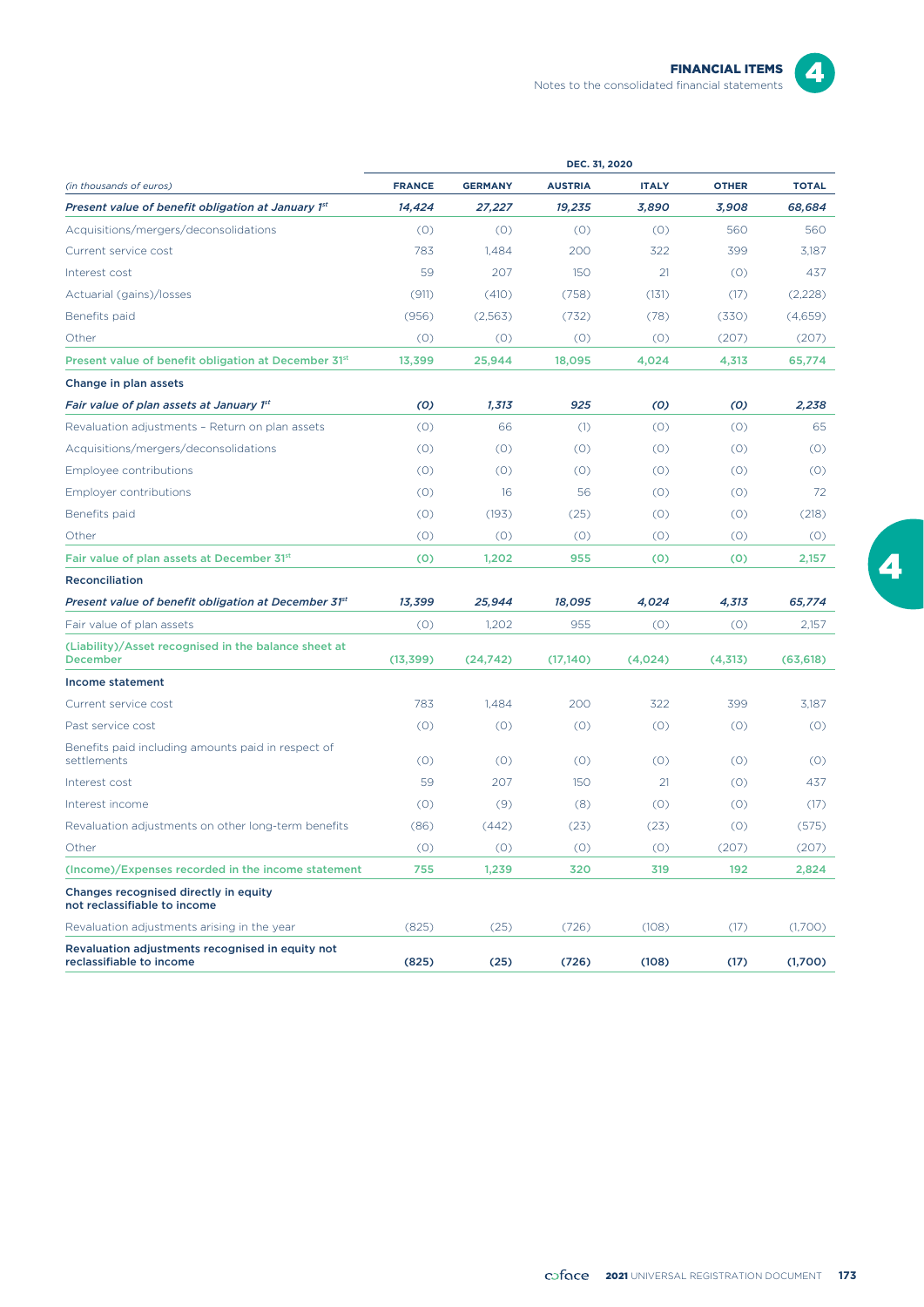|                                                | <b>FINANCIAL ITEMS</b> |
|------------------------------------------------|------------------------|
| Notes to the consolidated financial statements |                        |



|                                                                              |               |                | DEC. 31, 2020  |              |              |              |
|------------------------------------------------------------------------------|---------------|----------------|----------------|--------------|--------------|--------------|
| (in thousands of euros)                                                      | <b>FRANCE</b> | <b>GERMANY</b> | <b>AUSTRIA</b> | <b>ITALY</b> | <b>OTHER</b> | <b>TOTAL</b> |
| Present value of benefit obligation at January 1st                           | 14,424        | 27,227         | 19,235         | 3,890        | 3,908        | 68,684       |
| Acquisitions/mergers/deconsolidations                                        | (0)           | (0)            | (0)            | (0)          | 560          | 560          |
| Current service cost                                                         | 783           | 1,484          | 200            | 322          | 399          | 3,187        |
| Interest cost                                                                | 59            | 207            | 150            | 21           | (0)          | 437          |
| Actuarial (gains)/losses                                                     | (911)         | (410)          | (758)          | (131)        | (17)         | (2,228)      |
| Benefits paid                                                                | (956)         | (2,563)        | (732)          | (78)         | (330)        | (4,659)      |
| Other                                                                        | (0)           | (0)            | (0)            | (0)          | (207)        | (207)        |
| Present value of benefit obligation at December 31st                         | 13,399        | 25,944         | 18,095         | 4,024        | 4,313        | 65,774       |
| Change in plan assets                                                        |               |                |                |              |              |              |
| Fair value of plan assets at January 1st                                     | (0)           | 1,313          | 925            | (0)          | (0)          | 2,238        |
| Revaluation adjustments - Return on plan assets                              | (0)           | 66             | (1)            | (0)          | (0)          | 65           |
| Acquisitions/mergers/deconsolidations                                        | (0)           | (0)            | (0)            | (0)          | (0)          | (0)          |
| Employee contributions                                                       | (0)           | (0)            | (0)            | (0)          | (0)          | (0)          |
| <b>Employer contributions</b>                                                | (0)           | 16             | 56             | (0)          | (0)          | 72           |
| Benefits paid                                                                | (0)           | (193)          | (25)           | (0)          | (0)          | (218)        |
| Other                                                                        | (0)           | (0)            | (0)            | (0)          | (0)          | (0)          |
| Fair value of plan assets at December 31st                                   | (0)           | 1,202          | 955            | (0)          | (0)          | 2,157        |
| Reconciliation                                                               |               |                |                |              |              |              |
| Present value of benefit obligation at December 31st                         | 13,399        | 25,944         | 18,095         | 4,024        | 4,313        | 65,774       |
| Fair value of plan assets                                                    | (0)           | 1,202          | 955            | (0)          | (0)          | 2,157        |
| (Liability)/Asset recognised in the balance sheet at<br><b>December</b>      | (13, 399)     | (24, 742)      | (17,140)       | (4,024)      | (4,313)      | (63, 618)    |
| Income statement                                                             |               |                |                |              |              |              |
| Current service cost                                                         | 783           | 1.484          | 200            | 322          | 399          | 3.187        |
| Past service cost                                                            | (0)           | (0)            | (0)            | (0)          | (0)          | (0)          |
| Benefits paid including amounts paid in respect of<br>settlements            | (0)           | (0)            | (0)            | (0)          | (0)          | (0)          |
| Interest cost                                                                | 59            | 207            | 150            | 21           | (0)          | 437          |
| Interest income                                                              | (0)           | (9)            | (8)            | (0)          | (0)          | (17)         |
| Revaluation adjustments on other long-term benefits                          | (86)          | (442)          | (23)           | (23)         | (0)          | (575)        |
| Other                                                                        | (0)           | (0)            | (0)            | (0)          | (207)        | (207)        |
| (Income)/Expenses recorded in the income statement                           | 755           | 1,239          | 320            | 319          | 192          | 2,824        |
| Changes recognised directly in equity<br>not reclassifiable to income        |               |                |                |              |              |              |
| Revaluation adjustments arising in the year                                  | (825)         | (25)           | (726)          | (108)        | (17)         | (1,700)      |
| Revaluation adjustments recognised in equity not<br>reclassifiable to income | (825)         | (25)           | (726)          | (108)        | (17)         | (1,700)      |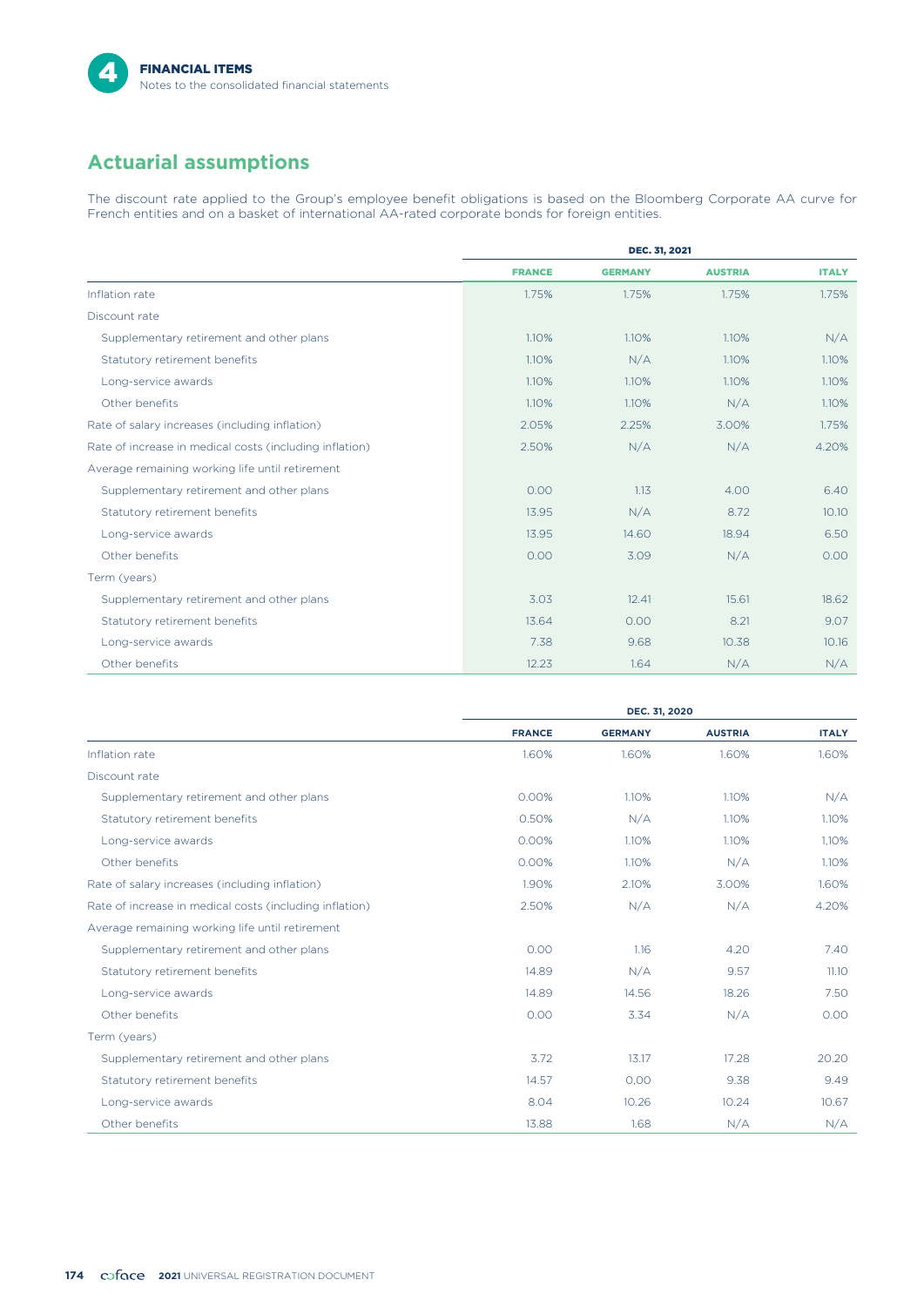# **Actuarial assumptions**

The discount rate applied to the Group's employee benefit obligations is based on the Bloomberg Corporate AA curve for French entities and on a basket of international AA-rated corporate bonds for foreign entities.

|                                                         |               | DEC. 31, 2021  |                |              |
|---------------------------------------------------------|---------------|----------------|----------------|--------------|
|                                                         | <b>FRANCE</b> | <b>GERMANY</b> | <b>AUSTRIA</b> | <b>ITALY</b> |
| Inflation rate                                          | 1.75%         | 1.75%          | 1.75%          | 1.75%        |
| Discount rate                                           |               |                |                |              |
| Supplementary retirement and other plans                | 1.10%         | 1.10%          | 1.10%          | N/A          |
| Statutory retirement benefits                           | 1.10%         | N/A            | 1.10%          | 1.10%        |
| Long-service awards                                     | 1.10%         | 1.10%          | 1.10%          | 1.10%        |
| Other benefits                                          | 1.10%         | 1.10%          | N/A            | 1.10%        |
| Rate of salary increases (including inflation)          | 2.05%         | 2.25%          | 3.00%          | 1.75%        |
| Rate of increase in medical costs (including inflation) | 2.50%         | N/A            | N/A            | 4.20%        |
| Average remaining working life until retirement         |               |                |                |              |
| Supplementary retirement and other plans                | 0.00          | 1.13           | 4.00           | 6.40         |
| Statutory retirement benefits                           | 13.95         | N/A            | 8.72           | 10.10        |
| Long-service awards                                     | 13.95         | 14.60          | 18.94          | 6.50         |
| Other benefits                                          | 0.00          | 3.09           | N/A            | 0.00         |
| Term (years)                                            |               |                |                |              |
| Supplementary retirement and other plans                | 3.03          | 12.41          | 15.61          | 18.62        |
| Statutory retirement benefits                           | 13.64         | 0.00           | 8.21           | 9.07         |
| Long-service awards                                     | 7.38          | 9.68           | 10.38          | 10.16        |
| Other benefits                                          | 12.23         | 1.64           | N/A            | N/A          |

|                                                         |               | DEC. 31, 2020  |                |              |
|---------------------------------------------------------|---------------|----------------|----------------|--------------|
|                                                         | <b>FRANCE</b> | <b>GERMANY</b> | <b>AUSTRIA</b> | <b>ITALY</b> |
| Inflation rate                                          | 1.60%         | 1.60%          | 1.60%          | 1.60%        |
| Discount rate                                           |               |                |                |              |
| Supplementary retirement and other plans                | 0.00%         | 1.10%          | 1.10%          | N/A          |
| Statutory retirement benefits                           | 0.50%         | N/A            | 1.10%          | 1.10%        |
| Long-service awards                                     | 0.00%         | 1.10%          | 1.10%          | 1.10%        |
| Other benefits                                          | 0.00%         | 1.10%          | N/A            | 1.10%        |
| Rate of salary increases (including inflation)          | 1.90%         | 2.10%          | 3.00%          | 1.60%        |
| Rate of increase in medical costs (including inflation) | 2.50%         | N/A            | N/A            | 4.20%        |
| Average remaining working life until retirement         |               |                |                |              |
| Supplementary retirement and other plans                | 0.00          | 1.16           | 4.20           | 7.40         |
| Statutory retirement benefits                           | 14.89         | N/A            | 9.57           | 11.10        |
| Long-service awards                                     | 14.89         | 14.56          | 18.26          | 7.50         |
| Other benefits                                          | 0.00          | 3.34           | N/A            | 0.00         |
| Term (years)                                            |               |                |                |              |
| Supplementary retirement and other plans                | 3.72          | 13.17          | 17.28          | 20.20        |
| Statutory retirement benefits                           | 14.57         | 0,00           | 9.38           | 9.49         |
| Long-service awards                                     | 8.04          | 10.26          | 10.24          | 10.67        |
| Other benefits                                          | 13.88         | 1.68           | N/A            | N/A          |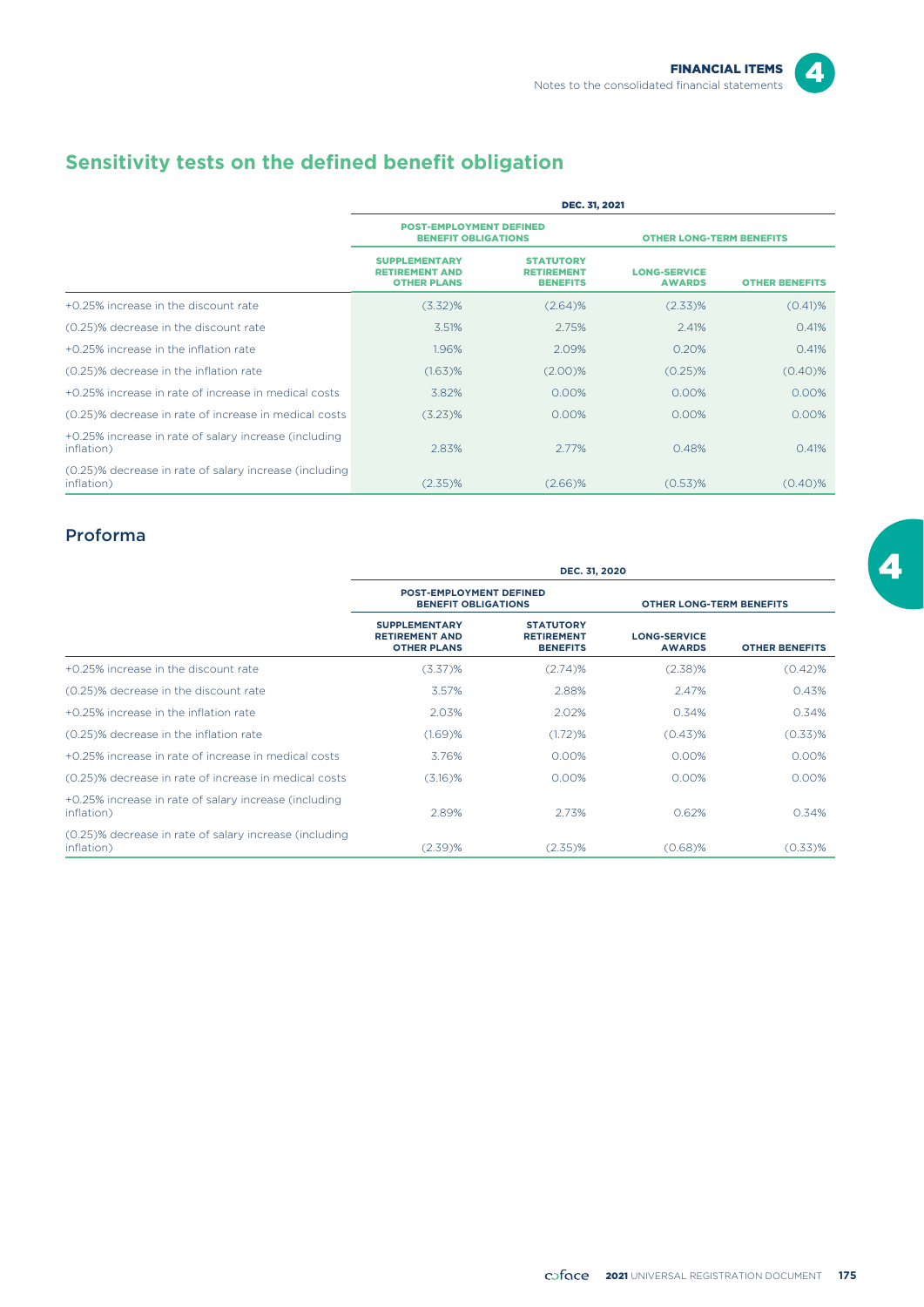# $\overline{\mathbf{4}}$

# **Sensitivity tests on the defined benefit obligation**

|                                                                      | <b>DEC. 31, 2021</b>                                                |                                                          |                                      |                       |
|----------------------------------------------------------------------|---------------------------------------------------------------------|----------------------------------------------------------|--------------------------------------|-----------------------|
|                                                                      | <b>POST-EMPLOYMENT DEFINED</b><br><b>BENEFIT OBLIGATIONS</b>        |                                                          | <b>OTHER LONG-TERM BENEFITS</b>      |                       |
|                                                                      | <b>SUPPLEMENTARY</b><br><b>RETIREMENT AND</b><br><b>OTHER PLANS</b> | <b>STATUTORY</b><br><b>RETIREMENT</b><br><b>BENEFITS</b> | <b>LONG-SERVICE</b><br><b>AWARDS</b> | <b>OTHER BENEFITS</b> |
| +0.25% increase in the discount rate                                 | $(3.32)$ %                                                          | $(2.64)$ %                                               | (2.33)%                              | $(0.41)$ %            |
| (0.25)% decrease in the discount rate                                | 3.51%                                                               | 2.75%                                                    | 2.41%                                | 0.41%                 |
| +0.25% increase in the inflation rate                                | 1.96%                                                               | 2.09%                                                    | 0.20%                                | 0.41%                 |
| (0.25)% decrease in the inflation rate                               | $(1.63)$ %                                                          | $(2.00)\%$                                               | (0.25)%                              | (0.40)%               |
| +0.25% increase in rate of increase in medical costs                 | 3.82%                                                               | 0.00%                                                    | 0.00%                                | 0.00%                 |
| (0.25)% decrease in rate of increase in medical costs                | (3.23)%                                                             | 0.00%                                                    | $0.00\%$                             | $0.00\%$              |
| +0.25% increase in rate of salary increase (including<br>inflation)  | 2.83%                                                               | 2.77%                                                    | 0.48%                                | 0.41%                 |
| (0.25)% decrease in rate of salary increase (including<br>inflation) | (2.35)%                                                             | $(2.66)$ %                                               | $(0.53)$ %                           | (0.40)%               |

#### Proforma

|                                                                      | DEC. 31, 2020                                                       |                                                          |                                      |                       |
|----------------------------------------------------------------------|---------------------------------------------------------------------|----------------------------------------------------------|--------------------------------------|-----------------------|
|                                                                      | <b>POST-EMPLOYMENT DEFINED</b><br><b>BENEFIT OBLIGATIONS</b>        |                                                          | <b>OTHER LONG-TERM BENEFITS</b>      |                       |
|                                                                      | <b>SUPPLEMENTARY</b><br><b>RETIREMENT AND</b><br><b>OTHER PLANS</b> | <b>STATUTORY</b><br><b>RETIREMENT</b><br><b>BENEFITS</b> | <b>LONG-SERVICE</b><br><b>AWARDS</b> | <b>OTHER BENEFITS</b> |
| +0.25% increase in the discount rate                                 | $(3.37)$ %                                                          | $(2.74)$ %                                               | (2.38)%                              | $(0.42)$ %            |
| (0.25)% decrease in the discount rate                                | 3.57%                                                               | 2.88%                                                    | 2.47%                                | 0.43%                 |
| +0.25% increase in the inflation rate                                | 2.03%                                                               | 2.02%                                                    | 0.34%                                | 0.34%                 |
| (0.25)% decrease in the inflation rate                               | $(1.69)$ %                                                          | $(1.72)$ %                                               | $(0.43)$ %                           | $(0.33)$ %            |
| +0.25% increase in rate of increase in medical costs                 | 3.76%                                                               | 0.00%                                                    | 0.00%                                | 0.00%                 |
| (0.25)% decrease in rate of increase in medical costs                | $(3.16)$ %                                                          | 0.00%                                                    | 0.00%                                | 0.00%                 |
| +0.25% increase in rate of salary increase (including<br>inflation)  | 2.89%                                                               | 2.73%                                                    | 0.62%                                | 0.34%                 |
| (0.25)% decrease in rate of salary increase (including<br>inflation) | $(2.39)$ %                                                          | (2.35)%                                                  | (0.68)%                              | $(0.33)$ %            |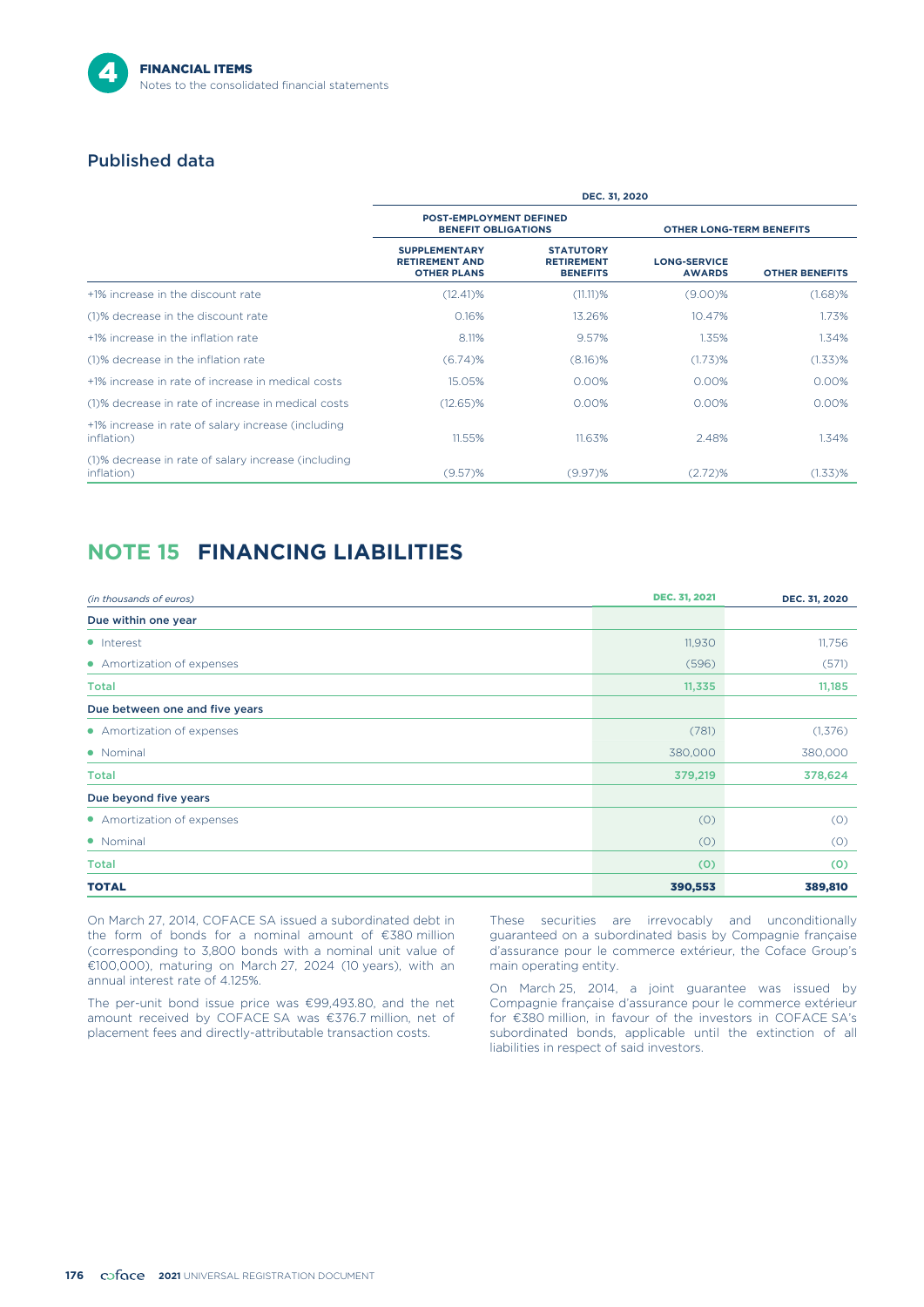

#### Published data

|                                                                   | DEC. 31, 2020                                                       |                                                          |                                      |                       |
|-------------------------------------------------------------------|---------------------------------------------------------------------|----------------------------------------------------------|--------------------------------------|-----------------------|
|                                                                   | <b>POST-EMPLOYMENT DEFINED</b><br><b>BENEFIT OBLIGATIONS</b>        |                                                          | <b>OTHER LONG-TERM BENEFITS</b>      |                       |
|                                                                   | <b>SUPPLEMENTARY</b><br><b>RETIREMENT AND</b><br><b>OTHER PLANS</b> | <b>STATUTORY</b><br><b>RETIREMENT</b><br><b>BENEFITS</b> | <b>LONG-SERVICE</b><br><b>AWARDS</b> | <b>OTHER BENEFITS</b> |
| +1% increase in the discount rate                                 | $(12.41)\%$                                                         | $(11.11)$ %                                              | $(9.00)\%$                           | (1.68)%               |
| (1)% decrease in the discount rate                                | 0.16%                                                               | 13.26%                                                   | 10.47%                               | 1.73%                 |
| +1% increase in the inflation rate                                | 8.11%                                                               | 9.57%                                                    | 1.35%                                | 1.34%                 |
| (1)% decrease in the inflation rate                               | $(6.74)$ %                                                          | (8.16)%                                                  | $(1.73)$ %                           | $(1.33)$ %            |
| +1% increase in rate of increase in medical costs                 | 15.05%                                                              | 0.00%                                                    | 0.00%                                | 0.00%                 |
| (1)% decrease in rate of increase in medical costs                | $(12.65)\%$                                                         | 0.00%                                                    | $0.00\%$                             | 0.00%                 |
| +1% increase in rate of salary increase (including<br>inflation)  | 11.55%                                                              | 11.63%                                                   | 2.48%                                | 1.34%                 |
| (1)% decrease in rate of salary increase (including<br>inflation) | (9.57)%                                                             | $(9.97)$ %                                               | $(2.72)$ %                           | $(1.33)$ %            |

# **NOTE 15 FINANCING LIABILITIES**

| (in thousands of euros)        | <b>DEC. 31, 2021</b> | DEC. 31, 2020 |
|--------------------------------|----------------------|---------------|
| Due within one year            |                      |               |
| • Interest                     | 11,930               | 11,756        |
| • Amortization of expenses     | (596)                | (571)         |
| <b>Total</b>                   | 11,335               | 11,185        |
| Due between one and five years |                      |               |
| • Amortization of expenses     | (781)                | (1, 376)      |
| • Nominal                      | 380,000              | 380,000       |
| <b>Total</b>                   | 379,219              | 378,624       |
| Due beyond five years          |                      |               |
| • Amortization of expenses     | (0)                  | (0)           |
| • Nominal                      | (0)                  | (0)           |
| <b>Total</b>                   | (0)                  | (0)           |
| <b>TOTAL</b>                   | 390,553              | 389,810       |

On March 27, 2014, COFACE SA issued a subordinated debt in the form of bonds for a nominal amount of €380 million (corresponding to 3,800 bonds with a nominal unit value of €100,000), maturing on March 27, 2024 (10 years), with an annual interest rate of 4.125%.

The per-unit bond issue price was €99,493.80, and the net amount received by COFACE SA was €376.7 million, net of placement fees and directly-attributable transaction costs.

These securities are irrevocably and unconditionally guaranteed on a subordinated basis by Compagnie française d'assurance pour le commerce extérieur, the Coface Group's main operating entity.

On March 25, 2014, a joint guarantee was issued by Compagnie française d'assurance pour le commerce extérieur for €380 million, in favour of the investors in COFACE SA's subordinated bonds, applicable until the extinction of all liabilities in respect of said investors.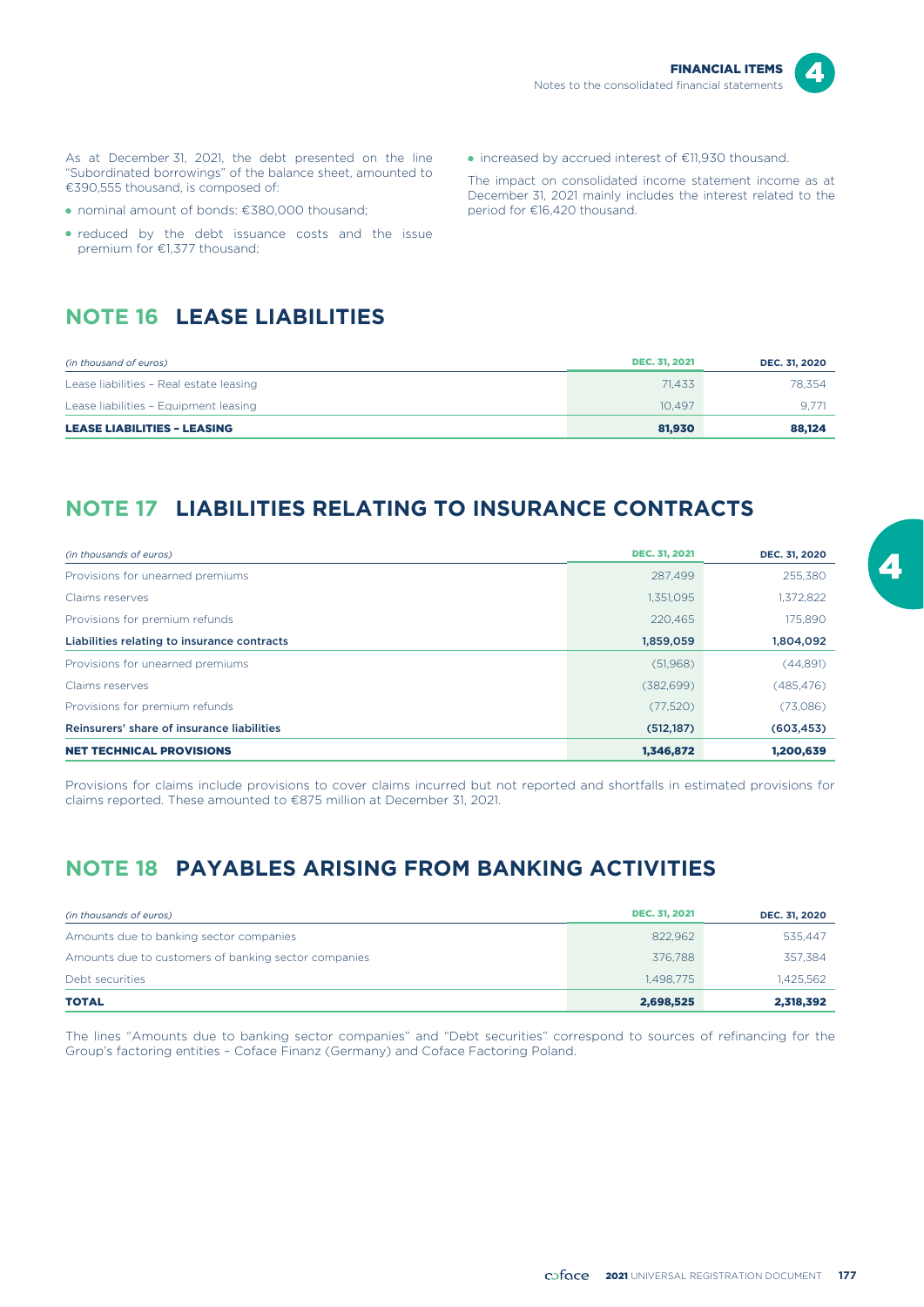

As at December 31, 2021, the debt presented on the line "Subordinated borrowings" of the balance sheet, amounted to €390,555 thousand, is composed of:

- nominal amount of bonds: €380,000 thousand;
- reduced by the debt issuance costs and the issue premium for €1,377 thousand;

### **NOTE 16 LEASE LIABILITIES**

| (in thousand of euros)                  | <b>DEC. 31, 2021</b> | <b>DEC. 31, 2020</b> |
|-----------------------------------------|----------------------|----------------------|
| Lease liabilities - Real estate leasing | 71.433               | 78.354               |
| Lease liabilities - Equipment leasing   | 10.497               | 9.771                |
| <b>LEASE LIABILITIES - LEASING</b>      | 81.930               | 88,124               |

# **NOTE 17 LIABILITIES RELATING TO INSURANCE CONTRACTS**

| (in thousands of euros)                     | <b>DEC. 31, 2021</b> | DEC. 31, 2020 |
|---------------------------------------------|----------------------|---------------|
| Provisions for unearned premiums            | 287.499              | 255,380       |
| Claims reserves                             | 1.351.095            | 1,372,822     |
| Provisions for premium refunds              | 220.465              | 175,890       |
| Liabilities relating to insurance contracts | 1,859,059            | 1,804,092     |
| Provisions for unearned premiums            | (51,968)             | (44,891)      |
| Claims reserves                             | (382, 699)           | (485, 476)    |
| Provisions for premium refunds              | (77,520)             | (73,086)      |
| Reinsurers' share of insurance liabilities  | (512, 187)           | (603, 453)    |
| <b>NET TECHNICAL PROVISIONS</b>             | 1,346,872            | 1,200,639     |

Provisions for claims include provisions to cover claims incurred but not reported and shortfalls in estimated provisions for claims reported. These amounted to €875 million at December 31, 2021.

# **NOTE 18 PAYABLES ARISING FROM BANKING ACTIVITIES**

| (in thousands of euros)                              | <b>DEC. 31, 2021</b> | DEC. 31, 2020 |
|------------------------------------------------------|----------------------|---------------|
| Amounts due to banking sector companies              | 822.962              | 535,447       |
| Amounts due to customers of banking sector companies | 376.788              | 357.384       |
| Debt securities                                      | 1.498.775            | 1.425.562     |
| <b>TOTAL</b>                                         | 2,698,525            | 2,318,392     |

The lines "Amounts due to banking sector companies" and "Debt securities" correspond to sources of refinancing for the Group's factoring entities – Coface Finanz (Germany) and Coface Factoring Poland.

- increased by accrued interest of €11,930 thousand.

The impact on consolidated income statement income as at December 31, 2021 mainly includes the interest related to the period for €16,420 thousand.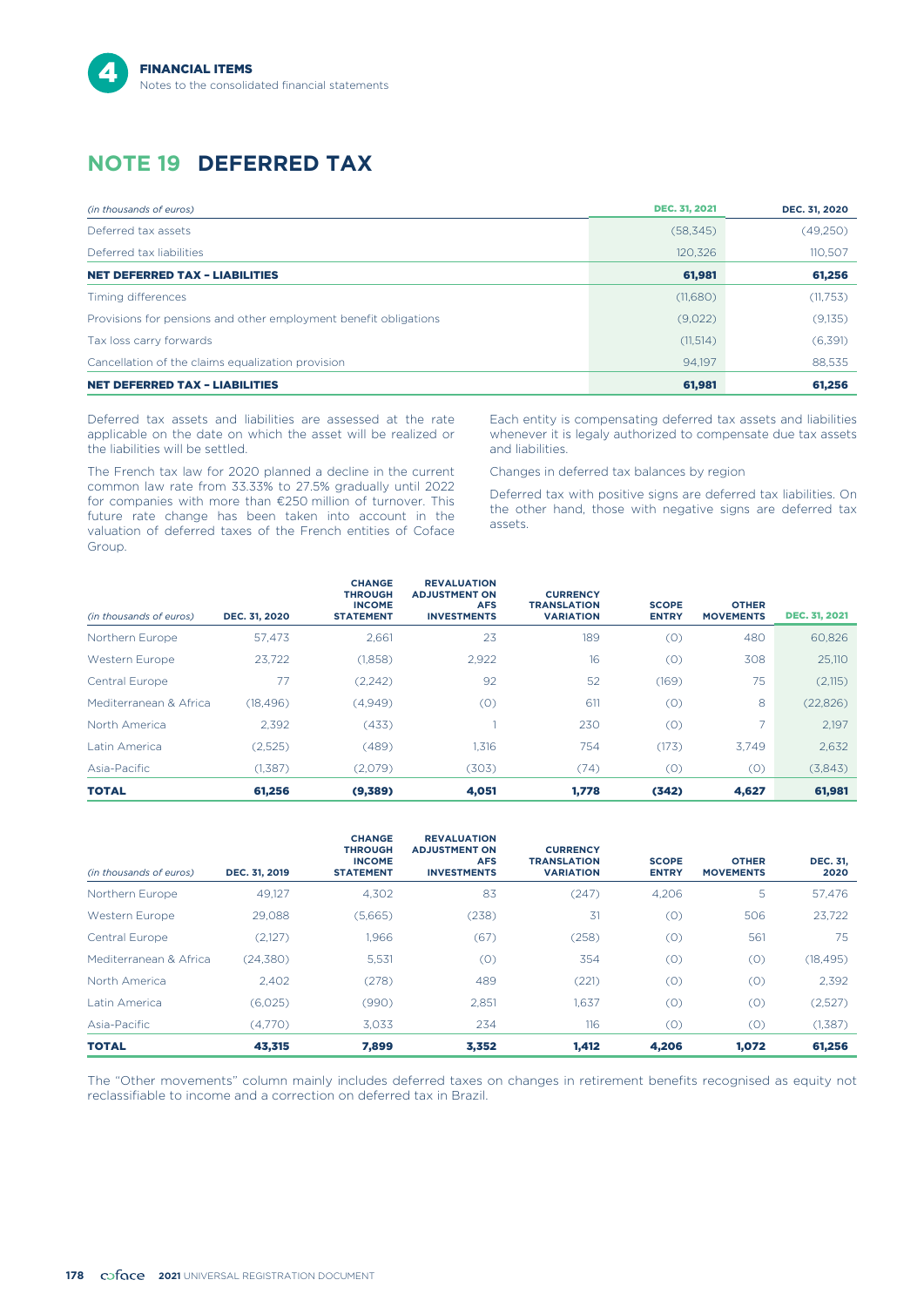# **NOTE 19 DEFERRED TAX**

| (in thousands of euros)                                          | <b>DEC. 31, 2021</b> | DEC. 31, 2020 |
|------------------------------------------------------------------|----------------------|---------------|
| Deferred tax assets                                              | (58, 345)            | (49,250)      |
| Deferred tax liabilities                                         | 120,326              | 110,507       |
| <b>NET DEFERRED TAX - LIABILITIES</b>                            | 61,981               | 61,256        |
| Timing differences                                               | (11,680)             | (11,753)      |
| Provisions for pensions and other employment benefit obligations | (9,022)              | (9,135)       |
| Tax loss carry forwards                                          | (11,514)             | (6,391)       |
| Cancellation of the claims equalization provision                | 94.197               | 88.535        |
| <b>NET DEFERRED TAX - LIABILITIES</b>                            | 61,981               | 61,256        |

Deferred tax assets and liabilities are assessed at the rate applicable on the date on which the asset will be realized or the liabilities will be settled.

The French tax law for 2020 planned a decline in the current common law rate from 33.33% to 27.5% gradually until 2022 for companies with more than €250 million of turnover. This future rate change has been taken into account in the valuation of deferred taxes of the French entities of Coface Group.

Each entity is compensating deferred tax assets and liabilities whenever it is legaly authorized to compensate due tax assets and liabilities.

Changes in deferred tax balances by region

Deferred tax with positive signs are deferred tax liabilities. On the other hand, those with negative signs are deferred tax assets.

| (in thousands of euros) | DEC. 31, 2020 | <b>CHANGE</b><br><b>THROUGH</b><br><b>INCOME</b><br><b>STATEMENT</b> | <b>REVALUATION</b><br><b>ADJUSTMENT ON</b><br><b>AFS</b><br><b>INVESTMENTS</b> | <b>CURRENCY</b><br><b>TRANSLATION</b><br><b>VARIATION</b> | <b>SCOPE</b><br><b>ENTRY</b> | <b>OTHER</b><br><b>MOVEMENTS</b> | <b>DEC. 31, 2021</b> |
|-------------------------|---------------|----------------------------------------------------------------------|--------------------------------------------------------------------------------|-----------------------------------------------------------|------------------------------|----------------------------------|----------------------|
| Northern Europe         | 57,473        | 2,661                                                                | 23                                                                             | 189                                                       | (0)                          | 480                              | 60,826               |
| Western Europe          | 23,722        | (1,858)                                                              | 2,922                                                                          | 16                                                        | (0)                          | 308                              | 25,110               |
| Central Europe          | 77            | (2,242)                                                              | 92                                                                             | 52                                                        | (169)                        | 75                               | (2,115)              |
| Mediterranean & Africa  | (18, 496)     | (4,949)                                                              | (0)                                                                            | 611                                                       | (0)                          | 8                                | (22, 826)            |
| North America           | 2.392         | (433)                                                                |                                                                                | 230                                                       | (0)                          | $\overline{ }$                   | 2.197                |
| Latin America           | (2,525)       | (489)                                                                | 1.316                                                                          | 754                                                       | (173)                        | 3.749                            | 2.632                |
| Asia-Pacific            | (1,387)       | (2,079)                                                              | (303)                                                                          | (74)                                                      | (0)                          | (0)                              | (3,843)              |
| <b>TOTAL</b>            | 61,256        | (9,389)                                                              | 4,051                                                                          | 1.778                                                     | (342)                        | 4,627                            | 61,981               |

| (in thousands of euros) | DEC. 31, 2019 | <b>CHANGE</b><br><b>THROUGH</b><br><b>INCOME</b><br><b>STATEMENT</b> | <b>REVALUATION</b><br><b>ADJUSTMENT ON</b><br><b>AFS</b><br><b>INVESTMENTS</b> | <b>CURRENCY</b><br><b>TRANSLATION</b><br><b>VARIATION</b> | <b>SCOPE</b><br><b>ENTRY</b> | <b>OTHER</b><br><b>MOVEMENTS</b> | <b>DEC. 31,</b><br>2020 |
|-------------------------|---------------|----------------------------------------------------------------------|--------------------------------------------------------------------------------|-----------------------------------------------------------|------------------------------|----------------------------------|-------------------------|
| Northern Europe         | 49,127        | 4,302                                                                | 83                                                                             | (247)                                                     | 4,206                        | 5                                | 57,476                  |
| Western Europe          | 29.088        | (5,665)                                                              | (238)                                                                          | 31                                                        | (0)                          | 506                              | 23,722                  |
| Central Europe          | (2,127)       | 1,966                                                                | (67)                                                                           | (258)                                                     | (0)                          | 561                              | 75                      |
| Mediterranean & Africa  | (24, 380)     | 5,531                                                                | (0)                                                                            | 354                                                       | (0)                          | (0)                              | (18, 495)               |
| North America           | 2,402         | (278)                                                                | 489                                                                            | (221)                                                     | (0)                          | (0)                              | 2,392                   |
| Latin America           | (6,025)       | (990)                                                                | 2,851                                                                          | 1,637                                                     | (0)                          | (0)                              | (2,527)                 |
| Asia-Pacific            | (4,770)       | 3.033                                                                | 234                                                                            | 116                                                       | (0)                          | (0)                              | (1,387)                 |
| <b>TOTAL</b>            | 43,315        | 7.899                                                                | 3.352                                                                          | 1,412                                                     | 4.206                        | 1.072                            | 61,256                  |

The "Other movements" column mainly includes deferred taxes on changes in retirement benefits recognised as equity not reclassifiable to income and a correction on deferred tax in Brazil.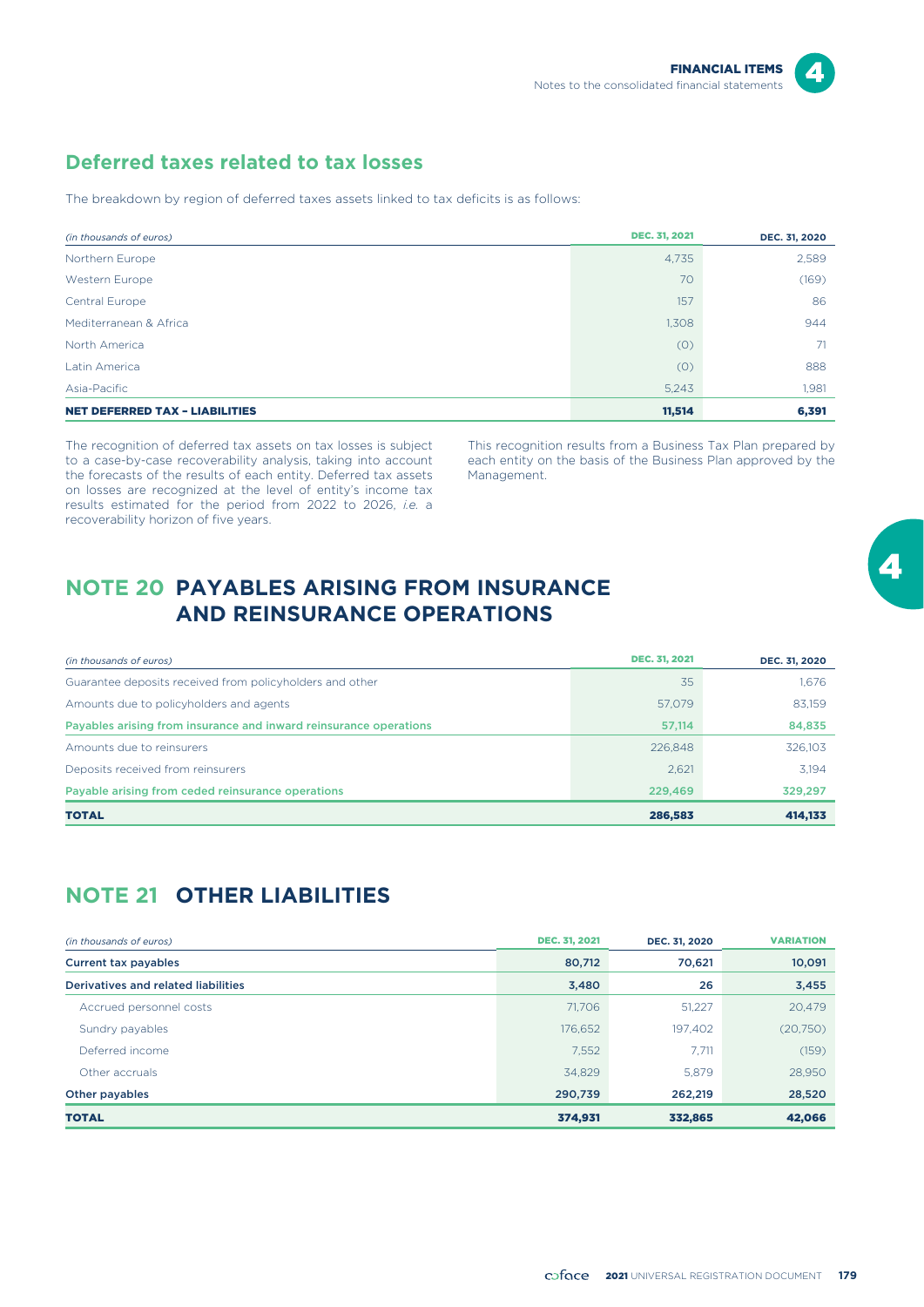

# **Deferred taxes related to tax losses**

The breakdown by region of deferred taxes assets linked to tax deficits is as follows:

| (in thousands of euros)               | <b>DEC. 31, 2021</b> | DEC. 31, 2020 |
|---------------------------------------|----------------------|---------------|
| Northern Europe                       | 4,735                | 2,589         |
| Western Europe                        | 70                   | (169)         |
| Central Europe                        | 157                  | 86            |
| Mediterranean & Africa                | 1,308                | 944           |
| North America                         | (0)                  | 71            |
| Latin America                         | (0)                  | 888           |
| Asia-Pacific                          | 5,243                | 1,981         |
| <b>NET DEFERRED TAX - LIABILITIES</b> | 11,514               | 6,391         |

The recognition of deferred tax assets on tax losses is subject to a case-by-case recoverability analysis, taking into account the forecasts of the results of each entity. Deferred tax assets on losses are recognized at the level of entity's income tax results estimated for the period from 2022 to 2026, *i.e.* a recoverability horizon of five years.

This recognition results from a Business Tax Plan prepared by each entity on the basis of the Business Plan approved by the Management.

# **NOTE 20 PAYABLES ARISING FROM INSURANCE AND REINSURANCE OPERATIONS**

| (in thousands of euros)                                           | <b>DEC. 31, 2021</b> | <b>DEC. 31, 2020</b> |
|-------------------------------------------------------------------|----------------------|----------------------|
| Guarantee deposits received from policyholders and other          | 35                   | 1.676                |
| Amounts due to policyholders and agents                           | 57,079               | 83,159               |
| Payables arising from insurance and inward reinsurance operations | 57.114               | 84,835               |
| Amounts due to reinsurers                                         | 226.848              | 326,103              |
| Deposits received from reinsurers                                 | 2.621                | 3.194                |
| Payable arising from ceded reinsurance operations                 | 229,469              | 329,297              |
| <b>TOTAL</b>                                                      | 286,583              | 414,133              |

# **NOTE 21 OTHER LIABILITIES**

| (in thousands of euros)             | <b>DEC. 31, 2021</b> | DEC. 31, 2020 | <b>VARIATION</b> |
|-------------------------------------|----------------------|---------------|------------------|
| <b>Current tax payables</b>         | 80,712               | 70,621        | 10,091           |
| Derivatives and related liabilities | 3,480                | 26            | 3,455            |
| Accrued personnel costs             | 71.706               | 51,227        | 20,479           |
| Sundry payables                     | 176,652              | 197,402       | (20, 750)        |
| Deferred income                     | 7,552                | 7,711         | (159)            |
| Other accruals                      | 34,829               | 5,879         | 28,950           |
| Other payables                      | 290,739              | 262.219       | 28,520           |
| <b>TOTAL</b>                        | 374,931              | 332,865       | 42,066           |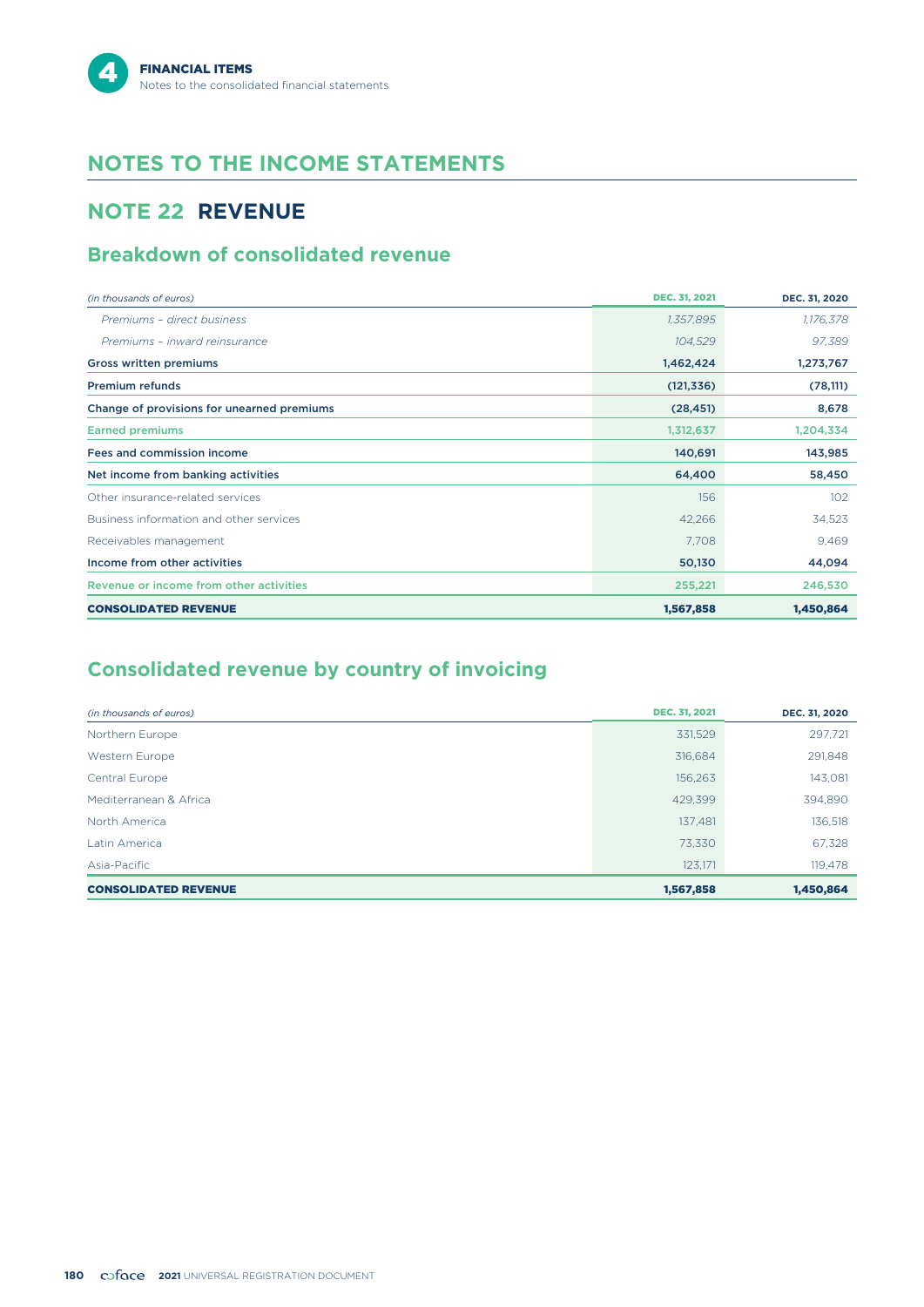# **NOTES TO THE INCOME STATEMENTS**

# **NOTE 22 REVENUE**

# **Breakdown of consolidated revenue**

| (in thousands of euros)                    | <b>DEC. 31, 2021</b> | DEC. 31, 2020 |
|--------------------------------------------|----------------------|---------------|
| Premiums - direct business                 | 1,357,895            | 1,176,378     |
| Premiums - inward reinsurance              | 104,529              | 97,389        |
| <b>Gross written premiums</b>              | 1,462,424            | 1,273,767     |
| <b>Premium refunds</b>                     | (121, 336)           | (78, 111)     |
| Change of provisions for unearned premiums | (28, 451)            | 8,678         |
| <b>Earned premiums</b>                     | 1,312,637            | 1,204,334     |
| Fees and commission income                 | 140,691              | 143,985       |
| Net income from banking activities         | 64,400               | 58,450        |
| Other insurance-related services           | 156                  | 102           |
| Business information and other services    | 42,266               | 34,523        |
| Receivables management                     | 7.708                | 9,469         |
| Income from other activities               | 50,130               | 44,094        |
| Revenue or income from other activities    | 255,221              | 246,530       |
| <b>CONSOLIDATED REVENUE</b>                | 1,567,858            | 1,450,864     |

# **Consolidated revenue by country of invoicing**

| (in thousands of euros)     | <b>DEC. 31, 2021</b> | DEC. 31, 2020 |
|-----------------------------|----------------------|---------------|
| Northern Europe             | 331,529              | 297,721       |
| Western Europe              | 316.684              | 291,848       |
| Central Europe              | 156,263              | 143,081       |
| Mediterranean & Africa      | 429.399              | 394,890       |
| North America               | 137,481              | 136,518       |
| Latin America               | 73,330               | 67,328        |
| Asia-Pacific                | 123.171              | 119,478       |
| <b>CONSOLIDATED REVENUE</b> | 1,567,858            | 1,450,864     |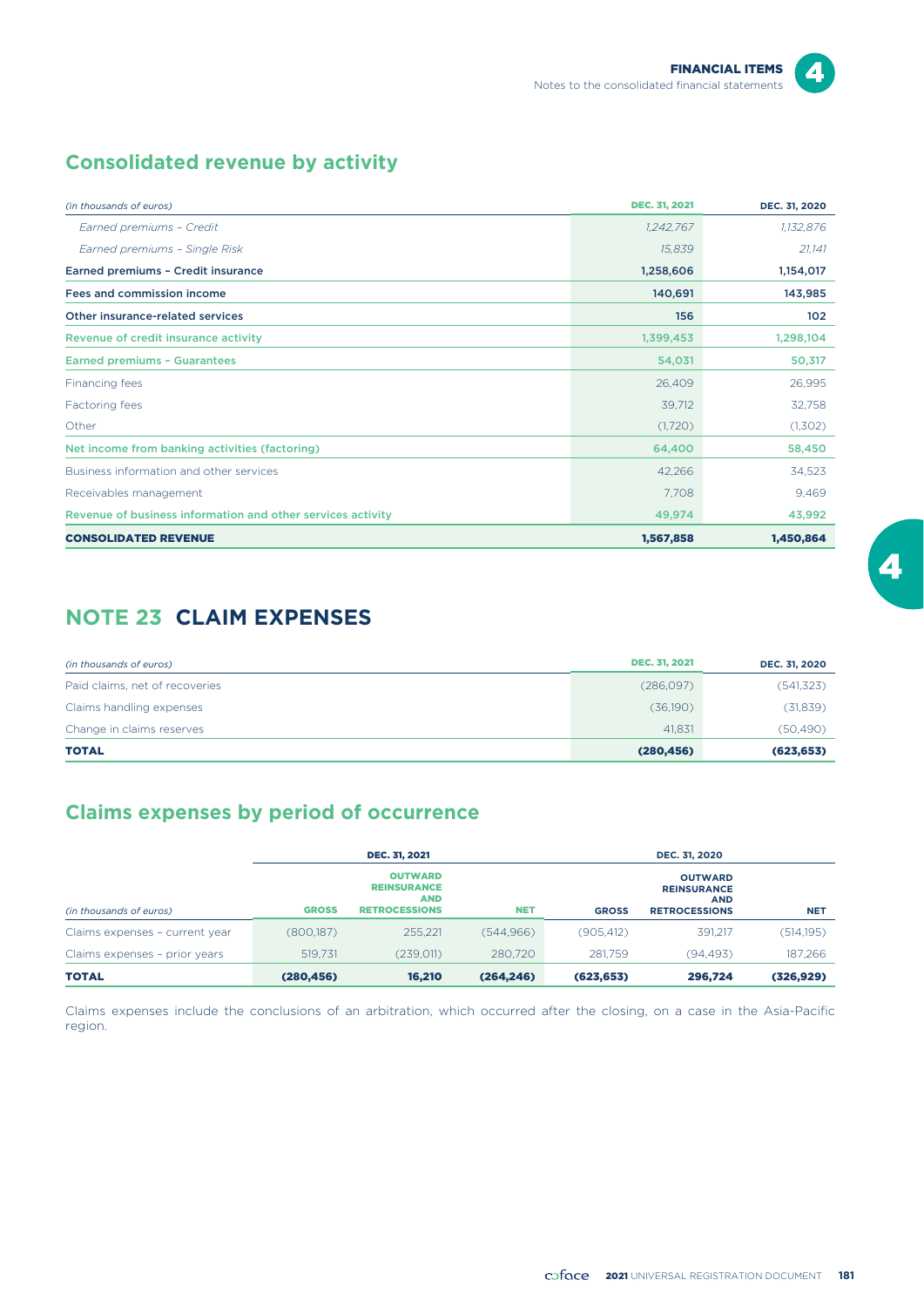$\blacktriangle$ 

# **Consolidated revenue by activity**

| (in thousands of euros)                                     | <b>DEC. 31, 2021</b> | DEC. 31, 2020 |
|-------------------------------------------------------------|----------------------|---------------|
| Earned premiums - Credit                                    | 1,242,767            | 1,132,876     |
| Earned premiums - Single Risk                               | 15,839               | 21,141        |
| <b>Earned premiums - Credit insurance</b>                   | 1,258,606            | 1,154,017     |
| Fees and commission income                                  | 140,691              | 143,985       |
| Other insurance-related services                            | 156                  | 102           |
| Revenue of credit insurance activity                        | 1,399,453            | 1,298,104     |
| <b>Earned premiums - Guarantees</b>                         | 54,031               | 50,317        |
| Financing fees                                              | 26,409               | 26,995        |
| Factoring fees                                              | 39,712               | 32,758        |
| Other                                                       | (1,720)              | (1,302)       |
| Net income from banking activities (factoring)              | 64,400               | 58,450        |
| Business information and other services                     | 42,266               | 34,523        |
| Receivables management                                      | 7,708                | 9,469         |
| Revenue of business information and other services activity | 49,974               | 43,992        |
| <b>CONSOLIDATED REVENUE</b>                                 | 1,567,858            | 1,450,864     |

# **NOTE 23 CLAIM EXPENSES**

| (in thousands of euros)        | <b>DEC. 31, 2021</b> | DEC. 31, 2020 |
|--------------------------------|----------------------|---------------|
| Paid claims, net of recoveries | (286,097)            | (541, 323)    |
| Claims handling expenses       | (36,190)             | (31, 839)     |
| Change in claims reserves      | 41.831               | (50, 490)     |
| <b>TOTAL</b>                   | (280, 456)           | (623, 653)    |

# **Claims expenses by period of occurrence**

|                                |              | <b>DEC. 31, 2021</b>                                                       |            | DEC. 31, 2020 |                                                                            |            |  |
|--------------------------------|--------------|----------------------------------------------------------------------------|------------|---------------|----------------------------------------------------------------------------|------------|--|
| (in thousands of euros)        | <b>GROSS</b> | <b>OUTWARD</b><br><b>REINSURANCE</b><br><b>AND</b><br><b>RETROCESSIONS</b> | <b>NET</b> | <b>GROSS</b>  | <b>OUTWARD</b><br><b>REINSURANCE</b><br><b>AND</b><br><b>RETROCESSIONS</b> | <b>NET</b> |  |
| Claims expenses - current year | (800, 187)   | 255.221                                                                    | (544.966)  | (905, 412)    | 391.217                                                                    | (514, 195) |  |
| Claims expenses - prior years  | 519.731      | (239.011)                                                                  | 280.720    | 281.759       | (94.493)                                                                   | 187,266    |  |
| <b>TOTAL</b>                   | (280, 456)   | 16,210                                                                     | (264, 246) | (623, 653)    | 296,724                                                                    | (326, 929) |  |

Claims expenses include the conclusions of an arbitration, which occurred after the closing, on a case in the Asia-Pacific region.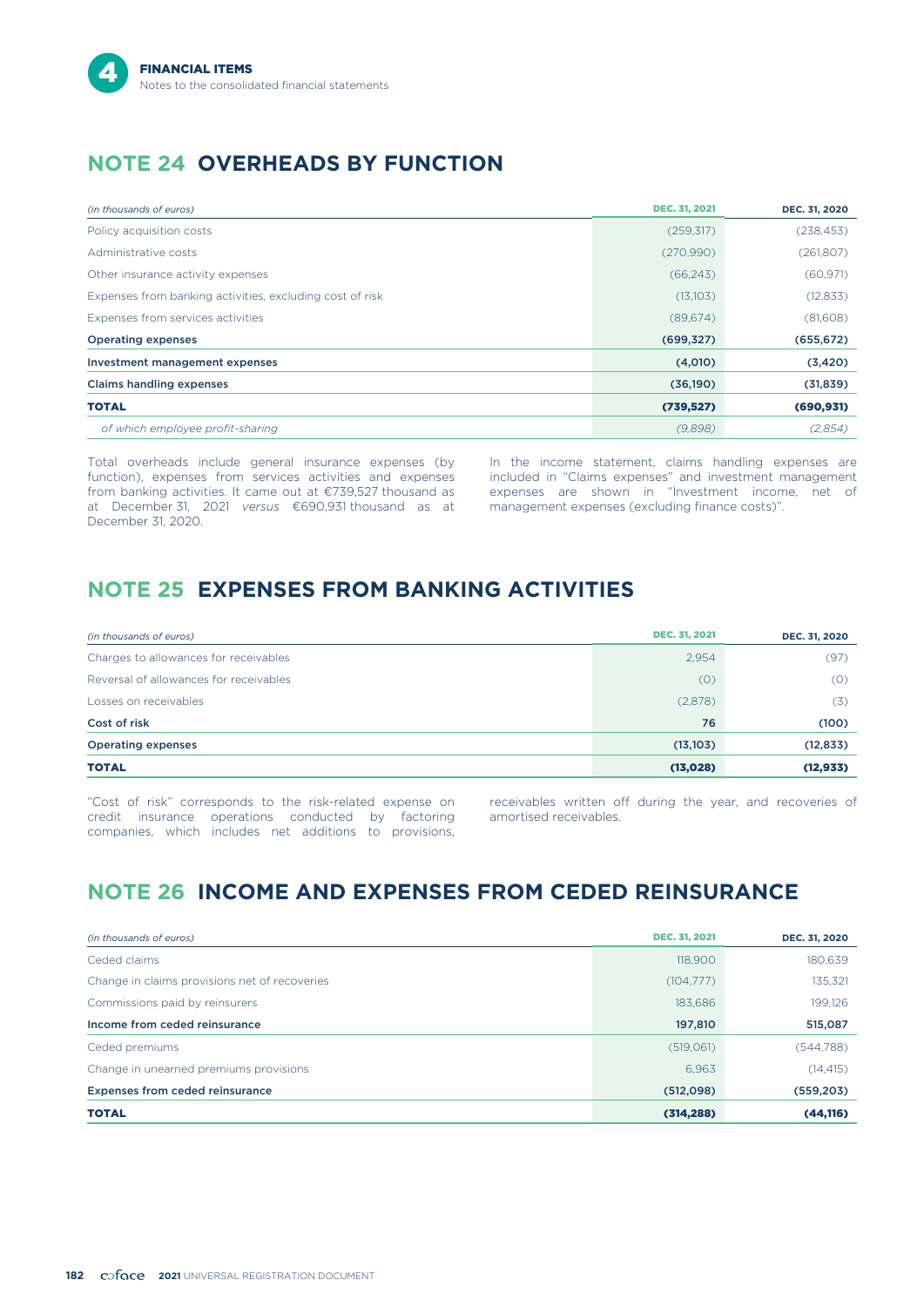# **NOTE 24 OVERHEADS BY FUNCTION**

| (in thousands of euros)                                  | <b>DEC. 31, 2021</b> | DEC. 31, 2020 |
|----------------------------------------------------------|----------------------|---------------|
| Policy acquisition costs                                 | (259,317)            | (238, 453)    |
| Administrative costs                                     | (270,990)            | (261, 807)    |
| Other insurance activity expenses                        | (66, 243)            | (60, 971)     |
| Expenses from banking activities, excluding cost of risk | (13,103)             | (12, 833)     |
| Expenses from services activities                        | (89, 674)            | (81,608)      |
| <b>Operating expenses</b>                                | (699, 327)           | (655, 672)    |
| Investment management expenses                           | (4,010)              | (3,420)       |
| <b>Claims handling expenses</b>                          | (36,190)             | (31, 839)     |
| <b>TOTAL</b>                                             | (739, 527)           | (690, 931)    |
| of which employee profit-sharing                         | (9,898)              | (2,854)       |

Total overheads include general insurance expenses (by function), expenses from services activities and expenses from banking activities. It came out at €739,527 thousand as at December 31, 2021 *versus* €690,931 thousand as at management expenses (excluding finance costs)". December 31, 2020.

In the income statement, claims handling expenses are included in "Claims expenses" and investment management expenses are shown in "Investment income, net of

# **NOTE 25 EXPENSES FROM BANKING ACTIVITIES**

| (in thousands of euros)                | <b>DEC. 31, 2021</b> | DEC. 31, 2020 |
|----------------------------------------|----------------------|---------------|
| Charges to allowances for receivables  | 2,954                | (97)          |
| Reversal of allowances for receivables | (0)                  | (0)           |
| Losses on receivables                  | (2,878)              | (3)           |
| Cost of risk                           | 76                   | (100)         |
| <b>Operating expenses</b>              | (13, 103)            | (12, 833)     |
| <b>TOTAL</b>                           | (13, 028)            | (12, 933)     |

credit insurance operations conducted by factoring amortised receivables. companies, which includes net additions to provisions,

"Cost of risk" corresponds to the risk-related expense on receivables written off during the year, and recoveries of

# **NOTE 26 INCOME AND EXPENSES FROM CEDED REINSURANCE**

| (in thousands of euros)                       | <b>DEC. 31, 2021</b> | DEC. 31, 2020 |
|-----------------------------------------------|----------------------|---------------|
| Ceded claims                                  | 118,900              | 180,639       |
| Change in claims provisions net of recoveries | (104, 777)           | 135,321       |
| Commissions paid by reinsurers                | 183.686              | 199,126       |
| Income from ceded reinsurance                 | 197,810              | 515,087       |
| Ceded premiums                                | (519,061)            | (544, 788)    |
| Change in unearned premiums provisions        | 6.963                | (14, 415)     |
| <b>Expenses from ceded reinsurance</b>        | (512,098)            | (559, 203)    |
| <b>TOTAL</b>                                  | (314, 288)           | (44, 116)     |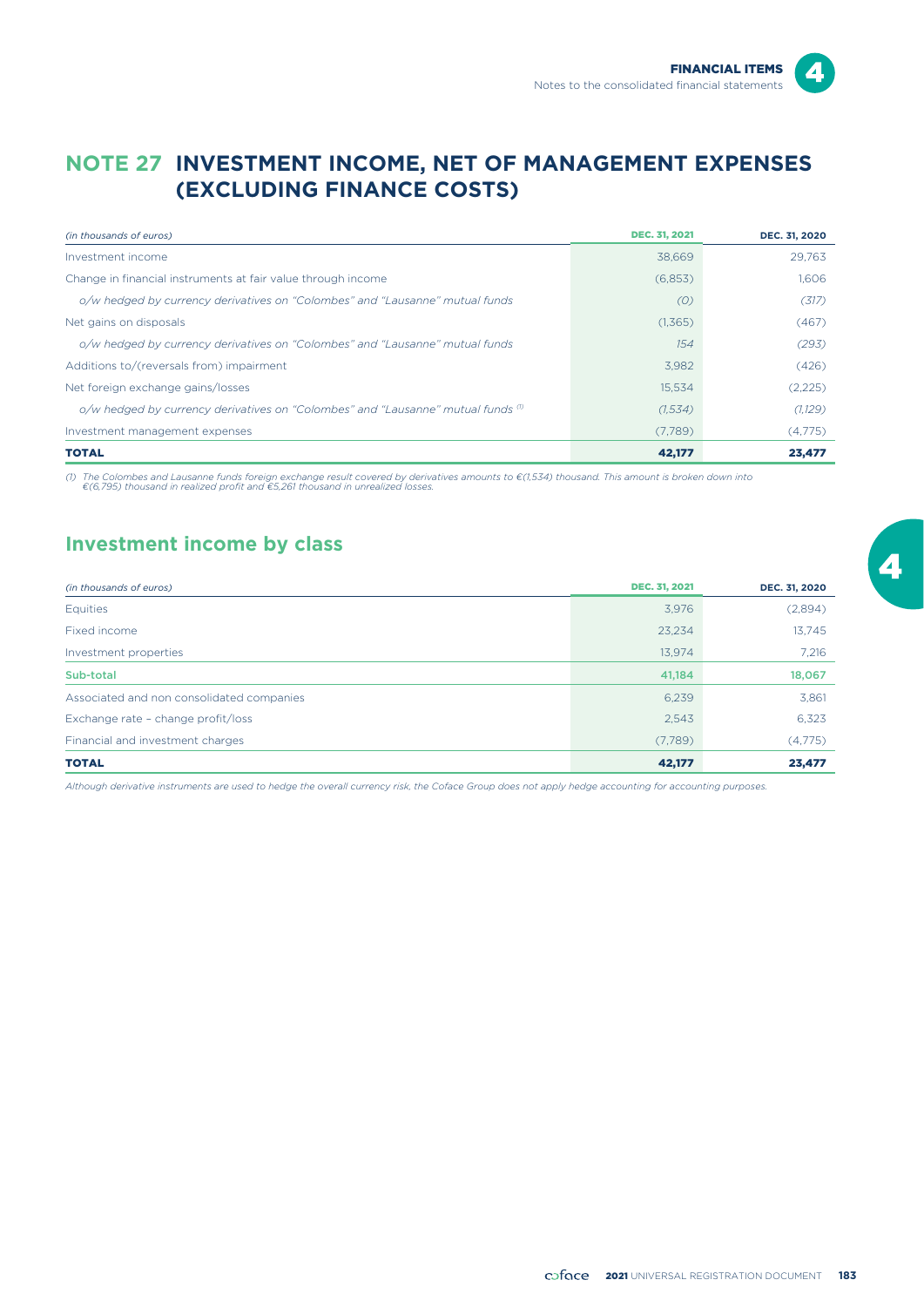# **NOTE 27 INVESTMENT INCOME, NET OF MANAGEMENT EXPENSES (EXCLUDING FINANCE COSTS)**

| (in thousands of euros)                                                               | <b>DEC. 31, 2021</b> | DEC. 31, 2020 |
|---------------------------------------------------------------------------------------|----------------------|---------------|
| Investment income                                                                     | 38.669               | 29.763        |
| Change in financial instruments at fair value through income                          | (6,853)              | 1,606         |
| o/w hedged by currency derivatives on "Colombes" and "Lausanne" mutual funds          | (O)                  | (317)         |
| Net gains on disposals                                                                | (1,365)              | (467)         |
| o/w hedged by currency derivatives on "Colombes" and "Lausanne" mutual funds          | 154                  | (293)         |
| Additions to/(reversals from) impairment                                              | 3,982                | (426)         |
| Net foreign exchange gains/losses                                                     | 15,534               | (2,225)       |
| o/w hedged by currency derivatives on "Colombes" and "Lausanne" mutual funds $\sigma$ | (1,534)              | (1, 129)      |
| Investment management expenses                                                        | (7,789)              | (4,775)       |
| <b>TOTAL</b>                                                                          | 42,177               | 23,477        |

(1) The Colombes and Lausanne funds foreign exchange result covered by derivatives amounts to €(1,534) thousand. This amount is broken down intc<br>€(6,795) thousand in realized profit and €5,261 thousand in unrealized losse

# **Investment income by class**

| (in thousands of euros)                   | <b>DEC. 31, 2021</b> | DEC. 31, 2020 |
|-------------------------------------------|----------------------|---------------|
| Equities                                  | 3,976                | (2,894)       |
| Fixed income                              | 23.234               | 13,745        |
| Investment properties                     | 13.974               | 7,216         |
| Sub-total                                 | 41,184               | 18,067        |
| Associated and non consolidated companies | 6,239                | 3,861         |
| Exchange rate - change profit/loss        | 2,543                | 6,323         |
| Financial and investment charges          | (7,789)              | (4,775)       |
| <b>TOTAL</b>                              | 42,177               | 23,477        |

*Although derivative instruments are used to hedge the overall currency risk, the Coface Group does not apply hedge accounting for accounting purposes.*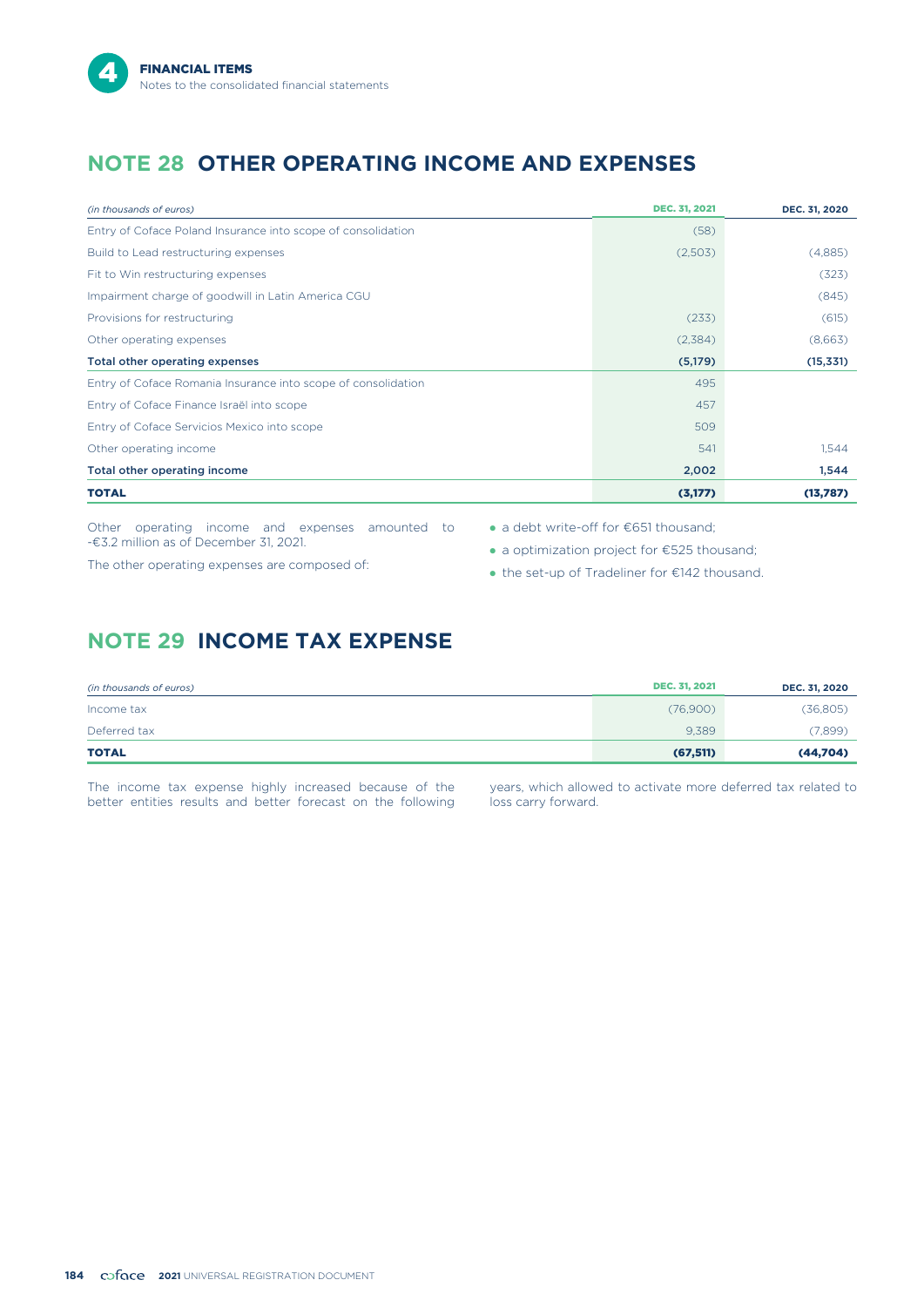# **NOTE 28 OTHER OPERATING INCOME AND EXPENSES**

| (in thousands of euros)                                       | <b>DEC. 31, 2021</b> | DEC. 31, 2020 |
|---------------------------------------------------------------|----------------------|---------------|
| Entry of Coface Poland Insurance into scope of consolidation  | (58)                 |               |
| Build to Lead restructuring expenses                          | (2,503)              | (4,885)       |
| Fit to Win restructuring expenses                             |                      | (323)         |
| Impairment charge of goodwill in Latin America CGU            |                      | (845)         |
| Provisions for restructuring                                  | (233)                | (615)         |
| Other operating expenses                                      | (2,384)              | (8,663)       |
| <b>Total other operating expenses</b>                         | (5, 179)             | (15, 331)     |
| Entry of Coface Romania Insurance into scope of consolidation | 495                  |               |
| Entry of Coface Finance Israël into scope                     | 457                  |               |
| Entry of Coface Servicios Mexico into scope                   | 509                  |               |
| Other operating income                                        | 541                  | 1,544         |
| Total other operating income                                  | 2,002                | 1,544         |
| <b>TOTAL</b>                                                  | (3, 177)             | (13,787)      |

Other operating income and expenses amounted to • a debt write-off for €651 thousand; -€3.2 million as of December 31, 2021.

The other operating expenses are composed of:

- 
- a optimization project for €525 thousand;
- the set-up of Tradeliner for €142 thousand.

# **NOTE 29 INCOME TAX EXPENSE**

| (in thousands of euros) | <b>DEC. 31, 2021</b> | DEC. 31, 2020 |
|-------------------------|----------------------|---------------|
| Income tax              | (76,900)             | (36,805)      |
| Deferred tax            | 9,389                | (7,899)       |
| <b>TOTAL</b>            | (67, 511)            | (44,704)      |

The income tax expense highly increased because of the years, which allowed to activate more deferred tax related to better entities results and better forecast on the following loss carry forward. better entities results and better forecast on the following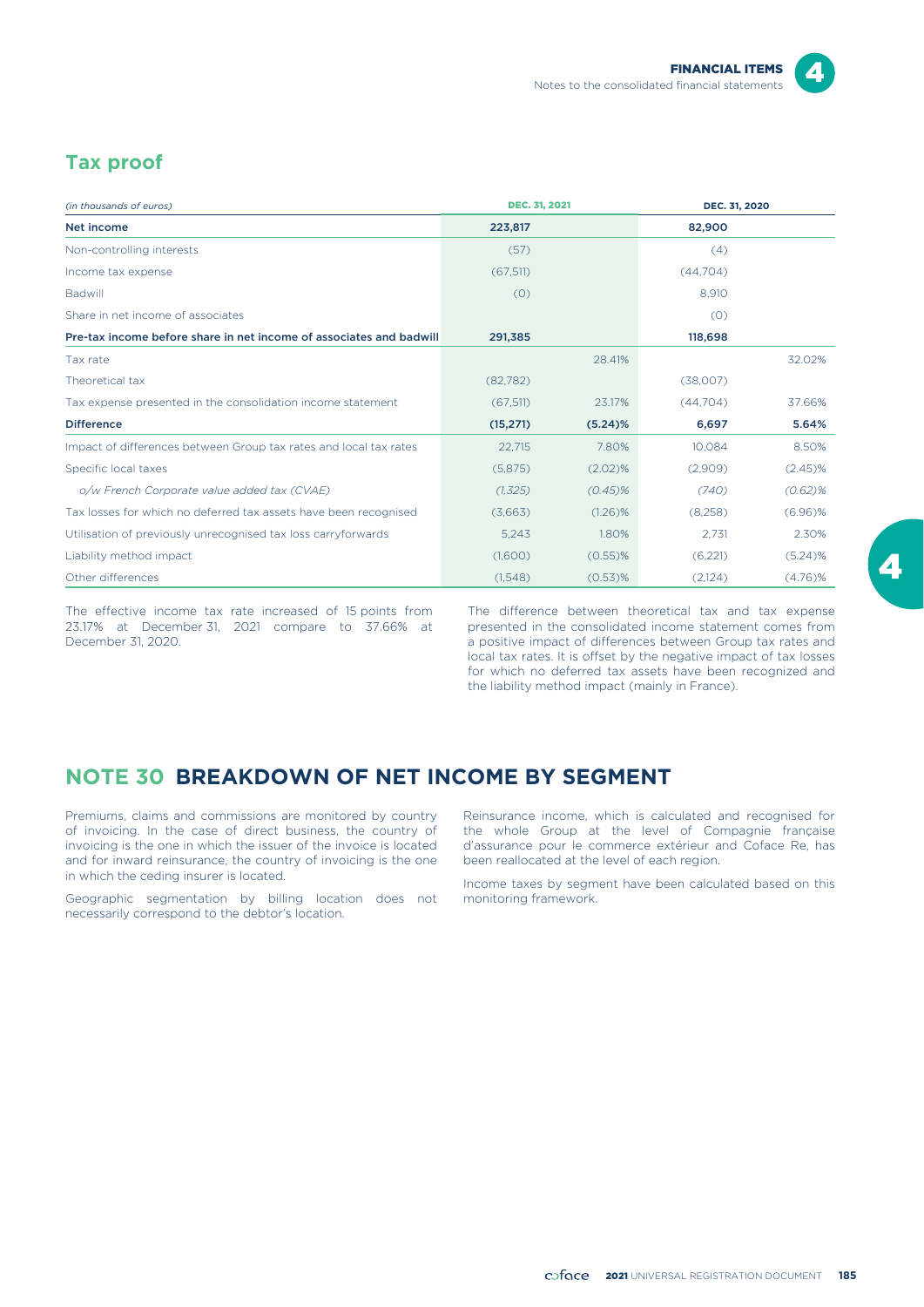

# **Tax proof**

| (in thousands of euros)                                             | <b>DEC. 31, 2021</b> |            | DEC. 31, 2020 |            |
|---------------------------------------------------------------------|----------------------|------------|---------------|------------|
| Net income                                                          | 223,817              |            | 82,900        |            |
| Non-controlling interests                                           | (57)                 |            | (4)           |            |
| Income tax expense                                                  | (67, 511)            |            | (44,704)      |            |
| Badwill                                                             | (0)                  |            | 8.910         |            |
| Share in net income of associates                                   |                      |            | (0)           |            |
| Pre-tax income before share in net income of associates and badwill | 291,385              |            | 118,698       |            |
| Tax rate                                                            |                      | 28.41%     |               | 32.02%     |
| Theoretical tax                                                     | (82, 782)            |            | (38,007)      |            |
| Tax expense presented in the consolidation income statement         | (67,511)             | 23.17%     | (44,704)      | 37.66%     |
| <b>Difference</b>                                                   | (15, 271)            | $(5.24)$ % | 6,697         | 5.64%      |
| Impact of differences between Group tax rates and local tax rates   | 22,715               | 7.80%      | 10,084        | 8.50%      |
| Specific local taxes                                                | (5,875)              | $(2.02)\%$ | (2,909)       | $(2.45)$ % |
| o/w French Corporate value added tax (CVAE)                         | (1, 325)             | $(0.45)$ % | (740)         | $(0.62)$ % |
| Tax losses for which no deferred tax assets have been recognised    | (3,663)              | (1.26)%    | (8,258)       | $(6.96)\%$ |
| Utilisation of previously unrecognised tax loss carryforwards       | 5,243                | 1.80%      | 2.731         | 2.30%      |
| Liability method impact                                             | (1,600)              | $(0.55)$ % | (6,221)       | $(5.24)$ % |
| Other differences                                                   | (1,548)              | (0.53)%    | (2,124)       | $(4.76)$ % |

The effective income tax rate increased of 15 points from 23.17% at December 31, 2021 compare to 37.66% at December 31, 2020.

The difference between theoretical tax and tax expense presented in the consolidated income statement comes from a positive impact of differences between Group tax rates and local tax rates. It is offset by the negative impact of tax losses for which no deferred tax assets have been recognized and the liability method impact (mainly in France).

# **NOTE 30 BREAKDOWN OF NET INCOME BY SEGMENT**

Premiums, claims and commissions are monitored by country of invoicing. In the case of direct business, the country of invoicing is the one in which the issuer of the invoice is located and for inward reinsurance, the country of invoicing is the one in which the ceding insurer is located.

Geographic segmentation by billing location does not necessarily correspond to the debtor's location.

Reinsurance income, which is calculated and recognised for the whole Group at the level of Compagnie française d'assurance pour le commerce extérieur and Coface Re, has been reallocated at the level of each region.

Income taxes by segment have been calculated based on this monitoring framework.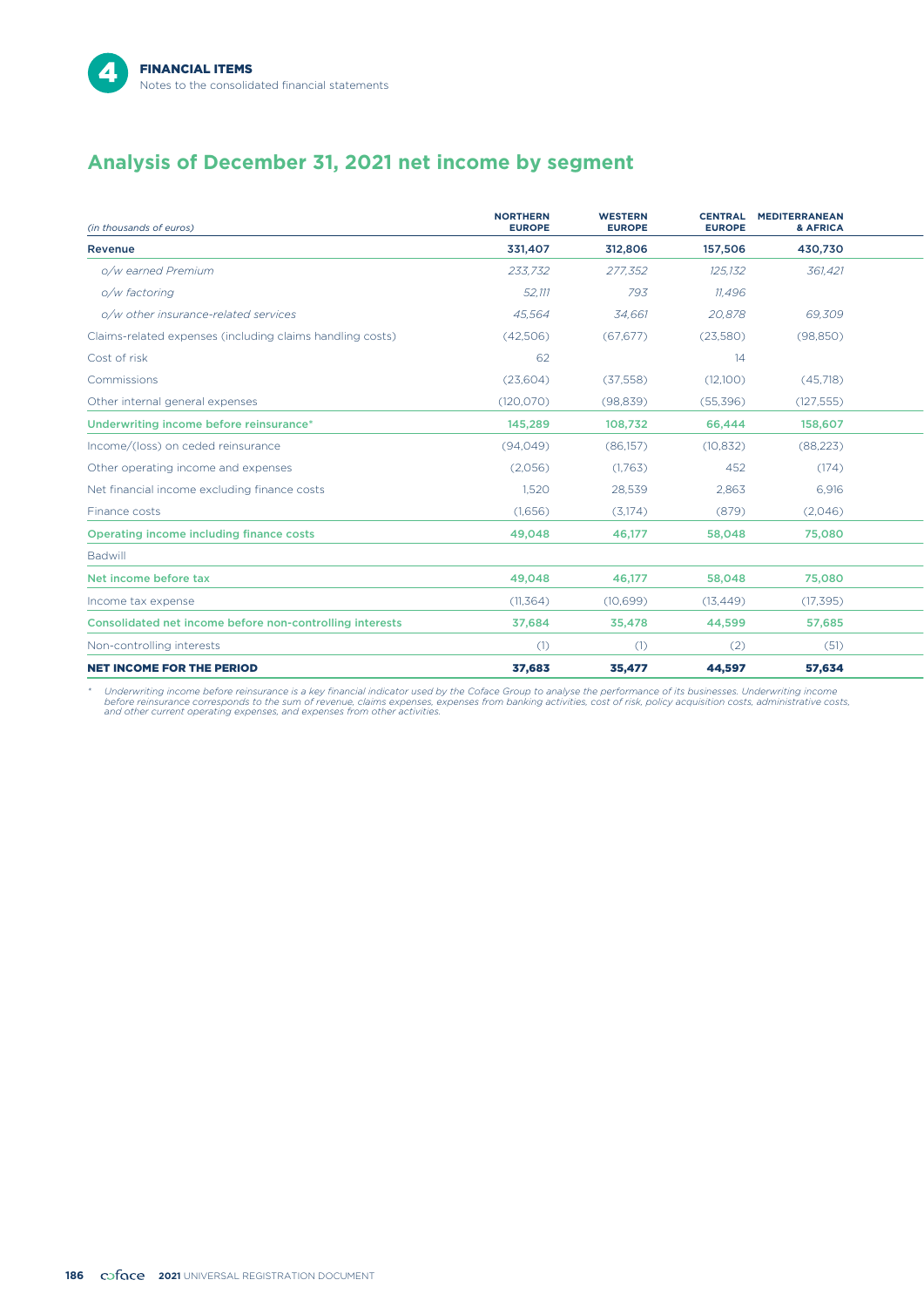# **Analysis of December 31, 2021 net income by segment**

| (in thousands of euros)                                   | <b>NORTHERN</b><br><b>EUROPE</b> | <b>WESTERN</b><br><b>EUROPE</b> | <b>CENTRAL</b><br><b>EUROPE</b> | <b>MEDITERRANEAN</b><br>& AFRICA |  |
|-----------------------------------------------------------|----------------------------------|---------------------------------|---------------------------------|----------------------------------|--|
| Revenue                                                   | 331.407                          | 312,806                         | 157,506                         | 430.730                          |  |
| o/w earned Premium                                        | 233.732                          | 277.352                         | 125.132                         | 361.421                          |  |
| o/w factoring                                             | 52.111                           | 793                             | 11.496                          |                                  |  |
| o/w other insurance-related services                      | 45,564                           | 34.661                          | 20.878                          | 69,309                           |  |
| Claims-related expenses (including claims handling costs) | (42,506)                         | (67, 677)                       | (23,580)                        | (98, 850)                        |  |
| Cost of risk                                              | 62                               |                                 | 14                              |                                  |  |
| Commissions                                               | (23,604)                         | (37, 558)                       | (12,100)                        | (45,718)                         |  |
| Other internal general expenses                           | (120, 070)                       | (98, 839)                       | (55, 396)                       | (127, 555)                       |  |
| Underwriting income before reinsurance*                   | 145,289                          | 108,732                         | 66.444                          | 158,607                          |  |
| Income/(loss) on ceded reinsurance                        | (94,049)                         | (86,157)                        | (10, 832)                       | (88, 223)                        |  |
| Other operating income and expenses                       | (2,056)                          | (1,763)                         | 452                             | (174)                            |  |
| Net financial income excluding finance costs              | 1,520                            | 28,539                          | 2,863                           | 6,916                            |  |
| Finance costs                                             | (1,656)                          | (3,174)                         | (879)                           | (2,046)                          |  |
| Operating income including finance costs                  | 49,048                           | 46,177                          | 58,048                          | 75,080                           |  |
| Badwill                                                   |                                  |                                 |                                 |                                  |  |
| Net income before tax                                     | 49,048                           | 46,177                          | 58,048                          | 75,080                           |  |
| Income tax expense                                        | (11, 364)                        | (10,699)                        | (13, 449)                       | (17, 395)                        |  |
| Consolidated net income before non-controlling interests  | 37,684                           | 35,478                          | 44,599                          | 57,685                           |  |
| Non-controlling interests                                 | (1)                              | (1)                             | (2)                             | (51)                             |  |
| <b>NET INCOME FOR THE PERIOD</b>                          | 37,683                           | 35,477                          | 44.597                          | 57,634                           |  |

\* Underwriting income before reinsurance is a key financial indicator used by the Coface Group to analyse the performance of its businesses. Underwriting income<br>before reinsurance corresponds to the sum of revenue, claims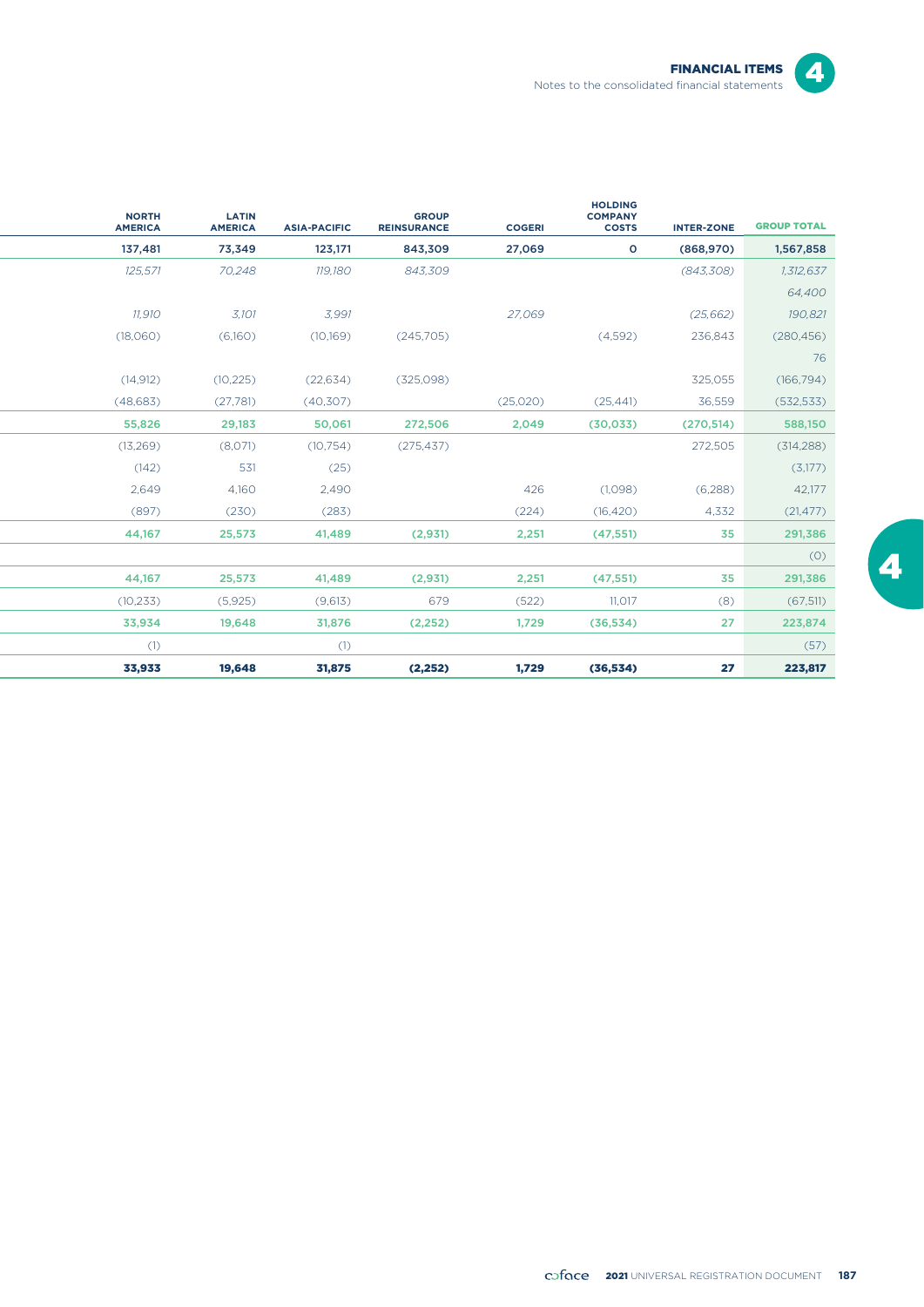

 $\overline{\mathbf{4}}$ 

| <b>NORTH</b><br><b>AMERICA</b> | <b>LATIN</b><br><b>AMERICA</b> | <b>ASIA-PACIFIC</b> | <b>GROUP</b><br><b>REINSURANCE</b> | <b>COGERI</b> | <b>HOLDING</b><br><b>COMPANY</b><br><b>COSTS</b> | <b>INTER-ZONE</b> | <b>GROUP TOTAL</b> |
|--------------------------------|--------------------------------|---------------------|------------------------------------|---------------|--------------------------------------------------|-------------------|--------------------|
| 137,481                        | 73,349                         | 123,171             | 843,309                            | 27,069        | $\mathsf{o}$                                     | (868, 970)        | 1,567,858          |
| 125,571                        | 70,248                         | 119,180             | 843,309                            |               |                                                  | (843,308)         | 1,312,637          |
|                                |                                |                     |                                    |               |                                                  |                   | 64,400             |
| 11,910                         | 3,101                          | 3,991               |                                    | 27,069        |                                                  | (25, 662)         | 190,821            |
| (18,060)                       | (6,160)                        | (10,169)            | (245,705)                          |               | (4,592)                                          | 236,843           | (280, 456)         |
|                                |                                |                     |                                    |               |                                                  |                   | 76                 |
| (14, 912)                      | (10, 225)                      | (22, 634)           | (325,098)                          |               |                                                  | 325,055           | (166, 794)         |
| (48, 683)                      | (27, 781)                      | (40, 307)           |                                    | (25,020)      | (25, 441)                                        | 36,559            | (532, 533)         |
| 55,826                         | 29,183                         | 50,061              | 272,506                            | 2,049         | (30, 033)                                        | (270, 514)        | 588,150            |
| (13,269)                       | (8,071)                        | (10, 754)           | (275, 437)                         |               |                                                  | 272,505           | (314, 288)         |
| (142)                          | 531                            | (25)                |                                    |               |                                                  |                   | (3,177)            |
| 2,649                          | 4,160                          | 2,490               |                                    | 426           | (1,098)                                          | (6,288)           | 42,177             |
| (897)                          | (230)                          | (283)               |                                    | (224)         | (16, 420)                                        | 4,332             | (21, 477)          |
| 44,167                         | 25,573                         | 41,489              | (2,931)                            | 2,251         | (47, 551)                                        | 35                | 291,386            |
|                                |                                |                     |                                    |               |                                                  |                   | (0)                |
| 44,167                         | 25,573                         | 41,489              | (2,931)                            | 2,251         | (47, 551)                                        | 35                | 291,386            |
| (10, 233)                      | (5,925)                        | (9,613)             | 679                                | (522)         | 11.017                                           | (8)               | (67, 511)          |
| 33,934                         | 19,648                         | 31,876              | (2, 252)                           | 1,729         | (36, 534)                                        | 27                | 223,874            |
| (1)                            |                                | (1)                 |                                    |               |                                                  |                   | (57)               |
| 33,933                         | 19,648                         | 31,875              | (2, 252)                           | 1,729         | (36, 534)                                        | 27                | 223,817            |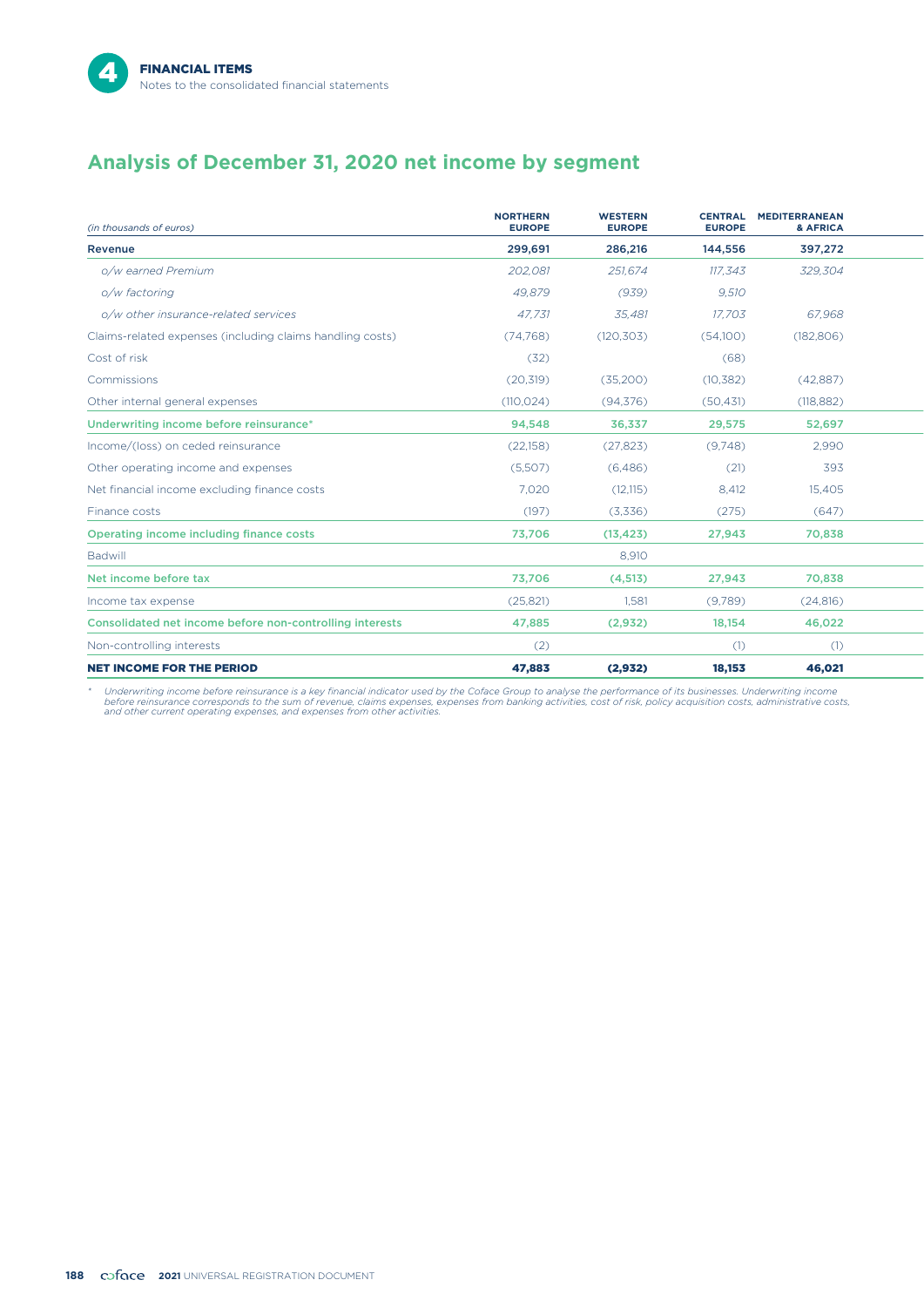# **Analysis of December 31, 2020 net income by segment**

| (in thousands of euros)                                   | <b>NORTHERN</b><br><b>EUROPE</b> | <b>WESTERN</b><br><b>EUROPE</b> | <b>CENTRAL</b><br><b>EUROPE</b> | <b>MEDITERRANEAN</b><br>& AFRICA |  |
|-----------------------------------------------------------|----------------------------------|---------------------------------|---------------------------------|----------------------------------|--|
| Revenue                                                   | 299,691                          | 286,216                         | 144,556                         | 397,272                          |  |
| o/w earned Premium                                        | 202,081                          | 251,674                         | 117.343                         | 329,304                          |  |
| o/w factoring                                             | 49.879                           | (939)                           | 9.510                           |                                  |  |
| o/w other insurance-related services                      | 47,731                           | 35,481                          | 17,703                          | 67,968                           |  |
| Claims-related expenses (including claims handling costs) | (74, 768)                        | (120, 303)                      | (54,100)                        | (182, 806)                       |  |
| Cost of risk                                              | (32)                             |                                 | (68)                            |                                  |  |
| Commissions                                               | (20,319)                         | (35,200)                        | (10, 382)                       | (42, 887)                        |  |
| Other internal general expenses                           | (110, 024)                       | (94, 376)                       | (50, 431)                       | (118, 882)                       |  |
| Underwriting income before reinsurance*                   | 94,548                           | 36,337                          | 29,575                          | 52,697                           |  |
| Income/(loss) on ceded reinsurance                        | (22,158)                         | (27, 823)                       | (9,748)                         | 2,990                            |  |
| Other operating income and expenses                       | (5,507)                          | (6,486)                         | (21)                            | 393                              |  |
| Net financial income excluding finance costs              | 7.020                            | (12,115)                        | 8.412                           | 15.405                           |  |
| Finance costs                                             | (197)                            | (3,336)                         | (275)                           | (647)                            |  |
| Operating income including finance costs                  | 73,706                           | (13, 423)                       | 27,943                          | 70,838                           |  |
| <b>Badwill</b>                                            |                                  | 8,910                           |                                 |                                  |  |
| Net income before tax                                     | 73,706                           | (4, 513)                        | 27,943                          | 70,838                           |  |
| Income tax expense                                        | (25, 821)                        | 1.581                           | (9.789)                         | (24, 816)                        |  |
| Consolidated net income before non-controlling interests  | 47,885                           | (2,932)                         | 18,154                          | 46,022                           |  |
| Non-controlling interests                                 | (2)                              |                                 | (1)                             | (1)                              |  |
| <b>NET INCOME FOR THE PERIOD</b>                          | 47,883                           | (2, 932)                        | 18,153                          | 46,021                           |  |

\* Underwriting income before reinsurance is a key financial indicator used by the Coface Group to analyse the performance of its businesses. Underwriting income<br>before reinsurance corresponds to the sum of revenue, claims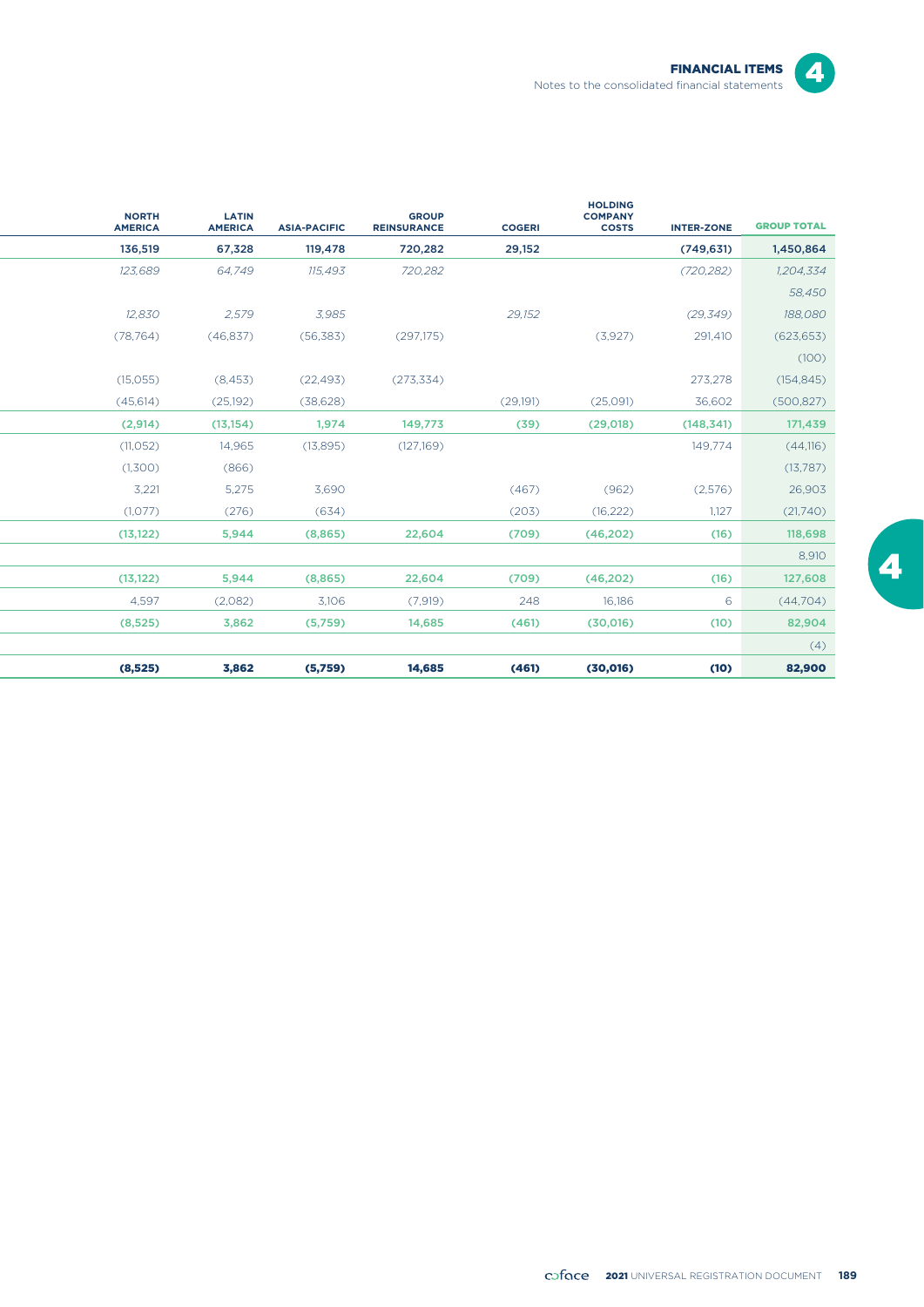

 $\overline{\mathbf{4}}$ 

| <b>NORTH</b><br><b>AMERICA</b> | <b>LATIN</b><br><b>AMERICA</b> | <b>ASIA-PACIFIC</b> | <b>GROUP</b><br><b>REINSURANCE</b> | <b>COGERI</b> | <b>HOLDING</b><br><b>COMPANY</b><br><b>COSTS</b> | <b>INTER-ZONE</b> | <b>GROUP TOTAL</b> |
|--------------------------------|--------------------------------|---------------------|------------------------------------|---------------|--------------------------------------------------|-------------------|--------------------|
| 136,519                        | 67,328                         | 119,478             | 720,282                            | 29,152        |                                                  | (749, 631)        | 1,450,864          |
| 123,689                        | 64,749                         | 115,493             | 720,282                            |               |                                                  | (720, 282)        | 1,204,334          |
|                                |                                |                     |                                    |               |                                                  |                   | 58,450             |
| 12,830                         | 2,579                          | 3,985               |                                    | 29,152        |                                                  | (29, 349)         | 188,080            |
| (78, 764)                      | (46,837)                       | (56, 383)           | (297,175)                          |               | (3,927)                                          | 291,410           | (623, 653)         |
|                                |                                |                     |                                    |               |                                                  |                   | (100)              |
| (15,055)                       | (8, 453)                       | (22, 493)           | (273, 334)                         |               |                                                  | 273,278           | (154, 845)         |
| (45, 614)                      | (25, 192)                      | (38,628)            |                                    | (29,191)      | (25,091)                                         | 36,602            | (500, 827)         |
| (2,914)                        | (13, 154)                      | 1,974               | 149,773                            | (39)          | (29,018)                                         | (148, 341)        | 171,439            |
| (11, 052)                      | 14,965                         | (13,895)            | (127,169)                          |               |                                                  | 149,774           | (44,116)           |
| (1,300)                        | (866)                          |                     |                                    |               |                                                  |                   | (13,787)           |
| 3,221                          | 5,275                          | 3,690               |                                    | (467)         | (962)                                            | (2,576)           | 26,903             |
| (1,077)                        | (276)                          | (634)               |                                    | (203)         | (16, 222)                                        | 1,127             | (21,740)           |
| (13, 122)                      | 5,944                          | (8,865)             | 22,604                             | (709)         | (46, 202)                                        | (16)              | 118,698            |
|                                |                                |                     |                                    |               |                                                  |                   | 8,910              |
| (13, 122)                      | 5,944                          | (8,865)             | 22,604                             | (709)         | (46, 202)                                        | (16)              | 127,608            |
| 4,597                          | (2,082)                        | 3,106               | (7,919)                            | 248           | 16,186                                           | 6                 | (44,704)           |
| (8,525)                        | 3,862                          | (5,759)             | 14,685                             | (461)         | (30,016)                                         | (10)              | 82,904             |
|                                |                                |                     |                                    |               |                                                  |                   | (4)                |
| (8,525)                        | 3,862                          | (5,759)             | 14,685                             | (461)         | (30, 016)                                        | (10)              | 82,900             |

L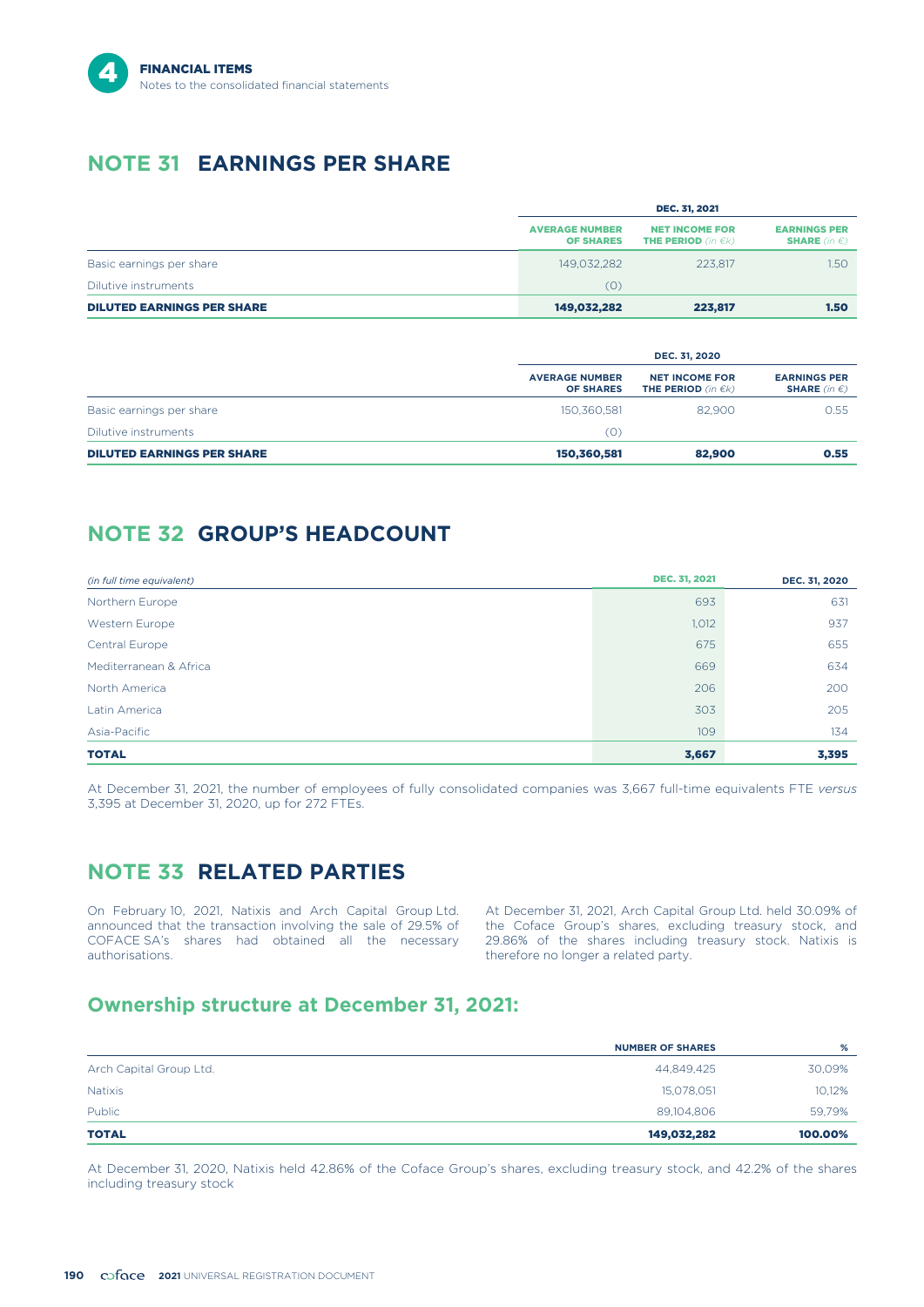

# **NOTE 31 EARNINGS PER SHARE**

|                                   | <b>DEC. 31, 2021</b>                      |                                                         |                                                      |  |
|-----------------------------------|-------------------------------------------|---------------------------------------------------------|------------------------------------------------------|--|
|                                   | <b>AVERAGE NUMBER</b><br><b>OF SHARES</b> | <b>NET INCOME FOR</b><br><b>THE PERIOD</b> (in $\in$ k) | <b>EARNINGS PER</b><br><b>SHARE</b> (in $\epsilon$ ) |  |
| Basic earnings per share          | 149,032,282                               | 223.817                                                 | 1.50                                                 |  |
| Dilutive instruments              | (0)                                       |                                                         |                                                      |  |
| <b>DILUTED EARNINGS PER SHARE</b> | 149,032,282                               | 223,817                                                 | 1.50                                                 |  |

|                                   |                                           | <b>DEC. 31, 2020</b>                                    |                                                      |  |  |
|-----------------------------------|-------------------------------------------|---------------------------------------------------------|------------------------------------------------------|--|--|
|                                   | <b>AVERAGE NUMBER</b><br><b>OF SHARES</b> | <b>NET INCOME FOR</b><br><b>THE PERIOD</b> (in $\in$ k) | <b>EARNINGS PER</b><br><b>SHARE</b> (in $\epsilon$ ) |  |  |
| Basic earnings per share          | 150.360.581                               | 82.900                                                  | 0.55                                                 |  |  |
| Dilutive instruments              | (0)                                       |                                                         |                                                      |  |  |
| <b>DILUTED EARNINGS PER SHARE</b> | 150,360,581                               | 82,900                                                  | 0.55                                                 |  |  |

# **NOTE 32 GROUP'S HEADCOUNT**

| (in full time equivalent) | <b>DEC. 31, 2021</b> | DEC. 31, 2020 |
|---------------------------|----------------------|---------------|
| Northern Europe           | 693                  | 631           |
| Western Europe            | 1,012                | 937           |
| Central Europe            | 675                  | 655           |
| Mediterranean & Africa    | 669                  | 634           |
| North America             | 206                  | 200           |
| Latin America             | 303                  | 205           |
| Asia-Pacific              | 109                  | 134           |
| <b>TOTAL</b>              | 3,667                | 3,395         |

At December 31, 2021, the number of employees of fully consolidated companies was 3,667 full-time equivalents FTE *versus* 3,395 at December 31, 2020, up for 272 FTEs.

### **NOTE 33 RELATED PARTIES**

On February 10, 2021, Natixis and Arch Capital Group Ltd. At December 31, 2021, Arch Capital Group Ltd. held 30.09% of announced that the transaction involving the sale of 29.5% of the Coface Group's shares, excluding treasury stock, and COFACE SA's shares had obtained all the necessary authorisations.

29.86% of the shares including treasury stock. Natixis is therefore no longer a related party.

### **Ownership structure at December 31, 2021:**

|                         | <b>NUMBER OF SHARES</b> | %       |
|-------------------------|-------------------------|---------|
| Arch Capital Group Ltd. | 44,849,425              | 30,09%  |
| Natixis                 | 15,078,051              | 10,12%  |
| Public                  | 89,104,806              | 59,79%  |
| <b>TOTAL</b>            | 149,032,282             | 100,00% |

At December 31, 2020, Natixis held 42.86% of the Coface Group's shares, excluding treasury stock, and 42.2% of the shares including treasury stock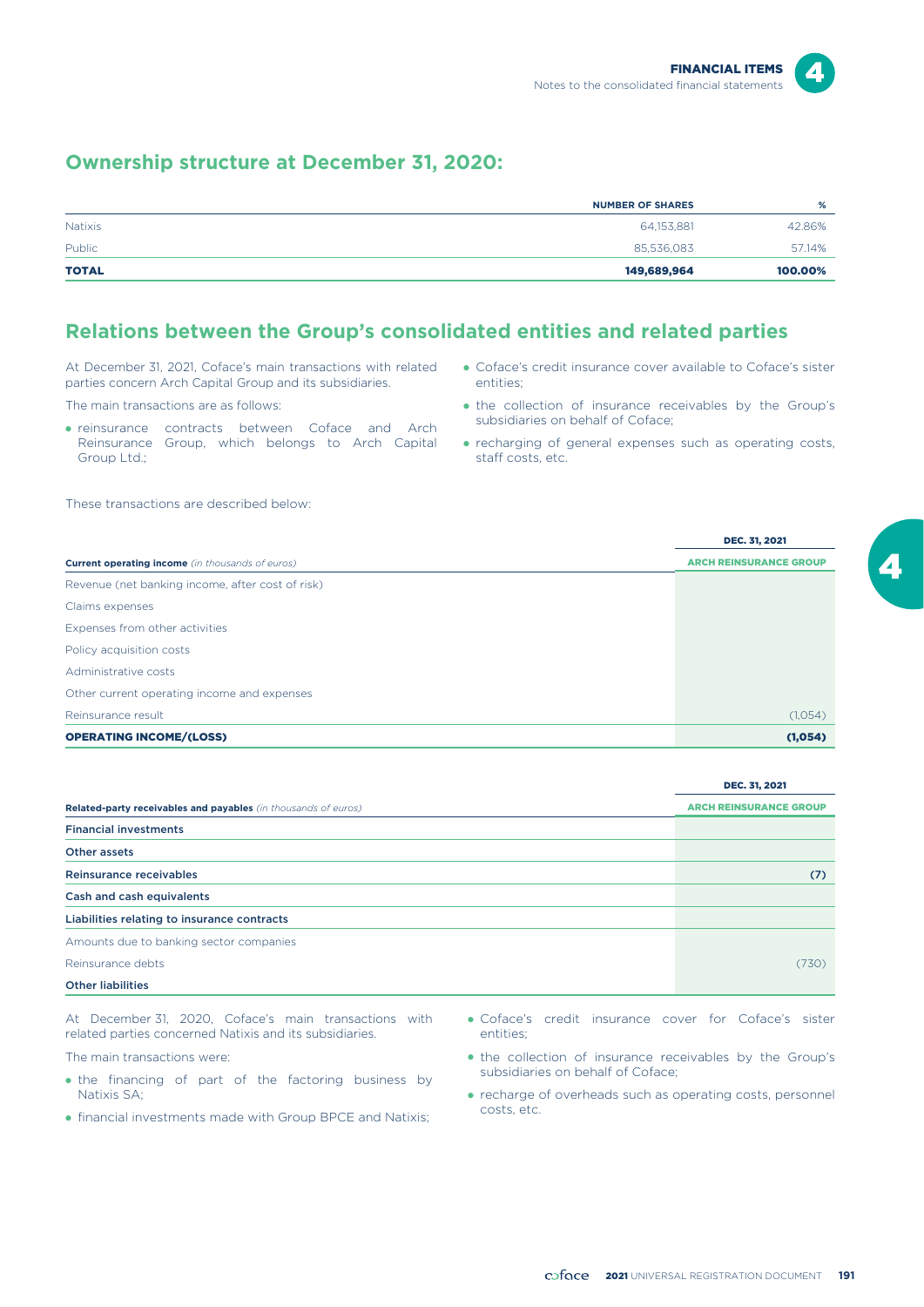### **Ownership structure at December 31, 2020:**

| <b>NUMBER OF SHARES</b> | %       |
|-------------------------|---------|
| 64,153,881              | 42.86%  |
| 85,536,083              | 57.14%  |
| 149,689,964             | 100.00% |
|                         |         |

### **Relations between the Group's consolidated entities and related parties**

At December 31, 2021, Coface's main transactions with related parties concern Arch Capital Group and its subsidiaries.

The main transactions are as follows:

- reinsurance contracts between Coface and Arch Reinsurance Group, which belongs to Arch Capital Group Ltd.;
- Coface's credit insurance cover available to Coface's sister entities;
- the collection of insurance receivables by the Group's subsidiaries on behalf of Coface;
- recharging of general expenses such as operating costs, staff costs, etc.

|                                                         | <b>DEC. 31, 2021</b>          |  |  |
|---------------------------------------------------------|-------------------------------|--|--|
| <b>Current operating income</b> (in thousands of euros) | <b>ARCH REINSURANCE GROUP</b> |  |  |
| Revenue (net banking income, after cost of risk)        |                               |  |  |
| Claims expenses                                         |                               |  |  |
| Expenses from other activities                          |                               |  |  |
| Policy acquisition costs                                |                               |  |  |
| Administrative costs                                    |                               |  |  |
| Other current operating income and expenses             |                               |  |  |
| Reinsurance result                                      | (1,054)                       |  |  |
| <b>OPERATING INCOME/(LOSS)</b>                          | (1,054)                       |  |  |

#### DEC. 31, 2021

| Related-party receivables and payables (in thousands of euros) | <b>ARCH REINSURANCE GROUP</b> |
|----------------------------------------------------------------|-------------------------------|
| <b>Financial investments</b>                                   |                               |
| Other assets                                                   |                               |
| Reinsurance receivables                                        | (7)                           |
| Cash and cash equivalents                                      |                               |
| Liabilities relating to insurance contracts                    |                               |
| Amounts due to banking sector companies                        |                               |
| Reinsurance debts                                              | (730)                         |
| <b>Other liabilities</b>                                       |                               |

At December 31, 2020, Coface's main transactions with related parties concerned Natixis and its subsidiaries.

The main transactions were:

- the financing of part of the factoring business by Natixis SA;
- financial investments made with Group BPCE and Natixis;
- Coface's credit insurance cover for Coface's sister entities;
- the collection of insurance receivables by the Group's subsidiaries on behalf of Coface;
- recharge of overheads such as operating costs, personnel costs, etc.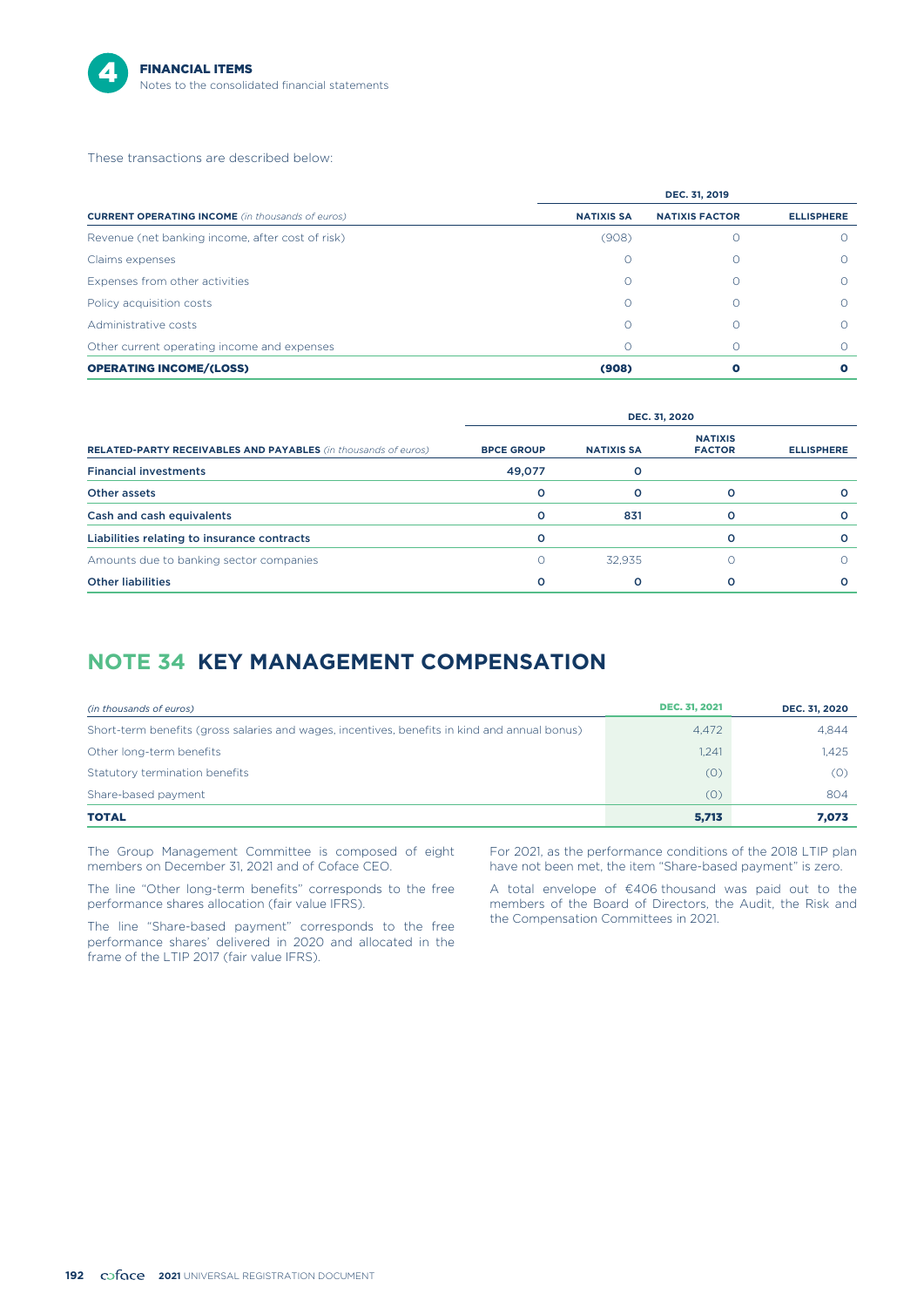

These transactions are described below:

|                                                         |                   | DEC. 31, 2019         |                   |  |
|---------------------------------------------------------|-------------------|-----------------------|-------------------|--|
| <b>CURRENT OPERATING INCOME</b> (in thousands of euros) | <b>NATIXIS SA</b> | <b>NATIXIS FACTOR</b> | <b>ELLISPHERE</b> |  |
| Revenue (net banking income, after cost of risk)        | (908)             |                       |                   |  |
| Claims expenses                                         | 0                 |                       |                   |  |
| Expenses from other activities                          | 0                 |                       |                   |  |
| Policy acquisition costs                                | Ω                 |                       |                   |  |
| Administrative costs                                    | Ω                 |                       |                   |  |
| Other current operating income and expenses             | Ω                 |                       |                   |  |
| <b>OPERATING INCOME/(LOSS)</b>                          | (908)             |                       |                   |  |

|                                                                | DEC. 31, 2020     |                   |                                 |                   |  |
|----------------------------------------------------------------|-------------------|-------------------|---------------------------------|-------------------|--|
| RELATED-PARTY RECEIVABLES AND PAYABLES (in thousands of euros) | <b>BPCE GROUP</b> | <b>NATIXIS SA</b> | <b>NATIXIS</b><br><b>FACTOR</b> | <b>ELLISPHERE</b> |  |
| <b>Financial investments</b>                                   | 49,077            | Ω                 |                                 |                   |  |
| Other assets                                                   | o                 | o                 | ο                               |                   |  |
| Cash and cash equivalents                                      | o                 | 831               | ο                               |                   |  |
| Liabilities relating to insurance contracts                    | o                 |                   | ο                               |                   |  |
| Amounts due to banking sector companies                        |                   | 32.935            |                                 |                   |  |
| <b>Other liabilities</b>                                       | o                 | ο                 | ο                               |                   |  |

# **NOTE 34 KEY MANAGEMENT COMPENSATION**

| (in thousands of euros)                                                                       | <b>DEC. 31, 2021</b> | DEC. 31, 2020 |
|-----------------------------------------------------------------------------------------------|----------------------|---------------|
| Short-term benefits (gross salaries and wages, incentives, benefits in kind and annual bonus) | 4.472                | 4.844         |
| Other long-term benefits                                                                      | 1,241                | 1.425         |
| Statutory termination benefits                                                                | (0)                  | (O)           |
| Share-based payment                                                                           | (0)                  | 804           |
| <b>TOTAL</b>                                                                                  | 5,713                | 7,073         |

The Group Management Committee is composed of eight members on December 31, 2021 and of Coface CEO.

The line "Other long-term benefits" corresponds to the free performance shares allocation (fair value IFRS).

The line "Share-based payment" corresponds to the free performance shares' delivered in 2020 and allocated in the frame of the LTIP 2017 (fair value IFRS).

For 2021, as the performance conditions of the 2018 LTIP plan have not been met, the item "Share-based payment" is zero.

A total envelope of €406 thousand was paid out to the members of the Board of Directors, the Audit, the Risk and the Compensation Committees in 2021.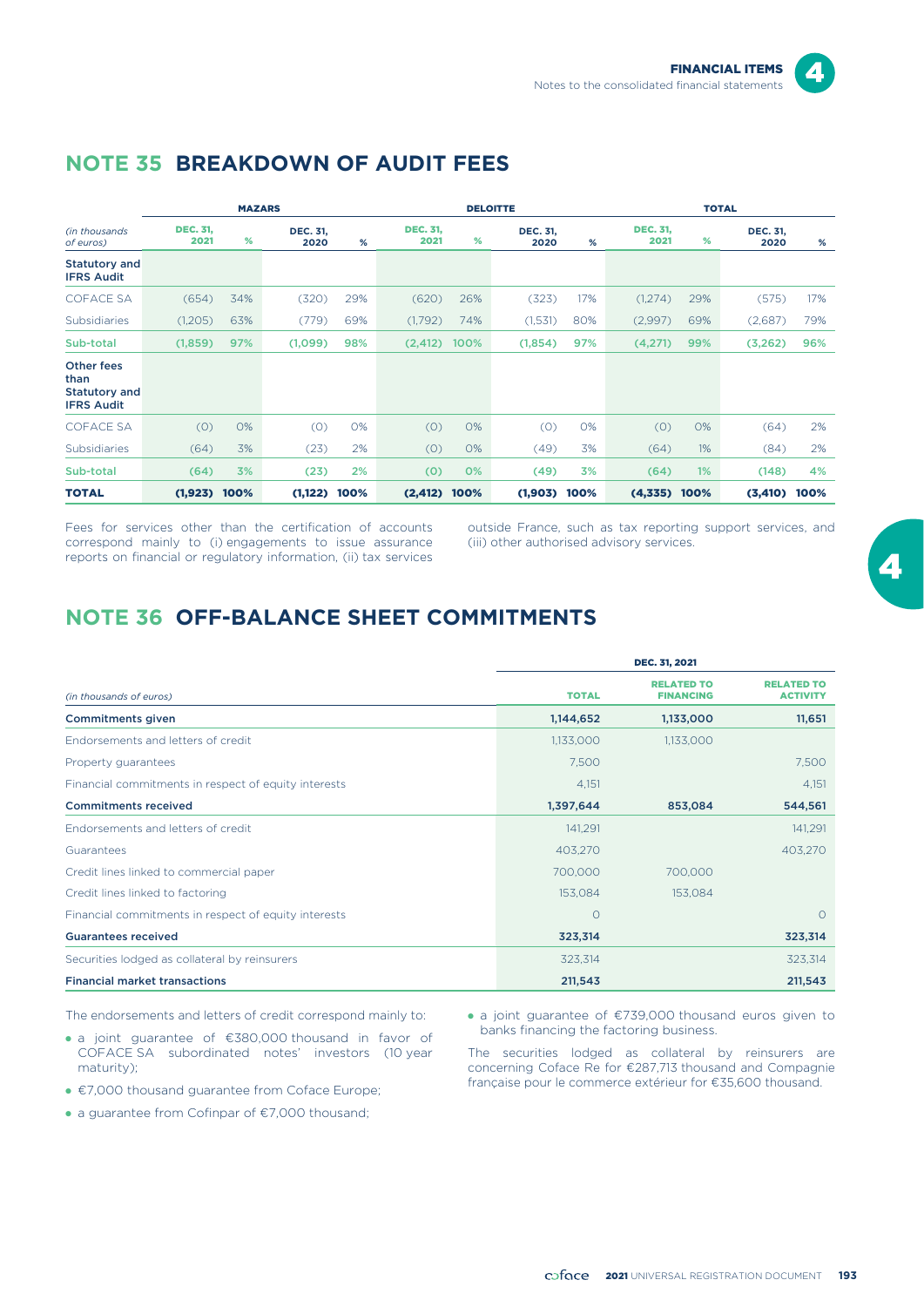

| <b>MAZARS</b>                                                          |                         |     |                         | <b>DELOITTE</b> |                         |      |                         | <b>TOTAL</b> |                         |     |                         |      |
|------------------------------------------------------------------------|-------------------------|-----|-------------------------|-----------------|-------------------------|------|-------------------------|--------------|-------------------------|-----|-------------------------|------|
| (in thousands)<br>of euros)                                            | <b>DEC. 31,</b><br>2021 | %   | <b>DEC. 31,</b><br>2020 | %               | <b>DEC. 31,</b><br>2021 | %    | <b>DEC. 31,</b><br>2020 | %            | <b>DEC. 31,</b><br>2021 | %   | <b>DEC. 31,</b><br>2020 | %    |
| <b>Statutory and</b><br><b>IFRS Audit</b>                              |                         |     |                         |                 |                         |      |                         |              |                         |     |                         |      |
| <b>COFACE SA</b>                                                       | (654)                   | 34% | (320)                   | 29%             | (620)                   | 26%  | (323)                   | 17%          | (1,274)                 | 29% | (575)                   | 17%  |
| <b>Subsidiaries</b>                                                    | (1,205)                 | 63% | (779)                   | 69%             | (1,792)                 | 74%  | (1,531)                 | 80%          | (2,997)                 | 69% | (2,687)                 | 79%  |
| Sub-total                                                              | (1,859)                 | 97% | (1,099)                 | 98%             | (2, 412)                | 100% | (1, 854)                | 97%          | (4,271)                 | 99% | (3,262)                 | 96%  |
| <b>Other fees</b><br>than<br><b>Statutory and</b><br><b>IFRS Audit</b> |                         |     |                         |                 |                         |      |                         |              |                         |     |                         |      |
| <b>COFACE SA</b>                                                       | (0)                     | 0%  | (0)                     | 0%              | (0)                     | 0%   | (0)                     | 0%           | (0)                     | 0%  | (64)                    | 2%   |
| <b>Subsidiaries</b>                                                    | (64)                    | 3%  | (23)                    | 2%              | (0)                     | 0%   | (49)                    | 3%           | (64)                    | 1%  | (84)                    | 2%   |
| Sub-total                                                              | (64)                    | 3%  | (23)                    | 2%              | (0)                     | 0%   | (49)                    | 3%           | (64)                    | 1%  | (148)                   | 4%   |
| <b>TOTAL</b>                                                           | $(1,923)$ 100%          |     | (1, 122)                | 100%            | $(2, 412)$ 100%         |      | (1,903)                 | 100%         | $(4,335)$ 100%          |     | (3, 410)                | 100% |

# **NOTE 35 BREAKDOWN OF AUDIT FEES**

Fees for services other than the certification of accounts outside France, such as tax reporting support services, and correspond mainly to (i) engagements to issue assurance (iii) other authorised advisory services. reports on financial or regulatory information, (ii) tax services

# **NOTE 36 OFF-BALANCE SHEET COMMITMENTS**

|                                                      |              | <b>DEC. 31, 2021</b>                  |                                      |  |  |  |
|------------------------------------------------------|--------------|---------------------------------------|--------------------------------------|--|--|--|
| (in thousands of euros)                              | <b>TOTAL</b> | <b>RELATED TO</b><br><b>FINANCING</b> | <b>RELATED TO</b><br><b>ACTIVITY</b> |  |  |  |
| <b>Commitments given</b>                             | 1,144,652    | 1,133,000                             | 11,651                               |  |  |  |
| Endorsements and letters of credit                   | 1,133,000    | 1,133,000                             |                                      |  |  |  |
| Property guarantees                                  | 7,500        |                                       | 7,500                                |  |  |  |
| Financial commitments in respect of equity interests | 4,151        |                                       | 4,151                                |  |  |  |
| <b>Commitments received</b>                          | 1,397,644    | 853,084                               | 544,561                              |  |  |  |
| Endorsements and letters of credit                   | 141,291      |                                       | 141,291                              |  |  |  |
| Guarantees                                           | 403,270      |                                       | 403,270                              |  |  |  |
| Credit lines linked to commercial paper              | 700,000      | 700,000                               |                                      |  |  |  |
| Credit lines linked to factoring                     | 153,084      | 153,084                               |                                      |  |  |  |
| Financial commitments in respect of equity interests | $\circ$      |                                       | $\Omega$                             |  |  |  |
| <b>Guarantees received</b>                           | 323,314      |                                       | 323,314                              |  |  |  |
| Securities lodged as collateral by reinsurers        | 323,314      |                                       | 323,314                              |  |  |  |
| <b>Financial market transactions</b>                 | 211,543      |                                       | 211,543                              |  |  |  |

The endorsements and letters of credit correspond mainly to:

- a joint guarantee of €380,000 thousand in favor of COFACE SA subordinated notes' investors (10 year maturity);
- €7,000 thousand guarantee from Coface Europe;
- a guarantee from Cofinpar of €7,000 thousand;

• a joint guarantee of €739,000 thousand euros given to banks financing the factoring business.

The securities lodged as collateral by reinsurers are concerning Coface Re for €287,713 thousand and Compagnie française pour le commerce extérieur for €35,600 thousand.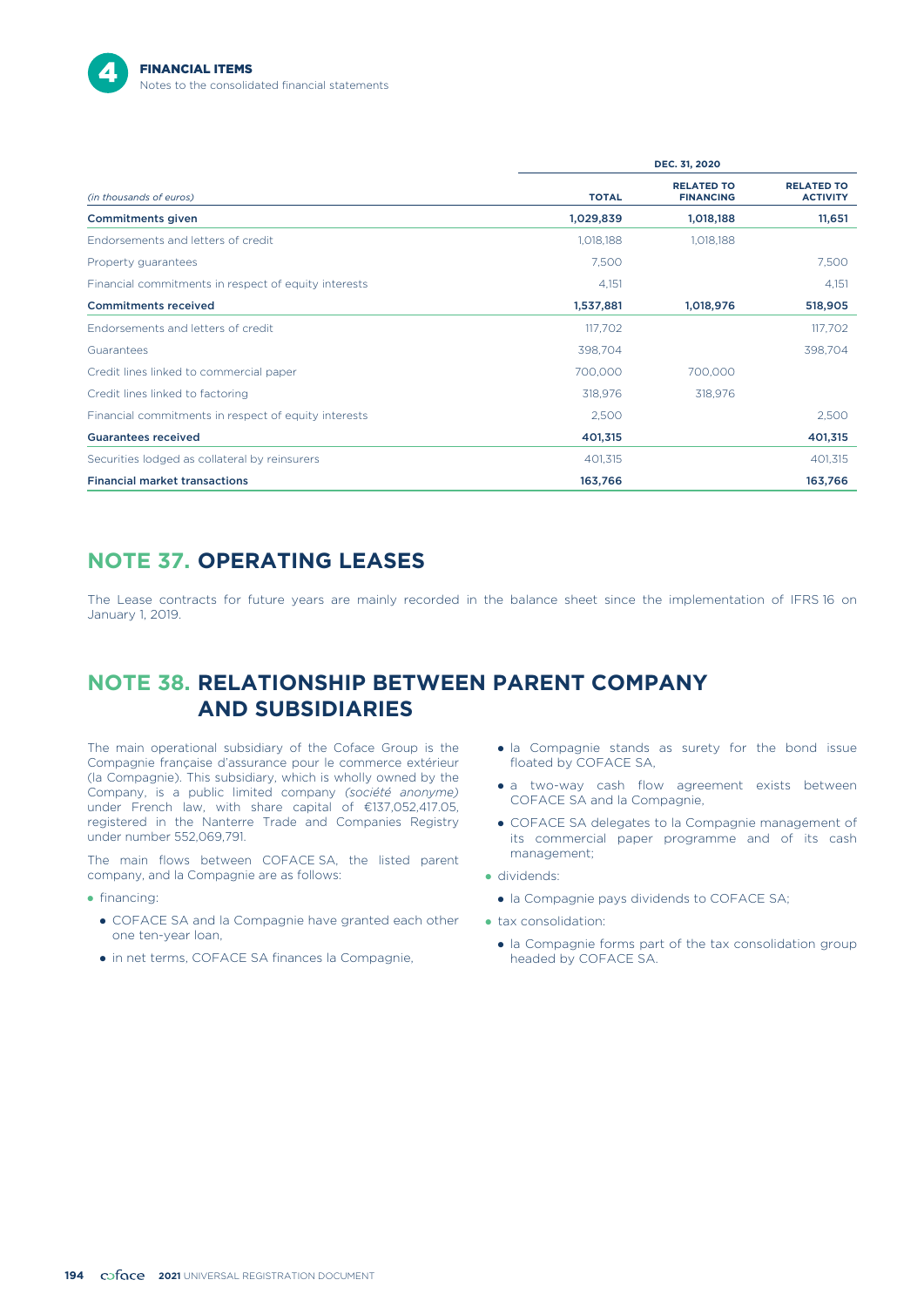

|                                                      | DEC. 31, 2020 |                                       |                                      |  |  |
|------------------------------------------------------|---------------|---------------------------------------|--------------------------------------|--|--|
| (in thousands of euros)                              | <b>TOTAL</b>  | <b>RELATED TO</b><br><b>FINANCING</b> | <b>RELATED TO</b><br><b>ACTIVITY</b> |  |  |
| <b>Commitments given</b>                             | 1,029,839     | 1,018,188                             | 11,651                               |  |  |
| Endorsements and letters of credit                   | 1,018,188     | 1,018,188                             |                                      |  |  |
| Property guarantees                                  | 7,500         |                                       | 7,500                                |  |  |
| Financial commitments in respect of equity interests | 4,151         |                                       | 4,151                                |  |  |
| <b>Commitments received</b>                          | 1,537,881     | 1,018,976                             | 518,905                              |  |  |
| Endorsements and letters of credit                   | 117,702       |                                       | 117,702                              |  |  |
| Guarantees                                           | 398,704       |                                       | 398,704                              |  |  |
| Credit lines linked to commercial paper              | 700,000       | 700,000                               |                                      |  |  |
| Credit lines linked to factoring                     | 318,976       | 318,976                               |                                      |  |  |
| Financial commitments in respect of equity interests | 2,500         |                                       | 2,500                                |  |  |
| <b>Guarantees received</b>                           | 401,315       |                                       | 401,315                              |  |  |
| Securities lodged as collateral by reinsurers        | 401,315       |                                       | 401,315                              |  |  |
| <b>Financial market transactions</b>                 | 163,766       |                                       | 163,766                              |  |  |

### **NOTE 37. OPERATING LEASES**

The Lease contracts for future years are mainly recorded in the balance sheet since the implementation of IFRS 16 on January 1, 2019.

# **NOTE 38. RELATIONSHIP BETWEEN PARENT COMPANY AND SUBSIDIARIES**

The main operational subsidiary of the Coface Group is the Compagnie française d'assurance pour le commerce extérieur (la Compagnie). This subsidiary, which is wholly owned by the Company, is a public limited company *(société anonyme)* under French law, with share capital of €137,052,417.05, registered in the Nanterre Trade and Companies Registry under number 552,069,791.

The main flows between COFACE SA, the listed parent company, and la Compagnie are as follows:

- financing:
	- COFACE SA and la Compagnie have granted each other one ten-year loan,
	- in net terms, COFACE SA finances la Compagnie,
- la Compagnie stands as surety for the bond issue floated by COFACE SA,
- a two-way cash flow agreement exists between COFACE SA and la Compagnie,
- COFACE SA delegates to la Compagnie management of its commercial paper programme and of its cash management;
- **·** dividends:
	- $\bullet$  la Compagnie pays dividends to COFACE SA;
- tax consolidation:
	- la Compagnie forms part of the tax consolidation group headed by COFACE SA.